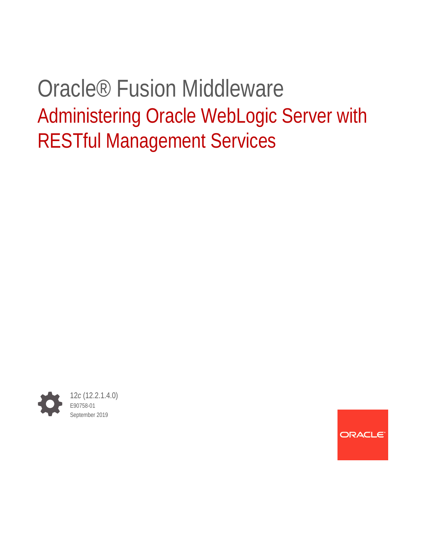# Oracle® Fusion Middleware Administering Oracle WebLogic Server with RESTful Management Services



ORACLE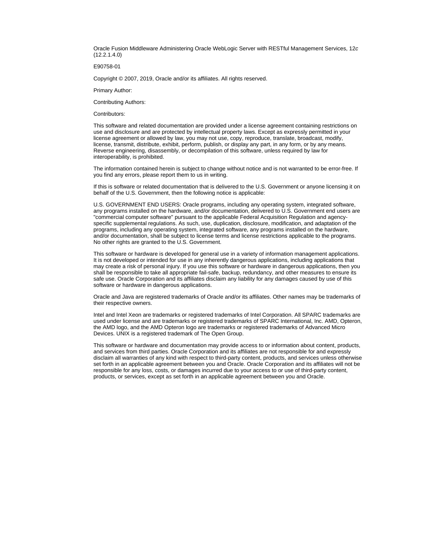Oracle Fusion Middleware Administering Oracle WebLogic Server with RESTful Management Services, 12*c* (12.2.1.4.0)

E90758-01

Copyright © 2007, 2019, Oracle and/or its affiliates. All rights reserved.

Primary Author:

Contributing Authors:

Contributors:

This software and related documentation are provided under a license agreement containing restrictions on use and disclosure and are protected by intellectual property laws. Except as expressly permitted in your license agreement or allowed by law, you may not use, copy, reproduce, translate, broadcast, modify, license, transmit, distribute, exhibit, perform, publish, or display any part, in any form, or by any means. Reverse engineering, disassembly, or decompilation of this software, unless required by law for interoperability, is prohibited.

The information contained herein is subject to change without notice and is not warranted to be error-free. If you find any errors, please report them to us in writing.

If this is software or related documentation that is delivered to the U.S. Government or anyone licensing it on behalf of the U.S. Government, then the following notice is applicable:

U.S. GOVERNMENT END USERS: Oracle programs, including any operating system, integrated software, any programs installed on the hardware, and/or documentation, delivered to U.S. Government end users are "commercial computer software" pursuant to the applicable Federal Acquisition Regulation and agencyspecific supplemental regulations. As such, use, duplication, disclosure, modification, and adaptation of the programs, including any operating system, integrated software, any programs installed on the hardware, and/or documentation, shall be subject to license terms and license restrictions applicable to the programs. No other rights are granted to the U.S. Government.

This software or hardware is developed for general use in a variety of information management applications. It is not developed or intended for use in any inherently dangerous applications, including applications that may create a risk of personal injury. If you use this software or hardware in dangerous applications, then you shall be responsible to take all appropriate fail-safe, backup, redundancy, and other measures to ensure its safe use. Oracle Corporation and its affiliates disclaim any liability for any damages caused by use of this software or hardware in dangerous applications.

Oracle and Java are registered trademarks of Oracle and/or its affiliates. Other names may be trademarks of their respective owners.

Intel and Intel Xeon are trademarks or registered trademarks of Intel Corporation. All SPARC trademarks are used under license and are trademarks or registered trademarks of SPARC International, Inc. AMD, Opteron, the AMD logo, and the AMD Opteron logo are trademarks or registered trademarks of Advanced Micro Devices. UNIX is a registered trademark of The Open Group.

This software or hardware and documentation may provide access to or information about content, products, and services from third parties. Oracle Corporation and its affiliates are not responsible for and expressly disclaim all warranties of any kind with respect to third-party content, products, and services unless otherwise set forth in an applicable agreement between you and Oracle. Oracle Corporation and its affiliates will not be responsible for any loss, costs, or damages incurred due to your access to or use of third-party content, products, or services, except as set forth in an applicable agreement between you and Oracle.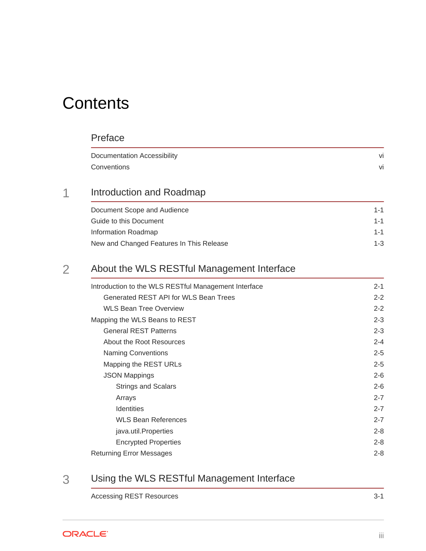# **Contents**

#### [Preface](#page-5-0)

| Documentation Accessibility | ۷ı |
|-----------------------------|----|
| Conventions                 | VI |

### 1 [Introduction and Roadmap](#page-6-0)

| Document Scope and Audience              | $1 - 1$ |
|------------------------------------------|---------|
| Guide to this Document                   | $1 - 1$ |
| Information Roadmap                      | $1 - 1$ |
| New and Changed Features In This Release | $1 - 3$ |

### 2 [About the WLS RESTful Management Interface](#page-9-0)

| Introduction to the WLS RESTful Management Interface | $2 - 1$ |
|------------------------------------------------------|---------|
| Generated REST API for WLS Bean Trees                | $2 - 2$ |
| <b>WLS Bean Tree Overview</b>                        | $2 - 2$ |
| Mapping the WLS Beans to REST                        | $2 - 3$ |
| <b>General REST Patterns</b>                         | $2 - 3$ |
| About the Root Resources                             | $2 - 4$ |
| Naming Conventions                                   | $2 - 5$ |
| Mapping the REST URLs                                | $2 - 5$ |
| <b>JSON Mappings</b>                                 | $2 - 6$ |
| <b>Strings and Scalars</b>                           | $2 - 6$ |
| Arrays                                               | $2 - 7$ |
| <b>Identities</b>                                    | $2 - 7$ |
| <b>WLS Bean References</b>                           | $2 - 7$ |
| java.util.Properties                                 | $2 - 8$ |
| <b>Encrypted Properties</b>                          | $2 - 8$ |
| <b>Returning Error Messages</b>                      | $2 - 8$ |

### 3 [Using the WLS RESTful Management Interface](#page-18-0)

[Accessing REST Resources 3-1](#page-18-0)

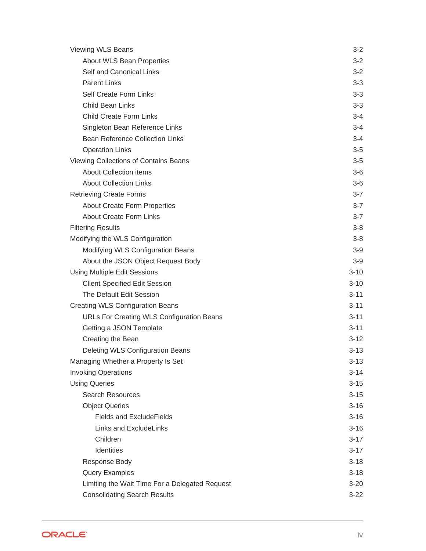| Viewing WLS Beans                                | $3 - 2$  |
|--------------------------------------------------|----------|
| About WLS Bean Properties                        | $3 - 2$  |
| Self and Canonical Links                         | $3 - 2$  |
| <b>Parent Links</b>                              | $3 - 3$  |
| <b>Self Create Form Links</b>                    | $3 - 3$  |
| Child Bean Links                                 | $3 - 3$  |
| <b>Child Create Form Links</b>                   | $3 - 4$  |
| Singleton Bean Reference Links                   | $3 - 4$  |
| <b>Bean Reference Collection Links</b>           | 3-4      |
| <b>Operation Links</b>                           | $3-5$    |
| Viewing Collections of Contains Beans            | $3-5$    |
| <b>About Collection items</b>                    | $3-6$    |
| <b>About Collection Links</b>                    | $3-6$    |
| <b>Retrieving Create Forms</b>                   | $3 - 7$  |
| <b>About Create Form Properties</b>              | $3 - 7$  |
| <b>About Create Form Links</b>                   | $3 - 7$  |
| <b>Filtering Results</b>                         | $3-8$    |
| Modifying the WLS Configuration                  | $3 - 8$  |
| Modifying WLS Configuration Beans                | $3-9$    |
| About the JSON Object Request Body               | $3-9$    |
| Using Multiple Edit Sessions                     | $3 - 10$ |
| <b>Client Specified Edit Session</b>             | $3 - 10$ |
| The Default Edit Session                         | $3 - 11$ |
| <b>Creating WLS Configuration Beans</b>          | $3-11$   |
| <b>URLs For Creating WLS Configuration Beans</b> | $3-11$   |
| Getting a JSON Template                          | $3 - 11$ |
| Creating the Bean                                | $3-12$   |
| Deleting WLS Configuration Beans                 | $3 - 13$ |
| Managing Whether a Property Is Set               | $3-13$   |
| <b>Invoking Operations</b>                       | $3 - 14$ |
| <b>Using Queries</b>                             | $3 - 15$ |
| <b>Search Resources</b>                          | $3 - 15$ |
| <b>Object Queries</b>                            | $3 - 16$ |
| <b>Fields and ExcludeFields</b>                  | $3 - 16$ |
| Links and ExcludeLinks                           | $3 - 16$ |
| Children                                         | $3-17$   |
| Identities                                       | $3-17$   |
| Response Body                                    | $3 - 18$ |
| Query Examples                                   | $3 - 18$ |
| Limiting the Wait Time For a Delegated Request   | $3 - 20$ |
| <b>Consolidating Search Results</b>              | $3 - 22$ |

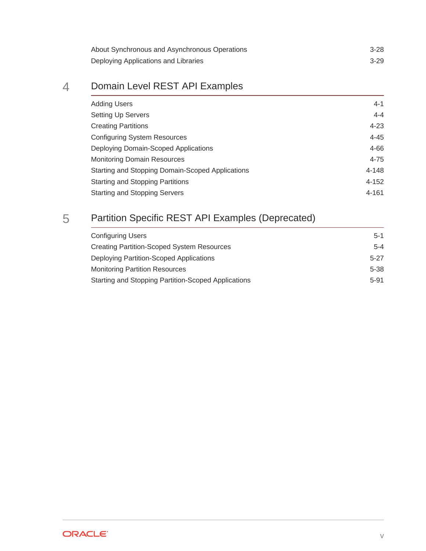| About Synchronous and Asynchronous Operations | $3-28$ |
|-----------------------------------------------|--------|
| Deploying Applications and Libraries          | $3-29$ |

### 4 [Domain Level REST API Examples](#page-47-0)

| <b>Adding Users</b>                              | $4 - 1$   |
|--------------------------------------------------|-----------|
| Setting Up Servers                               | $4 - 4$   |
| <b>Creating Partitions</b>                       | $4 - 23$  |
| <b>Configuring System Resources</b>              | $4 - 45$  |
| Deploying Domain-Scoped Applications             | $4 - 66$  |
| <b>Monitoring Domain Resources</b>               | $4 - 75$  |
| Starting and Stopping Domain-Scoped Applications | 4-148     |
| <b>Starting and Stopping Partitions</b>          | $4 - 152$ |
| <b>Starting and Stopping Servers</b>             | $4 - 161$ |

# 5 [Partition Specific REST API Examples \(Deprecated\)](#page-217-0)

| <b>Configuring Users</b>                            | $5-1$   |
|-----------------------------------------------------|---------|
| <b>Creating Partition-Scoped System Resources</b>   | $5 - 4$ |
| Deploying Partition-Scoped Applications             | $5-27$  |
| <b>Monitoring Partition Resources</b>               | 5-38    |
| Starting and Stopping Partition-Scoped Applications | 5-91    |

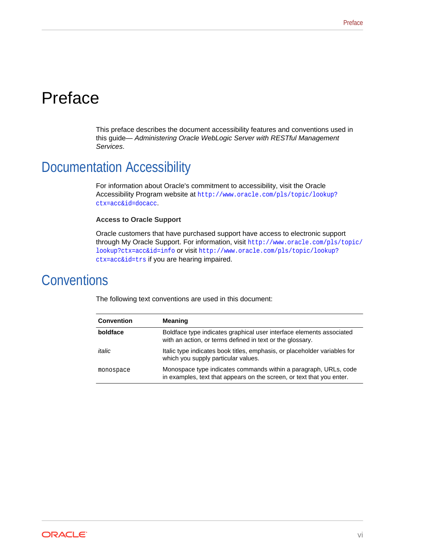# <span id="page-5-0"></span>Preface

This preface describes the document accessibility features and conventions used in this guide— *Administering Oracle WebLogic Server with RESTful Management Services*.

# Documentation Accessibility

For information about Oracle's commitment to accessibility, visit the Oracle Accessibility Program website at [http://www.oracle.com/pls/topic/lookup?](http://www.oracle.com/pls/topic/lookup?ctx=acc&id=docacc) [ctx=acc&id=docacc](http://www.oracle.com/pls/topic/lookup?ctx=acc&id=docacc).

#### **Access to Oracle Support**

Oracle customers that have purchased support have access to electronic support through My Oracle Support. For information, visit [http://www.oracle.com/pls/topic/](http://www.oracle.com/pls/topic/lookup?ctx=acc&id=info) [lookup?ctx=acc&id=info](http://www.oracle.com/pls/topic/lookup?ctx=acc&id=info) or visit [http://www.oracle.com/pls/topic/lookup?](http://www.oracle.com/pls/topic/lookup?ctx=acc&id=trs) [ctx=acc&id=trs](http://www.oracle.com/pls/topic/lookup?ctx=acc&id=trs) if you are hearing impaired.

# **Conventions**

| <b>Convention</b> | <b>Meaning</b>                                                                                                                            |
|-------------------|-------------------------------------------------------------------------------------------------------------------------------------------|
| boldface          | Boldface type indicates graphical user interface elements associated<br>with an action, or terms defined in text or the glossary.         |
| italic            | Italic type indicates book titles, emphasis, or placeholder variables for<br>which you supply particular values.                          |
| monospace         | Monospace type indicates commands within a paragraph, URLs, code<br>in examples, text that appears on the screen, or text that you enter. |

The following text conventions are used in this document:

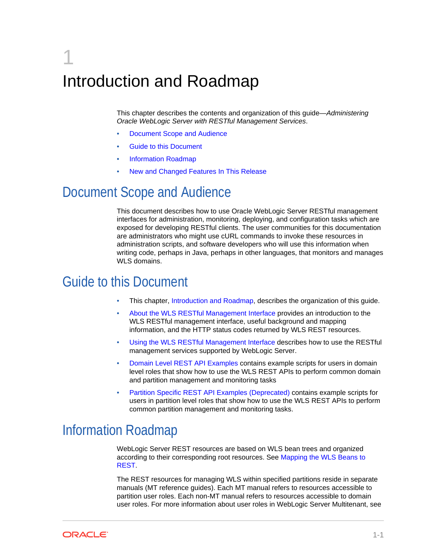# <span id="page-6-0"></span>1 Introduction and Roadmap

This chapter describes the contents and organization of this guide—*Administering Oracle WebLogic Server with RESTful Management Services*.

- Document Scope and Audience
- **Guide to this Document**
- Information Roadmap
- [New and Changed Features In This Release](#page-8-0)

## Document Scope and Audience

This document describes how to use Oracle WebLogic Server RESTful management interfaces for administration, monitoring, deploying, and configuration tasks which are exposed for developing RESTful clients. The user communities for this documentation are administrators who might use cURL commands to invoke these resources in administration scripts, and software developers who will use this information when writing code, perhaps in Java, perhaps in other languages, that monitors and manages WLS domains.

# Guide to this Document

- This chapter, Introduction and Roadmap, describes the organization of this guide.
- [About the WLS RESTful Management Interface](#page-9-0) provides an introduction to the WLS RESTful management interface, useful background and mapping information, and the HTTP status codes returned by WLS REST resources.
- [Using the WLS RESTful Management Interface](#page-18-0) describes how to use the RESTful management services supported by WebLogic Server.
- [Domain Level REST API Examples](#page-47-0) contains example scripts for users in domain level roles that show how to use the WLS REST APIs to perform common domain and partition management and monitoring tasks
- [Partition Specific REST API Examples \(Deprecated\)](#page-217-0) contains example scripts for users in partition level roles that show how to use the WLS REST APIs to perform common partition management and monitoring tasks.

# Information Roadmap

WebLogic Server REST resources are based on WLS bean trees and organized according to their corresponding root resources. See [Mapping the WLS Beans to](#page-11-0) [REST.](#page-11-0)

The REST resources for managing WLS within specified partitions reside in separate manuals (MT reference guides). Each MT manual refers to resources accessible to partition user roles. Each non-MT manual refers to resources accessible to domain user roles. For more information about user roles in WebLogic Server Multitenant, see

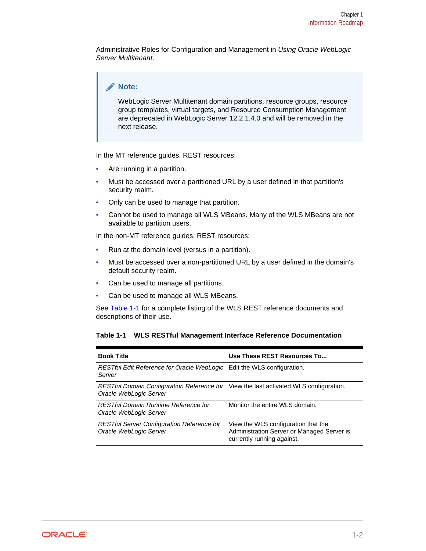Administrative Roles for Configuration and Management in *Using Oracle WebLogic Server Multitenant*.

#### **Note:**

WebLogic Server Multitenant domain partitions, resource groups, resource group templates, virtual targets, and Resource Consumption Management are deprecated in WebLogic Server 12.2.1.4.0 and will be removed in the next release.

In the MT reference guides, REST resources:

- Are running in a partition.
- Must be accessed over a partitioned URL by a user defined in that partition's security realm.
- Only can be used to manage that partition.
- Cannot be used to manage all WLS MBeans. Many of the WLS MBeans are not available to partition users.

In the non-MT reference guides, REST resources:

- Run at the domain level (versus in a partition).
- Must be accessed over a non-partitioned URL by a user defined in the domain's default security realm.
- Can be used to manage all partitions.
- Can be used to manage all WLS MBeans.

See Table 1-1 for a complete listing of the WLS REST reference documents and descriptions of their use.

#### **Table 1-1 WLS RESTful Management Interface Reference Documentation**

| <b>Book Title</b>                                                                                               | Use These REST Resources To                                                                                     |
|-----------------------------------------------------------------------------------------------------------------|-----------------------------------------------------------------------------------------------------------------|
| RESTful Edit Reference for Oracle WebLogic Edit the WLS configuration.<br>Server                                |                                                                                                                 |
| RESTful Domain Configuration Reference for View the last activated WLS configuration.<br>Oracle WebLogic Server |                                                                                                                 |
| <b>RESTful Domain Runtime Reference for</b><br>Oracle WebLogic Server                                           | Monitor the entire WLS domain.                                                                                  |
| <b>RESTful Server Configuration Reference for</b><br>Oracle WebLogic Server                                     | View the WLS configuration that the<br>Administration Server or Managed Server is<br>currently running against. |

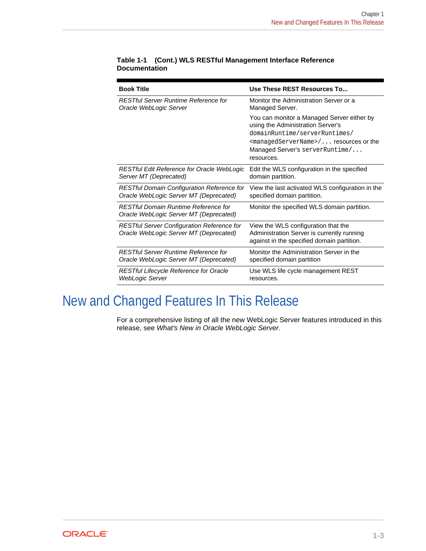| <b>Book Title</b>                                                                           | Use These REST Resources To                                                                                                                                                                                       |
|---------------------------------------------------------------------------------------------|-------------------------------------------------------------------------------------------------------------------------------------------------------------------------------------------------------------------|
| <b>RESTful Server Runtime Reference for</b>                                                 | Monitor the Administration Server or a                                                                                                                                                                            |
| Oracle WebLogic Server                                                                      | Managed Server.                                                                                                                                                                                                   |
|                                                                                             | You can monitor a Managed Server either by<br>using the Administration Server's<br>domainRuntime/serverRuntimes/<br>$<$ managedServerName> $/$ resources or the<br>Managed Server's server Runtime/<br>resources. |
| <b>RESTful Edit Reference for Oracle WebLogic</b>                                           | Edit the WLS configuration in the specified                                                                                                                                                                       |
| Server MT (Deprecated)                                                                      | domain partition.                                                                                                                                                                                                 |
| <b>RESTful Domain Configuration Reference for</b>                                           | View the last activated WLS configuration in the                                                                                                                                                                  |
| Oracle WebLogic Server MT (Deprecated)                                                      | specified domain partition.                                                                                                                                                                                       |
| <b>RESTful Domain Runtime Reference for</b><br>Oracle WebLogic Server MT (Deprecated)       | Monitor the specified WLS domain partition.                                                                                                                                                                       |
| <b>RESTful Server Configuration Reference for</b><br>Oracle WebLogic Server MT (Deprecated) | View the WLS configuration that the<br>Administration Server is currently running<br>against in the specified domain partition.                                                                                   |
| <b>RESTful Server Runtime Reference for</b>                                                 | Monitor the Administration Server in the                                                                                                                                                                          |
| Oracle WebLogic Server MT (Deprecated)                                                      | specified domain partition                                                                                                                                                                                        |
| <b>RESTful Lifecycle Reference for Oracle</b>                                               | Use WLS life cycle management REST                                                                                                                                                                                |
| <b>WebLogic Server</b>                                                                      | resources.                                                                                                                                                                                                        |

#### <span id="page-8-0"></span>**Table 1-1 (Cont.) WLS RESTful Management Interface Reference Documentation**

# New and Changed Features In This Release

For a comprehensive listing of all the new WebLogic Server features introduced in this release, see *What's New in Oracle WebLogic Server*.

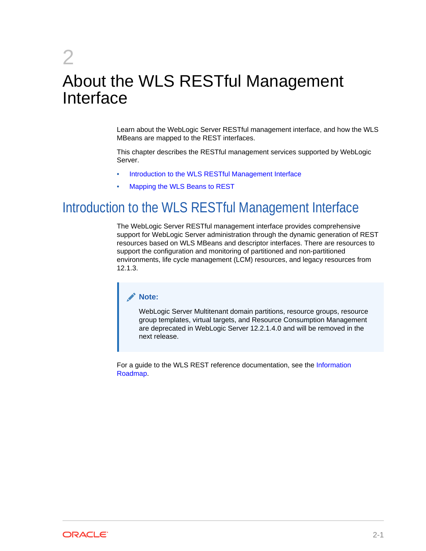# <span id="page-9-0"></span>2 About the WLS RESTful Management Interface

Learn about the WebLogic Server RESTful management interface, and how the WLS MBeans are mapped to the REST interfaces.

This chapter describes the RESTful management services supported by WebLogic Server.

- Introduction to the WLS RESTful Management Interface
- [Mapping the WLS Beans to REST](#page-11-0)

# Introduction to the WLS RESTful Management Interface

The WebLogic Server RESTful management interface provides comprehensive support for WebLogic Server administration through the dynamic generation of REST resources based on WLS MBeans and descriptor interfaces. There are resources to support the configuration and monitoring of partitioned and non-partitioned environments, life cycle management (LCM) resources, and legacy resources from 12.1.3.

#### **Note:**

WebLogic Server Multitenant domain partitions, resource groups, resource group templates, virtual targets, and Resource Consumption Management are deprecated in WebLogic Server 12.2.1.4.0 and will be removed in the next release.

For a guide to the WLS REST reference documentation, see the [Information](#page-6-0) [Roadmap](#page-6-0).

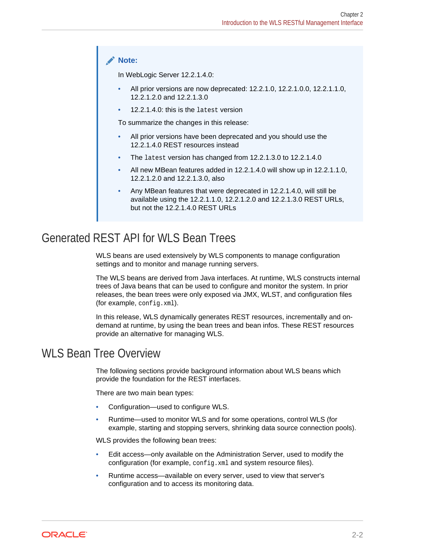#### <span id="page-10-0"></span>**Note:**

In WebLogic Server 12.2.1.4.0:

- All prior versions are now deprecated: 12.2.1.0, 12.2.1.0.0, 12.2.1.1.0, 12.2.1.2.0 and 12.2.1.3.0
- 12.2.1.4.0: this is the latest version

To summarize the changes in this release:

- All prior versions have been deprecated and you should use the 12.2.1.4.0 REST resources instead
- The latest version has changed from 12.2.1.3.0 to 12.2.1.4.0
- All new MBean features added in 12.2.1.4.0 will show up in 12.2.1.1.0, 12.2.1.2.0 and 12.2.1.3.0, also
- Any MBean features that were deprecated in 12.2.1.4.0, will still be available using the 12.2.1.1.0, 12.2.1.2.0 and 12.2.1.3.0 REST URLs, but not the 12.2.1.4.0 REST URLs

### Generated REST API for WLS Bean Trees

WLS beans are used extensively by WLS components to manage configuration settings and to monitor and manage running servers.

The WLS beans are derived from Java interfaces. At runtime, WLS constructs internal trees of Java beans that can be used to configure and monitor the system. In prior releases, the bean trees were only exposed via JMX, WLST, and configuration files (for example, config.xml).

In this release, WLS dynamically generates REST resources, incrementally and ondemand at runtime, by using the bean trees and bean infos. These REST resources provide an alternative for managing WLS.

### WLS Bean Tree Overview

The following sections provide background information about WLS beans which provide the foundation for the REST interfaces.

There are two main bean types:

- Configuration—used to configure WLS.
- Runtime—used to monitor WLS and for some operations, control WLS (for example, starting and stopping servers, shrinking data source connection pools).

WLS provides the following bean trees:

- Edit access—only available on the Administration Server, used to modify the configuration (for example, config.xml and system resource files).
- Runtime access—available on every server, used to view that server's configuration and to access its monitoring data.

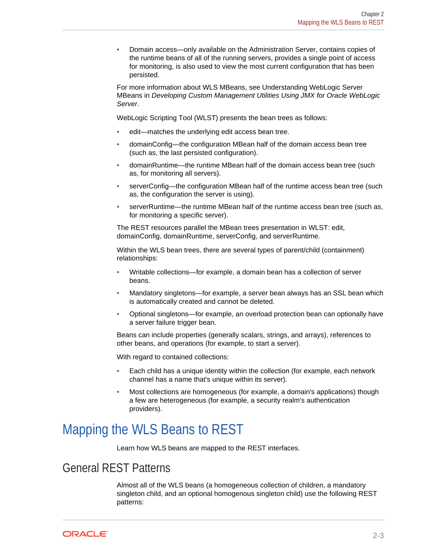<span id="page-11-0"></span>• Domain access—only available on the Administration Server, contains copies of the runtime beans of all of the running servers, provides a single point of access for monitoring, is also used to view the most current configuration that has been persisted.

For more information about WLS MBeans, see Understanding WebLogic Server MBeans in *Developing Custom Management Utilities Using JMX for Oracle WebLogic Server*.

WebLogic Scripting Tool (WLST) presents the bean trees as follows:

- edit—matches the underlying edit access bean tree.
- domainConfig—the configuration MBean half of the domain access bean tree (such as, the last persisted configuration).
- domainRuntime—the runtime MBean half of the domain access bean tree (such as, for monitoring all servers).
- serverConfig—the configuration MBean half of the runtime access bean tree (such as, the configuration the server is using).
- serverRuntime—the runtime MBean half of the runtime access bean tree (such as, for monitoring a specific server).

The REST resources parallel the MBean trees presentation in WLST: edit, domainConfig, domainRuntime, serverConfig, and serverRuntime.

Within the WLS bean trees, there are several types of parent/child (containment) relationships:

- Writable collections—for example, a domain bean has a collection of server beans.
- Mandatory singletons—for example, a server bean always has an SSL bean which is automatically created and cannot be deleted.
- Optional singletons—for example, an overload protection bean can optionally have a server failure trigger bean.

Beans can include properties (generally scalars, strings, and arrays), references to other beans, and operations (for example, to start a server).

With regard to contained collections:

- Each child has a unique identity within the collection (for example, each network channel has a name that's unique within its server).
- Most collections are homogeneous (for example, a domain's applications) though a few are heterogeneous (for example, a security realm's authentication providers).

# Mapping the WLS Beans to REST

Learn how WLS beans are mapped to the REST interfaces.

#### General REST Patterns

Almost all of the WLS beans (a homogeneous collection of children, a mandatory singleton child, and an optional homogenous singleton child) use the following REST patterns:

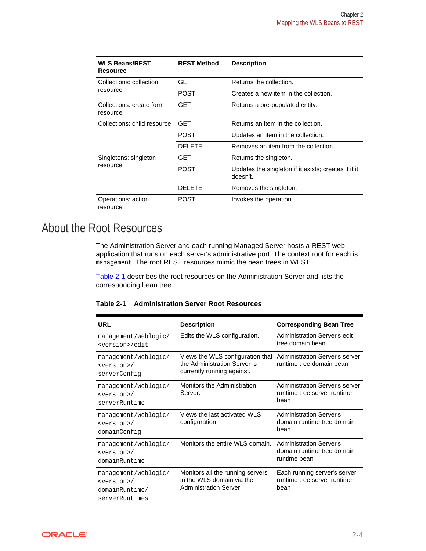<span id="page-12-0"></span>

| <b>WLS Beans/REST</b><br>Resource    | <b>REST Method</b> | <b>Description</b>                                               |
|--------------------------------------|--------------------|------------------------------------------------------------------|
| Collections: collection              | GFT                | Returns the collection.                                          |
| resource                             | POST               | Creates a new item in the collection.                            |
| Collections: create form<br>resource | GET                | Returns a pre-populated entity.                                  |
| Collections: child resource          | GFT                | Returns an item in the collection.                               |
|                                      | <b>POST</b>        | Updates an item in the collection.                               |
|                                      | DEI FTE            | Removes an item from the collection.                             |
| Singletons: singleton                | GET                | Returns the singleton.                                           |
| resource                             | <b>POST</b>        | Updates the singleton if it exists; creates it if it<br>doesn't. |
|                                      | DEI FTE            | Removes the singleton.                                           |
| Operations: action<br>resource       | <b>POST</b>        | Invokes the operation.                                           |

## About the Root Resources

The Administration Server and each running Managed Server hosts a REST web application that runs on each server's administrative port. The context root for each is management. The root REST resources mimic the bean trees in WLST.

Table 2-1 describes the root resources on the Administration Server and lists the corresponding bean tree.

| <b>Administration Server Root Resources</b><br>Table 2-1 |
|----------------------------------------------------------|
|----------------------------------------------------------|

| <b>URL</b>                                                                         | <b>Description</b>                                                                                                            | <b>Corresponding Bean Tree</b>                                               |
|------------------------------------------------------------------------------------|-------------------------------------------------------------------------------------------------------------------------------|------------------------------------------------------------------------------|
| management/weblogic/<br><version>/edit</version>                                   | Edits the WLS configuration.                                                                                                  | <b>Administration Server's edit</b><br>tree domain bean                      |
| management/weblogic/<br><version>/<br/>serverConfiq</version>                      | Views the WLS configuration that Administration Server's server<br>the Administration Server is<br>currently running against. | runtime tree domain bean                                                     |
| management/weblogic/<br><version>/<br/>serverRuntime</version>                     | <b>Monitors the Administration</b><br>Server.                                                                                 | Administration Server's server<br>runtime tree server runtime<br>bean        |
| management/weblogic/<br><version>/<br/>domainConfiq</version>                      | Views the last activated WLS<br>configuration.                                                                                | <b>Administration Server's</b><br>domain runtime tree domain<br>hean         |
| management/weblogic/<br><version>/<br/>domainRuntime</version>                     | Monitors the entire WLS domain.                                                                                               | <b>Administration Server's</b><br>domain runtime tree domain<br>runtime bean |
| management/weblogic/<br><version>/<br/>domainRuntime/<br/>serverRuntimes</version> | Monitors all the running servers<br>in the WLS domain via the<br>Administration Server.                                       | Each running server's server<br>runtime tree server runtime<br>bean          |

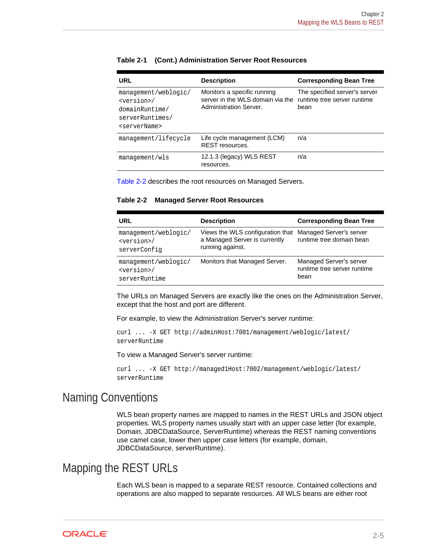| URL                                                                                                               | <b>Description</b>                                                                        | <b>Corresponding Bean Tree</b>                                       |
|-------------------------------------------------------------------------------------------------------------------|-------------------------------------------------------------------------------------------|----------------------------------------------------------------------|
| management/weblogic/<br><version>/<br/>domainRuntime/<br/>serverRuntimes/<br/><servername></servername></version> | Monitors a specific running<br>server in the WLS domain via the<br>Administration Server. | The specified server's server<br>runtime tree server runtime<br>bean |
| management/lifecycle                                                                                              | Life cycle management (LCM)<br><b>REST resources.</b>                                     | n/a                                                                  |
| management/wls                                                                                                    | 12.1.3 (legacy) WLS REST<br>resources.                                                    | n/a                                                                  |

#### <span id="page-13-0"></span>**Table 2-1 (Cont.) Administration Server Root Resources**

Table 2-2 describes the root resources on Managed Servers.

**Table 2-2 Managed Server Root Resources**

| URL                                                            | <b>Description</b>                                                                    | <b>Corresponding Bean Tree</b>                                 |
|----------------------------------------------------------------|---------------------------------------------------------------------------------------|----------------------------------------------------------------|
| management/weblogic/<br><version>/<br/>serverConfiq</version>  | Views the WLS configuration that<br>a Managed Server is currently<br>running against. | Managed Server's server<br>runtime tree domain bean            |
| management/weblogic/<br><version>/<br/>serverRuntime</version> | Monitors that Managed Server.                                                         | Managed Server's server<br>runtime tree server runtime<br>bean |

The URLs on Managed Servers are exactly like the ones on the Administration Server, except that the host and port are different.

For example, to view the Administration Server's server runtime:

curl ... -X GET http://adminHost:7001/management/weblogic/latest/ serverRuntime

To view a Managed Server's server runtime:

```
curl ... -X GET http://managed1Host:7002/management/weblogic/latest/
serverRuntime
```
#### Naming Conventions

WLS bean property names are mapped to names in the REST URLs and JSON object properties. WLS property names usually start with an upper case letter (for example, Domain, JDBCDataSource, ServerRuntime) whereas the REST naming conventions use camel case, lower then upper case letters (for example, domain, JDBCDataSource, serverRuntime).

#### Mapping the REST URLs

Each WLS bean is mapped to a separate REST resource. Contained collections and operations are also mapped to separate resources. All WLS beans are either root

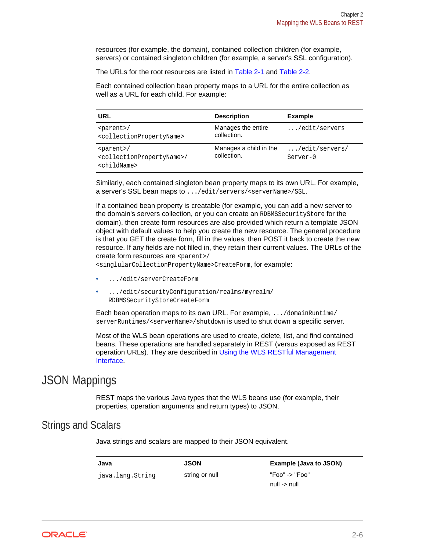<span id="page-14-0"></span>resources (for example, the domain), contained collection children (for example, servers) or contained singleton children (for example, a server's SSL configuration).

The URLs for the root resources are listed in [Table 2-1](#page-12-0) and [Table 2-2](#page-13-0).

Each contained collection bean property maps to a URL for the entire collection as well as a URL for each child. For example:

| URL                                                                                        | <b>Description</b>                    | <b>Example</b>                      |
|--------------------------------------------------------------------------------------------|---------------------------------------|-------------------------------------|
| $\gamma$<br><collectionpropertyname></collectionpropertyname>                              | Manages the entire<br>collection.     | $\ldots$ /edit/servers              |
| $\gamma$<br><collectionpropertyname>/<br/><childname></childname></collectionpropertyname> | Manages a child in the<br>collection. | $\ldots$ /edit/servers/<br>Server-0 |

Similarly, each contained singleton bean property maps to its own URL. For example, a server's SSL bean maps to .../edit/servers/<serverName>/SSL.

If a contained bean property is creatable (for example, you can add a new server to the domain's servers collection, or you can create an RDBMSSecurityStore for the domain), then create form resources are also provided which return a template JSON object with default values to help you create the new resource. The general procedure is that you GET the create form, fill in the values, then POST it back to create the new resource. If any fields are not filled in, they retain their current values. The URLs of the create form resources are <parent>/

<singlularCollectionPropertyName>CreateForm, for example:

- .../edit/serverCreateForm
- .../edit/securityConfiguration/realms/myrealm/ RDBMSSecurityStoreCreateForm

Each bean operation maps to its own URL. For example, .../domainRuntime/ serverRuntimes/<serverName>/shutdown is used to shut down a specific server.

Most of the WLS bean operations are used to create, delete, list, and find contained beans. These operations are handled separately in REST (versus exposed as REST operation URLs). They are described in [Using the WLS RESTful Management](#page-18-0) [Interface.](#page-18-0)

#### JSON Mappings

REST maps the various Java types that the WLS beans use (for example, their properties, operation arguments and return types) to JSON.

#### Strings and Scalars

Java strings and scalars are mapped to their JSON equivalent.

| Java             | <b>JSON</b>    | Example (Java to JSON) |
|------------------|----------------|------------------------|
| java.lang.String | string or null | "Foo" -> "Foo"         |
|                  |                | null -> null           |

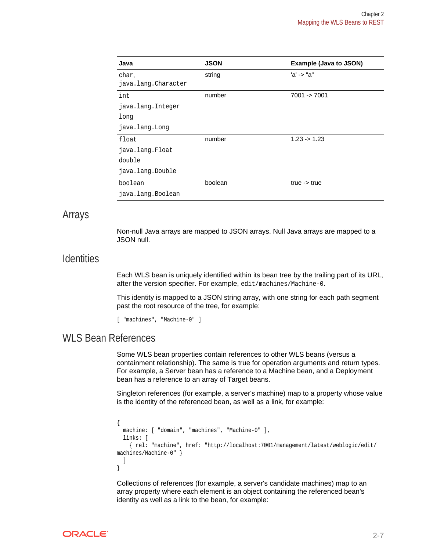<span id="page-15-0"></span>

| Java                | <b>JSON</b> | Example (Java to JSON)  |
|---------------------|-------------|-------------------------|
| char.               | string      | 'a' -> "a"              |
| java.lang.Character |             |                         |
| int                 | number      | 7001 -> 7001            |
| java.lang.Integer   |             |                         |
| long                |             |                         |
| java.lang.Long      |             |                         |
| float               | number      | $1.23 \rightarrow 1.23$ |
| java.lang.Float     |             |                         |
| double              |             |                         |
| java.lang.Double    |             |                         |
| boolean             | boolean     | true $\rightarrow$ true |
| java.lang.Boolean   |             |                         |

#### Arrays

Non-null Java arrays are mapped to JSON arrays. Null Java arrays are mapped to a JSON null.

#### **Identities**

Each WLS bean is uniquely identified within its bean tree by the trailing part of its URL, after the version specifier. For example, edit/machines/Machine-0.

This identity is mapped to a JSON string array, with one string for each path segment past the root resource of the tree, for example:

[ "machines", "Machine-0" ]

#### WLS Bean References

Some WLS bean properties contain references to other WLS beans (versus a containment relationship). The same is true for operation arguments and return types. For example, a Server bean has a reference to a Machine bean, and a Deployment bean has a reference to an array of Target beans.

Singleton references (for example, a server's machine) map to a property whose value is the identity of the referenced bean, as well as a link, for example:

```
{
   machine: [ "domain", "machines", "Machine-0" ],
   links: [
     { rel: "machine", href: "http://localhost:7001/management/latest/weblogic/edit/
machines/Machine-0" }
  \mathbf{I}}
```
Collections of references (for example, a server's candidate machines) map to an array property where each element is an object containing the referenced bean's identity as well as a link to the bean, for example:

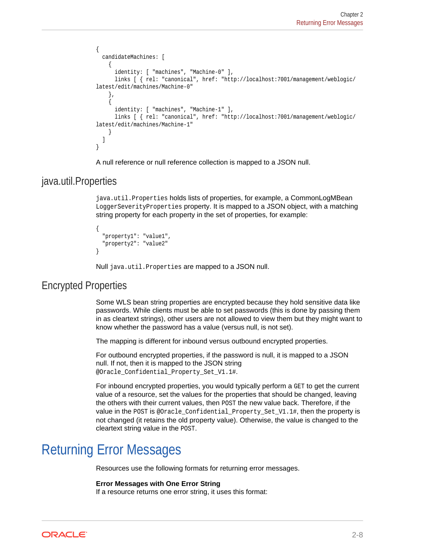```
{
   candidateMachines: [
     {
       identity: [ "machines", "Machine-0" ],
       links [ { rel: "canonical", href: "http://localhost:7001/management/weblogic/
latest/edit/machines/Machine-0"
\vert,
\mathcal{A} identity: [ "machines", "Machine-1" ],
       links [ { rel: "canonical", href: "http://localhost:7001/management/weblogic/
latest/edit/machines/Machine-1"
\left\{\begin{array}{ccc} \end{array}\right\} ]
}
```
A null reference or null reference collection is mapped to a JSON null.

#### java.util.Properties

java.util.Properties holds lists of properties, for example, a CommonLogMBean LoggerSeverityProperties property. It is mapped to a JSON object, with a matching string property for each property in the set of properties, for example:

```
{
   "property1": "value1",
   "property2": "value2"
}
```
Null java.util.Properties are mapped to a JSON null.

#### Encrypted Properties

Some WLS bean string properties are encrypted because they hold sensitive data like passwords. While clients must be able to set passwords (this is done by passing them in as cleartext strings), other users are not allowed to view them but they might want to know whether the password has a value (versus null, is not set).

The mapping is different for inbound versus outbound encrypted properties.

For outbound encrypted properties, if the password is null, it is mapped to a JSON null. If not, then it is mapped to the JSON string @Oracle Confidential Property Set V1.1#.

For inbound encrypted properties, you would typically perform a GET to get the current value of a resource, set the values for the properties that should be changed, leaving the others with their current values, then POST the new value back. Therefore, if the value in the POST is @Oracle\_Confidential\_Property\_Set\_V1.1#, then the property is not changed (it retains the old property value). Otherwise, the value is changed to the cleartext string value in the POST.

# Returning Error Messages

Resources use the following formats for returning error messages.

#### **Error Messages with One Error String**

If a resource returns one error string, it uses this format:

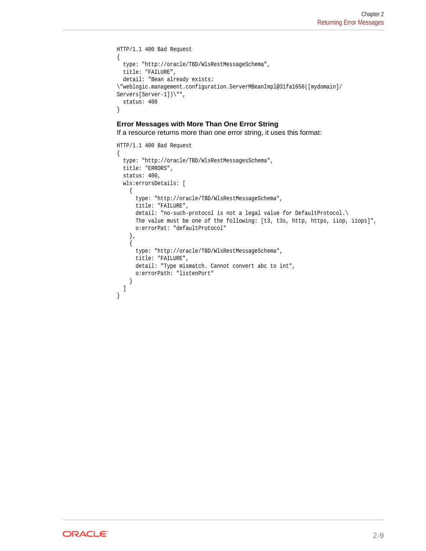```
HTTP/1.1 400 Bad Request
{
   type: "http://oracle/TBD/WlsRestMessageSchema",
   title: "FAILURE",
  detail: "Bean already exists: 
\"weblogic.management.configuration.ServerMBeanImpl@31fa1656([mydomain]/
Servers[Server-1])\"",
   status: 400
}
```
#### **Error Messages with More Than One Error String**

If a resource returns more than one error string, it uses this format:

```
HTTP/1.1 400 Bad Request
{
   type: "http://oracle/TBD/WlsRestMessagesSchema",
   title: "ERRORS",
   status: 400,
   wls:errorsDetails: [
     {
       type: "http://oracle/TBD/WlsRestMessageSchema",
       title: "FAILURE",
       detail: "no-such-protocol is not a legal value for DefaultProtocol.\
      The value must be one of the following: [t3, t3s, http, https, iiop, iiops]",
       o:errorPat: "defaultProtocol"
     },
\left\{\right. type: "http://oracle/TBD/WlsRestMessageSchema",
       title: "FAILURE",
       detail: "Type mismatch. Cannot convert abc to int",
       o:errorPath: "listenPort"
     }
   ]
}
```
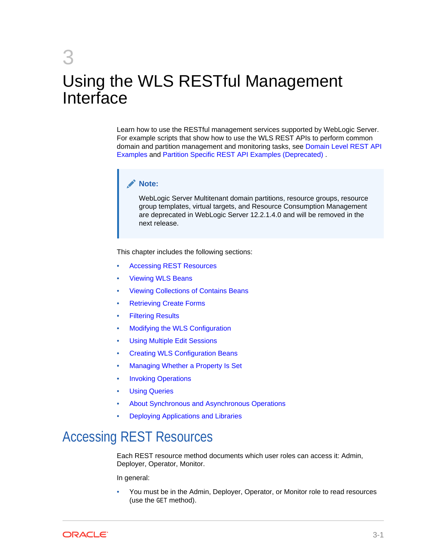# <span id="page-18-0"></span>3 Using the WLS RESTful Management Interface

Learn how to use the RESTful management services supported by WebLogic Server. For example scripts that show how to use the WLS REST APIs to perform common domain and partition management and monitoring tasks, see [Domain Level REST API](#page-47-0) [Examples](#page-47-0) and [Partition Specific REST API Examples \(Deprecated\) .](#page-217-0)

#### **Note:**

WebLogic Server Multitenant domain partitions, resource groups, resource group templates, virtual targets, and Resource Consumption Management are deprecated in WebLogic Server 12.2.1.4.0 and will be removed in the next release.

This chapter includes the following sections:

- Accessing REST Resources
- **[Viewing WLS Beans](#page-19-0)**
- [Viewing Collections of Contains Beans](#page-22-0)
- [Retrieving Create Forms](#page-24-0)
- **[Filtering Results](#page-25-0)**
- [Modifying the WLS Configuration](#page-25-0)
- [Using Multiple Edit Sessions](#page-27-0)
- [Creating WLS Configuration Beans](#page-28-0)
- [Managing Whether a Property Is Set](#page-30-0)
- **[Invoking Operations](#page-31-0)**
- **[Using Queries](#page-32-0)**
- [About Synchronous and Asynchronous Operations](#page-45-0)
- [Deploying Applications and Libraries](#page-46-0)

# Accessing REST Resources

Each REST resource method documents which user roles can access it: Admin, Deployer, Operator, Monitor.

In general:

• You must be in the Admin, Deployer, Operator, or Monitor role to read resources (use the GET method).

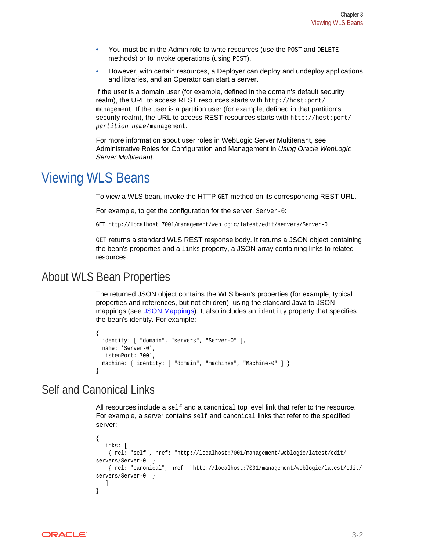- <span id="page-19-0"></span>You must be in the Admin role to write resources (use the POST and DELETE methods) or to invoke operations (using POST).
- However, with certain resources, a Deployer can deploy and undeploy applications and libraries, and an Operator can start a server.

If the user is a domain user (for example, defined in the domain's default security realm), the URL to access REST resources starts with http://host:port/ management. If the user is a partition user (for example, defined in that partition's security realm), the URL to access REST resources starts with http://host:port/ partition\_name/management.

For more information about user roles in WebLogic Server Multitenant, see Administrative Roles for Configuration and Management in *Using Oracle WebLogic Server Multitenant*.

## Viewing WLS Beans

To view a WLS bean, invoke the HTTP GET method on its corresponding REST URL.

For example, to get the configuration for the server, Server-0:

GET http://localhost:7001/management/weblogic/latest/edit/servers/Server-0

GET returns a standard WLS REST response body. It returns a JSON object containing the bean's properties and a links property, a JSON array containing links to related resources.

#### About WLS Bean Properties

The returned JSON object contains the WLS bean's properties (for example, typical properties and references, but not children), using the standard Java to JSON mappings (see [JSON Mappings](#page-14-0)). It also includes an identity property that specifies the bean's identity. For example:

```
{
 identity: [ "domain", "servers", "Server-0" ],
  name: 'Server-0',
  listenPort: 7001,
  machine: { identity: [ "domain", "machines", "Machine-0" ] }
}
```
### Self and Canonical Links

All resources include a self and a canonical top level link that refer to the resource. For example, a server contains self and canonical links that refer to the specified server:

```
{
   links: [
    { rel: "self", href: "http://localhost:7001/management/weblogic/latest/edit/
servers/Server-0" }
    { rel: "canonical", href: "http://localhost:7001/management/weblogic/latest/edit/
servers/Server-0" }
    ]
}
```
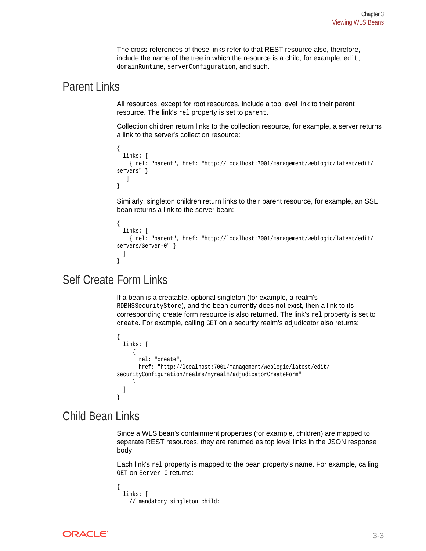The cross-references of these links refer to that REST resource also, therefore, include the name of the tree in which the resource is a child, for example, edit, domainRuntime, serverConfiguration, and such.

#### <span id="page-20-0"></span>Parent Links

All resources, except for root resources, include a top level link to their parent resource. The link's rel property is set to parent.

Collection children return links to the collection resource, for example, a server returns a link to the server's collection resource:

```
{
  links: [
     { rel: "parent", href: "http://localhost:7001/management/weblogic/latest/edit/
servers" }
    ]
}
```
Similarly, singleton children return links to their parent resource, for example, an SSL bean returns a link to the server bean:

```
\{ links: [
     { rel: "parent", href: "http://localhost:7001/management/weblogic/latest/edit/
servers/Server-0" }
   ]
}
```
### Self Create Form Links

If a bean is a creatable, optional singleton (for example, a realm's RDBMSSecurityStore), and the bean currently does not exist, then a link to its corresponding create form resource is also returned. The link's rel property is set to create. For example, calling GET on a security realm's adjudicator also returns:

```
{
   links: [
       {
         rel: "create",
         href: "http://localhost:7001/management/weblogic/latest/edit/
securityConfiguration/realms/myrealm/adjudicatorCreateForm"
\left\{\begin{array}{ccc} \end{array}\right\} ]
}
```
### Child Bean Links

Since a WLS bean's containment properties (for example, children) are mapped to separate REST resources, they are returned as top level links in the JSON response body.

Each link's rel property is mapped to the bean property's name. For example, calling GET on Server-0 returns:

```
{
  links: [
     // mandatory singleton child:
```
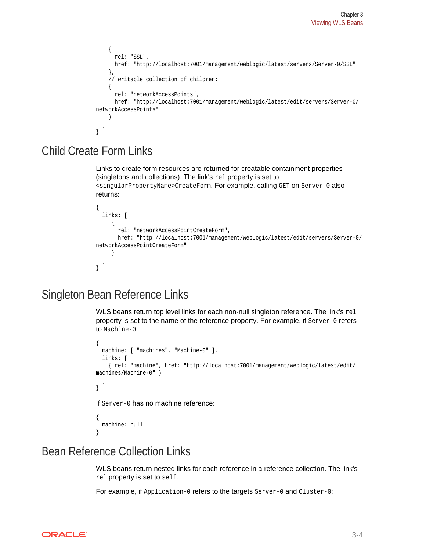```
 {
       rel: "SSL",
       href: "http://localhost:7001/management/weblogic/latest/servers/Server-0/SSL"
     },
     // writable collection of children:
      {
       rel: "networkAccessPoints",
       href: "http://localhost:7001/management/weblogic/latest/edit/servers/Server-0/
networkAccessPoints"
\left\{\begin{array}{ccc} \end{array}\right\} ]
}
```
### Child Create Form Links

Links to create form resources are returned for creatable containment properties (singletons and collections). The link's rel property is set to <singularPropertyName>CreateForm. For example, calling GET on Server-0 also returns:

```
{
   links: [
      {
       rel: "networkAccessPointCreateForm",
       href: "http://localhost:7001/management/weblogic/latest/edit/servers/Server-0/
networkAccessPointCreateForm"
      }
   ]
}
```
### Singleton Bean Reference Links

WLS beans return top level links for each non-null singleton reference. The link's rel property is set to the name of the reference property. For example, if Server-0 refers to Machine-0:

```
{
   machine: [ "machines", "Machine-0" ],
   links: [
     { rel: "machine", href: "http://localhost:7001/management/weblogic/latest/edit/
machines/Machine-0" }
   ]
}
If Server-0 has no machine reference:
```

```
{
  machine: null
}
```
### Bean Reference Collection Links

WLS beans return nested links for each reference in a reference collection. The link's rel property is set to self.

For example, if Application-0 refers to the targets Server-0 and Cluster-0:

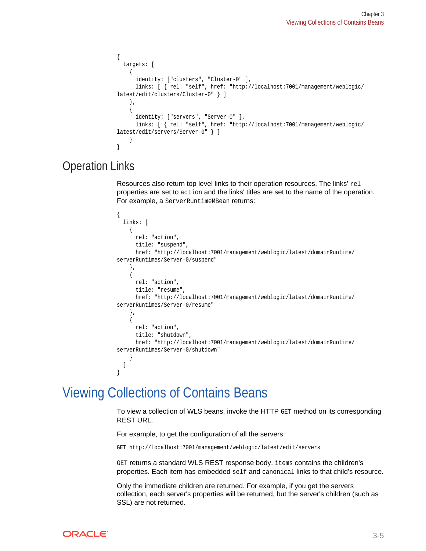```
{
   targets: [
\left\{\right. identity: ["clusters", "Cluster-0" ],
        links: [ { rel: "self", href: "http://localhost:7001/management/weblogic/
latest/edit/clusters/Cluster-0" } ]
     },
\left\{\right. identity: ["servers", "Server-0" ],
        links: [ { rel: "self", href: "http://localhost:7001/management/weblogic/
latest/edit/servers/Server-0" } ]
\left\{\begin{array}{ccc} \end{array}\right\}}
```
### Operation Links

Resources also return top level links to their operation resources. The links' rel properties are set to action and the links' titles are set to the name of the operation. For example, a ServerRuntimeMBean returns:

```
\{ links: [
\left\{\right. rel: "action",
        title: "suspend",
        href: "http://localhost:7001/management/weblogic/latest/domainRuntime/
serverRuntimes/Server-0/suspend"
     },
\left\{\right. rel: "action",
        title: "resume",
        href: "http://localhost:7001/management/weblogic/latest/domainRuntime/
serverRuntimes/Server-0/resume"
      },
\left\{\right. rel: "action",
        title: "shutdown",
        href: "http://localhost:7001/management/weblogic/latest/domainRuntime/
serverRuntimes/Server-0/shutdown"
\left\{\begin{array}{ccc} \end{array}\right\} ]
}
```
# Viewing Collections of Contains Beans

To view a collection of WLS beans, invoke the HTTP GET method on its corresponding REST URL.

For example, to get the configuration of all the servers:

GET http://localhost:7001/management/weblogic/latest/edit/servers

GET returns a standard WLS REST response body. items contains the children's properties. Each item has embedded self and canonical links to that child's resource.

Only the immediate children are returned. For example, if you get the servers collection, each server's properties will be returned, but the server's children (such as SSL) are not returned.

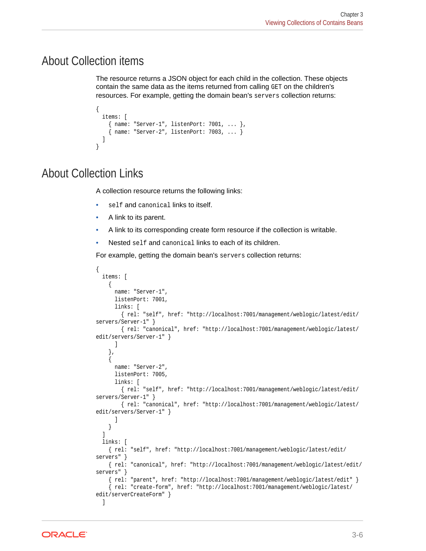### <span id="page-23-0"></span>About Collection items

The resource returns a JSON object for each child in the collection. These objects contain the same data as the items returned from calling GET on the children's resources. For example, getting the domain bean's servers collection returns:

```
{
  items: [
     name: "Server-1", listenPort: 7001, ... },
     name: "Server-2", listenPort: 7003, ... }
  ]
}
```
### About Collection Links

A collection resource returns the following links:

- self and canonical links to itself.
- A link to its parent.
- A link to its corresponding create form resource if the collection is writable.
- Nested self and canonical links to each of its children.

For example, getting the domain bean's servers collection returns:

```
{
   items: [
     {
      name: "Server-1",
      listenPort: 7001,
      links: [
        { rel: "self", href: "http://localhost:7001/management/weblogic/latest/edit/
servers/Server-1" }
        { rel: "canonical", href: "http://localhost:7001/management/weblogic/latest/
edit/servers/Server-1" }
       ]
     },
     {
      name: "Server-2",
      listenPort: 7005,
      links: [
        { rel: "self", href: "http://localhost:7001/management/weblogic/latest/edit/
servers/Server-1" }
        { rel: "canonical", href: "http://localhost:7001/management/weblogic/latest/
edit/servers/Server-1" }
      ]
     }
   ]
  links: [
     { rel: "self", href: "http://localhost:7001/management/weblogic/latest/edit/
servers" }
     { rel: "canonical", href: "http://localhost:7001/management/weblogic/latest/edit/
servers" }
     { rel: "parent", href: "http://localhost:7001/management/weblogic/latest/edit" }
     { rel: "create-form", href: "http://localhost:7001/management/weblogic/latest/
edit/serverCreateForm" }
   ]
```
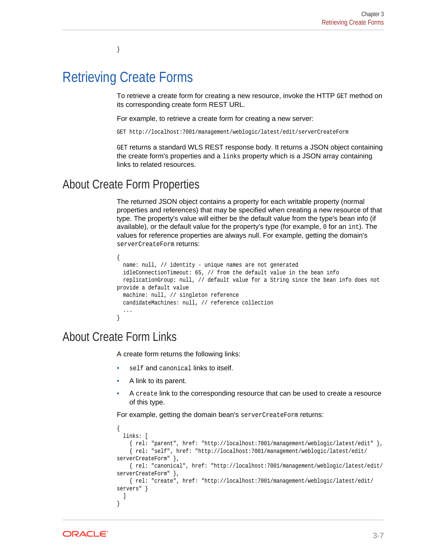# <span id="page-24-0"></span>Retrieving Create Forms

}

To retrieve a create form for creating a new resource, invoke the HTTP GET method on its corresponding create form REST URL.

For example, to retrieve a create form for creating a new server:

GET http://localhost:7001/management/weblogic/latest/edit/serverCreateForm

GET returns a standard WLS REST response body. It returns a JSON object containing the create form's properties and a links property which is a JSON array containing links to related resources.

#### About Create Form Properties

The returned JSON object contains a property for each writable property (normal properties and references) that may be specified when creating a new resource of that type. The property's value will either be the default value from the type's bean info (if available), or the default value for the property's type (for example, 0 for an int). The values for reference properties are always null. For example, getting the domain's serverCreateForm returns:

```
{
  name: null, // identity - unique names are not generated
  idleConnectionTimeout: 65, // from the default value in the bean info
  replicationGroup: null, // default value for a String since the bean info does not 
provide a default value
  machine: null, // singleton reference
   candidateMachines: null, // reference collection
   ...
}
```
### About Create Form Links

A create form returns the following links:

- self and canonical links to itself.
- A link to its parent.
- A create link to the corresponding resource that can be used to create a resource of this type.

For example, getting the domain bean's serverCreateForm returns:

```
{
  links: [
     { rel: "parent", href: "http://localhost:7001/management/weblogic/latest/edit" },
     { rel: "self", href: "http://localhost:7001/management/weblogic/latest/edit/
serverCreateForm" },
     { rel: "canonical", href: "http://localhost:7001/management/weblogic/latest/edit/
serverCreateForm" },
     { rel: "create", href: "http://localhost:7001/management/weblogic/latest/edit/
servers" }
   ]
}
```
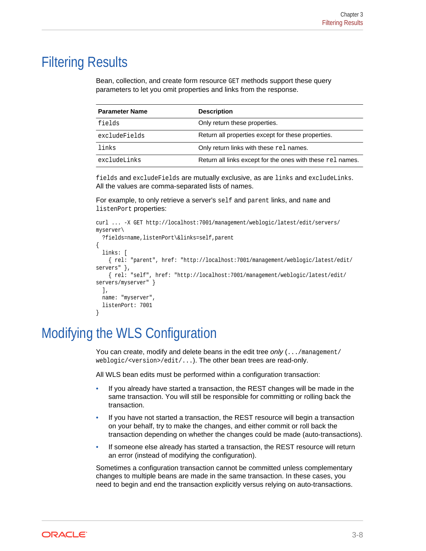# <span id="page-25-0"></span>Filtering Results

Bean, collection, and create form resource GET methods support these query parameters to let you omit properties and links from the response.

| <b>Parameter Name</b> | <b>Description</b>                                         |
|-----------------------|------------------------------------------------------------|
| fields                | Only return these properties.                              |
| excludeFields         | Return all properties except for these properties.         |
| links                 | Only return links with these rel names.                    |
| excludeLinks          | Return all links except for the ones with these rel names. |

fields and excludeFields are mutually exclusive, as are links and excludeLinks. All the values are comma-separated lists of names.

For example, to only retrieve a server's self and parent links, and name and listenPort properties:

```
curl ... -X GET http://localhost:7001/management/weblogic/latest/edit/servers/
myserver\
   ?fields=name,listenPort\&links=self,parent
{
   links: [
     { rel: "parent", href: "http://localhost:7001/management/weblogic/latest/edit/
servers" },
     { rel: "self", href: "http://localhost:7001/management/weblogic/latest/edit/
servers/myserver" }
  \mathbf{1},
   name: "myserver",
   listenPort: 7001
}
```
# Modifying the WLS Configuration

You can create, modify and delete beans in the edit tree *only* (.../management/ weblogic/<version>/edit/...). The other bean trees are read-only.

All WLS bean edits must be performed within a configuration transaction:

- If you already have started a transaction, the REST changes will be made in the same transaction. You will still be responsible for committing or rolling back the transaction.
- If you have not started a transaction, the REST resource will begin a transaction on your behalf, try to make the changes, and either commit or roll back the transaction depending on whether the changes could be made (auto-transactions).
- If someone else already has started a transaction, the REST resource will return an error (instead of modifying the configuration).

Sometimes a configuration transaction cannot be committed unless complementary changes to multiple beans are made in the same transaction. In these cases, you need to begin and end the transaction explicitly versus relying on auto-transactions.

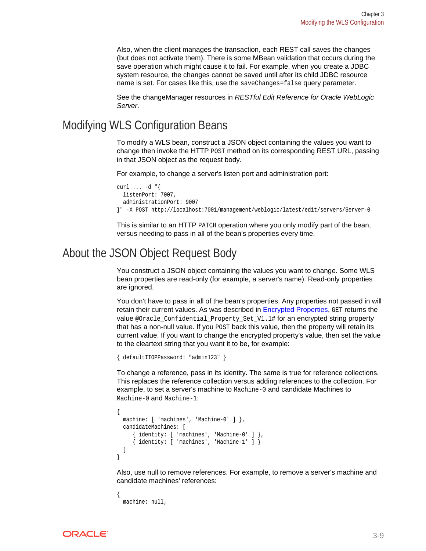<span id="page-26-0"></span>Also, when the client manages the transaction, each REST call saves the changes (but does not activate them). There is some MBean validation that occurs during the save operation which might cause it to fail. For example, when you create a JDBC system resource, the changes cannot be saved until after its child JDBC resource name is set. For cases like this, use the saveChanges=false query parameter.

See the changeManager resources in *RESTful Edit Reference for Oracle WebLogic Server*.

### Modifying WLS Configuration Beans

To modify a WLS bean, construct a JSON object containing the values you want to change then invoke the HTTP POST method on its corresponding REST URL, passing in that JSON object as the request body.

For example, to change a server's listen port and administration port:

```
curl \ldots -d \sqrt[q]{ } listenPort: 7007,
  administrationPort: 9007
}" -X POST http://localhost:7001/management/weblogic/latest/edit/servers/Server-0
```
This is similar to an HTTP PATCH operation where you only modify part of the bean, versus needing to pass in all of the bean's properties every time.

#### About the JSON Object Request Body

You construct a JSON object containing the values you want to change. Some WLS bean properties are read-only (for example, a server's name). Read-only properties are ignored.

You don't have to pass in all of the bean's properties. Any properties not passed in will retain their current values. As was described in [Encrypted Properties](#page-16-0), GET returns the value @Oracle\_Confidential\_Property\_Set\_V1.1# for an encrypted string property that has a non-null value. If you POST back this value, then the property will retain its current value. If you want to change the encrypted property's value, then set the value to the cleartext string that you want it to be, for example:

```
{ defaultIIOPPassword: "admin123" }
```
To change a reference, pass in its identity. The same is true for reference collections. This replaces the reference collection versus adding references to the collection. For example, to set a server's machine to Machine-0 and candidate Machines to Machine-0 and Machine-1:

```
{
 machine: [ 'machines', 'Machine-0' ] },
  candidateMachines: [
      { identity: [ 'machines', 'Machine-0' ] },
      { identity: [ 'machines', 'Machine-1' ] }
   ]
}
```
Also, use null to remove references. For example, to remove a server's machine and candidate machines' references:

{ machine: null,

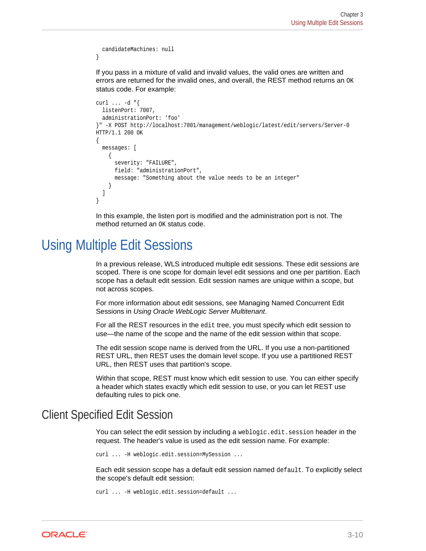```
 candidateMachines: null
}
```
If you pass in a mixture of valid and invalid values, the valid ones are written and errors are returned for the invalid ones, and overall, the REST method returns an OK status code. For example:

```
curl ... -d "{
   listenPort: 7007,
   administrationPort: 'foo'
}" -X POST http://localhost:7001/management/weblogic/latest/edit/servers/Server-0
HTTP/1.1 200 OK
\{ messages: [
     {
       severity: "FAILURE",
       field: "administrationPort",
       message: "Something about the value needs to be an integer"
\left\{\begin{array}{ccc} \end{array}\right\} ]
}
```
In this example, the listen port is modified and the administration port is not. The method returned an OK status code.

## Using Multiple Edit Sessions

In a previous release, WLS introduced multiple edit sessions. These edit sessions are scoped. There is one scope for domain level edit sessions and one per partition. Each scope has a default edit session. Edit session names are unique within a scope, but not across scopes.

For more information about edit sessions, see Managing Named Concurrent Edit Sessions in *Using Oracle WebLogic Server Multitenant*.

For all the REST resources in the edit tree, you must specify which edit session to use—the name of the scope and the name of the edit session within that scope.

The edit session scope name is derived from the URL. If you use a non-partitioned REST URL, then REST uses the domain level scope. If you use a partitioned REST URL, then REST uses that partition's scope.

Within that scope, REST must know which edit session to use. You can either specify a header which states exactly which edit session to use, or you can let REST use defaulting rules to pick one.

### Client Specified Edit Session

You can select the edit session by including a weblogic.edit.session header in the request. The header's value is used as the edit session name. For example:

```
curl ... -H weblogic.edit.session=MySession ...
```
Each edit session scope has a default edit session named default. To explicitly select the scope's default edit session:

```
curl ... -H weblogic.edit.session=default ...
```
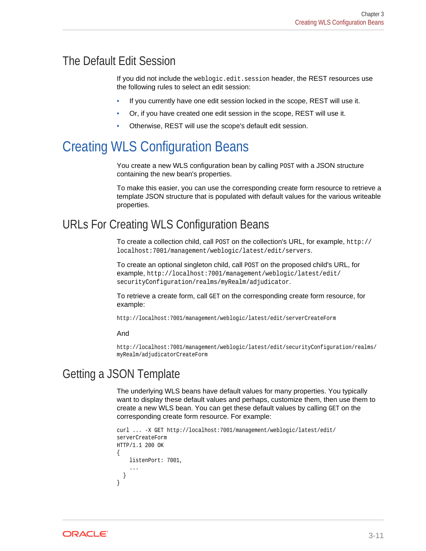### <span id="page-28-0"></span>The Default Edit Session

If you did not include the weblogic.edit.session header, the REST resources use the following rules to select an edit session:

- If you currently have one edit session locked in the scope, REST will use it.
- Or, if you have created one edit session in the scope, REST will use it.
- Otherwise, REST will use the scope's default edit session.

# Creating WLS Configuration Beans

You create a new WLS configuration bean by calling POST with a JSON structure containing the new bean's properties.

To make this easier, you can use the corresponding create form resource to retrieve a template JSON structure that is populated with default values for the various writeable properties.

### URLs For Creating WLS Configuration Beans

To create a collection child, call POST on the collection's URL, for example, http:// localhost:7001/management/weblogic/latest/edit/servers.

To create an optional singleton child, call POST on the proposed child's URL, for example, http://localhost:7001/management/weblogic/latest/edit/ securityConfiguration/realms/myRealm/adjudicator.

To retrieve a create form, call GET on the corresponding create form resource, for example:

http://localhost:7001/management/weblogic/latest/edit/serverCreateForm

#### And

http://localhost:7001/management/weblogic/latest/edit/securityConfiguration/realms/ myRealm/adjudicatorCreateForm

#### Getting a JSON Template

The underlying WLS beans have default values for many properties. You typically want to display these default values and perhaps, customize them, then use them to create a new WLS bean. You can get these default values by calling GET on the corresponding create form resource. For example:

```
curl ... -X GET http://localhost:7001/management/weblogic/latest/edit/
serverCreateForm
HTTP/1.1 200 OK
{
     listenPort: 7001,
 ...
\vert}
```
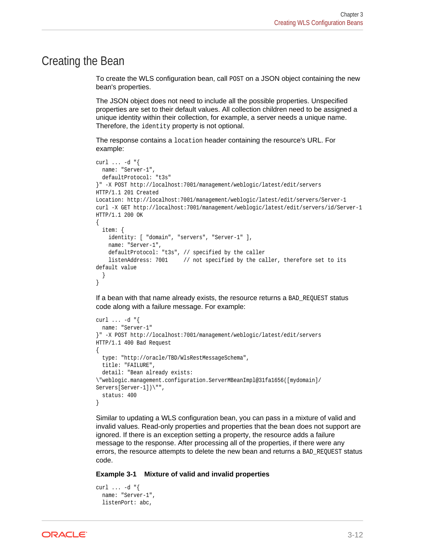#### <span id="page-29-0"></span>Creating the Bean

To create the WLS configuration bean, call POST on a JSON object containing the new bean's properties.

The JSON object does not need to include all the possible properties. Unspecified properties are set to their default values. All collection children need to be assigned a unique identity within their collection, for example, a server needs a unique name. Therefore, the identity property is not optional.

The response contains a location header containing the resource's URL. For example:

```
curl ... -d "{
  name: "Server-1",
  defaultProtocol: "t3s"
}" -X POST http://localhost:7001/management/weblogic/latest/edit/servers
HTTP/1.1 201 Created
Location: http://localhost:7001/management/weblogic/latest/edit/servers/Server-1
curl -X GET http://localhost:7001/management/weblogic/latest/edit/servers/id/Server-1
HTTP/1.1 200 OK
{
   item: {
     identity: [ "domain", "servers", "Server-1" ],
    name: "Server-1",
     defaultProtocol: "t3s", // specified by the caller
    listenAddress: 7001 // not specified by the caller, therefore set to its
default value
\vert}
```
If a bean with that name already exists, the resource returns a BAD\_REQUEST status code along with a failure message. For example:

```
curl ... -d "{
  name: "Server-1"
}" -X POST http://localhost:7001/management/weblogic/latest/edit/servers
HTTP/1.1 400 Bad Request
{
   type: "http://oracle/TBD/WlsRestMessageSchema",
   title: "FAILURE",
  detail: "Bean already exists: 
\"weblogic.management.configuration.ServerMBeanImpl@31fa1656([mydomain]/
Servers[Server-1])\"",
   status: 400
}
```
Similar to updating a WLS configuration bean, you can pass in a mixture of valid and invalid values. Read-only properties and properties that the bean does not support are ignored. If there is an exception setting a property, the resource adds a failure message to the response. After processing all of the properties, if there were any errors, the resource attempts to delete the new bean and returns a BAD\_REQUEST status code.

#### **Example 3-1 Mixture of valid and invalid properties**

```
curl \ldots -d \sqrt[q]{ } name: "Server-1",
   listenPort: abc,
```
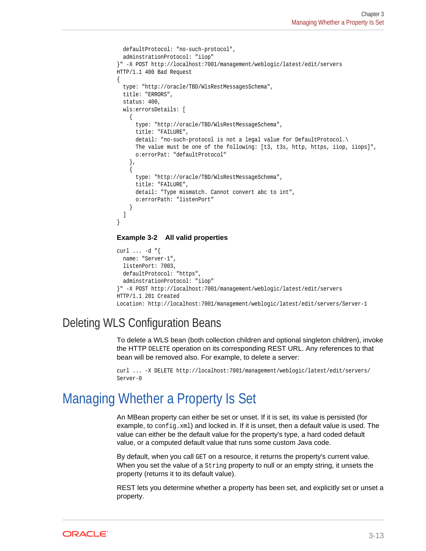```
 defaultProtocol: "no-such-protocol",
   adminstrationProtocol: "iiop"
}" -X POST http://localhost:7001/management/weblogic/latest/edit/servers
HTTP/1.1 400 Bad Request
{
   type: "http://oracle/TBD/WlsRestMessagesSchema",
   title: "ERRORS",
   status: 400,
   wls:errorsDetails: [
\left\{\right. type: "http://oracle/TBD/WlsRestMessageSchema",
       title: "FAILURE",
       detail: "no-such-protocol is not a legal value for DefaultProtocol.\
      The value must be one of the following: [t3, t3s, http, https, iiop, iiops]",
       o:errorPat: "defaultProtocol"
     },
\left\{\right. type: "http://oracle/TBD/WlsRestMessageSchema",
       title: "FAILURE",
       detail: "Type mismatch. Cannot convert abc to int",
       o:errorPath: "listenPort"
\left\{\begin{array}{ccc} \end{array}\right\} ]
}
```
#### **Example 3-2 All valid properties**

```
curl ... -d "{
  name: "Server-1",
  listenPort: 7003,
  defaultProtocol: "https",
  adminstrationProtocol: "iiop"
}" -X POST http://localhost:7001/management/weblogic/latest/edit/servers
HTTP/1.1 201 Created
Location: http://localhost:7001/management/weblogic/latest/edit/servers/Server-1
```
### Deleting WLS Configuration Beans

To delete a WLS bean (both collection children and optional singleton children), invoke the HTTP DELETE operation on its corresponding REST URL. Any references to that bean will be removed also. For example, to delete a server:

```
curl ... -X DELETE http://localhost:7001/management/weblogic/latest/edit/servers/
Server-0
```
### Managing Whether a Property Is Set

An MBean property can either be set or unset. If it is set, its value is persisted (for example, to config.xml) and locked in. If it is unset, then a default value is used. The value can either be the default value for the property's type, a hard coded default value, or a computed default value that runs some custom Java code.

By default, when you call GET on a resource, it returns the property's current value. When you set the value of a String property to null or an empty string, it unsets the property (returns it to its default value).

REST lets you determine whether a property has been set, and explicitly set or unset a property.

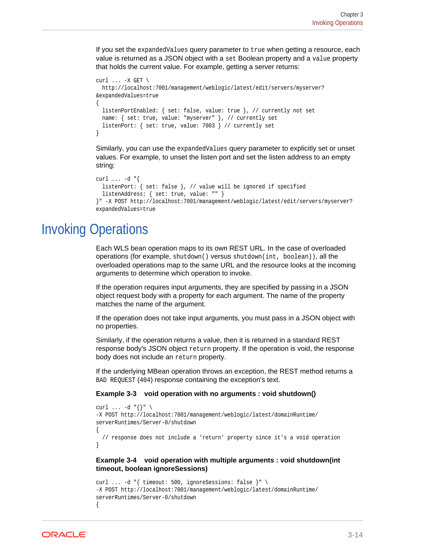<span id="page-31-0"></span>If you set the expandedValues query parameter to true when getting a resource, each value is returned as a JSON object with a set Boolean property and a value property that holds the current value. For example, getting a server returns:

```
curl \ldots -X GET \
  http://localhost:7001/management/weblogic/latest/edit/servers/myserver?
&expandedValues=true
\{ listenPortEnabled: { set: false, value: true }, // currently not set
  name: { set: true, value: "myserver" }, // currently set
  listenPort: { set: true, value: 7003 } // currently set
}
```
Similarly, you can use the expandedValues query parameter to explicitly set or unset values. For example, to unset the listen port and set the listen address to an empty string:

```
curl \ldots -d \sqrt[n]{ listenPort: { set: false }, // value will be ignored if specified
   listenAddress: { set: true, value: "" }
}" -X POST http://localhost:7001/management/weblogic/latest/edit/servers/myserver?
expandedValues=true
```
# Invoking Operations

Each WLS bean operation maps to its own REST URL. In the case of overloaded operations (for example, shutdown() versus shutdown(int, boolean)), all the overloaded operations map to the same URL and the resource looks at the incoming arguments to determine which operation to invoke.

If the operation requires input arguments, they are specified by passing in a JSON object request body with a property for each argument. The name of the property matches the name of the argument.

If the operation does not take input arguments, you must pass in a JSON object with no properties.

Similarly, if the operation returns a value, then it is returned in a standard REST response body's JSON object return property. If the operation is void, the response body does not include an return property.

If the underlying MBean operation throws an exception, the REST method returns a BAD REQUEST (404) response containing the exception's text.

#### **Example 3-3 void operation with no arguments : void shutdown()**

```
curl \ldots -d "{}" \
-X POST http://localhost:7001/management/weblogic/latest/domainRuntime/
serverRuntimes/Server-0/shutdown
{
   // response does not include a 'return' property since it's a void operation
}
```
#### **Example 3-4 void operation with multiple arguments : void shutdown(int timeout, boolean ignoreSessions)**

```
curl ... -d "{ timeout: 500, ignoreSessions: false }" \
-X POST http://localhost:7001/management/weblogic/latest/domainRuntime/
serverRuntimes/Server-0/shutdown
{
```
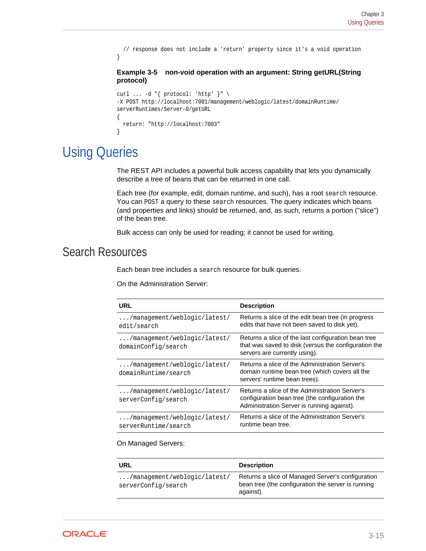```
 // response does not include a 'return' property since it's a void operation
}
Example 3-5 non-void operation with an argument: String getURL(String
protocol)
curl ... -d "{ protocol: 'http' }" \
-X POST http://localhost:7001/management/weblogic/latest/domainRuntime/
serverRuntimes/Server-0/getURL
{
  return: "http://localhost:7003"
```
# Using Queries

}

The REST API includes a powerful bulk access capability that lets you dynamically describe a tree of beans that can be returned in one call.

Each tree (for example, edit, domain runtime, and such), has a root search resource. You can POST a query to these search resources. The query indicates which beans (and properties and links) should be returned, and, as such, returns a portion ("slice") of the bean tree.

Bulk access can only be used for reading; it cannot be used for writing.

### Search Resources

Each bean tree includes a search resource for bulk queries.

On the Administration Server:

| <b>URL</b>                                                    | <b>Description</b>                                                                                                                             |
|---------------------------------------------------------------|------------------------------------------------------------------------------------------------------------------------------------------------|
| $\ldots$ /management/weblogic/latest/<br>edit/search          | Returns a slice of the edit bean tree (in progress<br>edits that have not been saved to disk yet).                                             |
| /management/weblogic/latest/<br>domainConfig/search           | Returns a slice of the last configuration bean tree<br>that was saved to disk (versus the configuration the<br>servers are currently using).   |
| $\ldots$ /management/weblogic/latest/<br>domainRuntime/search | Returns a slice of the Administration Server's<br>domain runtime bean tree (which covers all the<br>servers' runtime bean trees).              |
| $\ldots$ /management/weblogic/latest/<br>serverConfig/search  | Returns a slice of the Administration Server's<br>configuration bean tree (the configuration the<br>Administration Server is running against). |
| $\ldots$ /management/weblogic/latest/<br>serverRuntime/search | Returns a slice of the Administration Server's<br>runtime bean tree.                                                                           |

#### On Managed Servers:

| URL                                                          | <b>Description</b>                                                                                                   |
|--------------------------------------------------------------|----------------------------------------------------------------------------------------------------------------------|
| $\ldots$ /management/weblogic/latest/<br>serverConfig/search | Returns a slice of Managed Server's configuration<br>bean tree (the configuration the server is running<br>against). |

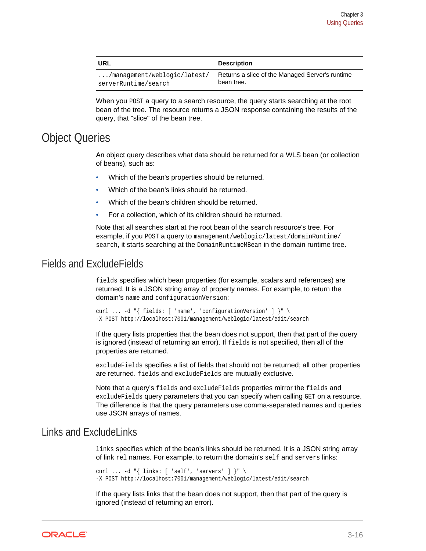<span id="page-33-0"></span>

| URL                                   | <b>Description</b>                              |
|---------------------------------------|-------------------------------------------------|
| $\ldots$ /management/weblogic/latest/ | Returns a slice of the Managed Server's runtime |
| serverRuntime/search                  | bean tree.                                      |

When you POST a query to a search resource, the query starts searching at the root bean of the tree. The resource returns a JSON response containing the results of the query, that "slice" of the bean tree.

#### Object Queries

An object query describes what data should be returned for a WLS bean (or collection of beans), such as:

- Which of the bean's properties should be returned.
- Which of the bean's links should be returned.
- Which of the bean's children should be returned.
- For a collection, which of its children should be returned.

Note that all searches start at the root bean of the search resource's tree. For example, if you POST a query to management/weblogic/latest/domainRuntime/ search, it starts searching at the DomainRuntimeMBean in the domain runtime tree.

#### Fields and ExcludeFields

fields specifies which bean properties (for example, scalars and references) are returned. It is a JSON string array of property names. For example, to return the domain's name and configurationVersion:

curl ... -d "{ fields: [ 'name', 'configurationVersion' ] }" \ -X POST http://localhost:7001/management/weblogic/latest/edit/search

If the query lists properties that the bean does not support, then that part of the query is ignored (instead of returning an error). If fields is not specified, then all of the properties are returned.

excludeFields specifies a list of fields that should not be returned; all other properties are returned. fields and excludeFields are mutually exclusive.

Note that a query's fields and excludeFields properties mirror the fields and excludeFields query parameters that you can specify when calling GET on a resource. The difference is that the query parameters use comma-separated names and queries use JSON arrays of names.

#### Links and ExcludeLinks

links specifies which of the bean's links should be returned. It is a JSON string array of link rel names. For example, to return the domain's self and servers links:

curl ... -d  $\lceil$  links: [ 'self', 'servers' ]  $\rceil$ " \ -X POST http://localhost:7001/management/weblogic/latest/edit/search

If the query lists links that the bean does not support, then that part of the query is ignored (instead of returning an error).

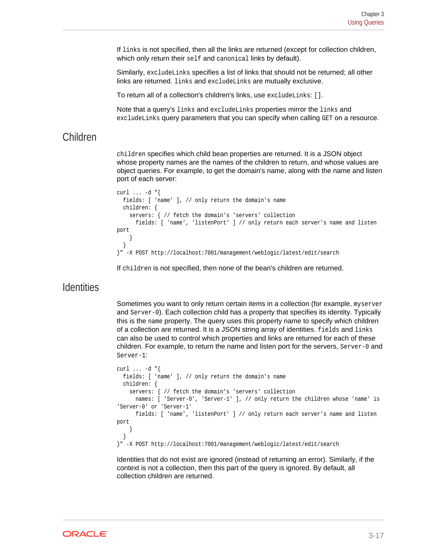<span id="page-34-0"></span>If links is not specified, then all the links are returned (except for collection children, which only return their self and canonical links by default).

Similarly, excludeLinks specifies a list of links that should not be returned; all other links are returned. links and excludeLinks are mutually exclusive.

To return all of a collection's children's links, use excludeLinks: [].

Note that a query's links and excludeLinks properties mirror the links and excludeLinks query parameters that you can specify when calling GET on a resource.

#### Children

children specifies which child bean properties are returned. It is a JSON object whose property names are the names of the children to return, and whose values are object queries. For example, to get the domain's name, along with the name and listen port of each server:

```
curl ... -d "{
   fields: [ 'name' ], // only return the domain's name
   children: {
     servers: { // fetch the domain's 'servers' collection
       fields: [ 'name', 'listenPort' ] // only return each server's name and listen 
port
\left\{\begin{array}{ccc} \end{array}\right\}\rightarrow}" -X POST http://localhost:7001/management/weblogic/latest/edit/search
```
If children is not specified, then none of the bean's children are returned.

#### **Identities**

Sometimes you want to only return certain items in a collection (for example, myserver and Server-0). Each collection child has a property that specifies its identity. Typically this is the name property. The query uses this property name to specify which children of a collection are returned. It is a JSON string array of identities. fields and links can also be used to control which properties and links are returned for each of these children. For example, to return the name and listen port for the servers, Server-0 and Server-1:

```
curl ... -d "{
   fields: [ 'name' ], // only return the domain's name
   children: {
     servers: { // fetch the domain's 'servers' collection
       names: [ 'Server-0', 'Server-1' ], // only return the children whose 'name' is 
'Server-0' or 'Server-1'
       fields: [ 'name', 'listenPort' ] // only return each server's name and listen 
port
\left\{\begin{array}{ccc} \end{array}\right\}\vert}" -X POST http://localhost:7001/management/weblogic/latest/edit/search
```
Identities that do not exist are ignored (instead of returning an error). Similarly, if the context is not a collection, then this part of the query is ignored. By default, all collection children are returned.

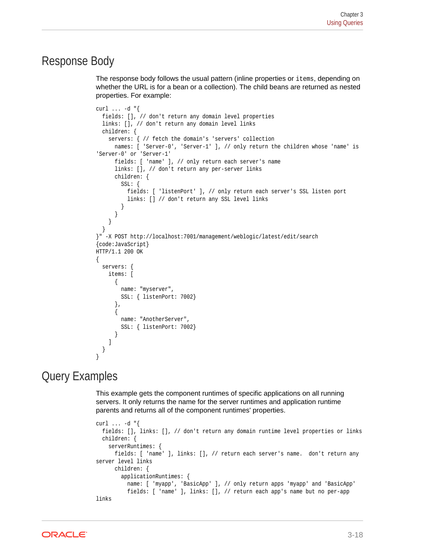#### <span id="page-35-0"></span>Response Body

The response body follows the usual pattern (inline properties or items, depending on whether the URL is for a bean or a collection). The child beans are returned as nested properties. For example:

```
curl ... -d "{
   fields: [], // don't return any domain level properties
   links: [], // don't return any domain level links
   children: {
     servers: { // fetch the domain's 'servers' collection
       names: [ 'Server-0', 'Server-1' ], // only return the children whose 'name' is 
'Server-0' or 'Server-1'
       fields: [ 'name' ], // only return each server's name
       links: [], // don't return any per-server links
       children: {
         SSL: {
           fields: [ 'listenPort' ], // only return each server's SSL listen port
           links: [] // don't return any SSL level links
 }
\} }
   }
}" -X POST http://localhost:7001/management/weblogic/latest/edit/search
{code:JavaScript}
HTTP/1.1 200 OK
{
   servers: {
     items: [
       {
         name: "myserver",
         SSL: { listenPort: 7002}
       },
\left\{\begin{array}{ccc} \end{array}\right\} name: "AnotherServer",
         SSL: { listenPort: 7002}
 }
     ]
\vert}
```
### Query Examples

This example gets the component runtimes of specific applications on all running servers. It only returns the name for the server runtimes and application runtime parents and returns all of the component runtimes' properties.

```
curl ... -d "{
   fields: [], links: [], // don't return any domain runtime level properties or links
   children: {
     serverRuntimes: {
       fields: [ 'name' ], links: [], // return each server's name. don't return any 
server level links
       children: {
         applicationRuntimes: {
           name: [ 'myapp', 'BasicApp' ], // only return apps 'myapp' and 'BasicApp'
           fields: [ 'name' ], links: [], // return each app's name but no per-app 
links
```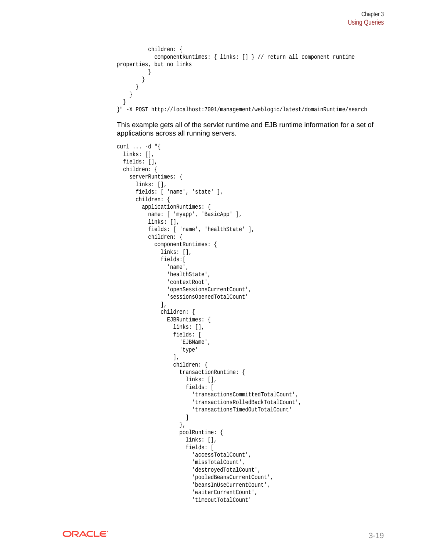```
 children: {
             componentRuntimes: { links: [] } // return all component runtime 
properties, but no links
 }
         }
       }
     }
   }
}" -X POST http://localhost:7001/management/weblogic/latest/domainRuntime/search
```
This example gets all of the servlet runtime and EJB runtime information for a set of applications across all running servers.

```
curl ... -d "{
   links: [],
   fields: [],
   children: {
     serverRuntimes: {
       links: [],
       fields: [ 'name', 'state' ],
       children: {
         applicationRuntimes: {
            name: [ 'myapp', 'BasicApp' ],
            links: [],
            fields: [ 'name', 'healthState' ],
            children: {
              componentRuntimes: {
                links: [],
                fields:[
                   'name',
                   'healthState',
                   'contextRoot',
                   'openSessionsCurrentCount',
                   'sessionsOpenedTotalCount'
                ],
                children: {
                  EJBRuntimes: {
                     links: [],
                     fields: [
                       'EJBName',
                       'type'
                     ],
                     children: {
                       transactionRuntime: {
                         links: [],
                         fields: [
                            'transactionsCommittedTotalCount',
                           'transactionsRolledBackTotalCount',
                            'transactionsTimedOutTotalCount'
) and the contract of the contract \mathbf{I} },
                       poolRuntime: {
                         links: [],
                         fields: [
                            'accessTotalCount',
                            'missTotalCount',
                            'destroyedTotalCount',
                            'pooledBeansCurrentCount',
                            'beansInUseCurrentCount',
                            'waiterCurrentCount',
                            'timeoutTotalCount'
```
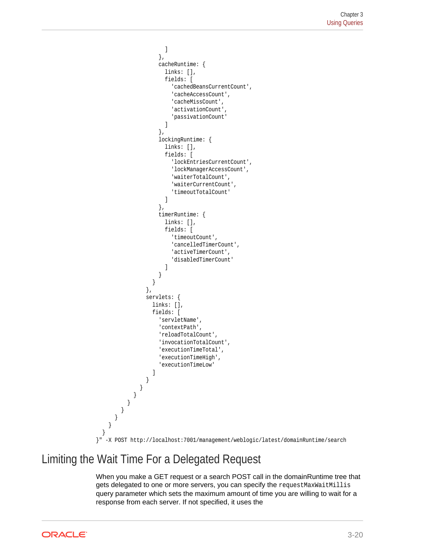```
) and the contract of the contract \mathbf{I} },
                      cacheRuntime: {
                        links: [],
                        fields: [
                           'cachedBeansCurrentCount',
                           'cacheAccessCount',
                           'cacheMissCount',
                           'activationCount',
                           'passivationCount'
) and the contract of the contract \mathbf{I} },
                      lockingRuntime: {
                        links: [],
                        fields: [
                           'lockEntriesCurrentCount',
                           'lockManagerAccessCount',
                           'waiterTotalCount',
                           'waiterCurrentCount',
                           'timeoutTotalCount'
) and the contract of the contract \mathbf{I} },
                      timerRuntime: {
                        links: [],
                        fields: [
                           'timeoutCount',
                          'cancelledTimerCount',
                          'activeTimerCount',
                           'disabledTimerCount'
) and the contract of the contract \mathbf{I} }
 }
                  },
                  servlets: {
                    links: [],
                    fields: [
                      'servletName',
                      'contextPath',
                      'reloadTotalCount',
                      'invocationTotalCount',
                      'executionTimeTotal',
                      'executionTimeHigh',
                      'executionTimeLow'
 ]
 }
               }
            }
          }
        }
       }
     }
   }
}" -X POST http://localhost:7001/management/weblogic/latest/domainRuntime/search
```
## Limiting the Wait Time For a Delegated Request

When you make a GET request or a search POST call in the domainRuntime tree that gets delegated to one or more servers, you can specify the request MaxWaitMillis query parameter which sets the maximum amount of time you are willing to wait for a response from each server. If not specified, it uses the

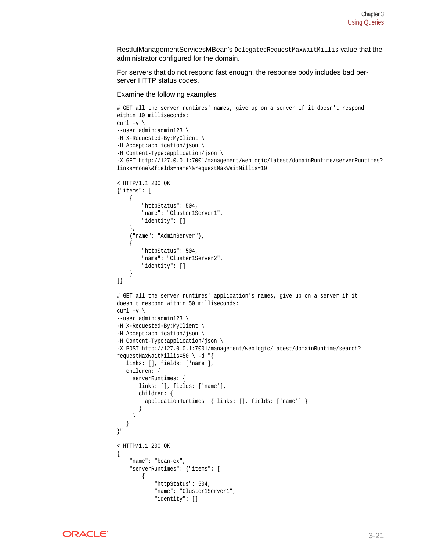RestfulManagementServicesMBean's DelegatedRequestMaxWaitMillis value that the administrator configured for the domain.

For servers that do not respond fast enough, the response body includes bad perserver HTTP status codes.

Examine the following examples:

```
# GET all the server runtimes' names, give up on a server if it doesn't respond 
within 10 milliseconds:
curl -v \backslash--user admin:admin123 \
-H X-Requested-By:MyClient \
-H Accept:application/json \
-H Content-Type:application/json \
-X GET http://127.0.0.1:7001/management/weblogic/latest/domainRuntime/serverRuntimes?
links=none\&fields=name\&requestMaxWaitMillis=10
< HTTP/1.1 200 OK
{"items": [
     {
          "httpStatus": 504,
          "name": "Cluster1Server1",
         "identity": []
     },
     {"name": "AdminServer"},
\left\{\right. "httpStatus": 504,
         "name": "Cluster1Server2",
         "identity": []
     }
]}
# GET all the server runtimes' application's names, give up on a server if it 
doesn't respond within 50 milliseconds:
curl -v \backslash--user admin:admin123 \
-H X-Requested-By:MyClient \
-H Accept:application/json \
-H Content-Type:application/json \
-X POST http://127.0.0.1:7001/management/weblogic/latest/domainRuntime/search?
requestMaxWaitMillis=50 \backslash -d "{
    links: [], fields: ['name'],
    children: {
      serverRuntimes: {
        links: [], fields: ['name'],
        children: {
          applicationRuntimes: { links: [], fields: ['name'] }
        }
      }
\rightarrow}"
< HTTP/1.1 200 OK
{
     "name": "bean-ex",
     "serverRuntimes": {"items": [
          {
              "httpStatus": 504,
              "name": "Cluster1Server1",
              "identity": []
```
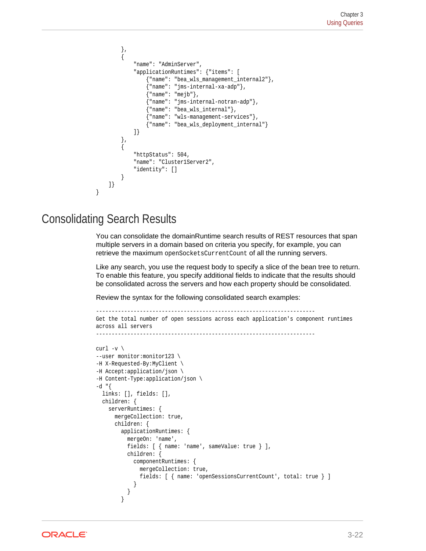```
 },
          {
               "name": "AdminServer",
               "applicationRuntimes": {"items": [
                    {"name": "bea_wls_management_internal2"},
                    {"name": "jms-internal-xa-adp"},
                    {"name": "mejb"},
                    {"name": "jms-internal-notran-adp"},
                    {"name": "bea_wls_internal"},
                     {"name": "wls-management-services"},
                    {"name": "bea_wls_deployment_internal"}
               ]}
          },
\left\{ \begin{array}{ccc} 1 & 1 & 1 \\ 1 & 1 & 1 \end{array} \right\} "httpStatus": 504,
               "name": "Cluster1Server2",
               "identity": []
 }
     ]}
}
```
### Consolidating Search Results

You can consolidate the domainRuntime search results of REST resources that span multiple servers in a domain based on criteria you specify, for example, you can retrieve the maximum openSocketsCurrentCount of all the running servers.

Like any search, you use the request body to specify a slice of the bean tree to return. To enable this feature, you specify additional fields to indicate that the results should be consolidated across the servers and how each property should be consolidated.

Review the syntax for the following consolidated search examples:

```
----------------------------------------------------------------------
Get the total number of open sessions across each application's component runtimes 
across all servers
-curl -v \backslash--user monitor:monitor123 \
-H X-Requested-By:MyClient \
-H Accept:application/json \
-H Content-Type:application/json \
-d "\{ links: [], fields: [],
  children: {
    serverRuntimes: {
      mergeCollection: true,
      children: {
        applicationRuntimes: {
          mergeOn: 'name',
          fields: [ { name: 'name', sameValue: true } ],
          children: {
            componentRuntimes: {
              mergeCollection: true,
              fields: [ { name: 'openSessionsCurrentCount', total: true } ]
 }
          }
        }
```
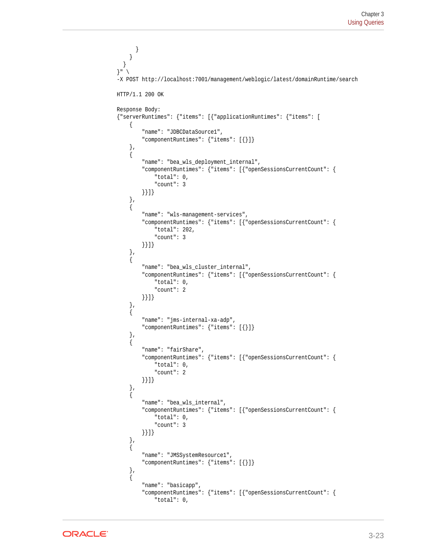```
 }
     }
   }
}" \
-X POST http://localhost:7001/management/weblogic/latest/domainRuntime/search
HTTP/1.1 200 OK
Response Body:
{"serverRuntimes": {"items": [{"applicationRuntimes": {"items": [
     {
          "name": "JDBCDataSource1",
          "componentRuntimes": {"items": [{}]}
     },
\left\{\right. "name": "bea_wls_deployment_internal",
          "componentRuntimes": {"items": [{"openSessionsCurrentCount": {
              "total": 0,
              "count": 3
         }}]}
     },
\left\{\right. "name": "wls-management-services",
          "componentRuntimes": {"items": [{"openSessionsCurrentCount": {
              "total": 202,
              "count": 3
         }}]}
     },
     {
          "name": "bea_wls_cluster_internal",
          "componentRuntimes": {"items": [{"openSessionsCurrentCount": {
              "total": 0,
              "count": 2
         }}]}
     },
\left\{\right. "name": "jms-internal-xa-adp",
          "componentRuntimes": {"items": [{}]}
     },
\left\{\right. "name": "fairShare",
          "componentRuntimes": {"items": [{"openSessionsCurrentCount": {
              "total": 0,
              "count": 2
         }}]}
     },
\left\{\right. "name": "bea_wls_internal",
          "componentRuntimes": {"items": [{"openSessionsCurrentCount": {
              "total": 0,
              "count": 3
         }}]}
     },
     {
         "name": "JMSSystemResource1",
          "componentRuntimes": {"items": [{}]}
     },
\mathcal{A} "name": "basicapp",
          "componentRuntimes": {"items": [{"openSessionsCurrentCount": {
              "total": 0,
```
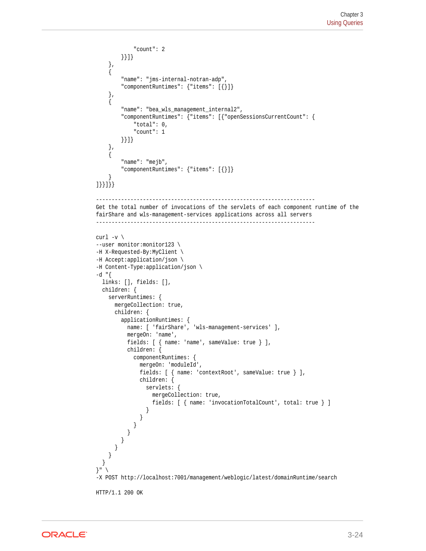```
 "count": 2
         }}]}
     },
     {
         "name": "jms-internal-notran-adp",
         "componentRuntimes": {"items": [{}]}
     },
\mathcal{A} "name": "bea_wls_management_internal2",
         "componentRuntimes": {"items": [{"openSessionsCurrentCount": {
             "total": 0,
              "count": 1
         }}]}
     },
     {
         "name": "mejb",
         "componentRuntimes": {"items": [{}]}
\left\{\begin{array}{ccc} \end{array}\right\}]}}]}}
----------------------------------------------------------------------
Get the total number of invocations of the servlets of each component runtime of the 
fairShare and wls-management-services applications across all servers
----------------------------------------------------------------------
curl -v \backslash--user monitor:monitor123 \
-H X-Requested-By:MyClient \
-H Accept:application/json \
-H Content-Type:application/json \
-d "\{ links: [], fields: [],
   children: {
     serverRuntimes: {
       mergeCollection: true,
       children: {
         applicationRuntimes: {
           name: [ 'fairShare', 'wls-management-services' ],
           mergeOn: 'name',
           fields: [ { name: 'name', sameValue: true } ],
           children: {
             componentRuntimes: {
               mergeOn: 'moduleId',
               fields: [ { name: 'contextRoot', sameValue: true } ],
               children: {
                 servlets: {
                    mergeCollection: true,
                    fields: [ { name: 'invocationTotalCount', total: true } ]
 }
           }<sup>}</sup>
 }
 }
 }
 }
     }
   }
\}" \
-X POST http://localhost:7001/management/weblogic/latest/domainRuntime/search
HTTP/1.1 200 OK
```
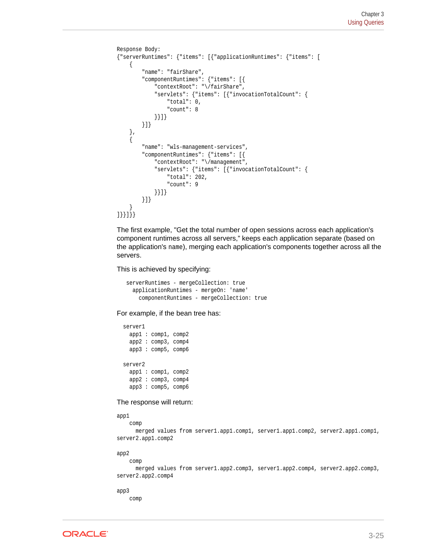```
Response Body:
{"serverRuntimes": {"items": [{"applicationRuntimes": {"items": [
     {
          "name": "fairShare",
          "componentRuntimes": {"items": [{
               "contextRoot": "\/fairShare",
               "servlets": {"items": [{"invocationTotalCount": {
                   "total": 0,
                   "count": 8
               }}]}
          }]}
 },
\mathcal{A} "name": "wls-management-services",
          "componentRuntimes": {"items": [{
               "contextRoot": "\/management",
               "servlets": {"items": [{"invocationTotalCount": {
                   "total": 202,
                   "count": 9
               }}]}
          }]}
\left\{\begin{array}{ccc} \end{array}\right\}]}}]}}
```
The first example, "Get the total number of open sessions across each application's component runtimes across all servers," keeps each application separate (based on the application's name), merging each application's components together across all the servers.

This is achieved by specifying:

 serverRuntimes - mergeCollection: true applicationRuntimes - mergeOn: 'name' componentRuntimes - mergeCollection: true

For example, if the bean tree has:

```
 server1
  app1 : comp1, comp2
  app2 : comp3, comp4
  app3 : comp5, comp6
 server2
  app1 : comp1, comp2
  app2 : comp3, comp4
  app3 : comp5, comp6
```
The response will return:

app1

 merged values from server1.app1.comp1, server1.app1.comp2, server2.app1.comp1, server2.app1.comp2

app2

comp

comp

 merged values from server1.app2.comp3, server1.app2.comp4, server2.app2.comp3, server2.app2.comp4

app3

comp

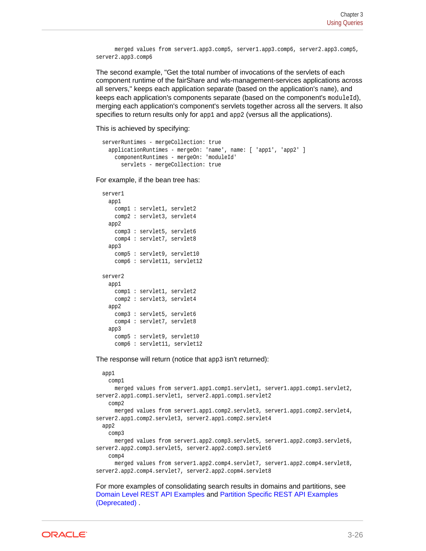```
 merged values from server1.app3.comp5, server1.app3.comp6, server2.app3.comp5, 
server2.app3.comp6
```
The second example, "Get the total number of invocations of the servlets of each component runtime of the fairShare and wls-management-services applications across all servers," keeps each application separate (based on the application's name), and keeps each application's components separate (based on the component's  $modu1eId$ ), merging each application's component's servlets together across all the servers. It also specifies to return results only for app1 and app2 (versus all the applications).

This is achieved by specifying:

```
 serverRuntimes - mergeCollection: true
  applicationRuntimes - mergeOn: 'name', name: [ 'app1', 'app2' ]
    componentRuntimes - mergeOn: 'moduleId'
       servlets - mergeCollection: true
```
For example, if the bean tree has:

```
 server1
   app1
     comp1 : servlet1, servlet2
    comp2 : servlet3, servlet4
   app2
    comp3 : servlet5, servlet6
    comp4 : servlet7, servlet8
  app3
    comp5 : servlet9, servlet10
    comp6 : servlet11, servlet12
 server2 
   app1
    comp1 : servlet1, servlet2
    comp2 : servlet3, servlet4
   app2
    comp3 : servlet5, servlet6
    comp4 : servlet7, servlet8
   app3
    comp5 : servlet9, servlet10
     comp6 : servlet11, servlet12
```
The response will return (notice that app3 isn't returned):

```
 app1
     comp1
      merged values from server1.app1.comp1.servlet1, server1.app1.comp1.servlet2, 
server2.app1.comp1.servlet1, server2.app1.comp1.servlet2
    comp2
      merged values from server1.app1.comp2.servlet3, server1.app1.comp2.servlet4, 
server2.app1.comp2.servlet3, server2.app1.comp2.servlet4
   app2
    comp3
      merged values from server1.app2.comp3.servlet5, server1.app2.comp3.servlet6, 
server2.app2.comp3.servlet5, server2.app2.comp3.servlet6
    comp4
      merged values from server1.app2.comp4.servlet7, server1.app2.comp4.servlet8, 
server2.app2.comp4.servlet7, server2.app2.copm4.servlet8
```
For more examples of consolidating search results in domains and partitions, see [Domain Level REST API Examples](#page-47-0) and [Partition Specific REST API Examples](#page-217-0) [\(Deprecated\)](#page-217-0) .

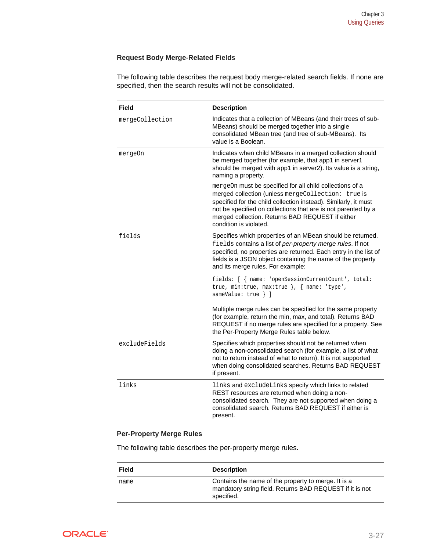### **Request Body Merge-Related Fields**

The following table describes the request body merge-related search fields. If none are specified, then the search results will not be consolidated.

| Field           | <b>Description</b>                                                                                                                                                                                                                                                                                                               |
|-----------------|----------------------------------------------------------------------------------------------------------------------------------------------------------------------------------------------------------------------------------------------------------------------------------------------------------------------------------|
| mergeCollection | Indicates that a collection of MBeans (and their trees of sub-<br>MBeans) should be merged together into a single<br>consolidated MBean tree (and tree of sub-MBeans). Its<br>value is a Boolean.                                                                                                                                |
| mergeOn         | Indicates when child MBeans in a merged collection should<br>be merged together (for example, that app1 in server1<br>should be merged with app1 in server2). Its value is a string,<br>naming a property.                                                                                                                       |
|                 | mergeOn must be specified for all child collections of a<br>merged collection (unless mergeCollection: true is<br>specified for the child collection instead). Similarly, it must<br>not be specified on collections that are is not parented by a<br>merged collection. Returns BAD REQUEST if either<br>condition is violated. |
| fields          | Specifies which properties of an MBean should be returned.<br>fields contains a list of per-property merge rules. If not<br>specified, no properties are returned. Each entry in the list of<br>fields is a JSON object containing the name of the property<br>and its merge rules. For example:                                 |
|                 | fields: [ { name: 'openSessionCurrentCount', total:<br>true, min:true, max:true $\}$ , $\{$ name: 'type',<br>sameValue: true } ]                                                                                                                                                                                                 |
|                 | Multiple merge rules can be specified for the same property<br>(for example, return the min, max, and total). Returns BAD<br>REQUEST if no merge rules are specified for a property. See<br>the Per-Property Merge Rules table below.                                                                                            |
| excludeFields   | Specifies which properties should not be returned when<br>doing a non-consolidated search (for example, a list of what<br>not to return instead of what to return). It is not supported<br>when doing consolidated searches. Returns BAD REQUEST<br>if present.                                                                  |
| links           | links and excludeLinks specify which links to related<br>REST resources are returned when doing a non-<br>consolidated search. They are not supported when doing a<br>consolidated search. Returns BAD REQUEST if either is<br>present.                                                                                          |

### **Per-Property Merge Rules**

The following table describes the per-property merge rules.

| Field | <b>Description</b>                                                                                                            |
|-------|-------------------------------------------------------------------------------------------------------------------------------|
| name  | Contains the name of the property to merge. It is a<br>mandatory string field. Returns BAD REQUEST if it is not<br>specified. |

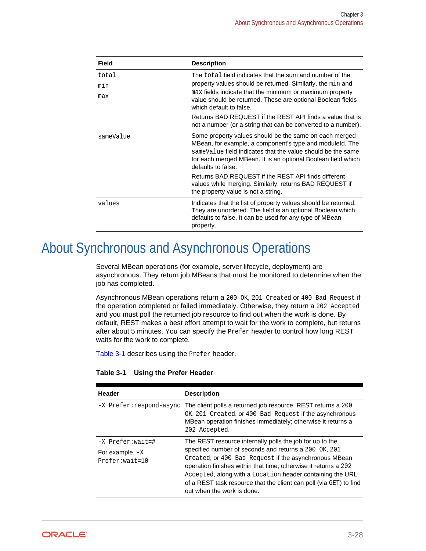| Field     | <b>Description</b>                                                                                                                                                                                                                                                           |
|-----------|------------------------------------------------------------------------------------------------------------------------------------------------------------------------------------------------------------------------------------------------------------------------------|
| total     | The total field indicates that the sum and number of the<br>property values should be returned. Similarly, the min and<br>max fields indicate that the minimum or maximum property<br>value should be returned. These are optional Boolean fields<br>which default to false. |
| min       |                                                                                                                                                                                                                                                                              |
| max       |                                                                                                                                                                                                                                                                              |
|           | Returns BAD REQUEST if the REST API finds a value that is<br>not a number (or a string that can be converted to a number).                                                                                                                                                   |
| sameValue | Some property values should be the same on each merged<br>MBean, for example, a component's type and moduleld. The<br>sameValue field indicates that the value should be the same<br>for each merged MBean. It is an optional Boolean field which<br>defaults to false.      |
|           | Returns BAD REQUEST if the REST API finds different<br>values while merging. Similarly, returns BAD REQUEST if<br>the property value is not a string.                                                                                                                        |
| values    | Indicates that the list of property values should be returned.<br>They are unordered. The field is an optional Boolean which<br>defaults to false. It can be used for any type of MBean<br>property.                                                                         |

# About Synchronous and Asynchronous Operations

Several MBean operations (for example, server lifecycle, deployment) are asynchronous. They return job MBeans that must be monitored to determine when the job has completed.

Asynchronous MBean operations return a 200 OK, 201 Created or 400 Bad Request if the operation completed or failed immediately. Otherwise, they return a 202 Accepted and you must poll the returned job resource to find out when the work is done. By default, REST makes a best effort attempt to wait for the work to complete, but returns after about 5 minutes. You can specify the Prefer header to control how long REST waits for the work to complete.

Table 3-1 describes using the Prefer header.

| Header                                                      | <b>Description</b>                                                                                                                                                                                                                                                                                                                                                                                             |
|-------------------------------------------------------------|----------------------------------------------------------------------------------------------------------------------------------------------------------------------------------------------------------------------------------------------------------------------------------------------------------------------------------------------------------------------------------------------------------------|
| -X Prefer: respond-async                                    | The client polls a returned job resource. REST returns a 200<br>OK, 201 Created, or 400 Bad Request if the asynchronous<br>MBean operation finishes immediately; otherwise it returns a<br>202 Accepted.                                                                                                                                                                                                       |
| -X Prefer: wait=#<br>For example, $-X$<br>$Prefer: wait=10$ | The REST resource internally polls the job for up to the<br>specified number of seconds and returns a 200 OK, 201<br>Created, or 400 Bad Request if the asynchronous MBean<br>operation finishes within that time; otherwise it returns a 202<br>Accepted, along with a Location header containing the URL<br>of a REST task resource that the client can poll (via GET) to find<br>out when the work is done. |

### **Table 3-1 Using the Prefer Header**

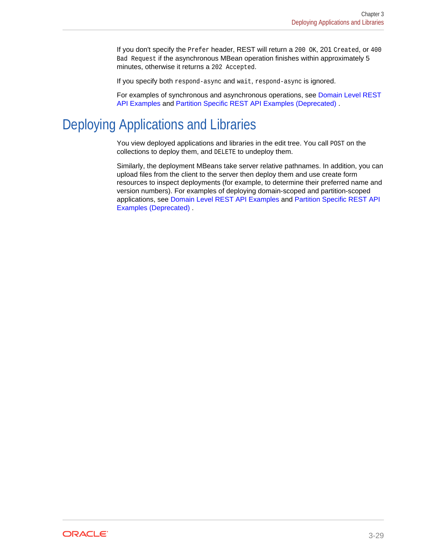If you don't specify the Prefer header, REST will return a 200 OK, 201 Created, or 400 Bad Request if the asynchronous MBean operation finishes within approximately 5 minutes, otherwise it returns a 202 Accepted.

If you specify both respond-async and wait, respond-async is ignored.

For examples of synchronous and asynchronous operations, see [Domain Level REST](#page-47-0) [API Examples](#page-47-0) and [Partition Specific REST API Examples \(Deprecated\)](#page-217-0) .

## Deploying Applications and Libraries

You view deployed applications and libraries in the edit tree. You call POST on the collections to deploy them, and DELETE to undeploy them.

Similarly, the deployment MBeans take server relative pathnames. In addition, you can upload files from the client to the server then deploy them and use create form resources to inspect deployments (for example, to determine their preferred name and version numbers). For examples of deploying domain-scoped and partition-scoped applications, see [Domain Level REST API Examples](#page-47-0) and [Partition Specific REST API](#page-217-0) [Examples \(Deprecated\) .](#page-217-0)

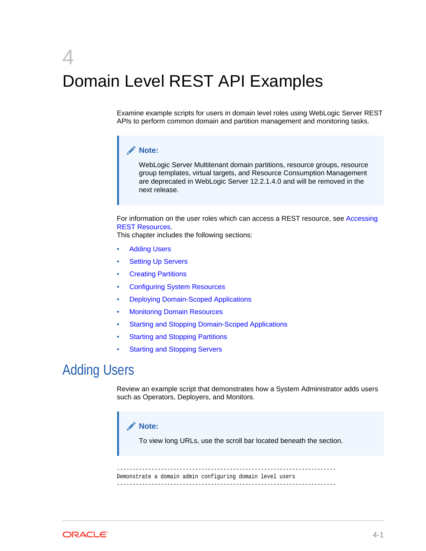# <span id="page-47-0"></span>4 Domain Level REST API Examples

Examine example scripts for users in domain level roles using WebLogic Server REST APIs to perform common domain and partition management and monitoring tasks.

### **Note:**

WebLogic Server Multitenant domain partitions, resource groups, resource group templates, virtual targets, and Resource Consumption Management are deprecated in WebLogic Server 12.2.1.4.0 and will be removed in the next release.

For information on the user roles which can access a REST resource, see [Accessing](#page-18-0) [REST Resources](#page-18-0).

This chapter includes the following sections:

- **Adding Users**
- **[Setting Up Servers](#page-50-0)**
- **[Creating Partitions](#page-69-0)**
- [Configuring System Resources](#page-91-0)
- [Deploying Domain-Scoped Applications](#page-112-0)
- [Monitoring Domain Resources](#page-121-0)
- [Starting and Stopping Domain-Scoped Applications](#page-194-0)
- **[Starting and Stopping Partitions](#page-198-0)**
- **[Starting and Stopping Servers](#page-207-0)**

## Adding Users

Review an example script that demonstrates how a System Administrator adds users such as Operators, Deployers, and Monitors.



To view long URLs, use the scroll bar located beneath the section.

---------------------------------------------------------------------- Demonstrate a domain admin configuring domain level users ----------------------------------------------------------------------

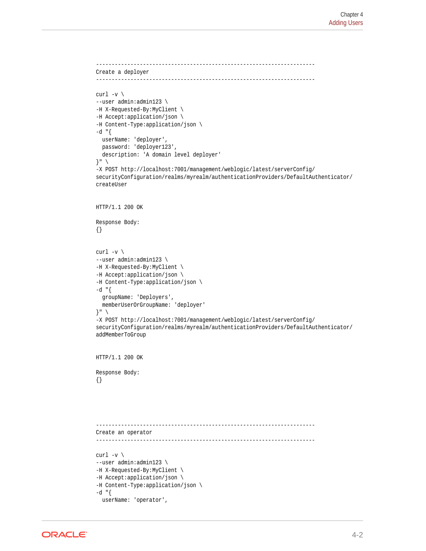```
----------------------------------------------------------------------
Create a deployer
----------------------------------------------------------------------
curl -v \backslash--user admin:admin123 \
-H X-Requested-By:MyClient \
-H Accept:application/json \
-H Content-Type:application/json \
-d "{
   userName: 'deployer',
   password: 'deployer123',
   description: 'A domain level deployer'
}" \
-X POST http://localhost:7001/management/weblogic/latest/serverConfig/
securityConfiguration/realms/myrealm/authenticationProviders/DefaultAuthenticator/
createUser
HTTP/1.1 200 OK
Response Body:
{}
curl -v \backslash--user admin:admin123 \
-H X-Requested-By:MyClient \
-H Accept:application/json \
-H Content-Type:application/json \
-d "\{ groupName: 'Deployers',
   memberUserOrGroupName: 'deployer'
\}" \
-X POST http://localhost:7001/management/weblogic/latest/serverConfig/
securityConfiguration/realms/myrealm/authenticationProviders/DefaultAuthenticator/
addMemberToGroup
HTTP/1.1 200 OK
Response Body:
{}
----------------------------------------------------------------------
Create an operator
----------------------------------------------------------------------
curl -v \backslash--user admin:admin123 \
-H X-Requested-By:MyClient \
-H Accept:application/json \
-H Content-Type:application/json \
-d "{
   userName: 'operator',
```
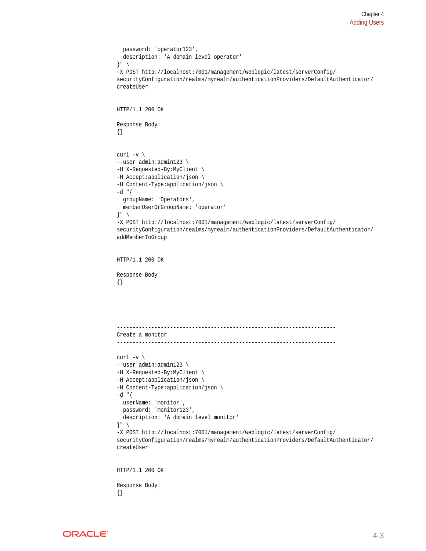```
 password: 'operator123',
   description: 'A domain level operator'
}" \
-X POST http://localhost:7001/management/weblogic/latest/serverConfig/
securityConfiguration/realms/myrealm/authenticationProviders/DefaultAuthenticator/
createUser
HTTP/1.1 200 OK
Response Body:
{}
curl -v \backslash--user admin:admin123 \
-H X-Requested-By:MyClient \
-H Accept:application/json \
-H Content-Type:application/json \
-d "{
   groupName: 'Operators',
   memberUserOrGroupName: 'operator'
}" \
-X POST http://localhost:7001/management/weblogic/latest/serverConfig/
securityConfiguration/realms/myrealm/authenticationProviders/DefaultAuthenticator/
addMemberToGroup
HTTP/1.1 200 OK
Response Body:
{}
   ----------------------------------------------------------------------
Create a monitor
----------------------------------------------------------------------
curl -v \backslash--user admin:admin123 \
-H X-Requested-By:MyClient \
-H Accept:application/json \
-H Content-Type:application/json \
-d "\{userName: 'monitor',
  password: 'monitor123',
   description: 'A domain level monitor'
}" \
-X POST http://localhost:7001/management/weblogic/latest/serverConfig/
securityConfiguration/realms/myrealm/authenticationProviders/DefaultAuthenticator/
createUser
HTTP/1.1 200 OK
Response Body:
```


{}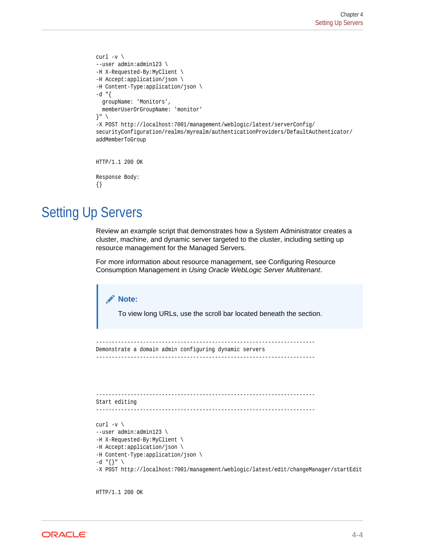```
curl -v \backslash--user admin:admin123 \
-H X-Requested-By:MyClient \
-H Accept:application/json \
-H Content-Type:application/json \
-d "{
   groupName: 'Monitors',
   memberUserOrGroupName: 'monitor'
}" \
-X POST http://localhost:7001/management/weblogic/latest/serverConfig/
securityConfiguration/realms/myrealm/authenticationProviders/DefaultAuthenticator/
addMemberToGroup
HTTP/1.1 200 OK
Response Body:
```
#### {}

## Setting Up Servers

Review an example script that demonstrates how a System Administrator creates a cluster, machine, and dynamic server targeted to the cluster, including setting up resource management for the Managed Servers.

For more information about resource management, see Configuring Resource Consumption Management in *Using Oracle WebLogic Server Multitenant*.

```
Note:
        To view long URLs, use the scroll bar located beneath the section.
         ----------------------------------------------------------------------
Demonstrate a domain admin configuring dynamic servers
----------------------------------------------------------------------
----------------------------------------------------------------------
Start editing
                  ----------------------------------------------------------------------
curl -v \langle--user admin:admin123 \
-H X-Requested-By:MyClient \
-H Accept:application/json \
-H Content-Type:application/json \
-d "\{\}" \
-X POST http://localhost:7001/management/weblogic/latest/edit/changeManager/startEdit
```
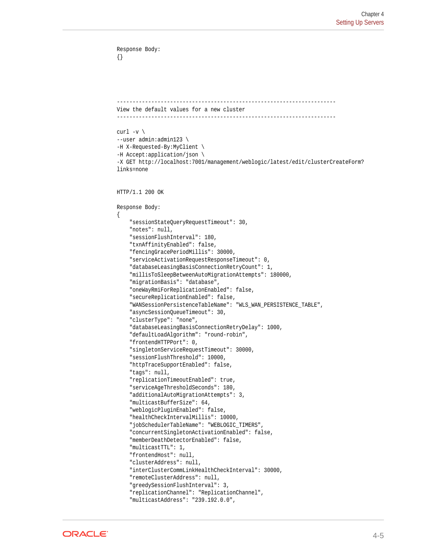```
Response Body:
{}
  ----------------------------------------------------------------------
View the default values for a new cluster
----------------------------------------------------------------------
curl -v \backslash--user admin:admin123 \
-H X-Requested-By:MyClient \
-H Accept:application/json \
-X GET http://localhost:7001/management/weblogic/latest/edit/clusterCreateForm?
links=none
HTTP/1.1 200 OK
Response Body:
\{ "sessionStateQueryRequestTimeout": 30,
     "notes": null,
     "sessionFlushInterval": 180,
     "txnAffinityEnabled": false,
     "fencingGracePeriodMillis": 30000,
     "serviceActivationRequestResponseTimeout": 0,
     "databaseLeasingBasisConnectionRetryCount": 1,
     "millisToSleepBetweenAutoMigrationAttempts": 180000,
     "migrationBasis": "database",
     "oneWayRmiForReplicationEnabled": false,
     "secureReplicationEnabled": false,
     "WANSessionPersistenceTableName": "WLS_WAN_PERSISTENCE_TABLE",
     "asyncSessionQueueTimeout": 30,
     "clusterType": "none",
     "databaseLeasingBasisConnectionRetryDelay": 1000,
     "defaultLoadAlgorithm": "round-robin",
     "frontendHTTPPort": 0,
     "singletonServiceRequestTimeout": 30000,
     "sessionFlushThreshold": 10000,
     "httpTraceSupportEnabled": false,
     "tags": null,
     "replicationTimeoutEnabled": true,
     "serviceAgeThresholdSeconds": 180,
     "additionalAutoMigrationAttempts": 3,
     "multicastBufferSize": 64,
     "weblogicPluginEnabled": false,
     "healthCheckIntervalMillis": 10000,
     "jobSchedulerTableName": "WEBLOGIC_TIMERS",
     "concurrentSingletonActivationEnabled": false,
     "memberDeathDetectorEnabled": false,
     "multicastTTL": 1,
     "frontendHost": null,
     "clusterAddress": null,
     "interClusterCommLinkHealthCheckInterval": 30000,
     "remoteClusterAddress": null,
     "greedySessionFlushInterval": 3,
     "replicationChannel": "ReplicationChannel",
     "multicastAddress": "239.192.0.0",
```
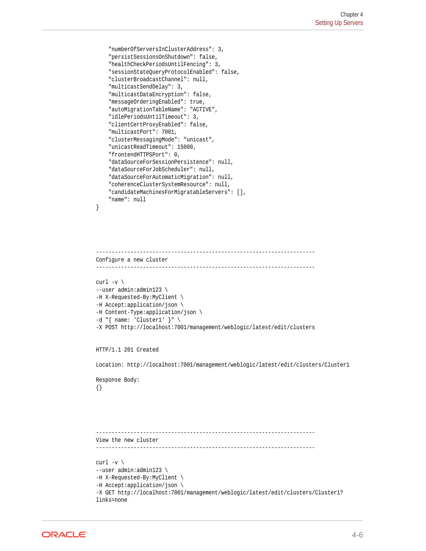```
 "numberOfServersInClusterAddress": 3,
 "persistSessionsOnShutdown": false,
 "healthCheckPeriodsUntilFencing": 3,
 "sessionStateQueryProtocolEnabled": false,
 "clusterBroadcastChannel": null,
 "multicastSendDelay": 3,
 "multicastDataEncryption": false,
 "messageOrderingEnabled": true,
 "autoMigrationTableName": "ACTIVE",
 "idlePeriodsUntilTimeout": 3,
 "clientCertProxyEnabled": false,
 "multicastPort": 7001,
 "clusterMessagingMode": "unicast",
 "unicastReadTimeout": 15000,
 "frontendHTTPSPort": 0,
 "dataSourceForSessionPersistence": null,
 "dataSourceForJobScheduler": null,
 "dataSourceForAutomaticMigration": null,
 "coherenceClusterSystemResource": null,
 "candidateMachinesForMigratableServers": [],
 "name": null
```

```
----------------------------------------------------------------------
Configure a new cluster
                ----------------------------------------------------------------------
curl -v \backslash--user admin:admin123 \
-H X-Requested-By:MyClient \
-H Accept:application/json \
-H Content-Type:application/json \
-d "{ name: 'Cluster1' }" \
-X POST http://localhost:7001/management/weblogic/latest/edit/clusters
```
HTTP/1.1 201 Created

Location: http://localhost:7001/management/weblogic/latest/edit/clusters/Cluster1

Response Body: {}

}

```
----------------------------------------------------------------------
View the new cluster
----------------------------------------------------------------------
curl -v \backslash--user admin:admin123 \
-H X-Requested-By:MyClient \
-H Accept:application/json \
-X GET http://localhost:7001/management/weblogic/latest/edit/clusters/Cluster1?
links=none
```
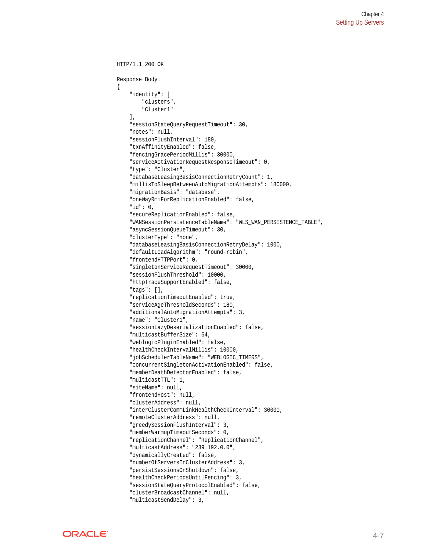```
HTTP/1.1 200 OK
Response Body:
{
     "identity": [
         "clusters",
         "Cluster1"
     ],
     "sessionStateQueryRequestTimeout": 30,
     "notes": null,
     "sessionFlushInterval": 180,
     "txnAffinityEnabled": false,
     "fencingGracePeriodMillis": 30000,
     "serviceActivationRequestResponseTimeout": 0,
     "type": "Cluster",
     "databaseLeasingBasisConnectionRetryCount": 1,
     "millisToSleepBetweenAutoMigrationAttempts": 180000,
     "migrationBasis": "database",
     "oneWayRmiForReplicationEnabled": false,
     "id": 0,
     "secureReplicationEnabled": false,
     "WANSessionPersistenceTableName": "WLS_WAN_PERSISTENCE_TABLE",
     "asyncSessionQueueTimeout": 30,
     "clusterType": "none",
     "databaseLeasingBasisConnectionRetryDelay": 1000,
     "defaultLoadAlgorithm": "round-robin",
     "frontendHTTPPort": 0,
     "singletonServiceRequestTimeout": 30000,
     "sessionFlushThreshold": 10000,
     "httpTraceSupportEnabled": false,
     "tags": [],
     "replicationTimeoutEnabled": true,
     "serviceAgeThresholdSeconds": 180,
     "additionalAutoMigrationAttempts": 3,
     "name": "Cluster1",
     "sessionLazyDeserializationEnabled": false,
     "multicastBufferSize": 64,
     "weblogicPluginEnabled": false,
     "healthCheckIntervalMillis": 10000,
     "jobSchedulerTableName": "WEBLOGIC_TIMERS",
     "concurrentSingletonActivationEnabled": false,
     "memberDeathDetectorEnabled": false,
     "multicastTTL": 1,
     "siteName": null,
     "frontendHost": null,
     "clusterAddress": null,
     "interClusterCommLinkHealthCheckInterval": 30000,
     "remoteClusterAddress": null,
     "greedySessionFlushInterval": 3,
     "memberWarmupTimeoutSeconds": 0,
     "replicationChannel": "ReplicationChannel",
     "multicastAddress": "239.192.0.0",
     "dynamicallyCreated": false,
     "numberOfServersInClusterAddress": 3,
     "persistSessionsOnShutdown": false,
     "healthCheckPeriodsUntilFencing": 3,
     "sessionStateQueryProtocolEnabled": false,
     "clusterBroadcastChannel": null,
     "multicastSendDelay": 3,
```
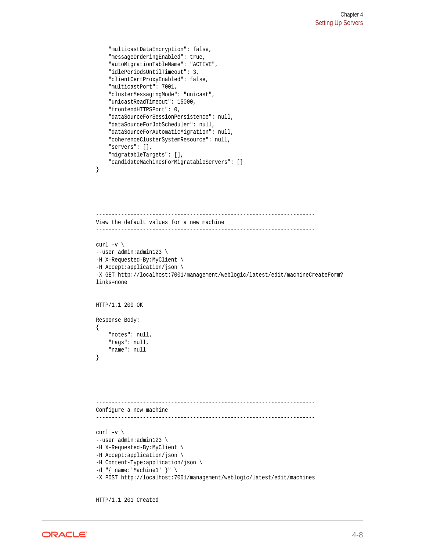```
 "multicastDataEncryption": false,
 "messageOrderingEnabled": true,
 "autoMigrationTableName": "ACTIVE",
 "idlePeriodsUntilTimeout": 3,
 "clientCertProxyEnabled": false,
 "multicastPort": 7001,
 "clusterMessagingMode": "unicast",
 "unicastReadTimeout": 15000,
 "frontendHTTPSPort": 0,
 "dataSourceForSessionPersistence": null,
 "dataSourceForJobScheduler": null,
 "dataSourceForAutomaticMigration": null,
 "coherenceClusterSystemResource": null,
 "servers": [],
 "migratableTargets": [],
 "candidateMachinesForMigratableServers": []
```
}

```
----------------------------------------------------------------------
View the default values for a new machine
                                               ----------------------------------------------------------------------
curl -v \backslash--user admin:admin123 \
-H X-Requested-By:MyClient \
-H Accept:application/json \
-X GET http://localhost:7001/management/weblogic/latest/edit/machineCreateForm?
links=none
HTTP/1.1 200 OK
Response Body:
{
     "notes": null,
     "tags": null,
     "name": null
}
             ----------------------------------------------------------------------
Configure a new machine
```

```
curl -v \
--user admin:admin123 \
-H X-Requested-By:MyClient \
-H Accept:application/json \
-H Content-Type:application/json \
-d "{ name:'Machine1' }" \
-X POST http://localhost:7001/management/weblogic/latest/edit/machines
```
----------------------------------------------------------------------

HTTP/1.1 201 Created

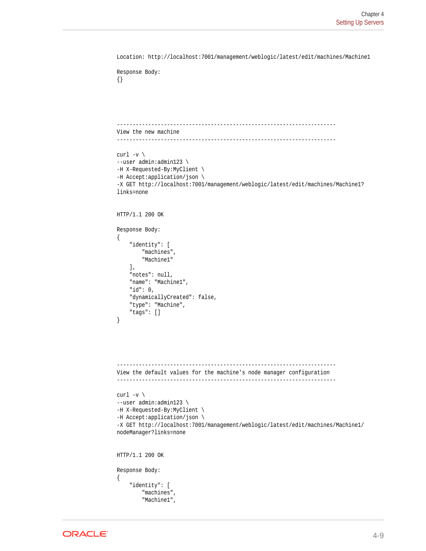```
Location: http://localhost:7001/management/weblogic/latest/edit/machines/Machine1
Response Body:
{}
 ----------------------------------------------------------------------
View the new machine
----------------------------------------------------------------------
curl -v \backslash--user admin:admin123 \
-H X-Requested-By:MyClient \
-H Accept:application/json \
-X GET http://localhost:7001/management/weblogic/latest/edit/machines/Machine1?
links=none
HTTP/1.1 200 OK
Response Body:
{
     "identity": [
         "machines",
         "Machine1"
     ],
     "notes": null,
     "name": "Machine1",
     "id": 0,
     "dynamicallyCreated": false,
     "type": "Machine",
     "tags": []
}
----------------------------------------------------------------------
View the default values for the machine's node manager configuration
----------------------------------------------------------------------
curl -v \backslash--user admin:admin123 \
-H X-Requested-By:MyClient \
-H Accept:application/json \
-X GET http://localhost:7001/management/weblogic/latest/edit/machines/Machine1/
nodeManager?links=none
HTTP/1.1 200 OK
Response Body:
{
     "identity": [
         "machines",
         "Machine1",
```
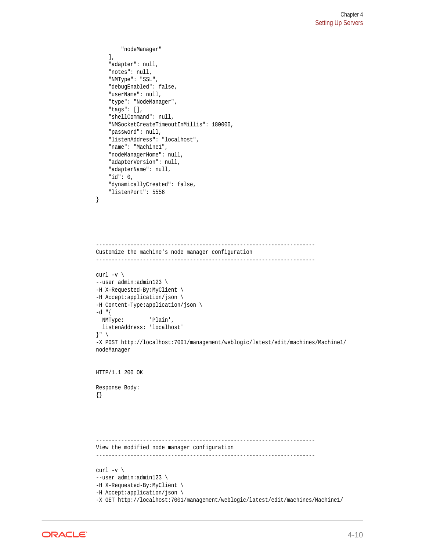```
 "nodeManager"
     ],
     "adapter": null,
     "notes": null,
     "NMType": "SSL",
     "debugEnabled": false,
     "userName": null,
     "type": "NodeManager",
     "tags": [],
     "shellCommand": null,
     "NMSocketCreateTimeoutInMillis": 180000,
     "password": null,
     "listenAddress": "localhost",
     "name": "Machine1",
     "nodeManagerHome": null,
     "adapterVersion": null,
     "adapterName": null,
     "id": 0,
     "dynamicallyCreated": false,
     "listenPort": 5556
}
   ----------------------------------------------------------------------
Customize the machine's node manager configuration
----------------------------------------------------------------------
curl -v \backslash--user admin:admin123 \
-H X-Requested-By:MyClient \
-H Accept:application/json \
-H Content-Type:application/json \
-d "\{ NMType: 'Plain',
  listenAddress: 'localhost'
\}" \setminus-X POST http://localhost:7001/management/weblogic/latest/edit/machines/Machine1/
nodeManager
HTTP/1.1 200 OK
Response Body:
{}
    ----------------------------------------------------------------------
View the modified node manager configuration
----------------------------------------------------------------------
curl -v \backslash--user admin:admin123 \
-H X-Requested-By:MyClient \
```

```
-H Accept:application/json \
```
-X GET http://localhost:7001/management/weblogic/latest/edit/machines/Machine1/

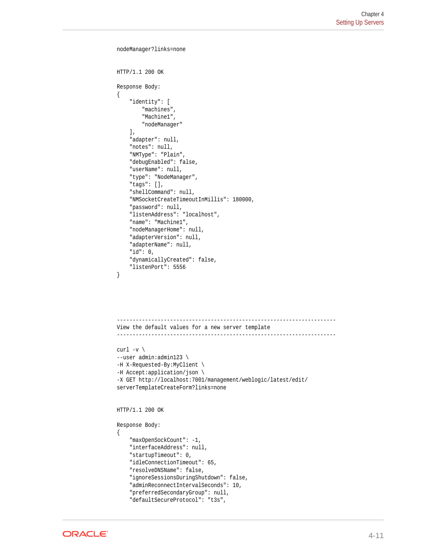```
nodeManager?links=none
HTTP/1.1 200 OK
Response Body:
{
     "identity": [
         "machines",
         "Machine1",
         "nodeManager"
    \cdot "adapter": null,
     "notes": null,
     "NMType": "Plain",
     "debugEnabled": false,
     "userName": null,
     "type": "NodeManager",
     "tags": [],
     "shellCommand": null,
     "NMSocketCreateTimeoutInMillis": 180000,
     "password": null,
     "listenAddress": "localhost",
     "name": "Machine1",
     "nodeManagerHome": null,
     "adapterVersion": null,
     "adapterName": null,
     "id": 0,
     "dynamicallyCreated": false,
     "listenPort": 5556
}
     ----------------------------------------------------------------------
View the default values for a new server template
----------------------------------------------------------------------
curl -v \backslash--user admin:admin123 \
-H X-Requested-By:MyClient \
-H Accept:application/json \
-X GET http://localhost:7001/management/weblogic/latest/edit/
serverTemplateCreateForm?links=none
HTTP/1.1 200 OK
Response Body:
{
     "maxOpenSockCount": -1,
     "interfaceAddress": null,
     "startupTimeout": 0,
     "idleConnectionTimeout": 65,
```

```
 "resolveDNSName": false,
```

```
 "ignoreSessionsDuringShutdown": false,
```

```
 "adminReconnectIntervalSeconds": 10,
```

```
 "preferredSecondaryGroup": null,
```

```
 "defaultSecureProtocol": "t3s",
```
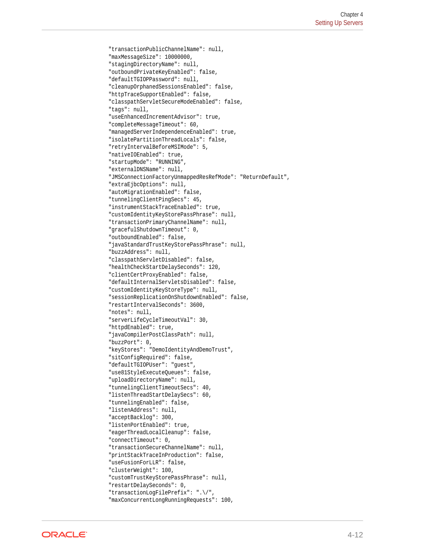```
 "transactionPublicChannelName": null,
 "maxMessageSize": 10000000,
 "stagingDirectoryName": null,
 "outboundPrivateKeyEnabled": false,
 "defaultTGIOPPassword": null,
 "cleanupOrphanedSessionsEnabled": false,
 "httpTraceSupportEnabled": false,
 "classpathServletSecureModeEnabled": false,
 "tags": null,
 "useEnhancedIncrementAdvisor": true,
 "completeMessageTimeout": 60,
 "managedServerIndependenceEnabled": true,
 "isolatePartitionThreadLocals": false,
 "retryIntervalBeforeMSIMode": 5,
 "nativeIOEnabled": true,
 "startupMode": "RUNNING",
 "externalDNSName": null,
 "JMSConnectionFactoryUnmappedResRefMode": "ReturnDefault",
 "extraEjbcOptions": null,
 "autoMigrationEnabled": false,
 "tunnelingClientPingSecs": 45,
 "instrumentStackTraceEnabled": true,
 "customIdentityKeyStorePassPhrase": null,
 "transactionPrimaryChannelName": null,
 "gracefulShutdownTimeout": 0,
 "outboundEnabled": false,
 "javaStandardTrustKeyStorePassPhrase": null,
 "buzzAddress": null,
 "classpathServletDisabled": false,
 "healthCheckStartDelaySeconds": 120,
 "clientCertProxyEnabled": false,
 "defaultInternalServletsDisabled": false,
 "customIdentityKeyStoreType": null,
 "sessionReplicationOnShutdownEnabled": false,
 "restartIntervalSeconds": 3600,
 "notes": null,
 "serverLifeCycleTimeoutVal": 30,
 "httpdEnabled": true,
 "javaCompilerPostClassPath": null,
 "buzzPort": 0,
 "keyStores": "DemoIdentityAndDemoTrust",
 "sitConfigRequired": false,
 "defaultTGIOPUser": "guest",
 "use81StyleExecuteQueues": false,
 "uploadDirectoryName": null,
 "tunnelingClientTimeoutSecs": 40,
 "listenThreadStartDelaySecs": 60,
 "tunnelingEnabled": false,
 "listenAddress": null,
 "acceptBacklog": 300,
 "listenPortEnabled": true,
 "eagerThreadLocalCleanup": false,
 "connectTimeout": 0,
 "transactionSecureChannelName": null,
 "printStackTraceInProduction": false,
 "useFusionForLLR": false,
 "clusterWeight": 100,
 "customTrustKeyStorePassPhrase": null,
 "restartDelaySeconds": 0,
 "transactionLogFilePrefix": ".\/",
 "maxConcurrentLongRunningRequests": 100,
```
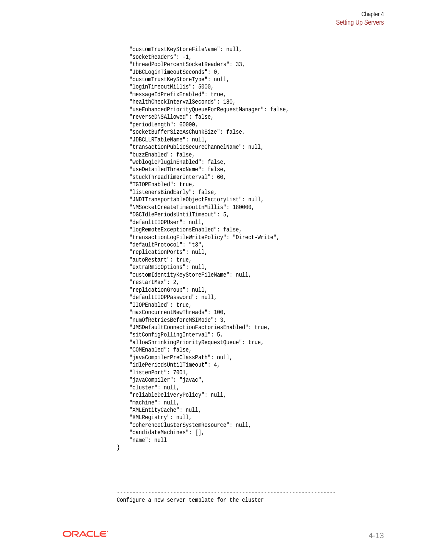```
 "customTrustKeyStoreFileName": null,
 "socketReaders": -1,
 "threadPoolPercentSocketReaders": 33,
 "JDBCLoginTimeoutSeconds": 0,
 "customTrustKeyStoreType": null,
 "loginTimeoutMillis": 5000,
 "messageIdPrefixEnabled": true,
 "healthCheckIntervalSeconds": 180,
 "useEnhancedPriorityQueueForRequestManager": false,
 "reverseDNSAllowed": false,
 "periodLength": 60000,
 "socketBufferSizeAsChunkSize": false,
 "JDBCLLRTableName": null,
 "transactionPublicSecureChannelName": null,
 "buzzEnabled": false,
 "weblogicPluginEnabled": false,
 "useDetailedThreadName": false,
 "stuckThreadTimerInterval": 60,
 "TGIOPEnabled": true,
 "listenersBindEarly": false,
 "JNDITransportableObjectFactoryList": null,
 "NMSocketCreateTimeoutInMillis": 180000,
 "DGCIdlePeriodsUntilTimeout": 5,
 "defaultIIOPUser": null,
 "logRemoteExceptionsEnabled": false,
 "transactionLogFileWritePolicy": "Direct-Write",
 "defaultProtocol": "t3",
 "replicationPorts": null,
 "autoRestart": true,
 "extraRmicOptions": null,
 "customIdentityKeyStoreFileName": null,
 "restartMax": 2,
 "replicationGroup": null,
 "defaultIIOPPassword": null,
 "IIOPEnabled": true,
 "maxConcurrentNewThreads": 100,
 "numOfRetriesBeforeMSIMode": 3,
 "JMSDefaultConnectionFactoriesEnabled": true,
 "sitConfigPollingInterval": 5,
 "allowShrinkingPriorityRequestQueue": true,
 "COMEnabled": false,
 "javaCompilerPreClassPath": null,
 "idlePeriodsUntilTimeout": 4,
 "listenPort": 7001,
 "javaCompiler": "javac",
 "cluster": null,
 "reliableDeliveryPolicy": null,
 "machine": null,
 "XMLEntityCache": null,
 "XMLRegistry": null,
 "coherenceClusterSystemResource": null,
 "candidateMachines": [],
 "name": null
```
---------------------------------------------------------------------- Configure a new server template for the cluster



}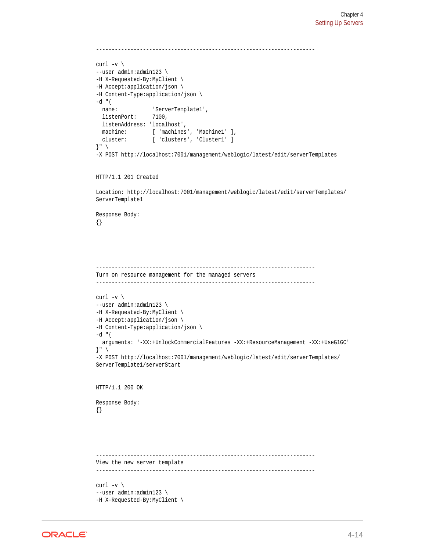```
-curl -v \backslash--user admin:admin123 \
-H X-Requested-By:MyClient \
-H Accept:application/json \
-H Content-Type:application/json \
-d "{
 name: 'ServerTemplate1',
 listenPort: 7100,
  listenAddress: 'localhost',
 machine: [ 'machines', 'Machine1' ],
  cluster: [ 'clusters', 'Cluster1' ]
}" \
-X POST http://localhost:7001/management/weblogic/latest/edit/serverTemplates
HTTP/1.1 201 Created
Location: http://localhost:7001/management/weblogic/latest/edit/serverTemplates/
ServerTemplate1
```

```
Response Body:
{}
```

```
----------------------------------------------------------------------
Turn on resource management for the managed servers
----------------------------------------------------------------------
curl -v \backslash--user admin:admin123 \
-H X-Requested-By:MyClient \
-H Accept:application/json \
-H Content-Type:application/json \
-d "{
   arguments: '-XX:+UnlockCommercialFeatures -XX:+ResourceManagement -XX:+UseG1GC'
}" \
-X POST http://localhost:7001/management/weblogic/latest/edit/serverTemplates/
ServerTemplate1/serverStart
HTTP/1.1 200 OK
Response Body:
{}
   ----------------------------------------------------------------------
View the new server template
----------------------------------------------------------------------
curl -v \backslash--user admin:admin123 \
-H X-Requested-By:MyClient \
```
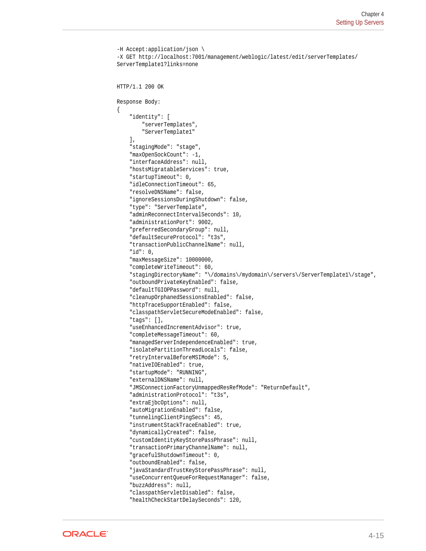```
-H Accept:application/json \
-X GET http://localhost:7001/management/weblogic/latest/edit/serverTemplates/
ServerTemplate1?links=none
HTTP/1.1 200 OK
Response Body:
{
     "identity": [
         "serverTemplates",
         "ServerTemplate1"
    \cdot "stagingMode": "stage",
     "maxOpenSockCount": -1,
     "interfaceAddress": null,
     "hostsMigratableServices": true,
     "startupTimeout": 0,
     "idleConnectionTimeout": 65,
     "resolveDNSName": false,
     "ignoreSessionsDuringShutdown": false,
     "type": "ServerTemplate",
     "adminReconnectIntervalSeconds": 10,
     "administrationPort": 9002,
     "preferredSecondaryGroup": null,
     "defaultSecureProtocol": "t3s",
     "transactionPublicChannelName": null,
     "id": 0,
     "maxMessageSize": 10000000,
     "completeWriteTimeout": 60,
     "stagingDirectoryName": "\/domains\/mydomain\/servers\/ServerTemplate1\/stage",
     "outboundPrivateKeyEnabled": false,
     "defaultTGIOPPassword": null,
     "cleanupOrphanedSessionsEnabled": false,
     "httpTraceSupportEnabled": false,
     "classpathServletSecureModeEnabled": false,
     "tags": [],
     "useEnhancedIncrementAdvisor": true,
     "completeMessageTimeout": 60,
     "managedServerIndependenceEnabled": true,
     "isolatePartitionThreadLocals": false,
     "retryIntervalBeforeMSIMode": 5,
     "nativeIOEnabled": true,
     "startupMode": "RUNNING",
     "externalDNSName": null,
     "JMSConnectionFactoryUnmappedResRefMode": "ReturnDefault",
     "administrationProtocol": "t3s",
     "extraEjbcOptions": null,
     "autoMigrationEnabled": false,
     "tunnelingClientPingSecs": 45,
     "instrumentStackTraceEnabled": true,
     "dynamicallyCreated": false,
     "customIdentityKeyStorePassPhrase": null,
     "transactionPrimaryChannelName": null,
     "gracefulShutdownTimeout": 0,
     "outboundEnabled": false,
     "javaStandardTrustKeyStorePassPhrase": null,
     "useConcurrentQueueForRequestManager": false,
     "buzzAddress": null,
     "classpathServletDisabled": false,
     "healthCheckStartDelaySeconds": 120,
```
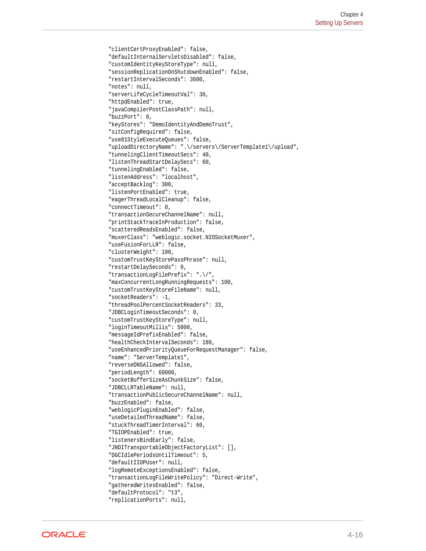```
 "clientCertProxyEnabled": false,
 "defaultInternalServletsDisabled": false,
 "customIdentityKeyStoreType": null,
 "sessionReplicationOnShutdownEnabled": false,
 "restartIntervalSeconds": 3600,
 "notes": null,
 "serverLifeCycleTimeoutVal": 30,
 "httpdEnabled": true,
 "javaCompilerPostClassPath": null,
 "buzzPort": 0,
 "keyStores": "DemoIdentityAndDemoTrust",
 "sitConfigRequired": false,
 "use81StyleExecuteQueues": false,
 "uploadDirectoryName": ".\/servers\/ServerTemplate1\/upload",
 "tunnelingClientTimeoutSecs": 40,
 "listenThreadStartDelaySecs": 60,
 "tunnelingEnabled": false,
 "listenAddress": "localhost",
 "acceptBacklog": 300,
 "listenPortEnabled": true,
 "eagerThreadLocalCleanup": false,
 "connectTimeout": 0,
 "transactionSecureChannelName": null,
 "printStackTraceInProduction": false,
 "scatteredReadsEnabled": false,
 "muxerClass": "weblogic.socket.NIOSocketMuxer",
 "useFusionForLLR": false,
 "clusterWeight": 100,
 "customTrustKeyStorePassPhrase": null,
 "restartDelaySeconds": 0,
 "transactionLogFilePrefix": ".\/",
 "maxConcurrentLongRunningRequests": 100,
 "customTrustKeyStoreFileName": null,
 "socketReaders": -1,
 "threadPoolPercentSocketReaders": 33,
 "JDBCLoginTimeoutSeconds": 0,
 "customTrustKeyStoreType": null,
 "loginTimeoutMillis": 5000,
 "messageIdPrefixEnabled": false,
 "healthCheckIntervalSeconds": 180,
 "useEnhancedPriorityQueueForRequestManager": false,
 "name": "ServerTemplate1",
 "reverseDNSAllowed": false,
 "periodLength": 60000,
 "socketBufferSizeAsChunkSize": false,
 "JDBCLLRTableName": null,
 "transactionPublicSecureChannelName": null,
 "buzzEnabled": false,
 "weblogicPluginEnabled": false,
 "useDetailedThreadName": false,
 "stuckThreadTimerInterval": 60,
 "TGIOPEnabled": true,
 "listenersBindEarly": false,
 "JNDITransportableObjectFactoryList": [],
 "DGCIdlePeriodsUntilTimeout": 5,
 "defaultIIOPUser": null,
 "logRemoteExceptionsEnabled": false,
 "transactionLogFileWritePolicy": "Direct-Write",
 "gatheredWritesEnabled": false,
 "defaultProtocol": "t3",
 "replicationPorts": null,
```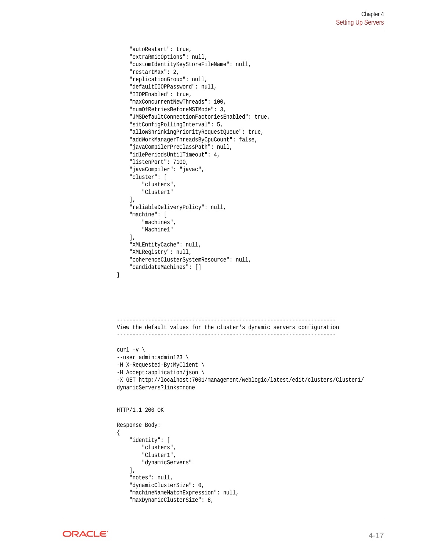```
 "autoRestart": true,
     "extraRmicOptions": null,
     "customIdentityKeyStoreFileName": null,
     "restartMax": 2,
     "replicationGroup": null,
     "defaultIIOPPassword": null,
     "IIOPEnabled": true,
     "maxConcurrentNewThreads": 100,
     "numOfRetriesBeforeMSIMode": 3,
     "JMSDefaultConnectionFactoriesEnabled": true,
     "sitConfigPollingInterval": 5,
     "allowShrinkingPriorityRequestQueue": true,
     "addWorkManagerThreadsByCpuCount": false,
     "javaCompilerPreClassPath": null,
     "idlePeriodsUntilTimeout": 4,
     "listenPort": 7100,
     "javaCompiler": "javac",
     "cluster": [
         "clusters",
         "Cluster1"
    \,],
     "reliableDeliveryPolicy": null,
     "machine": [
         "machines",
         "Machine1"
     ],
     "XMLEntityCache": null,
     "XMLRegistry": null,
     "coherenceClusterSystemResource": null,
     "candidateMachines": []
     ----------------------------------------------------------------------
View the default values for the cluster's dynamic servers configuration
----------------------------------------------------------------------
```

```
curl -v \backslash--user admin:admin123 \
-H X-Requested-By:MyClient \
-H Accept:application/json \
-X GET http://localhost:7001/management/weblogic/latest/edit/clusters/Cluster1/
dynamicServers?links=none
HTTP/1.1 200 OK
Response Body:
{
     "identity": [
         "clusters",
          "Cluster1",
         "dynamicServers"
    \mathbf{1},
     "notes": null,
     "dynamicClusterSize": 0,
     "machineNameMatchExpression": null,
     "maxDynamicClusterSize": 8,
```
 $\mathfrak{h}$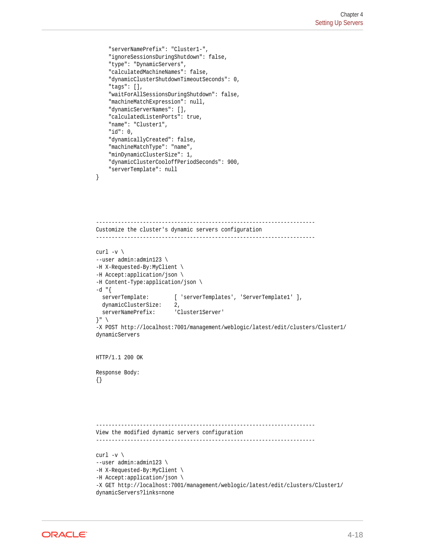```
 "serverNamePrefix": "Cluster1-",
     "ignoreSessionsDuringShutdown": false,
     "type": "DynamicServers",
     "calculatedMachineNames": false,
     "dynamicClusterShutdownTimeoutSeconds": 0,
     "tags": [],
     "waitForAllSessionsDuringShutdown": false,
     "machineMatchExpression": null,
     "dynamicServerNames": [],
     "calculatedListenPorts": true,
     "name": "Cluster1",
     "id": 0,
     "dynamicallyCreated": false,
     "machineMatchType": "name",
     "minDynamicClusterSize": 1,
     "dynamicClusterCooloffPeriodSeconds": 900,
     "serverTemplate": null
}
    ----------------------------------------------------------------------
Customize the cluster's dynamic servers configuration
----------------------------------------------------------------------
curl -v \backslash--user admin:admin123 \
-H X-Requested-By:MyClient \
-H Accept:application/json \
-H Content-Type:application/json \
-d "\{serverTemplate: [ 'serverTemplates', 'ServerTemplate1' ],
   dynamicClusterSize: 2,
  serverNamePrefix: 'Cluster1Server'
}" \
-X POST http://localhost:7001/management/weblogic/latest/edit/clusters/Cluster1/
dynamicServers
HTTP/1.1 200 OK
Response Body:
{}
----------------------------------------------------------------------
View the modified dynamic servers configuration
----------------------------------------------------------------------
curl -v \
--user admin:admin123 \
-H X-Requested-By:MyClient \
-H Accept:application/json \
```

```
-X GET http://localhost:7001/management/weblogic/latest/edit/clusters/Cluster1/
dynamicServers?links=none
```
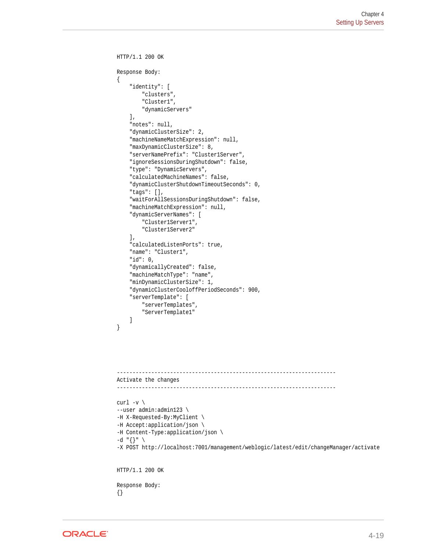```
HTTP/1.1 200 OK
Response Body:
{
     "identity": [
         "clusters",
         "Cluster1",
         "dynamicServers"
    \cdot "notes": null,
     "dynamicClusterSize": 2,
     "machineNameMatchExpression": null,
     "maxDynamicClusterSize": 8,
     "serverNamePrefix": "Cluster1Server",
     "ignoreSessionsDuringShutdown": false,
     "type": "DynamicServers",
     "calculatedMachineNames": false,
     "dynamicClusterShutdownTimeoutSeconds": 0,
     "tags": [],
     "waitForAllSessionsDuringShutdown": false,
     "machineMatchExpression": null,
     "dynamicServerNames": [
         "Cluster1Server1",
         "Cluster1Server2"
     ],
     "calculatedListenPorts": true,
     "name": "Cluster1",
     "id": 0,
     "dynamicallyCreated": false,
     "machineMatchType": "name",
     "minDynamicClusterSize": 1,
     "dynamicClusterCooloffPeriodSeconds": 900,
     "serverTemplate": [
         "serverTemplates",
         "ServerTemplate1"
     ]
}
 ----------------------------------------------------------------------
Activate the changes
----------------------------------------------------------------------
curl -v \backslash--user admin:admin123 \
-H X-Requested-By:MyClient \
-H Accept:application/json \
-H Content-Type:application/json \
-d "\{\}" \
-X POST http://localhost:7001/management/weblogic/latest/edit/changeManager/activate
HTTP/1.1 200 OK
Response Body:
{}
```
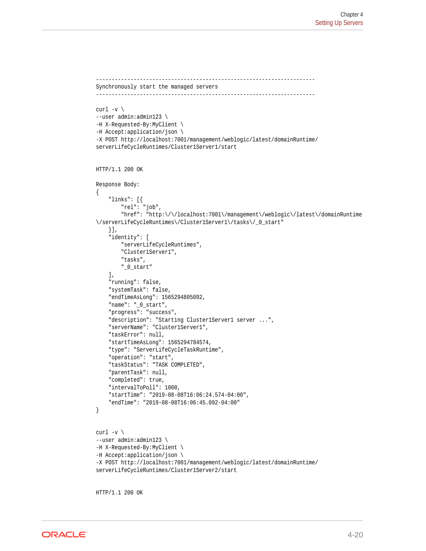```
----------------------------------------------------------------------
Synchronously start the managed servers
----------------------------------------------------------------------
curl -v \backslash--user admin:admin123 \
-H X-Requested-By:MyClient \
-H Accept:application/json \
-X POST http://localhost:7001/management/weblogic/latest/domainRuntime/
serverLifeCycleRuntimes/Cluster1Server1/start
HTTP/1.1 200 OK
Response Body:
{
     "links": [{
         "rel": "job",
         "href": "http:\/\/localhost:7001\/management\/weblogic\/latest\/domainRuntime
\/serverLifeCycleRuntimes\/Cluster1Server1\/tasks\/_0_start"
     }],
     "identity": [
         "serverLifeCycleRuntimes",
         "Cluster1Server1",
         "tasks",
         "_0_start"
     ],
     "running": false,
     "systemTask": false,
     "endTimeAsLong": 1565294805092,
     "name": "_0_start",
     "progress": "success",
    "description": "Starting Cluster1Server1 server ...",
     "serverName": "Cluster1Server1",
     "taskError": null,
     "startTimeAsLong": 1565294784574,
     "type": "ServerLifeCycleTaskRuntime",
     "operation": "start",
     "taskStatus": "TASK COMPLETED",
     "parentTask": null,
     "completed": true,
     "intervalToPoll": 1000,
     "startTime": "2019-08-08T16:06:24.574-04:00",
     "endTime": "2019-08-08T16:06:45.092-04:00"
}
curl -v \backslash--user admin:admin123 \
-H X-Requested-By:MyClient \
-H Accept:application/json \
-X POST http://localhost:7001/management/weblogic/latest/domainRuntime/
serverLifeCycleRuntimes/Cluster1Server2/start
```
HTTP/1.1 200 OK

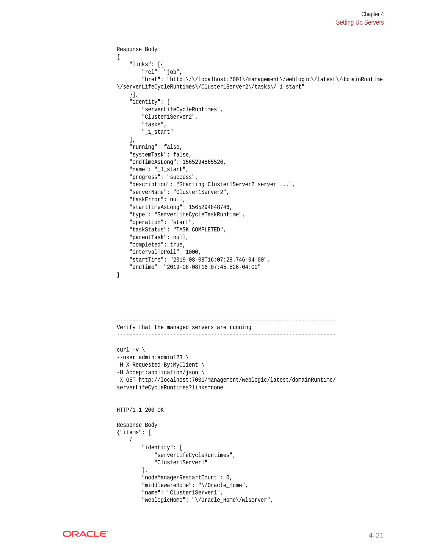```
Response Body:
{
     "links": [{
         "rel": "job",
         "href": "http:\/\/localhost:7001\/management\/weblogic\/latest\/domainRuntime
\/serverLifeCycleRuntimes\/Cluster1Server2\/tasks\/_1_start"
     }],
     "identity": [
         "serverLifeCycleRuntimes",
         "Cluster1Server2",
         "tasks",
          "_1_start"
    \mathbf{1},
     "running": false,
     "systemTask": false,
     "endTimeAsLong": 1565294865526,
     "name": "_1_start",
     "progress": "success",
     "description": "Starting Cluster1Server2 server ...",
     "serverName": "Cluster1Server2",
     "taskError": null,
     "startTimeAsLong": 1565294848746,
     "type": "ServerLifeCycleTaskRuntime",
     "operation": "start",
     "taskStatus": "TASK COMPLETED",
     "parentTask": null,
     "completed": true,
     "intervalToPoll": 1000,
     "startTime": "2019-08-08T16:07:28.746-04:00",
     "endTime": "2019-08-08T16:07:45.526-04:00"
\mathfrak{h}----------------------------------------------------------------------
Verify that the managed servers are running
----------------------------------------------------------------------
curl -v \backslash--user admin:admin123 \
-H X-Requested-By:MyClient \
-H Accept:application/json \
-X GET http://localhost:7001/management/weblogic/latest/domainRuntime/
serverLifeCycleRuntimes?links=none
HTTP/1.1 200 OK
Response Body:
{"items": [
     {
         "identity": [
              "serverLifeCycleRuntimes",
              "Cluster1Server1"
        \mathbf{1},
         "nodeManagerRestartCount": 0,
         "middlewareHome": "\/Oracle_Home",
         "name": "Cluster1Server1",
         "weblogicHome": "\/Oracle_Home\/wlserver",
```
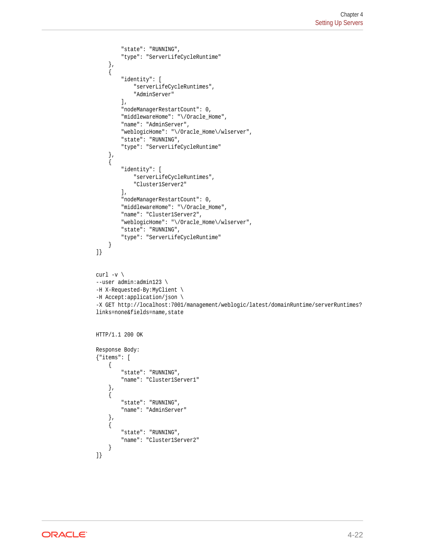```
 "state": "RUNNING",
         "type": "ServerLifeCycleRuntime"
     },
     {
         "identity": [
              "serverLifeCycleRuntimes",
              "AdminServer"
         ],
         "nodeManagerRestartCount": 0,
         "middlewareHome": "\/Oracle_Home",
         "name": "AdminServer",
          "weblogicHome": "\/Oracle_Home\/wlserver",
         "state": "RUNNING",
         "type": "ServerLifeCycleRuntime"
 },
\left\{\right. "identity": [
              "serverLifeCycleRuntimes",
              "Cluster1Server2"
         ],
         "nodeManagerRestartCount": 0,
         "middlewareHome": "\/Oracle_Home",
         "name": "Cluster1Server2",
         "weblogicHome": "\/Oracle_Home\/wlserver",
         "state": "RUNNING",
         "type": "ServerLifeCycleRuntime"
     }
]}
curl -v \backslash--user admin:admin123 \
-H X-Requested-By:MyClient \
-H Accept:application/json \
-X GET http://localhost:7001/management/weblogic/latest/domainRuntime/serverRuntimes?
links=none&fields=name,state
HTTP/1.1 200 OK
Response Body:
{"items": [
     {
         "state": "RUNNING",
         "name": "Cluster1Server1"
     },
     {
         "state": "RUNNING",
         "name": "AdminServer"
     },
     {
         "state": "RUNNING",
         "name": "Cluster1Server2"
     }
]}
```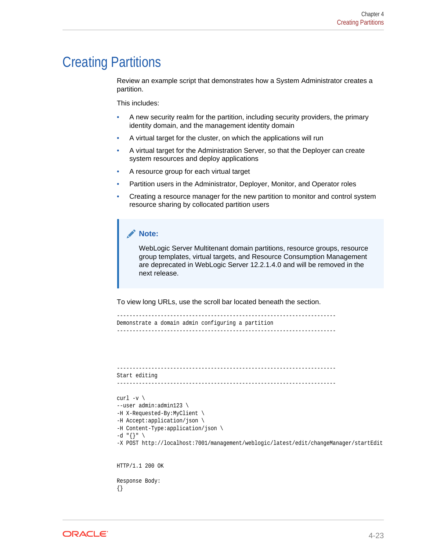## <span id="page-69-0"></span>Creating Partitions

Review an example script that demonstrates how a System Administrator creates a partition.

This includes:

- A new security realm for the partition, including security providers, the primary identity domain, and the management identity domain
- A virtual target for the cluster, on which the applications will run
- A virtual target for the Administration Server, so that the Deployer can create system resources and deploy applications
- A resource group for each virtual target
- Partition users in the Administrator, Deployer, Monitor, and Operator roles
- Creating a resource manager for the new partition to monitor and control system resource sharing by collocated partition users

```
Note:
```
WebLogic Server Multitenant domain partitions, resource groups, resource group templates, virtual targets, and Resource Consumption Management are deprecated in WebLogic Server 12.2.1.4.0 and will be removed in the next release.

To view long URLs, use the scroll bar located beneath the section.

```
----------------------------------------------------------------------
Demonstrate a domain admin configuring a partition
----------------------------------------------------------------------
```

```
----------------------------------------------------------------------
Start editing
```

```
----------------------------------------------------------------------
```

```
curl -v \backslash--user admin:admin123 \
-H X-Requested-By:MyClient \
-H Accept:application/json \
-H Content-Type:application/json \
-d "\{\}" \
-X POST http://localhost:7001/management/weblogic/latest/edit/changeManager/startEdit
HTTP/1.1 200 OK
Response Body:
```
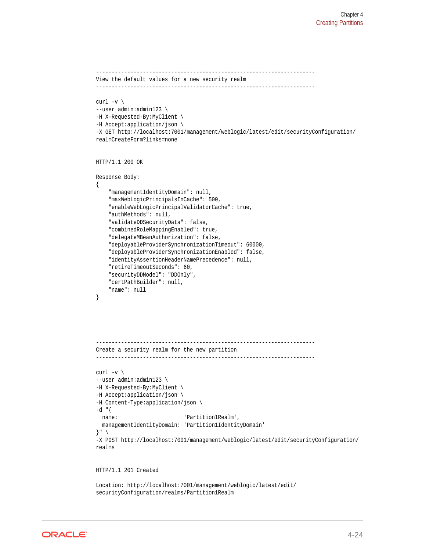```
----------------------------------------------------------------------
View the default values for a new security realm
----------------------------------------------------------------------
curl -v \backslash--user admin:admin123 \
-H X-Requested-By:MyClient \
-H Accept:application/json \
-X GET http://localhost:7001/management/weblogic/latest/edit/securityConfiguration/
realmCreateForm?links=none
HTTP/1.1 200 OK
Response Body:
{
     "managementIdentityDomain": null,
     "maxWebLogicPrincipalsInCache": 500,
     "enableWebLogicPrincipalValidatorCache": true,
     "authMethods": null,
     "validateDDSecurityData": false,
     "combinedRoleMappingEnabled": true,
     "delegateMBeanAuthorization": false,
     "deployableProviderSynchronizationTimeout": 60000,
     "deployableProviderSynchronizationEnabled": false,
     "identityAssertionHeaderNamePrecedence": null,
     "retireTimeoutSeconds": 60,
     "securityDDModel": "DDOnly",
     "certPathBuilder": null,
     "name": null
}
----------------------------------------------------------------------
Create a security realm for the new partition
----------------------------------------------------------------------
curl -v \backslash--user admin:admin123 \
-H X-Requested-By:MyClient \
-H Accept:application/json \
-H Content-Type:application/json \
-d "{
 name: 'Partition1Realm',
   managementIdentityDomain: 'Partition1IdentityDomain'
}" \
-X POST http://localhost:7001/management/weblogic/latest/edit/securityConfiguration/
realms
```
HTTP/1.1 201 Created

Location: http://localhost:7001/management/weblogic/latest/edit/ securityConfiguration/realms/Partition1Realm

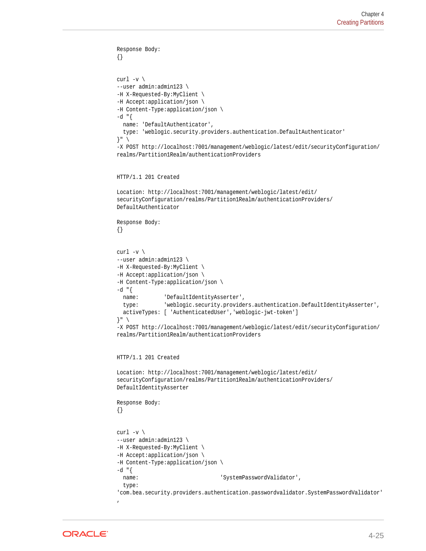```
Response Body:
{}
curl -v \backslash--user admin:admin123 \
-H X-Requested-By:MyClient \
-H Accept:application/json \
-H Content-Type:application/json \
-d "\{ name: 'DefaultAuthenticator',
   type: 'weblogic.security.providers.authentication.DefaultAuthenticator'
}" \
-X POST http://localhost:7001/management/weblogic/latest/edit/securityConfiguration/
realms/Partition1Realm/authenticationProviders
HTTP/1.1 201 Created
Location: http://localhost:7001/management/weblogic/latest/edit/
securityConfiguration/realms/Partition1Realm/authenticationProviders/
DefaultAuthenticator
Response Body:
{}
curl -v \backslash--user admin:admin123 \
-H X-Requested-By:MyClient \
-H Accept:application/json \
-H Content-Type:application/json \
-d "{
   name: 'DefaultIdentityAsserter',
   type: 'weblogic.security.providers.authentication.DefaultIdentityAsserter',
   activeTypes: [ 'AuthenticatedUser','weblogic-jwt-token']
\}" \
-X POST http://localhost:7001/management/weblogic/latest/edit/securityConfiguration/
realms/Partition1Realm/authenticationProviders
HTTP/1.1 201 Created
Location: http://localhost:7001/management/weblogic/latest/edit/
securityConfiguration/realms/Partition1Realm/authenticationProviders/
DefaultIdentityAsserter
Response Body:
{}
curl -v \backslash--user admin:admin123 \
-H X-Requested-By:MyClient \
-H Accept:application/json \
-H Content-Type:application/json \
-d "{
  name: 'SystemPasswordValidator',
   type: 
'com.bea.security.providers.authentication.passwordvalidator.SystemPasswordValidator'
,
```
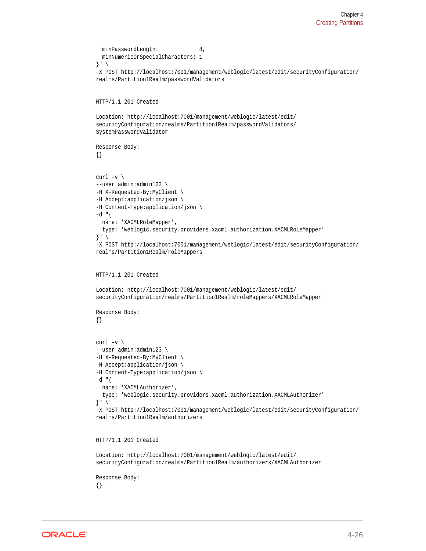```
minPasswordLength: 8,
   minNumericOrSpecialCharacters: 1
}" \
-X POST http://localhost:7001/management/weblogic/latest/edit/securityConfiguration/
realms/Partition1Realm/passwordValidators
HTTP/1.1 201 Created
Location: http://localhost:7001/management/weblogic/latest/edit/
securityConfiguration/realms/Partition1Realm/passwordValidators/
SystemPasswordValidator
Response Body:
{}
curl -v \backslash--user admin:admin123 \
-H X-Requested-By:MyClient \
-H Accept:application/json \
-H Content-Type:application/json \
-d "{
  name: 'XACMLRoleMapper',
   type: 'weblogic.security.providers.xacml.authorization.XACMLRoleMapper'
}" \
-X POST http://localhost:7001/management/weblogic/latest/edit/securityConfiguration/
realms/Partition1Realm/roleMappers
HTTP/1.1 201 Created
Location: http://localhost:7001/management/weblogic/latest/edit/
securityConfiguration/realms/Partition1Realm/roleMappers/XACMLRoleMapper
Response Body:
{}
curl -v \backslash--user admin:admin123 \
-H X-Requested-By:MyClient \
-H Accept:application/json \
-H Content-Type:application/json \
-d "\{ name: 'XACMLAuthorizer',
   type: 'weblogic.security.providers.xacml.authorization.XACMLAuthorizer'
}" \
-X POST http://localhost:7001/management/weblogic/latest/edit/securityConfiguration/
realms/Partition1Realm/authorizers
HTTP/1.1 201 Created
```

```
Location: http://localhost:7001/management/weblogic/latest/edit/
securityConfiguration/realms/Partition1Realm/authorizers/XACMLAuthorizer
```
Response Body: {}

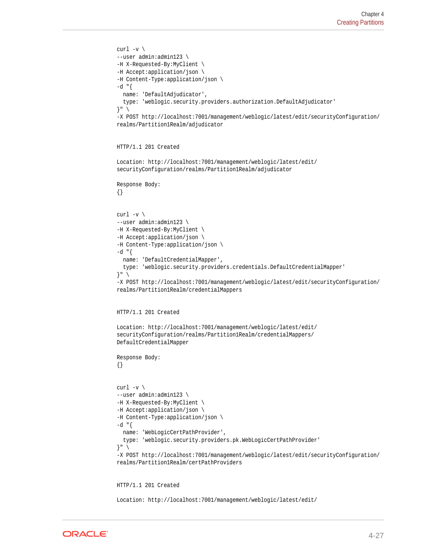```
curl -v \backslash--user admin:admin123 \
-H X-Requested-By:MyClient \
-H Accept:application/json \
-H Content-Type:application/json \
-d "\{ name: 'DefaultAdjudicator',
   type: 'weblogic.security.providers.authorization.DefaultAdjudicator'
\} " \rightarrow-X POST http://localhost:7001/management/weblogic/latest/edit/securityConfiguration/
realms/Partition1Realm/adjudicator
HTTP/1.1 201 Created
Location: http://localhost:7001/management/weblogic/latest/edit/
securityConfiguration/realms/Partition1Realm/adjudicator
Response Body:
{}
curl -v \backslash--user admin:admin123 \
-H X-Requested-By:MyClient \
-H Accept:application/json \
-H Content-Type:application/json \
-d "\{ name: 'DefaultCredentialMapper',
   type: 'weblogic.security.providers.credentials.DefaultCredentialMapper'
\}" \
-X POST http://localhost:7001/management/weblogic/latest/edit/securityConfiguration/
realms/Partition1Realm/credentialMappers
HTTP/1.1 201 Created
Location: http://localhost:7001/management/weblogic/latest/edit/
securityConfiguration/realms/Partition1Realm/credentialMappers/
DefaultCredentialMapper
Response Body:
{}
curl -v \backslash--user admin:admin123 \
-H X-Requested-By:MyClient \
-H Accept:application/json \
-H Content-Type:application/json \
-d "{
   name: 'WebLogicCertPathProvider',
   type: 'weblogic.security.providers.pk.WebLogicCertPathProvider'
\} " \rightarrow-X POST http://localhost:7001/management/weblogic/latest/edit/securityConfiguration/
realms/Partition1Realm/certPathProviders
```
HTTP/1.1 201 Created

Location: http://localhost:7001/management/weblogic/latest/edit/

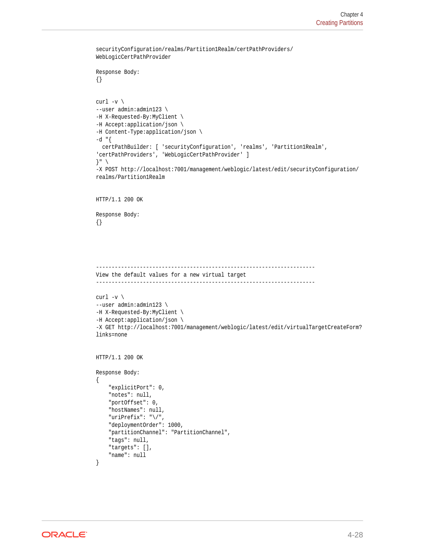```
securityConfiguration/realms/Partition1Realm/certPathProviders/
WebLogicCertPathProvider
Response Body:
{}
curl -v \backslash--user admin:admin123 \
-H X-Requested-By:MyClient \
-H Accept:application/json \
-H Content-Type:application/json \
-d "{
  certPathBuilder: [ 'securityConfiguration', 'realms', 'Partition1Realm', 
'certPathProviders', 'WebLogicCertPathProvider' ]
\}" \
-X POST http://localhost:7001/management/weblogic/latest/edit/securityConfiguration/
realms/Partition1Realm
HTTP/1.1 200 OK
Response Body:
{}
----------------------------------------------------------------------
View the default values for a new virtual target
----------------------------------------------------------------------
curl -v \backslash--user admin:admin123 \
-H X-Requested-By:MyClient \
-H Accept:application/json \
-X GET http://localhost:7001/management/weblogic/latest/edit/virtualTargetCreateForm?
links=none
HTTP/1.1 200 OK
Response Body:
{
     "explicitPort": 0,
     "notes": null,
     "portOffset": 0,
     "hostNames": null,
     "uriPrefix": "\/",
     "deploymentOrder": 1000,
     "partitionChannel": "PartitionChannel",
     "tags": null,
     "targets": [],
     "name": null
```
}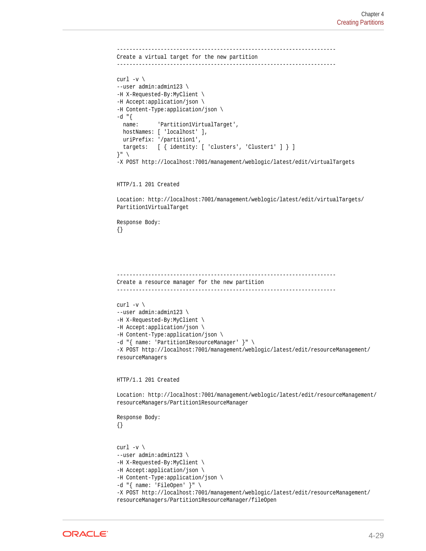```
----------------------------------------------------------------------
Create a virtual target for the new partition
----------------------------------------------------------------------
curl -v \backslash--user admin:admin123 \
-H X-Requested-By:MyClient \
-H Accept:application/json \
-H Content-Type:application/json \
-d "{
  name: 'Partition1VirtualTarget',
   hostNames: [ 'localhost' ],
   uriPrefix: '/partition1',
   targets: [ { identity: [ 'clusters', 'Cluster1' ] } ]
}" \
-X POST http://localhost:7001/management/weblogic/latest/edit/virtualTargets
```

```
HTTP/1.1 201 Created
```
Location: http://localhost:7001/management/weblogic/latest/edit/virtualTargets/ Partition1VirtualTarget

Response Body: {}

```
-Create a resource manager for the new partition
----------------------------------------------------------------------
```

```
curl -v \backslash--user admin:admin123 \
-H X-Requested-By:MyClient \
-H Accept:application/json \
-H Content-Type:application/json \
-d "{ name: 'Partition1ResourceManager' }" \
-X POST http://localhost:7001/management/weblogic/latest/edit/resourceManagement/
resourceManagers
```
HTTP/1.1 201 Created

Location: http://localhost:7001/management/weblogic/latest/edit/resourceManagement/ resourceManagers/Partition1ResourceManager

Response Body: {}

```
curl -v \backslash--user admin:admin123 \
-H X-Requested-By:MyClient \
-H Accept:application/json \
-H Content-Type:application/json \
-d "{ name: 'FileOpen' }" \
-X POST http://localhost:7001/management/weblogic/latest/edit/resourceManagement/
resourceManagers/Partition1ResourceManager/fileOpen
```
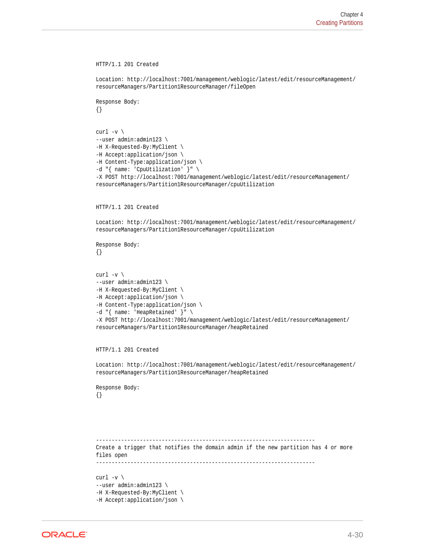```
HTTP/1.1 201 Created
Location: http://localhost:7001/management/weblogic/latest/edit/resourceManagement/
resourceManagers/Partition1ResourceManager/fileOpen
Response Body:
{}
curl -v \backslash--user admin:admin123 \
-H X-Requested-By:MyClient \
-H Accept:application/json \
-H Content-Type:application/json \
-d "{ name: 'CpuUtilization' }" \
-X POST http://localhost:7001/management/weblogic/latest/edit/resourceManagement/
resourceManagers/Partition1ResourceManager/cpuUtilization
HTTP/1.1 201 Created
Location: http://localhost:7001/management/weblogic/latest/edit/resourceManagement/
resourceManagers/Partition1ResourceManager/cpuUtilization
Response Body:
{}
curl -v \backslash--user admin:admin123 \
-H X-Requested-By:MyClient \
-H Accept:application/json \
-H Content-Type:application/json \
-d "{ name: 'HeapRetained' }" \
-X POST http://localhost:7001/management/weblogic/latest/edit/resourceManagement/
resourceManagers/Partition1ResourceManager/heapRetained
HTTP/1.1 201 Created
Location: http://localhost:7001/management/weblogic/latest/edit/resourceManagement/
resourceManagers/Partition1ResourceManager/heapRetained
Response Body:
{}
          ----------------------------------------------------------------------
Create a trigger that notifies the domain admin if the new partition has 4 or more 
files open
----------------------------------------------------------------------
curl -v \backslash--user admin:admin123 \
-H X-Requested-By:MyClient \
-H Accept:application/json \
```
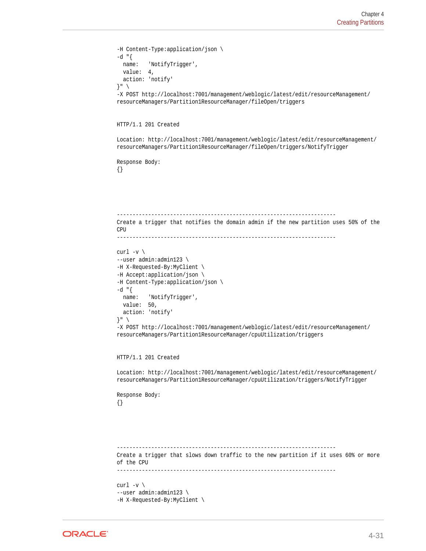```
-H Content-Type:application/json \
-d "\{ name: 'NotifyTrigger',
   value: 4,
   action: 'notify'
}" \
-X POST http://localhost:7001/management/weblogic/latest/edit/resourceManagement/
resourceManagers/Partition1ResourceManager/fileOpen/triggers
HTTP/1.1 201 Created
Location: http://localhost:7001/management/weblogic/latest/edit/resourceManagement/
resourceManagers/Partition1ResourceManager/fileOpen/triggers/NotifyTrigger
Response Body:
{}
 ----------------------------------------------------------------------
Create a trigger that notifies the domain admin if the new partition uses 50% of the 
CPU
             ----------------------------------------------------------------------
curl -v \backslash--user admin:admin123 \
-H X-Requested-By:MyClient \
-H Accept:application/json \
-H Content-Type:application/json \
-d "{
   name: 'NotifyTrigger',
   value: 50,
   action: 'notify'
\}" \
-X POST http://localhost:7001/management/weblogic/latest/edit/resourceManagement/
resourceManagers/Partition1ResourceManager/cpuUtilization/triggers
HTTP/1.1 201 Created
Location: http://localhost:7001/management/weblogic/latest/edit/resourceManagement/
resourceManagers/Partition1ResourceManager/cpuUtilization/triggers/NotifyTrigger
Response Body:
{}
            ----------------------------------------------------------------------
Create a trigger that slows down traffic to the new partition if it uses 60% or more 
of the CPU
                    ----------------------------------------------------------------------
curl -v \backslash--user admin:admin123 \
-H X-Requested-By:MyClient \
```
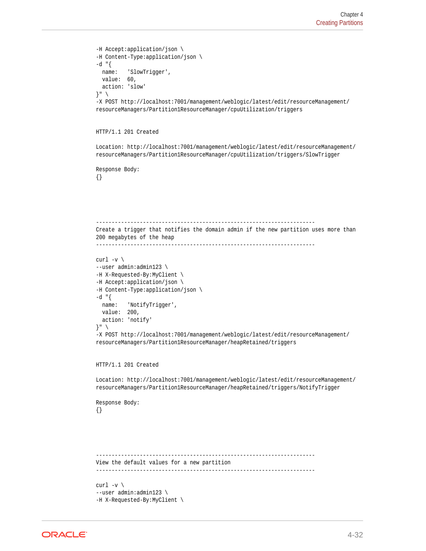```
-H Accept:application/json \
-H Content-Type:application/json \
-d "\{ name: 'SlowTrigger',
  value: 60,
   action: 'slow'
}" \
-X POST http://localhost:7001/management/weblogic/latest/edit/resourceManagement/
resourceManagers/Partition1ResourceManager/cpuUtilization/triggers
HTTP/1.1 201 Created
Location: http://localhost:7001/management/weblogic/latest/edit/resourceManagement/
resourceManagers/Partition1ResourceManager/cpuUtilization/triggers/SlowTrigger
Response Body:
{}
----------------------------------------------------------------------
Create a trigger that notifies the domain admin if the new partition uses more than 
200 megabytes of the heap
----------------------------------------------------------------------
curl -v \backslash--user admin:admin123 \
-H X-Requested-By:MyClient \
-H Accept:application/json \
-H Content-Type:application/json \
-d "\{name: 'NotifyTriqqer',
  value: 200,
   action: 'notify'
}" \
-X POST http://localhost:7001/management/weblogic/latest/edit/resourceManagement/
resourceManagers/Partition1ResourceManager/heapRetained/triggers
HTTP/1.1 201 Created
Location: http://localhost:7001/management/weblogic/latest/edit/resourceManagement/
resourceManagers/Partition1ResourceManager/heapRetained/triggers/NotifyTrigger
Response Body:
{}
   ----------------------------------------------------------------------
View the default values for a new partition
----------------------------------------------------------------------
curl -v \backslash--user admin:admin123 \
-H X-Requested-By:MyClient \
```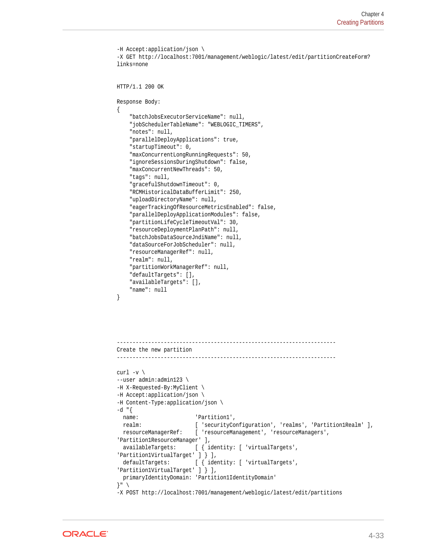```
-H Accept:application/json \
-X GET http://localhost:7001/management/weblogic/latest/edit/partitionCreateForm?
links=none
HTTP/1.1 200 OK
Response Body:
{
     "batchJobsExecutorServiceName": null,
     "jobSchedulerTableName": "WEBLOGIC_TIMERS",
     "notes": null,
     "parallelDeployApplications": true,
     "startupTimeout": 0,
     "maxConcurrentLongRunningRequests": 50,
     "ignoreSessionsDuringShutdown": false,
     "maxConcurrentNewThreads": 50,
     "tags": null,
     "gracefulShutdownTimeout": 0,
     "RCMHistoricalDataBufferLimit": 250,
     "uploadDirectoryName": null,
     "eagerTrackingOfResourceMetricsEnabled": false,
     "parallelDeployApplicationModules": false,
     "partitionLifeCycleTimeoutVal": 30,
     "resourceDeploymentPlanPath": null,
     "batchJobsDataSourceJndiName": null,
     "dataSourceForJobScheduler": null,
     "resourceManagerRef": null,
     "realm": null,
     "partitionWorkManagerRef": null,
     "defaultTargets": [],
     "availableTargets": [],
     "name": null
}
----------------------------------------------------------------------
Create the new partition
----------------------------------------------------------------------
curl -v \backslash--user admin:admin123 \
-H X-Requested-By:MyClient \
-H Accept:application/json \
-H Content-Type:application/json \
-d "{
 name: 'Partition1',
   realm: [ 'securityConfiguration', 'realms', 'Partition1Realm' ],
   resourceManagerRef: [ 'resourceManagement', 'resourceManagers', 
'Partition1ResourceManager' ],
   availableTargets: [ { identity: [ 'virtualTargets', 
'Partition1VirtualTarget' ] } ],
  defaultTargets: [ { identity: [ 'virtualTargets',
'Partition1VirtualTarget' ] } ],
   primaryIdentityDomain: 'Partition1IdentityDomain'
}" \
-X POST http://localhost:7001/management/weblogic/latest/edit/partitions
```
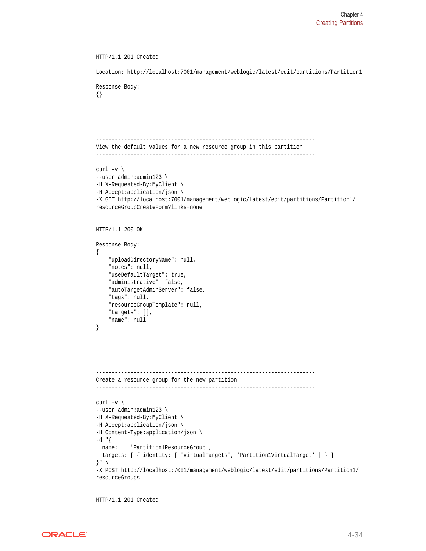```
HTTP/1.1 201 Created
Location: http://localhost:7001/management/weblogic/latest/edit/partitions/Partition1
Response Body:
{}
        ----------------------------------------------------------------------
View the default values for a new resource group in this partition
----------------------------------------------------------------------
curl -v \backslash--user admin:admin123 \
-H X-Requested-By:MyClient \
-H Accept:application/json \
-X GET http://localhost:7001/management/weblogic/latest/edit/partitions/Partition1/
resourceGroupCreateForm?links=none
HTTP/1.1 200 OK
Response Body:
{
     "uploadDirectoryName": null,
     "notes": null,
     "useDefaultTarget": true,
     "administrative": false,
     "autoTargetAdminServer": false,
     "tags": null,
     "resourceGroupTemplate": null,
     "targets": [],
     "name": null
}
----------------------------------------------------------------------
Create a resource group for the new partition
----------------------------------------------------------------------
curl -v \backslash--user admin:admin123 \
-H X-Requested-By:MyClient \
-H Accept:application/json \
-H Content-Type:application/json \
-d "{
   name: 'Partition1ResourceGroup',
   targets: [ { identity: [ 'virtualTargets', 'Partition1VirtualTarget' ] } ]
}" \
-X POST http://localhost:7001/management/weblogic/latest/edit/partitions/Partition1/
resourceGroups
```
HTTP/1.1 201 Created

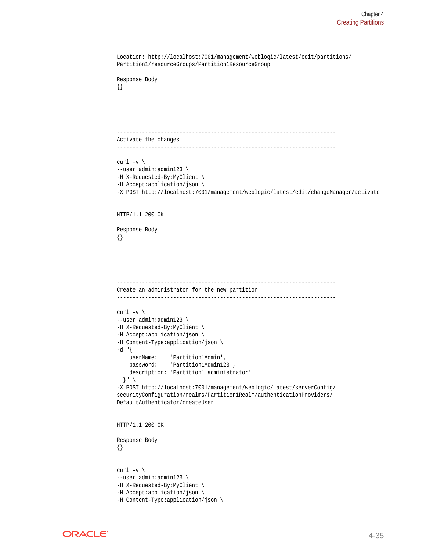```
Location: http://localhost:7001/management/weblogic/latest/edit/partitions/
Partition1/resourceGroups/Partition1ResourceGroup
Response Body:
{}
  ----------------------------------------------------------------------
Activate the changes
----------------------------------------------------------------------
curl -v \backslash--user admin:admin123 \
-H X-Requested-By:MyClient \
-H Accept:application/json \
-X POST http://localhost:7001/management/weblogic/latest/edit/changeManager/activate
HTTP/1.1 200 OK
Response Body:
{}
----------------------------------------------------------------------
Create an administrator for the new partition
----------------------------------------------------------------------
curl -v \backslash--user admin:admin123 \
-H X-Requested-By:MyClient \
-H Accept:application/json \
-H Content-Type:application/json \
-d "{
    userName: 'Partition1Admin',
    password: 'Partition1Admin123',
    description: 'Partition1 administrator'
   }" \
-X POST http://localhost:7001/management/weblogic/latest/serverConfig/
securityConfiguration/realms/Partition1Realm/authenticationProviders/
DefaultAuthenticator/createUser
HTTP/1.1 200 OK
Response Body:
{}
curl -v \backslash--user admin:admin123 \
-H X-Requested-By:MyClient \
-H Accept:application/json \
-H Content-Type:application/json \
```
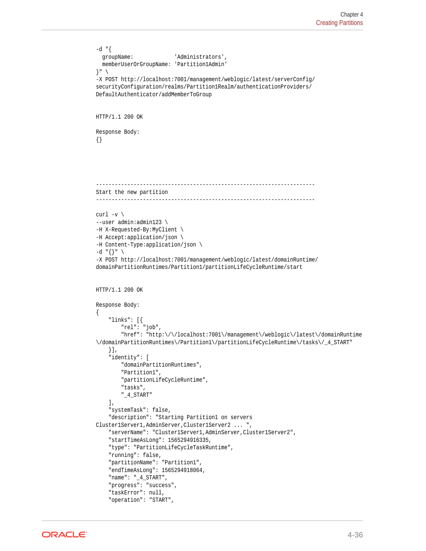```
-d "{
   groupName: 'Administrators',
   memberUserOrGroupName: 'Partition1Admin'
}" \
-X POST http://localhost:7001/management/weblogic/latest/serverConfig/
securityConfiguration/realms/Partition1Realm/authenticationProviders/
DefaultAuthenticator/addMemberToGroup
HTTP/1.1 200 OK
Response Body:
{}
----------------------------------------------------------------------
Start the new partition
----------------------------------------------------------------------
curl -v \backslash--user admin:admin123 \
-H X-Requested-By:MyClient \
-H Accept:application/json \
-H Content-Type:application/json \
-d "\{\}" \
-X POST http://localhost:7001/management/weblogic/latest/domainRuntime/
domainPartitionRuntimes/Partition1/partitionLifeCycleRuntime/start
HTTP/1.1 200 OK
Response Body:
{
     "links": [{
         "rel": "job",
         "href": "http:\/\/localhost:7001\/management\/weblogic\/latest\/domainRuntime
\/domainPartitionRuntimes\/Partition1\/partitionLifeCycleRuntime\/tasks\/_4_START"
     }],
     "identity": [
         "domainPartitionRuntimes",
         "Partition1",
         "partitionLifeCycleRuntime",
         "tasks",
         "_4_START"
    \mathbf{1},
     "systemTask": false,
     "description": "Starting Partition1 on servers 
Cluster1Server1,AdminServer,Cluster1Server2 ... ",
     "serverName": "Cluster1Server1,AdminServer,Cluster1Server2",
     "startTimeAsLong": 1565294916335,
     "type": "PartitionLifeCycleTaskRuntime",
     "running": false,
     "partitionName": "Partition1",
     "endTimeAsLong": 1565294918064,
     "name": "_4_START",
     "progress": "success",
     "taskError": null,
     "operation": "START",
```
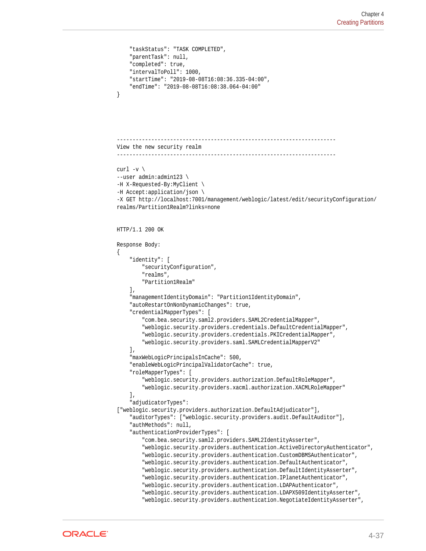```
 "taskStatus": "TASK COMPLETED",
     "parentTask": null,
     "completed": true,
     "intervalToPoll": 1000,
     "startTime": "2019-08-08T16:08:36.335-04:00",
     "endTime": "2019-08-08T16:08:38.064-04:00"
}
----------------------------------------------------------------------
View the new security realm
----------------------------------------------------------------------
curl -v \backslash--user admin:admin123 \
-H X-Requested-By:MyClient \
-H Accept:application/json \
-X GET http://localhost:7001/management/weblogic/latest/edit/securityConfiguration/
realms/Partition1Realm?links=none
HTTP/1.1 200 OK
Response Body:
\{ "identity": [
         "securityConfiguration",
         "realms",
         "Partition1Realm"
    \cdot "managementIdentityDomain": "Partition1IdentityDomain",
     "autoRestartOnNonDynamicChanges": true,
     "credentialMapperTypes": [
         "com.bea.security.saml2.providers.SAML2CredentialMapper",
         "weblogic.security.providers.credentials.DefaultCredentialMapper",
         "weblogic.security.providers.credentials.PKICredentialMapper",
         "weblogic.security.providers.saml.SAMLCredentialMapperV2"
     ],
     "maxWebLogicPrincipalsInCache": 500,
     "enableWebLogicPrincipalValidatorCache": true,
     "roleMapperTypes": [
         "weblogic.security.providers.authorization.DefaultRoleMapper",
         "weblogic.security.providers.xacml.authorization.XACMLRoleMapper"
    \cdot "adjudicatorTypes": 
["weblogic.security.providers.authorization.DefaultAdjudicator"],
     "auditorTypes": ["weblogic.security.providers.audit.DefaultAuditor"],
     "authMethods": null,
     "authenticationProviderTypes": [
         "com.bea.security.saml2.providers.SAML2IdentityAsserter",
         "weblogic.security.providers.authentication.ActiveDirectoryAuthenticator",
         "weblogic.security.providers.authentication.CustomDBMSAuthenticator",
         "weblogic.security.providers.authentication.DefaultAuthenticator",
         "weblogic.security.providers.authentication.DefaultIdentityAsserter",
         "weblogic.security.providers.authentication.IPlanetAuthenticator",
         "weblogic.security.providers.authentication.LDAPAuthenticator",
         "weblogic.security.providers.authentication.LDAPX509IdentityAsserter",
         "weblogic.security.providers.authentication.NegotiateIdentityAsserter",
```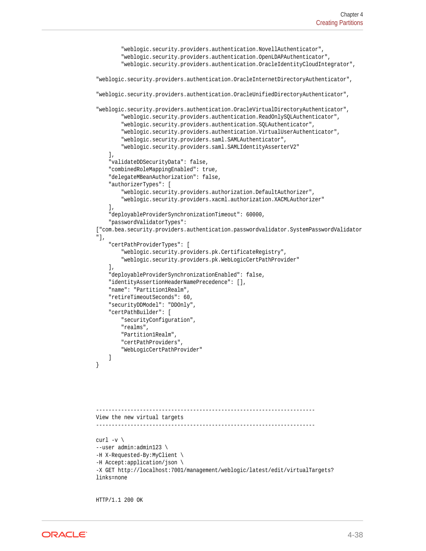```
 "weblogic.security.providers.authentication.NovellAuthenticator",
         "weblogic.security.providers.authentication.OpenLDAPAuthenticator",
         "weblogic.security.providers.authentication.OracleIdentityCloudIntegrator",
"weblogic.security.providers.authentication.OracleInternetDirectoryAuthenticator",
"weblogic.security.providers.authentication.OracleUnifiedDirectoryAuthenticator",
"weblogic.security.providers.authentication.OracleVirtualDirectoryAuthenticator",
         "weblogic.security.providers.authentication.ReadOnlySQLAuthenticator",
         "weblogic.security.providers.authentication.SQLAuthenticator",
         "weblogic.security.providers.authentication.VirtualUserAuthenticator",
         "weblogic.security.providers.saml.SAMLAuthenticator",
         "weblogic.security.providers.saml.SAMLIdentityAsserterV2"
     ],
     "validateDDSecurityData": false,
     "combinedRoleMappingEnabled": true,
     "delegateMBeanAuthorization": false,
     "authorizerTypes": [
         "weblogic.security.providers.authorization.DefaultAuthorizer",
         "weblogic.security.providers.xacml.authorization.XACMLAuthorizer"
     ],
     "deployableProviderSynchronizationTimeout": 60000,
     "passwordValidatorTypes": 
["com.bea.security.providers.authentication.passwordvalidator.SystemPasswordValidator
"],
     "certPathProviderTypes": [
         "weblogic.security.providers.pk.CertificateRegistry",
         "weblogic.security.providers.pk.WebLogicCertPathProvider"
     ],
     "deployableProviderSynchronizationEnabled": false,
     "identityAssertionHeaderNamePrecedence": [],
     "name": "Partition1Realm",
     "retireTimeoutSeconds": 60,
     "securityDDModel": "DDOnly",
     "certPathBuilder": [
         "securityConfiguration",
         "realms",
         "Partition1Realm",
         "certPathProviders",
         "WebLogicCertPathProvider"
     ]
}
                            ----------------------------------------------------------------------
View the new virtual targets
----------------------------------------------------------------------
curl -v \backslash--user admin:admin123 \
-H X-Requested-By:MyClient \
-H Accept:application/json \
-X GET http://localhost:7001/management/weblogic/latest/edit/virtualTargets?
links=none
```
HTTP/1.1 200 OK

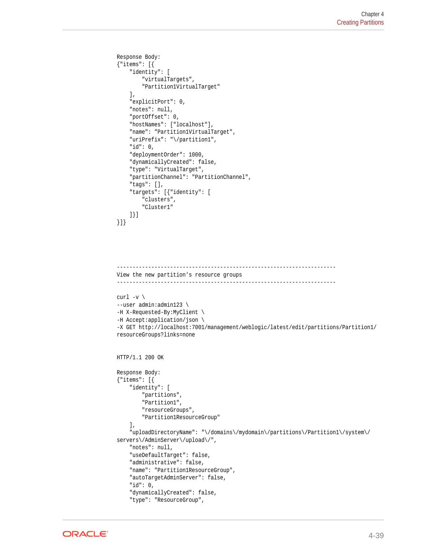```
Response Body:
{"items": [{
     "identity": [
         "virtualTargets",
         "Partition1VirtualTarget"
     ],
     "explicitPort": 0,
     "notes": null,
     "portOffset": 0,
     "hostNames": ["localhost"],
     "name": "Partition1VirtualTarget",
     "uriPrefix": "\/partition1",
     "id": 0,
     "deploymentOrder": 1000,
     "dynamicallyCreated": false,
     "type": "VirtualTarget",
     "partitionChannel": "PartitionChannel",
     "tags": [],
     "targets": [{"identity": [
         "clusters",
         "Cluster1"
     ]}]
}]}
```

```
----------------------------------------------------------------------
View the new partition's resource groups
----------------------------------------------------------------------
curl -v \backslash--user admin:admin123 \
-H X-Requested-By:MyClient \
-H Accept:application/json \
-X GET http://localhost:7001/management/weblogic/latest/edit/partitions/Partition1/
resourceGroups?links=none
HTTP/1.1 200 OK
Response Body:
{"items": [{
     "identity": [
         "partitions",
         "Partition1",
         "resourceGroups",
         "Partition1ResourceGroup"
     ],
     "uploadDirectoryName": "\/domains\/mydomain\/partitions\/Partition1\/system\/
servers\/AdminServer\/upload\/",
     "notes": null,
     "useDefaultTarget": false,
     "administrative": false,
     "name": "Partition1ResourceGroup",
     "autoTargetAdminServer": false,
     "id": 0,
     "dynamicallyCreated": false,
     "type": "ResourceGroup",
```
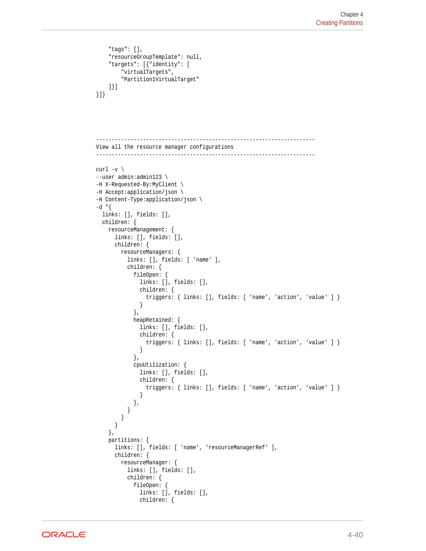```
 "tags": [],
     "resourceGroupTemplate": null,
     "targets": [{"identity": [
         "virtualTargets",
         "Partition1VirtualTarget"
     ]}]
}]}
           ----------------------------------------------------------------------
View all the resource manager configurations
----------------------------------------------------------------------
curl -v \backslash--user admin:admin123 \
-H X-Requested-By:MyClient \
-H Accept:application/json \
-H Content-Type:application/json \
-d "{
  links: [], fields: [],
   children: {
     resourceManagement: {
       links: [], fields: [],
       children: {
         resourceManagers: {
           links: [], fields: [ 'name' ],
           children: {
             fileOpen: {
               links: [], fields: [],
               children: {
                  triggers: { links: [], fields: [ 'name', 'action', 'value' ] }
 }
             },
             heapRetained: {
              links: [], fields: [],
               children: {
                  triggers: { links: [], fields: [ 'name', 'action', 'value' ] }
 }
             },
             cpuUtilization: {
               links: [], fields: [],
               children: {
                  triggers: { links: [], fields: [ 'name', 'action', 'value' ] }
 }
             },
           }
         }
       }
     },
     partitions: {
       links: [], fields: [ 'name', 'resourceManagerRef' ],
       children: {
         resourceManager: {
           links: [], fields: [],
           children: {
             fileOpen: {
               links: [], fields: [],
               children: {
```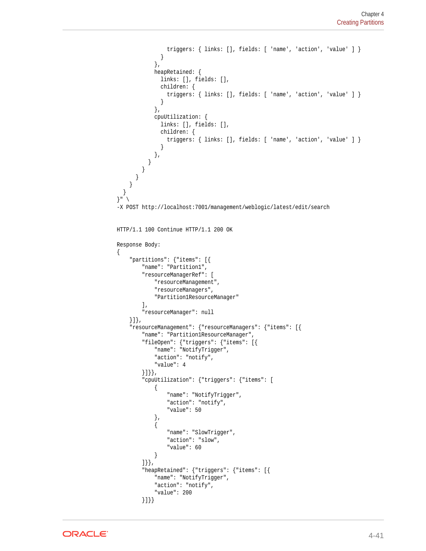```
 triggers: { links: [], fields: [ 'name', 'action', 'value' ] }
               }
             },
             heapRetained: {
              links: [], fields: [],
               children: {
                 triggers: { links: [], fields: [ 'name', 'action', 'value' ] }
 }
             },
             cpuUtilization: {
              links: [], fields: [],
               children: {
                 triggers: { links: [], fields: [ 'name', 'action', 'value' ] }
 }
 },
 }
 }
}
    }
   }
}" \
-X POST http://localhost:7001/management/weblogic/latest/edit/search
HTTP/1.1 100 Continue HTTP/1.1 200 OK
Response Body:
{
     "partitions": {"items": [{
         "name": "Partition1",
         "resourceManagerRef": [
             "resourceManagement",
             "resourceManagers",
             "Partition1ResourceManager"
        \mathbf{1},
         "resourceManager": null
     }]},
     "resourceManagement": {"resourceManagers": {"items": [{
         "name": "Partition1ResourceManager",
         "fileOpen": {"triggers": {"items": [{
             "name": "NotifyTrigger",
             "action": "notify",
             "value": 4
         }]}},
         "cpuUtilization": {"triggers": {"items": [
             {
                 "name": "NotifyTrigger",
                "action": "notify",
                 "value": 50
             },
 {
                 "name": "SlowTrigger",
                 "action": "slow",
                 "value": 60
 }
         ]}},
         "heapRetained": {"triggers": {"items": [{
             "name": "NotifyTrigger",
             "action": "notify",
             "value": 200
         }]}}
```
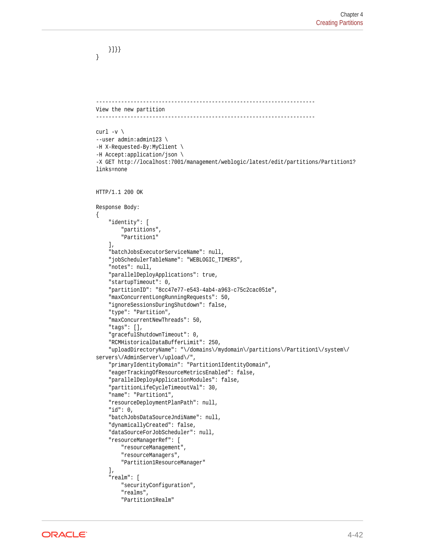```
 }]}}
}
----------------------------------------------------------------------
View the new partition
----------------------------------------------------------------------
curl -v \backslash--user admin:admin123 \
-H X-Requested-By:MyClient \
-H Accept:application/json \
-X GET http://localhost:7001/management/weblogic/latest/edit/partitions/Partition1?
links=none
HTTP/1.1 200 OK
Response Body:
\{ "identity": [
         "partitions",
         "Partition1"
     ],
     "batchJobsExecutorServiceName": null,
     "jobSchedulerTableName": "WEBLOGIC_TIMERS",
     "notes": null,
     "parallelDeployApplications": true,
     "startupTimeout": 0,
     "partitionID": "8cc47e77-e543-4ab4-a963-c75c2cac051e",
     "maxConcurrentLongRunningRequests": 50,
     "ignoreSessionsDuringShutdown": false,
     "type": "Partition",
     "maxConcurrentNewThreads": 50,
     "tags": [],
     "gracefulShutdownTimeout": 0,
     "RCMHistoricalDataBufferLimit": 250,
     "uploadDirectoryName": "\/domains\/mydomain\/partitions\/Partition1\/system\/
servers\/AdminServer\/upload\/",
     "primaryIdentityDomain": "Partition1IdentityDomain",
     "eagerTrackingOfResourceMetricsEnabled": false,
     "parallelDeployApplicationModules": false,
     "partitionLifeCycleTimeoutVal": 30,
     "name": "Partition1",
     "resourceDeploymentPlanPath": null,
     "id": 0,
     "batchJobsDataSourceJndiName": null,
     "dynamicallyCreated": false,
     "dataSourceForJobScheduler": null,
     "resourceManagerRef": [
         "resourceManagement",
         "resourceManagers",
         "Partition1ResourceManager"
    \cdot "realm": [
         "securityConfiguration",
         "realms",
         "Partition1Realm"
```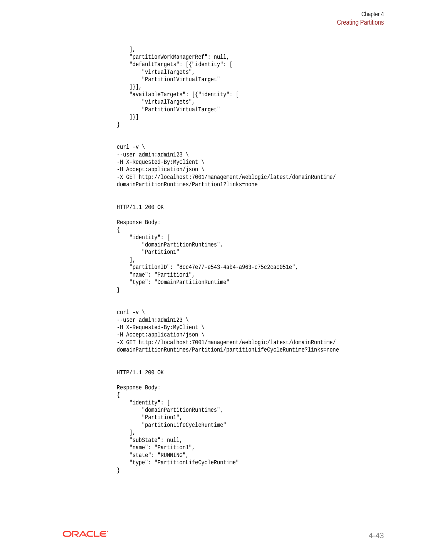```
 ],
     "partitionWorkManagerRef": null,
     "defaultTargets": [{"identity": [
         "virtualTargets",
         "Partition1VirtualTarget"
     ]}],
     "availableTargets": [{"identity": [
         "virtualTargets",
         "Partition1VirtualTarget"
     ]}]
}
curl -v \backslash--user admin:admin123 \
-H X-Requested-By:MyClient \
-H Accept:application/json \
-X GET http://localhost:7001/management/weblogic/latest/domainRuntime/
domainPartitionRuntimes/Partition1?links=none
HTTP/1.1 200 OK
Response Body:
{
     "identity": [
         "domainPartitionRuntimes",
         "Partition1"
     ],
     "partitionID": "8cc47e77-e543-4ab4-a963-c75c2cac051e",
     "name": "Partition1",
     "type": "DomainPartitionRuntime"
}
curl -v \backslash--user admin:admin123 \
-H X-Requested-By:MyClient \
-H Accept:application/json \
-X GET http://localhost:7001/management/weblogic/latest/domainRuntime/
domainPartitionRuntimes/Partition1/partitionLifeCycleRuntime?links=none
HTTP/1.1 200 OK
Response Body:
{
     "identity": [
         "domainPartitionRuntimes",
         "Partition1",
         "partitionLifeCycleRuntime"
     ],
     "subState": null,
     "name": "Partition1",
     "state": "RUNNING",
     "type": "PartitionLifeCycleRuntime"
}
```
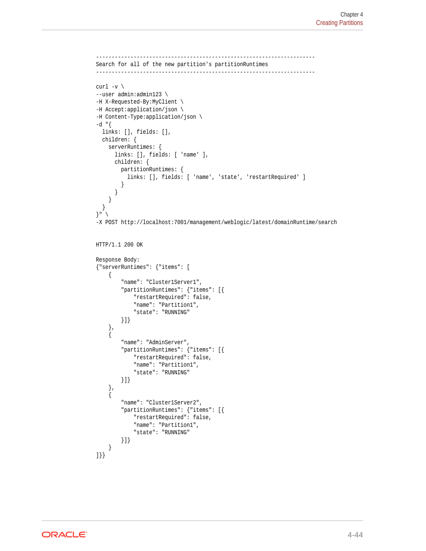```
----------------------------------------------------------------------
Search for all of the new partition's partitionRuntimes
----------------------------------------------------------------------
curl -v \backslash--user admin:admin123 \
-H X-Requested-By:MyClient \
-H Accept:application/json \
-H Content-Type:application/json \
-d "\{ links: [], fields: [],
   children: {
     serverRuntimes: {
       links: [], fields: [ 'name' ],
       children: {
         partitionRuntimes: {
            links: [], fields: [ 'name', 'state', 'restartRequired' ]
 }
       }
     }
   }
}" \
-X POST http://localhost:7001/management/weblogic/latest/domainRuntime/search
HTTP/1.1 200 OK
Response Body:
{"serverRuntimes": {"items": [
     {
          "name": "Cluster1Server1",
          "partitionRuntimes": {"items": [{
              "restartRequired": false,
              "name": "Partition1",
              "state": "RUNNING"
         }]}
     },
     {
          "name": "AdminServer",
          "partitionRuntimes": {"items": [{
              "restartRequired": false,
              "name": "Partition1",
              "state": "RUNNING"
         }]}
     },
     {
          "name": "Cluster1Server2",
          "partitionRuntimes": {"items": [{
              "restartRequired": false,
              "name": "Partition1",
              "state": "RUNNING"
         }]}
     }
]}}
```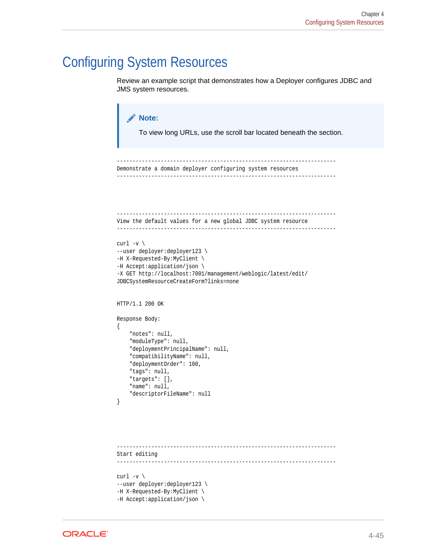## Configuring System Resources

Review an example script that demonstrates how a Deployer configures JDBC and JMS system resources.

```
Note:
       To view long URLs, use the scroll bar located beneath the section.
   ----------------------------------------------------------------------
Demonstrate a domain deployer configuring system resources
----------------------------------------------------------------------
----------------------------------------------------------------------
View the default values for a new global JDBC system resource
----------------------------------------------------------------------
curl -v \backslash--user deployer:deployer123 \
-H X-Requested-By:MyClient \
-H Accept:application/json \
-X GET http://localhost:7001/management/weblogic/latest/edit/
JDBCSystemResourceCreateForm?links=none
HTTP/1.1 200 OK
Response Body:
{
     "notes": null,
     "moduleType": null,
     "deploymentPrincipalName": null,
     "compatibilityName": null,
     "deploymentOrder": 100,
     "tags": null,
     "targets": [],
     "name": null,
     "descriptorFileName": null
}
 ----------------------------------------------------------------------
Start editing
----------------------------------------------------------------------
```
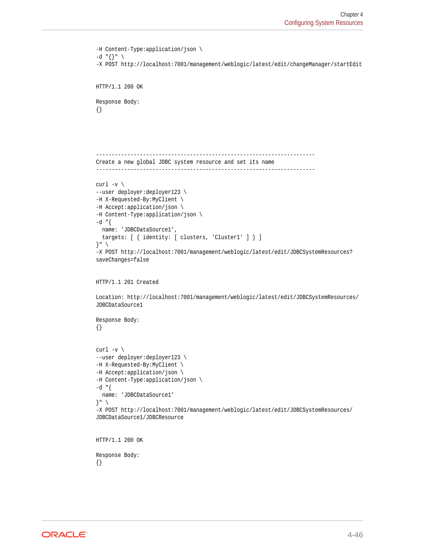```
-H Content-Type:application/json \
-d "{}" \setminus-X POST http://localhost:7001/management/weblogic/latest/edit/changeManager/startEdit
HTTP/1.1 200 OK
Response Body:
{}
----------------------------------------------------------------------
Create a new global JDBC system resource and set its name
----------------------------------------------------------------------
curl -v \backslash--user deployer:deployer123 \
-H X-Requested-By:MyClient \
-H Accept:application/json \
-H Content-Type:application/json \
-d "\{ name: 'JDBCDataSource1',
   targets: [ { identity: [ clusters, 'Cluster1' ] } ]
}" \
-X POST http://localhost:7001/management/weblogic/latest/edit/JDBCSystemResources?
saveChanges=false
HTTP/1.1 201 Created
Location: http://localhost:7001/management/weblogic/latest/edit/JDBCSystemResources/
JDBCDataSource1
Response Body:
{}
curl -v \backslash--user deployer:deployer123 \
-H X-Requested-By:MyClient \
-H Accept:application/json \
-H Content-Type:application/json \
-d "\{ name: 'JDBCDataSource1'
}" \
-X POST http://localhost:7001/management/weblogic/latest/edit/JDBCSystemResources/
JDBCDataSource1/JDBCResource
HTTP/1.1 200 OK
```
Response Body:

{}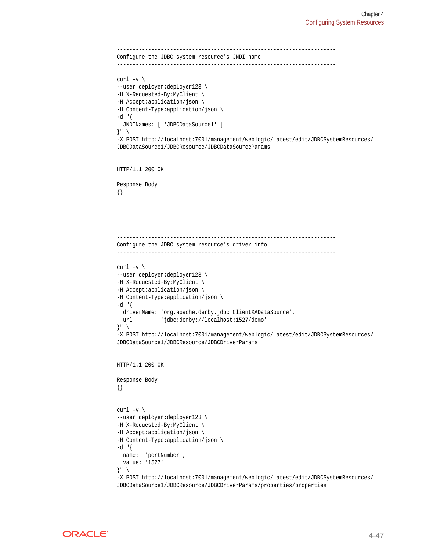```
----------------------------------------------------------------------
Configure the JDBC system resource's JNDI name
----------------------------------------------------------------------
curl -v \backslash--user deployer:deployer123 \
-H X-Requested-By:MyClient \
-H Accept:application/json \
-H Content-Type:application/json \
-d "\{ JNDINames: [ 'JDBCDataSource1' ]
}" \
-X POST http://localhost:7001/management/weblogic/latest/edit/JDBCSystemResources/
JDBCDataSource1/JDBCResource/JDBCDataSourceParams
HTTP/1.1 200 OK
Response Body:
{}
           ----------------------------------------------------------------------
Configure the JDBC system resource's driver info
           ----------------------------------------------------------------------
curl -v \backslash--user deployer:deployer123 \
-H X-Requested-By:MyClient \
-H Accept:application/json \
-H Content-Type:application/json \
-d "\{driverName: 'org.apache.derby.jdbc.ClientXADataSource',
 url: 'jdbc:derby://localhost:1527/demo'
}" \
-X POST http://localhost:7001/management/weblogic/latest/edit/JDBCSystemResources/
JDBCDataSource1/JDBCResource/JDBCDriverParams
HTTP/1.1 200 OK
Response Body:
{}
curl -v \backslash--user deployer:deployer123 \
-H X-Requested-By:MyClient \
-H Accept:application/json \
-H Content-Type:application/json \
-d "{
  name: 'portNumber',
   value: '1527'
}" \
-X POST http://localhost:7001/management/weblogic/latest/edit/JDBCSystemResources/
JDBCDataSource1/JDBCResource/JDBCDriverParams/properties/properties
```
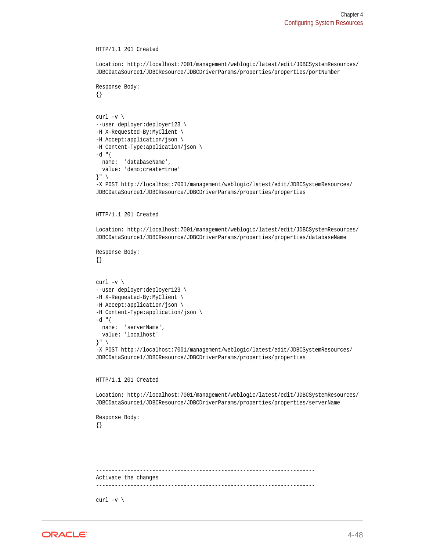```
HTTP/1.1 201 Created
Location: http://localhost:7001/management/weblogic/latest/edit/JDBCSystemResources/
JDBCDataSource1/JDBCResource/JDBCDriverParams/properties/properties/portNumber
Response Body:
{}
curl -v \backslash--user deployer:deployer123 \
-H X-Requested-By:MyClient \
-H Accept:application/json \
-H Content-Type:application/json \
-d "\{ name: 'databaseName',
  value: 'demo;create=true'
}" \
-X POST http://localhost:7001/management/weblogic/latest/edit/JDBCSystemResources/
JDBCDataSource1/JDBCResource/JDBCDriverParams/properties/properties
HTTP/1.1 201 Created
Location: http://localhost:7001/management/weblogic/latest/edit/JDBCSystemResources/
JDBCDataSource1/JDBCResource/JDBCDriverParams/properties/properties/databaseName
Response Body:
{}
curl -v \backslash--user deployer:deployer123 \
-H X-Requested-By:MyClient \
-H Accept:application/json \
-H Content-Type:application/json \
-d "{
  name: 'serverName',
  value: 'localhost'
}" \
-X POST http://localhost:7001/management/weblogic/latest/edit/JDBCSystemResources/
JDBCDataSource1/JDBCResource/JDBCDriverParams/properties/properties
HTTP/1.1 201 Created
Location: http://localhost:7001/management/weblogic/latest/edit/JDBCSystemResources/
JDBCDataSource1/JDBCResource/JDBCDriverParams/properties/properties/serverName
Response Body:
{}
----------------------------------------------------------------------
Activate the changes
      ----------------------------------------------------------------------
curl -v \backslash
```
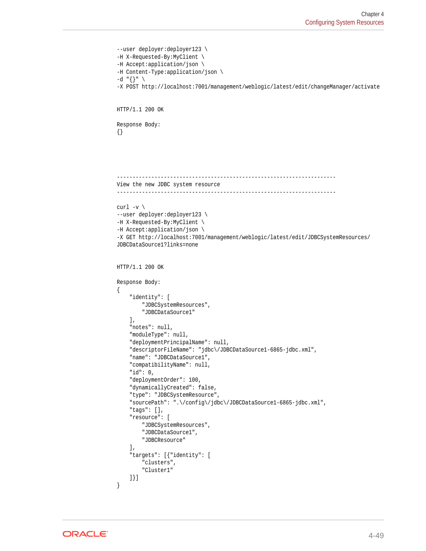```
--user deployer:deployer123 \
-H X-Requested-By:MyClient \
-H Accept:application/json \
-H Content-Type:application/json \
-d "\{\}" \
-X POST http://localhost:7001/management/weblogic/latest/edit/changeManager/activate
HTTP/1.1 200 OK
Response Body:
{}
----------------------------------------------------------------------
View the new JDBC system resource
----------------------------------------------------------------------
curl -v \backslash--user deployer:deployer123 \
-H X-Requested-By:MyClient \
-H Accept:application/json \
-X GET http://localhost:7001/management/weblogic/latest/edit/JDBCSystemResources/
JDBCDataSource1?links=none
HTTP/1.1 200 OK
Response Body:
\{ "identity": [
         "JDBCSystemResources",
         "JDBCDataSource1"
     ],
     "notes": null,
     "moduleType": null,
     "deploymentPrincipalName": null,
     "descriptorFileName": "jdbc\/JDBCDataSource1-6865-jdbc.xml",
     "name": "JDBCDataSource1",
     "compatibilityName": null,
     "id": 0,
     "deploymentOrder": 100,
     "dynamicallyCreated": false,
     "type": "JDBCSystemResource",
     "sourcePath": ".\/config\/jdbc\/JDBCDataSource1-6865-jdbc.xml",
     "tags": [],
     "resource": [
         "JDBCSystemResources",
         "JDBCDataSource1",
         "JDBCResource"
    \,],
     "targets": [{"identity": [
         "clusters",
          "Cluster1"
     ]}]
}
```
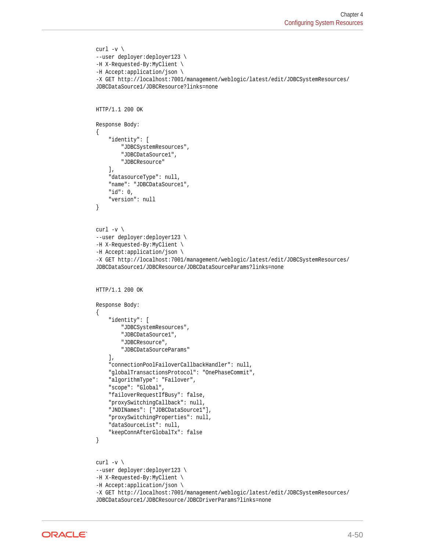```
curl -v \backslash--user deployer:deployer123 \
-H X-Requested-By:MyClient \
-H Accept:application/json \
-X GET http://localhost:7001/management/weblogic/latest/edit/JDBCSystemResources/
JDBCDataSource1/JDBCResource?links=none
HTTP/1.1 200 OK
Response Body:
{
     "identity": [
         "JDBCSystemResources",
         "JDBCDataSource1",
         "JDBCResource"
    \cdot "datasourceType": null,
     "name": "JDBCDataSource1",
     "id": 0,
     "version": null
}
curl -v \backslash--user deployer:deployer123 \
-H X-Requested-By:MyClient \
-H Accept:application/json \
-X GET http://localhost:7001/management/weblogic/latest/edit/JDBCSystemResources/
JDBCDataSource1/JDBCResource/JDBCDataSourceParams?links=none
HTTP/1.1 200 OK
Response Body:
{
     "identity": [
         "JDBCSystemResources",
         "JDBCDataSource1",
         "JDBCResource",
         "JDBCDataSourceParams"
    \cdot "connectionPoolFailoverCallbackHandler": null,
     "globalTransactionsProtocol": "OnePhaseCommit",
     "algorithmType": "Failover",
     "scope": "Global",
     "failoverRequestIfBusy": false,
     "proxySwitchingCallback": null,
     "JNDINames": ["JDBCDataSource1"],
     "proxySwitchingProperties": null,
     "dataSourceList": null,
     "keepConnAfterGlobalTx": false
}
curl -v \backslash--user deployer:deployer123 \
-H X-Requested-By:MyClient \
-H Accept:application/json \
-X GET http://localhost:7001/management/weblogic/latest/edit/JDBCSystemResources/
JDBCDataSource1/JDBCResource/JDBCDriverParams?links=none
```
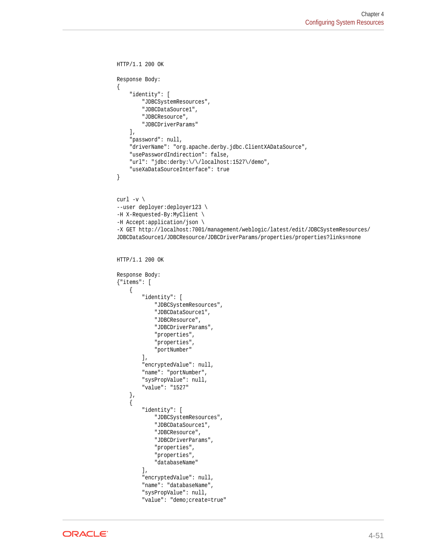```
HTTP/1.1 200 OK
Response Body:
{
     "identity": [
         "JDBCSystemResources",
          "JDBCDataSource1",
          "JDBCResource",
          "JDBCDriverParams"
    \cdot "password": null,
     "driverName": "org.apache.derby.jdbc.ClientXADataSource",
     "usePasswordIndirection": false,
     "url": "jdbc:derby:\/\/localhost:1527\/demo",
     "useXaDataSourceInterface": true
}
curl -v \backslash--user deployer:deployer123 \
-H X-Requested-By:MyClient \
-H Accept:application/json \
-X GET http://localhost:7001/management/weblogic/latest/edit/JDBCSystemResources/
JDBCDataSource1/JDBCResource/JDBCDriverParams/properties/properties?links=none
HTTP/1.1 200 OK
Response Body:
{"items": [
     {
          "identity": [
              "JDBCSystemResources",
              "JDBCDataSource1",
              "JDBCResource",
              "JDBCDriverParams",
              "properties",
              "properties",
              "portNumber"
        \cdot "encryptedValue": null,
         "name": "portNumber",
         "sysPropValue": null,
         "value": "1527"
     },
\mathcal{A} "identity": [
              "JDBCSystemResources",
              "JDBCDataSource1",
              "JDBCResource",
              "JDBCDriverParams",
              "properties",
              "properties",
              "databaseName"
        \mathbf{1},
          "encryptedValue": null,
          "name": "databaseName",
          "sysPropValue": null,
          "value": "demo;create=true"
```
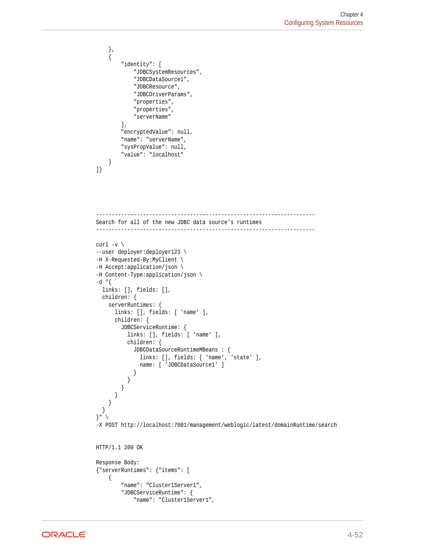```
 },
     {
         "identity": [
              "JDBCSystemResources",
              "JDBCDataSource1",
              "JDBCResource",
              "JDBCDriverParams",
              "properties",
              "properties",
              "serverName"
         ],
         "encryptedValue": null,
         "name": "serverName",
         "sysPropValue": null,
         "value": "localhost"
     }
]}
                   ----------------------------------------------------------------------
Search for all of the new JDBC data source's runtimes
----------------------------------------------------------------------
curl -v \backslash--user deployer:deployer123 \
-H X-Requested-By:MyClient \
-H Accept:application/json \
-H Content-Type:application/json \
-d "{
   links: [], fields: [],
   children: {
     serverRuntimes: {
       links: [], fields: [ 'name' ],
       children: {
         JDBCServiceRuntime: {
           links: [], fields: [ 'name' ],
           children: {
             JDBCDataSourceRuntimeMBeans : {
                links: [], fields: [ 'name', 'state' ],
               name: [ 'JDBCDataSource1' ]
 }
           }
        }
      }
     }
   }
}" \
-X POST http://localhost:7001/management/weblogic/latest/domainRuntime/search
HTTP/1.1 200 OK
Response Body:
{"serverRuntimes": {"items": [
     {
         "name": "Cluster1Server1",
         "JDBCServiceRuntime": {
              "name": "Cluster1Server1",
```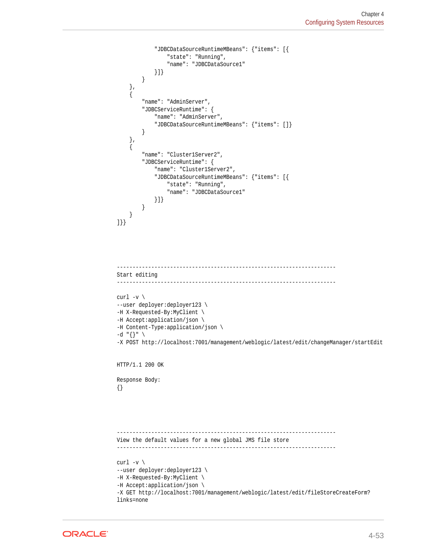```
 "JDBCDataSourceRuntimeMBeans": {"items": [{
                  "state": "Running",
                   "name": "JDBCDataSource1"
              }]}
         }
     },
     {
          "name": "AdminServer",
         "JDBCServiceRuntime": {
              "name": "AdminServer",
              "JDBCDataSourceRuntimeMBeans": {"items": []}
         }
     },
\left\{\right. "name": "Cluster1Server2",
          "JDBCServiceRuntime": {
              "name": "Cluster1Server2",
              "JDBCDataSourceRuntimeMBeans": {"items": [{
                  "state": "Running",
                  "name": "JDBCDataSource1"
              }]}
         }
     }
]}}
```

```
----------------------------------------------------------------------
Start editing
----------------------------------------------------------------------
curl -v \backslash--user deployer:deployer123 \
-H X-Requested-By:MyClient \
-H Accept:application/json \
-H Content-Type:application/json \
-d "{}" \
-X POST http://localhost:7001/management/weblogic/latest/edit/changeManager/startEdit
HTTP/1.1 200 OK
Response Body:
{}
           ----------------------------------------------------------------------
View the default values for a new global JMS file store
----------------------------------------------------------------------
curl -v \backslash--user deployer:deployer123 \
-H X-Requested-By:MyClient \
-H Accept:application/json \
-X GET http://localhost:7001/management/weblogic/latest/edit/fileStoreCreateForm?
links=none
```
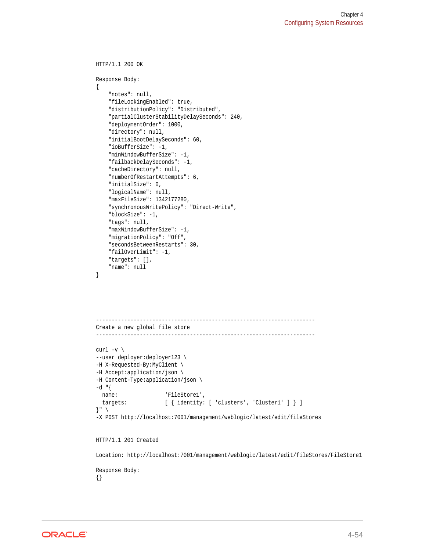```
HTTP/1.1 200 OK
Response Body:
{
     "notes": null,
     "fileLockingEnabled": true,
     "distributionPolicy": "Distributed",
     "partialClusterStabilityDelaySeconds": 240,
     "deploymentOrder": 1000,
     "directory": null,
     "initialBootDelaySeconds": 60,
     "ioBufferSize": -1,
     "minWindowBufferSize": -1,
     "failbackDelaySeconds": -1,
     "cacheDirectory": null,
     "numberOfRestartAttempts": 6,
     "initialSize": 0,
     "logicalName": null,
     "maxFileSize": 1342177280,
     "synchronousWritePolicy": "Direct-Write",
     "blockSize": -1,
     "tags": null,
     "maxWindowBufferSize": -1,
     "migrationPolicy": "Off",
     "secondsBetweenRestarts": 30,
     "failOverLimit": -1,
     "targets": [],
     "name": null
}
----------------------------------------------------------------------
Create a new global file store
----------------------------------------------------------------------
curl -v \backslash--user deployer:deployer123 \
-H X-Requested-By:MyClient \
-H Accept:application/json \
-H Content-Type:application/json \
-d "\{name: 'FileStore1',
 targets: [ { identity: [ 'clusters', 'Cluster1' ] } ]
}" \
-X POST http://localhost:7001/management/weblogic/latest/edit/fileStores
HTTP/1.1 201 Created
Location: http://localhost:7001/management/weblogic/latest/edit/fileStores/FileStore1
Response Body:
{}
```
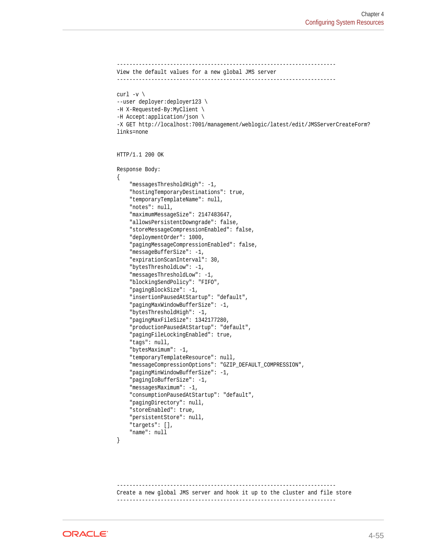```
----------------------------------------------------------------------
View the default values for a new global JMS server
----------------------------------------------------------------------
curl -v \backslash--user deployer:deployer123 \
-H X-Requested-By:MyClient \
-H Accept:application/json \
-X GET http://localhost:7001/management/weblogic/latest/edit/JMSServerCreateForm?
links=none
HTTP/1.1 200 OK
Response Body:
{
     "messagesThresholdHigh": -1,
     "hostingTemporaryDestinations": true,
     "temporaryTemplateName": null,
     "notes": null,
     "maximumMessageSize": 2147483647,
     "allowsPersistentDowngrade": false,
     "storeMessageCompressionEnabled": false,
     "deploymentOrder": 1000,
     "pagingMessageCompressionEnabled": false,
     "messageBufferSize": -1,
     "expirationScanInterval": 30,
     "bytesThresholdLow": -1,
     "messagesThresholdLow": -1,
     "blockingSendPolicy": "FIFO",
     "pagingBlockSize": -1,
     "insertionPausedAtStartup": "default",
     "pagingMaxWindowBufferSize": -1,
     "bytesThresholdHigh": -1,
     "pagingMaxFileSize": 1342177280,
     "productionPausedAtStartup": "default",
     "pagingFileLockingEnabled": true,
     "tags": null,
     "bytesMaximum": -1,
     "temporaryTemplateResource": null,
     "messageCompressionOptions": "GZIP_DEFAULT_COMPRESSION",
     "pagingMinWindowBufferSize": -1,
     "pagingIoBufferSize": -1,
     "messagesMaximum": -1,
     "consumptionPausedAtStartup": "default",
     "pagingDirectory": null,
     "storeEnabled": true,
     "persistentStore": null,
     "targets": [],
     "name": null
}
```
---------------------------------------------------------------------- Create a new global JMS server and hook it up to the cluster and file store ----------------------------------------------------------------------

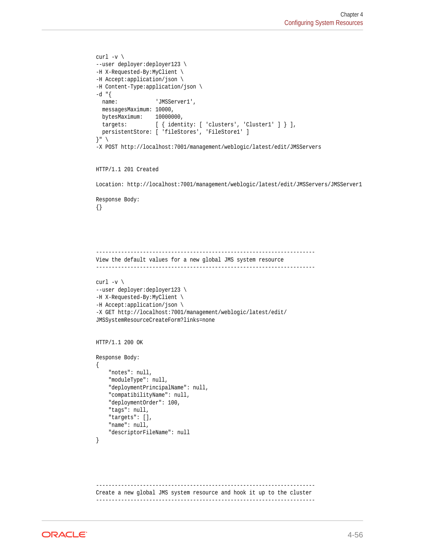```
curl -v \backslash--user deployer:deployer123 \
-H X-Requested-By:MyClient \
-H Accept:application/json \
-H Content-Type:application/json \
-d "{
 name: 'JMSServer1',
   messagesMaximum: 10000,
  bytesMaximum: 10000000,
  targets: \left[\right\{ \text{identity: } [\text{ clusters'}, \text{ 'Cluster1'} ] \right\} ], persistentStore: [ 'fileStores', 'FileStore1' ]
}" \
-X POST http://localhost:7001/management/weblogic/latest/edit/JMSServers
HTTP/1.1 201 Created
Location: http://localhost:7001/management/weblogic/latest/edit/JMSServers/JMSServer1
Response Body:
{}
----------------------------------------------------------------------
View the default values for a new global JMS system resource
          ----------------------------------------------------------------------
curl -v \backslash--user deployer:deployer123 \
-H X-Requested-By:MyClient \
-H Accept:application/json \
-X GET http://localhost:7001/management/weblogic/latest/edit/
JMSSystemResourceCreateForm?links=none
HTTP/1.1 200 OK
Response Body:
{
     "notes": null,
     "moduleType": null,
     "deploymentPrincipalName": null,
     "compatibilityName": null,
     "deploymentOrder": 100,
     "tags": null,
     "targets": [],
     "name": null,
     "descriptorFileName": null
}
    ----------------------------------------------------------------------
Create a new global JMS system resource and hook it up to the cluster
```
----------------------------------------------------------------------

```
ORACLE
```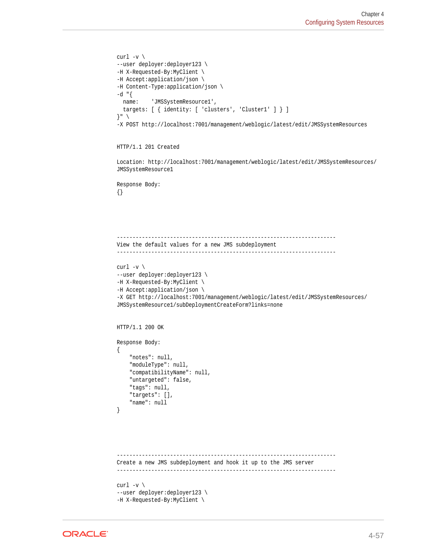```
curl -v \backslash--user deployer:deployer123 \
-H X-Requested-By:MyClient \
-H Accept:application/json \
-H Content-Type:application/json \
-d "{
  name: 'JMSSystemResource1',
   targets: [ { identity: [ 'clusters', 'Cluster1' ] } ]
}" \
-X POST http://localhost:7001/management/weblogic/latest/edit/JMSSystemResources
```
## HTTP/1.1 201 Created

Location: http://localhost:7001/management/weblogic/latest/edit/JMSSystemResources/ JMSSystemResource1

Response Body: {}

```
----------------------------------------------------------------------
View the default values for a new JMS subdeployment
            ----------------------------------------------------------------------
curl -v \backslash--user deployer:deployer123 \
-H X-Requested-By:MyClient \
-H Accept:application/json \
-X GET http://localhost:7001/management/weblogic/latest/edit/JMSSystemResources/
JMSSystemResource1/subDeploymentCreateForm?links=none
```
HTTP/1.1 200 OK

```
Response Body:
{
     "notes": null,
     "moduleType": null,
     "compatibilityName": null,
     "untargeted": false,
     "tags": null,
     "targets": [],
     "name": null
}
```

```
----------------------------------------------------------------------
Create a new JMS subdeployment and hook it up to the JMS server
----------------------------------------------------------------------
curl -v \backslash
```

```
--user deployer:deployer123 \
-H X-Requested-By:MyClient \
```
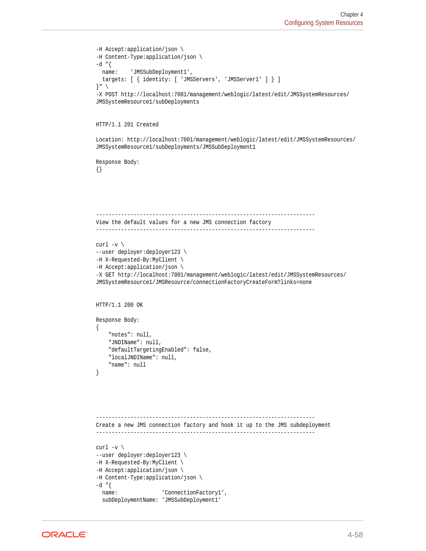```
-H Accept:application/json \
-H Content-Type:application/json \
-d "\{ name: 'JMSSubDeployment1',
   targets: [ { identity: [ 'JMSServers', 'JMSServer1' ] } ]
}" \
-X POST http://localhost:7001/management/weblogic/latest/edit/JMSSystemResources/
JMSSystemResource1/subDeployments
HTTP/1.1 201 Created
Location: http://localhost:7001/management/weblogic/latest/edit/JMSSystemResources/
JMSSystemResource1/subDeployments/JMSSubDeployment1
Response Body:
{}
        ----------------------------------------------------------------------
View the default values for a new JMS connection factory
----------------------------------------------------------------------
curl -v \backslash--user deployer:deployer123 \
-H X-Requested-By:MyClient \
-H Accept:application/json \
-X GET http://localhost:7001/management/weblogic/latest/edit/JMSSystemResources/
JMSSystemResource1/JMSResource/connectionFactoryCreateForm?links=none
HTTP/1.1 200 OK
Response Body:
{
     "notes": null,
     "JNDIName": null,
     "defaultTargetingEnabled": false,
     "localJNDIName": null,
     "name": null
}
      ----------------------------------------------------------------------
Create a new JMS connection factory and hook it up to the JMS subdeployment
----------------------------------------------------------------------
curl -v \backslash--user deployer:deployer123 \
-H X-Requested-By:MyClient \
-H Accept:application/json \
-H Content-Type:application/json \
-d "{
  name: 'ConnectionFactory1',
   subDeploymentName: 'JMSSubDeployment1'
```
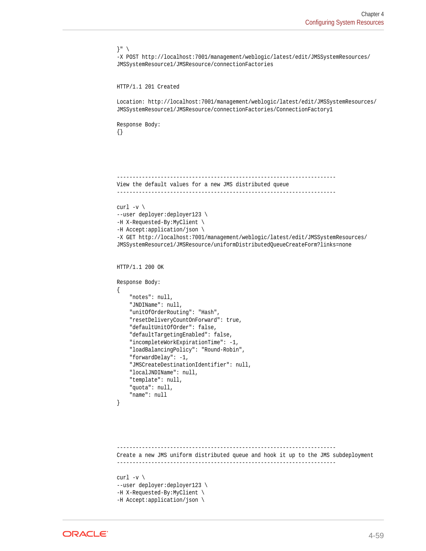```
}" \
-X POST http://localhost:7001/management/weblogic/latest/edit/JMSSystemResources/
JMSSystemResource1/JMSResource/connectionFactories
HTTP/1.1 201 Created
Location: http://localhost:7001/management/weblogic/latest/edit/JMSSystemResources/
JMSSystemResource1/JMSResource/connectionFactories/ConnectionFactory1
Response Body:
{}
      ----------------------------------------------------------------------
View the default values for a new JMS distributed queue
----------------------------------------------------------------------
curl -v \backslash--user deployer:deployer123 \
-H X-Requested-By:MyClient \
-H Accept:application/json \
-X GET http://localhost:7001/management/weblogic/latest/edit/JMSSystemResources/
JMSSystemResource1/JMSResource/uniformDistributedQueueCreateForm?links=none
HTTP/1.1 200 OK
Response Body:
\{ "notes": null,
     "JNDIName": null,
     "unitOfOrderRouting": "Hash",
     "resetDeliveryCountOnForward": true,
     "defaultUnitOfOrder": false,
     "defaultTargetingEnabled": false,
     "incompleteWorkExpirationTime": -1,
     "loadBalancingPolicy": "Round-Robin",
     "forwardDelay": -1,
     "JMSCreateDestinationIdentifier": null,
     "localJNDIName": null,
     "template": null,
     "quota": null,
     "name": null
}
         ----------------------------------------------------------------------
Create a new JMS uniform distributed queue and hook it up to the JMS subdeployment
----------------------------------------------------------------------
curl -v \backslash--user deployer:deployer123 \
-H X-Requested-By:MyClient \
```

```
-H Accept:application/json \
```

```
ORACLE
```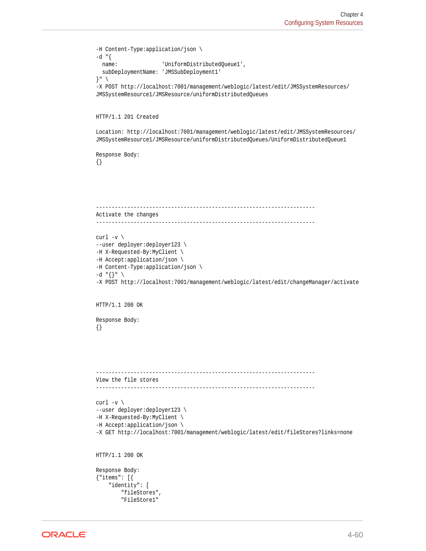```
-H Content-Type:application/json \
-d "\{name: 'UniformDistributedQueue1',
  subDeploymentName: 'JMSSubDeployment1'
}" \
-X POST http://localhost:7001/management/weblogic/latest/edit/JMSSystemResources/
JMSSystemResource1/JMSResource/uniformDistributedQueues
HTTP/1.1 201 Created
Location: http://localhost:7001/management/weblogic/latest/edit/JMSSystemResources/
JMSSystemResource1/JMSResource/uniformDistributedQueues/UniformDistributedQueue1
Response Body:
{}
----------------------------------------------------------------------
Activate the changes
                          ----------------------------------------------------------------------
curl -v \backslash--user deployer:deployer123 \
-H X-Requested-By:MyClient \
-H Accept:application/json \
-H Content-Type:application/json \
-d "{}" \
-X POST http://localhost:7001/management/weblogic/latest/edit/changeManager/activate
HTTP/1.1 200 OK
Response Body:
{}
 ----------------------------------------------------------------------
View the file stores
----------------------------------------------------------------------
curl -v \backslash--user deployer:deployer123 \
-H X-Requested-By:MyClient \
-H Accept:application/json \
-X GET http://localhost:7001/management/weblogic/latest/edit/fileStores?links=none
HTTP/1.1 200 OK
Response Body:
{"items": [{
     "identity": [
         "fileStores",
         "FileStore1"
```
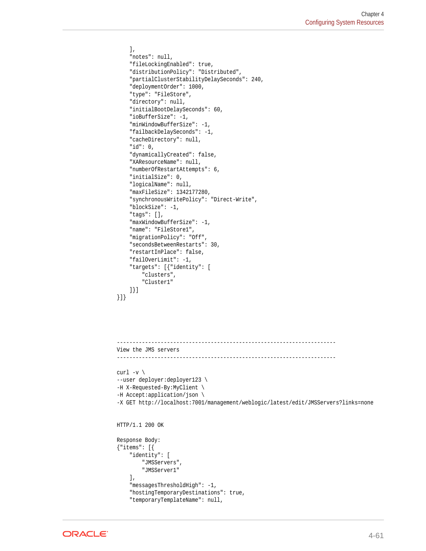```
 ],
     "notes": null,
     "fileLockingEnabled": true,
     "distributionPolicy": "Distributed",
     "partialClusterStabilityDelaySeconds": 240,
     "deploymentOrder": 1000,
     "type": "FileStore",
     "directory": null,
     "initialBootDelaySeconds": 60,
     "ioBufferSize": -1,
     "minWindowBufferSize": -1,
     "failbackDelaySeconds": -1,
     "cacheDirectory": null,
     "id": 0,
     "dynamicallyCreated": false,
     "XAResourceName": null,
     "numberOfRestartAttempts": 6,
     "initialSize": 0,
     "logicalName": null,
     "maxFileSize": 1342177280,
     "synchronousWritePolicy": "Direct-Write",
     "blockSize": -1,
     "tags": [],
     "maxWindowBufferSize": -1,
     "name": "FileStore1",
     "migrationPolicy": "Off",
     "secondsBetweenRestarts": 30,
     "restartInPlace": false,
     "failOverLimit": -1,
     "targets": [{"identity": [
         "clusters",
          "Cluster1"
     ]}]
}]}
```

```
----------------------------------------------------------------------
View the JMS servers
----------------------------------------------------------------------
curl -v \backslash--user deployer:deployer123 \
-H X-Requested-By:MyClient \
-H Accept:application/json \
-X GET http://localhost:7001/management/weblogic/latest/edit/JMSServers?links=none
HTTP/1.1 200 OK
Response Body:
{"items": [{
     "identity": [
         "JMSServers",
         "JMSServer1"
    \mathbf{1},
     "messagesThresholdHigh": -1,
     "hostingTemporaryDestinations": true,
     "temporaryTemplateName": null,
```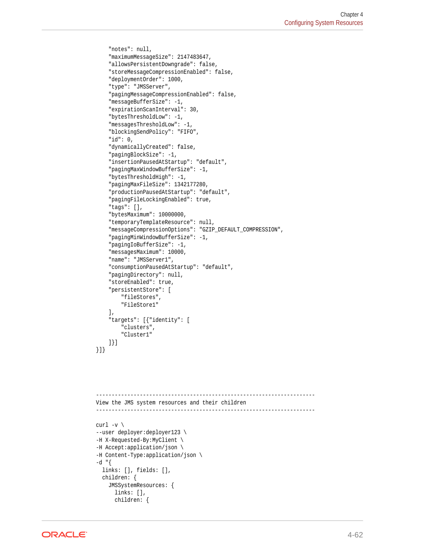```
 "notes": null,
     "maximumMessageSize": 2147483647,
     "allowsPersistentDowngrade": false,
     "storeMessageCompressionEnabled": false,
     "deploymentOrder": 1000,
     "type": "JMSServer",
     "pagingMessageCompressionEnabled": false,
     "messageBufferSize": -1,
     "expirationScanInterval": 30,
     "bytesThresholdLow": -1,
     "messagesThresholdLow": -1,
     "blockingSendPolicy": "FIFO",
     "id": 0,
     "dynamicallyCreated": false,
     "pagingBlockSize": -1,
     "insertionPausedAtStartup": "default",
     "pagingMaxWindowBufferSize": -1,
     "bytesThresholdHigh": -1,
     "pagingMaxFileSize": 1342177280,
     "productionPausedAtStartup": "default",
     "pagingFileLockingEnabled": true,
     "tags": [],
     "bytesMaximum": 10000000,
     "temporaryTemplateResource": null,
     "messageCompressionOptions": "GZIP_DEFAULT_COMPRESSION",
     "pagingMinWindowBufferSize": -1,
     "pagingIoBufferSize": -1,
     "messagesMaximum": 10000,
     "name": "JMSServer1",
     "consumptionPausedAtStartup": "default",
     "pagingDirectory": null,
     "storeEnabled": true,
     "persistentStore": [
         "fileStores",
         "FileStore1"
     ],
     "targets": [{"identity": [
         "clusters",
         "Cluster1"
     ]}]
}]}
```

```
----------------------------------------------------------------------
View the JMS system resources and their children
----------------------------------------------------------------------
curl -v \backslash--user deployer:deployer123 \
-H X-Requested-By:MyClient \
-H Accept:application/json \
-H Content-Type:application/json \
-d "{
   links: [], fields: [],
   children: {
     JMSSystemResources: {
       links: [],
       children: {
```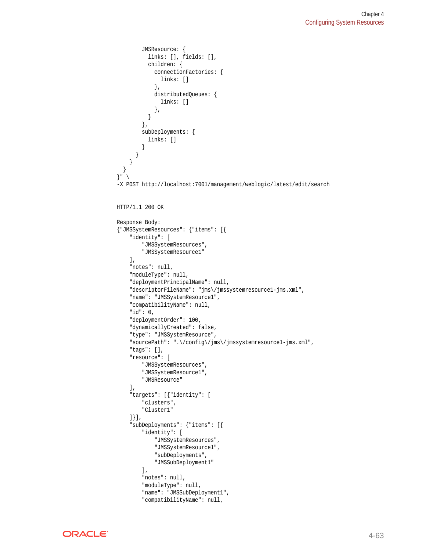```
 JMSResource: {
           links: [], fields: [],
           children: {
              connectionFactories: {
                links: []
              },
             distributedQueues: {
                links: []
              },
 }
         },
         subDeployments: {
           links: []
 }
       }
     }
   }
\}" \
-X POST http://localhost:7001/management/weblogic/latest/edit/search
HTTP/1.1 200 OK
Response Body:
{"JMSSystemResources": {"items": [{
     "identity": [
         "JMSSystemResources",
          "JMSSystemResource1"
     ],
     "notes": null,
     "moduleType": null,
     "deploymentPrincipalName": null,
     "descriptorFileName": "jms\/jmssystemresource1-jms.xml",
     "name": "JMSSystemResource1",
     "compatibilityName": null,
     "id": 0,
     "deploymentOrder": 100,
     "dynamicallyCreated": false,
     "type": "JMSSystemResource",
     "sourcePath": ".\/config\/jms\/jmssystemresource1-jms.xml",
     "tags": [],
     "resource": [
         "JMSSystemResources",
         "JMSSystemResource1",
         "JMSResource"
    \mathbf{I},
     "targets": [{"identity": [
         "clusters",
          "Cluster1"
     ]}],
     "subDeployments": {"items": [{
         "identity": [
              "JMSSystemResources",
              "JMSSystemResource1",
              "subDeployments",
              "JMSSubDeployment1"
         ],
          "notes": null,
          "moduleType": null,
          "name": "JMSSubDeployment1",
          "compatibilityName": null,
```
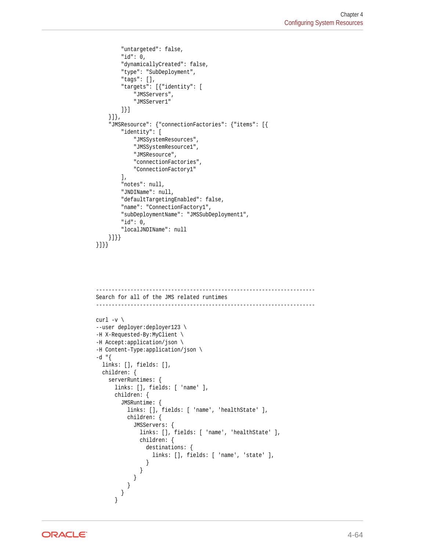```
 "untargeted": false,
         "id": 0,
         "dynamicallyCreated": false,
         "type": "SubDeployment",
         "tags": [],
         "targets": [{"identity": [
              "JMSServers",
              "JMSServer1"
         ]}]
     }]},
     "JMSResource": {"connectionFactories": {"items": [{
         "identity": [
              "JMSSystemResources",
              "JMSSystemResource1",
              "JMSResource",
              "connectionFactories",
              "ConnectionFactory1"
        \mathbf{1},
         "notes": null,
         "JNDIName": null,
         "defaultTargetingEnabled": false,
         "name": "ConnectionFactory1",
         "subDeploymentName": "JMSSubDeployment1",
         "id": 0,
         "localJNDIName": null
     }]}}
}]}}
```

```
----------------------------------------------------------------------
Search for all of the JMS related runtimes
----------------------------------------------------------------------
curl -v \backslash--user deployer:deployer123 \
-H X-Requested-By:MyClient \
-H Accept:application/json \
-H Content-Type:application/json \
-d "{
  links: [], fields: [],
  children: {
    serverRuntimes: {
      links: [], fields: [ 'name' ],
      children: {
        JMSRuntime: {
          links: [], fields: [ 'name', 'healthState' ],
          children: {
            JMSServers: {
              links: [], fields: [ 'name', 'healthState' ],
              children: {
                destinations: {
                  links: [], fields: [ 'name', 'state' ],
 }
 }
 }
 }
 }
      }
```
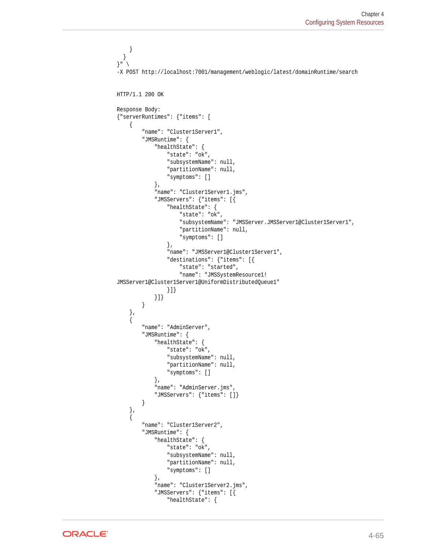```
 }
   }
}" \
-X POST http://localhost:7001/management/weblogic/latest/domainRuntime/search
HTTP/1.1 200 OK
Response Body:
{"serverRuntimes": {"items": [
     {
         "name": "Cluster1Server1",
         "JMSRuntime": {
              "healthState": {
                  "state": "ok",
                  "subsystemName": null,
                  "partitionName": null,
                  "symptoms": []
              },
              "name": "Cluster1Server1.jms",
              "JMSServers": {"items": [{
                  "healthState": {
                      "state": "ok",
                      "subsystemName": "JMSServer.JMSServer1@Cluster1Server1",
                      "partitionName": null,
                      "symptoms": []
                  },
                  "name": "JMSServer1@Cluster1Server1",
                  "destinations": {"items": [{
                      "state": "started",
                      "name": "JMSSystemResource1!
JMSServer1@Cluster1Server1@UniformDistributedQueue1"
                  }]}
             }]}
 }
     },
\left\{\right. "name": "AdminServer",
         "JMSRuntime": {
              "healthState": {
                  "state": "ok",
                  "subsystemName": null,
                  "partitionName": null,
                  "symptoms": []
              },
              "name": "AdminServer.jms",
              "JMSServers": {"items": []}
         }
     },
\left\{\right. "name": "Cluster1Server2",
         "JMSRuntime": {
              "healthState": {
                  "state": "ok",
                  "subsystemName": null,
                  "partitionName": null,
                  "symptoms": []
              },
              "name": "Cluster1Server2.jms",
              "JMSServers": {"items": [{
                  "healthState": {
```
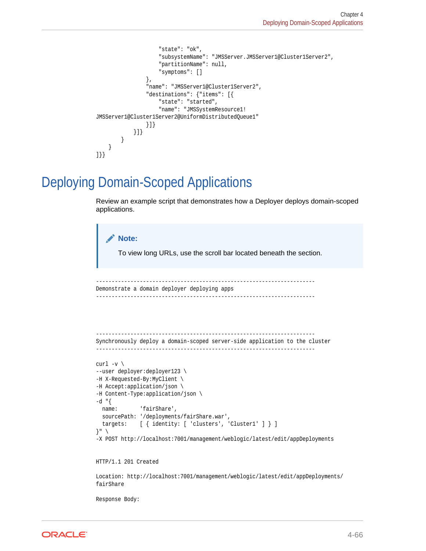```
 "state": "ok",
                      "subsystemName": "JMSServer.JMSServer1@Cluster1Server2",
                      "partitionName": null,
                      "symptoms": []
                  },
                  "name": "JMSServer1@Cluster1Server2",
                  "destinations": {"items": [{
                      "state": "started",
                      "name": "JMSSystemResource1!
JMSServer1@Cluster1Server2@UniformDistributedQueue1"
                  }]}
              }]}
         }
     }
]}}
```
## Deploying Domain-Scoped Applications

Review an example script that demonstrates how a Deployer deploys domain-scoped applications.

```
Note:
       To view long URLs, use the scroll bar located beneath the section.
 ----------------------------------------------------------------------
Demonstrate a domain deployer deploying apps
          ----------------------------------------------------------------------
----------------------------------------------------------------------
Synchronously deploy a domain-scoped server-side application to the cluster
-curl -v \backslash--user deployer:deployer123 \
-H X-Requested-By:MyClient \
-H Accept:application/json \
-H Content-Type:application/json \
-d "\{name: 'fairShare',
  sourcePath: '/deployments/fairShare.war',
  targets: [ { identity: [ 'clusters', 'Cluster1' ] } ]
}" \
-X POST http://localhost:7001/management/weblogic/latest/edit/appDeployments
HTTP/1.1 201 Created
Location: http://localhost:7001/management/weblogic/latest/edit/appDeployments/
fairShare
```
Response Body:

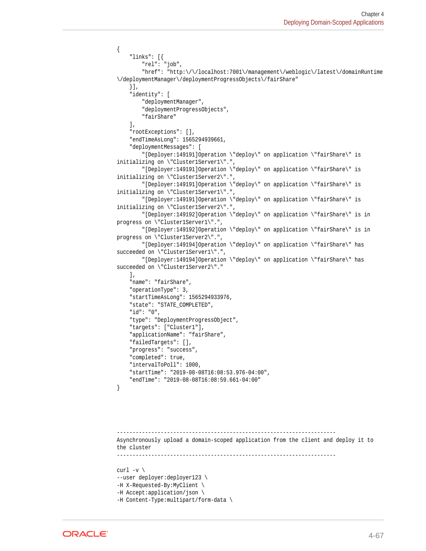```
{
     "links": [{
         "rel": "job",
         "href": "http:\/\/localhost:7001\/management\/weblogic\/latest\/domainRuntime
\/deploymentManager\/deploymentProgressObjects\/fairShare"
    \}],
     "identity": [
         "deploymentManager",
         "deploymentProgressObjects",
         "fairShare"
     ],
     "rootExceptions": [],
     "endTimeAsLong": 1565294939661,
     "deploymentMessages": [
         "[Deployer:149191]Operation \"deploy\" on application \"fairShare\" is 
initializing on \"Cluster1Server1\".",
         "[Deployer:149191]Operation \"deploy\" on application \"fairShare\" is 
initializing on \"Cluster1Server2\".",
         "[Deployer:149191]Operation \"deploy\" on application \"fairShare\" is 
initializing on \"Cluster1Server1\".",
         "[Deployer:149191]Operation \"deploy\" on application \"fairShare\" is 
initializing on \"Cluster1Server2\".",
         "[Deployer:149192]Operation \"deploy\" on application \"fairShare\" is in 
progress on \"Cluster1Server1\".",
         "[Deployer:149192]Operation \"deploy\" on application \"fairShare\" is in 
progress on \"Cluster1Server2\".",
         "[Deployer:149194]Operation \"deploy\" on application \"fairShare\" has 
succeeded on \"Cluster1Server1\".",
         "[Deployer:149194]Operation \"deploy\" on application \"fairShare\" has 
succeeded on \"Cluster1Server2\"."
     ],
     "name": "fairShare",
     "operationType": 3,
     "startTimeAsLong": 1565294933976,
     "state": "STATE_COMPLETED",
     "id": "0",
     "type": "DeploymentProgressObject",
     "targets": ["Cluster1"],
     "applicationName": "fairShare",
     "failedTargets": [],
     "progress": "success",
     "completed": true,
     "intervalToPoll": 1000,
     "startTime": "2019-08-08T16:08:53.976-04:00",
     "endTime": "2019-08-08T16:08:59.661-04:00"
}
            ----------------------------------------------------------------------
Asynchronously upload a domain-scoped application from the client and deploy it to 
the cluster
----------------------------------------------------------------------
curl -v \backslash--user deployer:deployer123 \
-H X-Requested-By:MyClient \
```

```
-H Accept:application/json \
```

```
-H Content-Type:multipart/form-data \
```
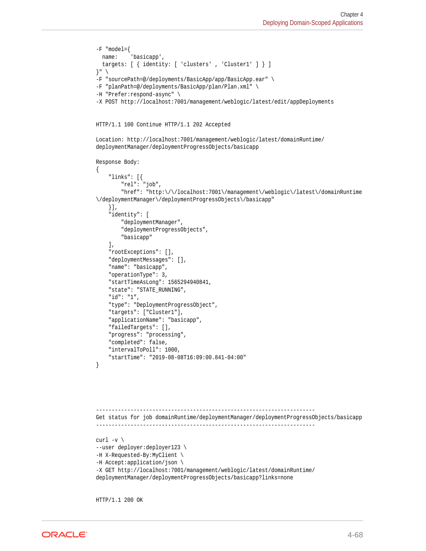```
-F "model={
   name: 'basicapp',
   targets: [ { identity: [ 'clusters' , 'Cluster1' ] } ]
}" \
-F "sourcePath=@/deployments/BasicApp/app/BasicApp.ear" \
-F "planPath=@/deployments/BasicApp/plan/Plan.xml" \
-H "Prefer:respond-async" \
-X POST http://localhost:7001/management/weblogic/latest/edit/appDeployments
HTTP/1.1 100 Continue HTTP/1.1 202 Accepted
Location: http://localhost:7001/management/weblogic/latest/domainRuntime/
deploymentManager/deploymentProgressObjects/basicapp
Response Body:
{
     "links": [{
         "rel": "job",
         "href": "http:\/\/localhost:7001\/management\/weblogic\/latest\/domainRuntime
\/deploymentManager\/deploymentProgressObjects\/basicapp"
     }],
     "identity": [
         "deploymentManager",
         "deploymentProgressObjects",
         "basicapp"
     ],
     "rootExceptions": [],
     "deploymentMessages": [],
     "name": "basicapp",
     "operationType": 3,
     "startTimeAsLong": 1565294940841,
     "state": "STATE_RUNNING",
     "id": "1",
     "type": "DeploymentProgressObject",
     "targets": ["Cluster1"],
     "applicationName": "basicapp",
     "failedTargets": [],
     "progress": "processing",
     "completed": false,
     "intervalToPoll": 1000,
     "startTime": "2019-08-08T16:09:00.841-04:00"
}
     ----------------------------------------------------------------------
Get status for job domainRuntime/deploymentManager/deploymentProgressObjects/basicapp
----------------------------------------------------------------------
curl -v \
--user deployer:deployer123 \
-H X-Requested-By:MyClient \
-H Accept:application/json \
-X GET http://localhost:7001/management/weblogic/latest/domainRuntime/
deploymentManager/deploymentProgressObjects/basicapp?links=none
```
HTTP/1.1 200 OK

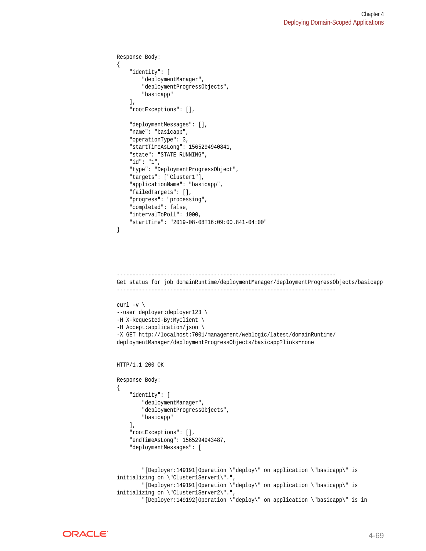```
Response Body:
{
     "identity": [
         "deploymentManager",
         "deploymentProgressObjects",
         "basicapp"
     ],
     "rootExceptions": [],
     "deploymentMessages": [],
     "name": "basicapp",
     "operationType": 3,
     "startTimeAsLong": 1565294940841,
     "state": "STATE_RUNNING",
     "id": "1",
     "type": "DeploymentProgressObject",
     "targets": ["Cluster1"],
     "applicationName": "basicapp",
     "failedTargets": [],
     "progress": "processing",
     "completed": false,
     "intervalToPoll": 1000,
     "startTime": "2019-08-08T16:09:00.841-04:00"
}
----------------------------------------------------------------------
Get status for job domainRuntime/deploymentManager/deploymentProgressObjects/basicapp
----------------------------------------------------------------------
curl -v \backslash--user deployer:deployer123 \
-H X-Requested-By:MyClient \
-H Accept:application/json \
-X GET http://localhost:7001/management/weblogic/latest/domainRuntime/
deploymentManager/deploymentProgressObjects/basicapp?links=none
HTTP/1.1 200 OK
Response Body:
{
     "identity": [
         "deploymentManager",
         "deploymentProgressObjects",
         "basicapp"
     ],
     "rootExceptions": [],
     "endTimeAsLong": 1565294943487,
     "deploymentMessages": [
         "[Deployer:149191]Operation \"deploy\" on application \"basicapp\" is 
initializing on \"Cluster1Server1\".",
         "[Deployer:149191]Operation \"deploy\" on application \"basicapp\" is 
initializing on \"Cluster1Server2\".",
         "[Deployer:149192]Operation \"deploy\" on application \"basicapp\" is in
```
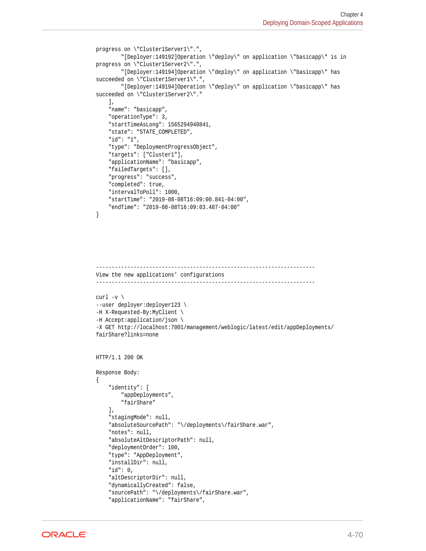```
progress on \"Cluster1Server1\".",
         "[Deployer:149192]Operation \"deploy\" on application \"basicapp\" is in 
progress on \"Cluster1Server2\".",
         "[Deployer:149194]Operation \"deploy\" on application \"basicapp\" has 
succeeded on \"Cluster1Server1\".",
        "[Deployer:149194]Operation \"deploy\" on application \"basicapp\" has 
succeeded on \"Cluster1Server2\"."
     ],
     "name": "basicapp",
     "operationType": 3,
     "startTimeAsLong": 1565294940841,
     "state": "STATE_COMPLETED",
     "id": "1",
     "type": "DeploymentProgressObject",
     "targets": ["Cluster1"],
     "applicationName": "basicapp",
     "failedTargets": [],
     "progress": "success",
     "completed": true,
     "intervalToPoll": 1000,
     "startTime": "2019-08-08T16:09:00.841-04:00",
     "endTime": "2019-08-08T16:09:03.487-04:00"
}
----------------------------------------------------------------------
View the new applications' configurations
----------------------------------------------------------------------
```

```
curl -v \backslash--user deployer:deployer123 \
-H X-Requested-By:MyClient \
-H Accept:application/json \
-X GET http://localhost:7001/management/weblogic/latest/edit/appDeployments/
fairShare?links=none
```

```
HTTP/1.1 200 OK
```

```
Response Body:
{
     "identity": [
         "appDeployments",
         "fairShare"
     ],
     "stagingMode": null,
     "absoluteSourcePath": "\/deployments\/fairShare.war",
     "notes": null,
     "absoluteAltDescriptorPath": null,
     "deploymentOrder": 100,
     "type": "AppDeployment",
     "installDir": null,
     "id": 0,
     "altDescriptorDir": null,
     "dynamicallyCreated": false,
     "sourcePath": "\/deployments\/fairShare.war",
     "applicationName": "fairShare",
```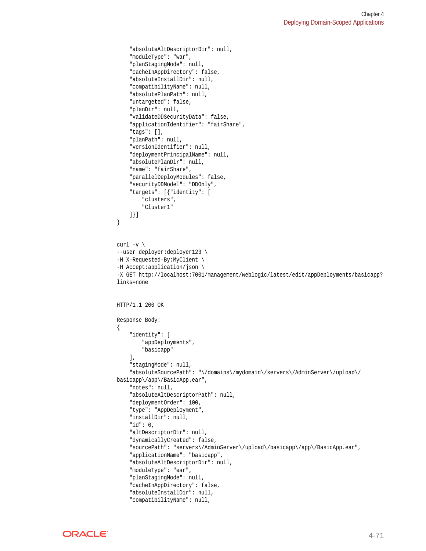```
 "absoluteAltDescriptorDir": null,
     "moduleType": "war",
     "planStagingMode": null,
     "cacheInAppDirectory": false,
     "absoluteInstallDir": null,
     "compatibilityName": null,
     "absolutePlanPath": null,
     "untargeted": false,
     "planDir": null,
     "validateDDSecurityData": false,
     "applicationIdentifier": "fairShare",
     "tags": [],
     "planPath": null,
     "versionIdentifier": null,
     "deploymentPrincipalName": null,
     "absolutePlanDir": null,
     "name": "fairShare",
     "parallelDeployModules": false,
     "securityDDModel": "DDOnly",
     "targets": [{"identity": [
         "clusters",
         "Cluster1"
     ]}]
}
curl -v \backslash--user deployer:deployer123 \
-H X-Requested-By:MyClient \
-H Accept:application/json \
-X GET http://localhost:7001/management/weblogic/latest/edit/appDeployments/basicapp?
links=none
HTTP/1.1 200 OK
Response Body:
{
     "identity": [
         "appDeployments",
         "basicapp"
    \cdot "stagingMode": null,
     "absoluteSourcePath": "\/domains\/mydomain\/servers\/AdminServer\/upload\/
basicapp\/app\/BasicApp.ear",
     "notes": null,
     "absoluteAltDescriptorPath": null,
     "deploymentOrder": 100,
     "type": "AppDeployment",
     "installDir": null,
     "id": 0,
     "altDescriptorDir": null,
     "dynamicallyCreated": false,
     "sourcePath": "servers\/AdminServer\/upload\/basicapp\/app\/BasicApp.ear",
     "applicationName": "basicapp",
     "absoluteAltDescriptorDir": null,
     "moduleType": "ear",
     "planStagingMode": null,
     "cacheInAppDirectory": false,
     "absoluteInstallDir": null,
     "compatibilityName": null,
```
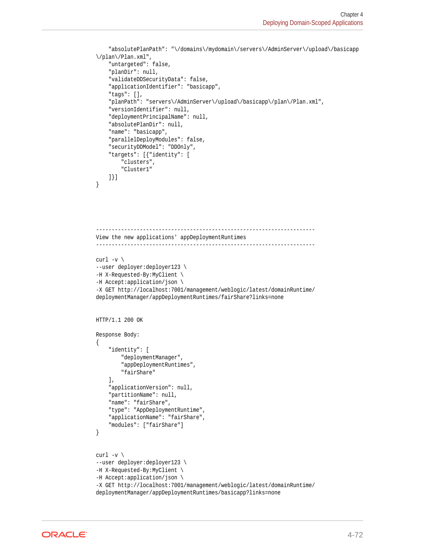```
 "absolutePlanPath": "\/domains\/mydomain\/servers\/AdminServer\/upload\/basicapp
\/plan\/Plan.xml",
     "untargeted": false,
     "planDir": null,
     "validateDDSecurityData": false,
     "applicationIdentifier": "basicapp",
     "tags": [],
     "planPath": "servers\/AdminServer\/upload\/basicapp\/plan\/Plan.xml",
     "versionIdentifier": null,
     "deploymentPrincipalName": null,
     "absolutePlanDir": null,
     "name": "basicapp",
     "parallelDeployModules": false,
     "securityDDModel": "DDOnly",
     "targets": [{"identity": [
         "clusters",
         "Cluster1"
     ]}]
}
----------------------------------------------------------------------
View the new applications' appDeploymentRuntimes
----------------------------------------------------------------------
curl -v \backslash--user deployer:deployer123 \
-H X-Requested-By:MyClient \
-H Accept:application/json \
-X GET http://localhost:7001/management/weblogic/latest/domainRuntime/
deploymentManager/appDeploymentRuntimes/fairShare?links=none
HTTP/1.1 200 OK
Response Body:
{
     "identity": [
         "deploymentManager",
         "appDeploymentRuntimes",
         "fairShare"
    \mathbf{1},
     "applicationVersion": null,
     "partitionName": null,
     "name": "fairShare",
     "type": "AppDeploymentRuntime",
     "applicationName": "fairShare",
     "modules": ["fairShare"]
}
curl -v \backslash--user deployer:deployer123 \
-H X-Requested-By:MyClient \
-H Accept:application/json \
-X GET http://localhost:7001/management/weblogic/latest/domainRuntime/
deploymentManager/appDeploymentRuntimes/basicapp?links=none
```
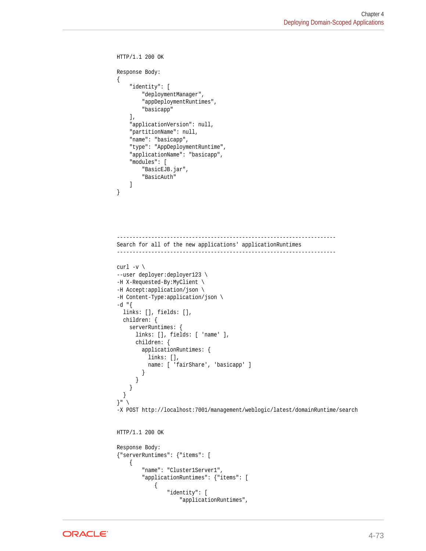```
HTTP/1.1 200 OK
Response Body:
{
     "identity": [
         "deploymentManager",
         "appDeploymentRuntimes",
         "basicapp"
     ],
     "applicationVersion": null,
     "partitionName": null,
     "name": "basicapp",
     "type": "AppDeploymentRuntime",
     "applicationName": "basicapp",
     "modules": [
         "BasicEJB.jar",
         "BasicAuth"
     ]
}
----------------------------------------------------------------------
Search for all of the new applications' applicationRuntimes
       ----------------------------------------------------------------------
curl -v \backslash--user deployer:deployer123 \
-H X-Requested-By:MyClient \
-H Accept:application/json \
-H Content-Type:application/json \
-d "{
   links: [], fields: [],
   children: {
     serverRuntimes: {
       links: [], fields: [ 'name' ],
       children: {
         applicationRuntimes: {
           links: [],
           name: [ 'fairShare', 'basicapp' ]
         }
       }
     }
  }
\}" \
-X POST http://localhost:7001/management/weblogic/latest/domainRuntime/search
HTTP/1.1 200 OK
Response Body:
{"serverRuntimes": {"items": [
     {
         "name": "Cluster1Server1",
         "applicationRuntimes": {"items": [
              {
                  "identity": [
                      "applicationRuntimes",
```
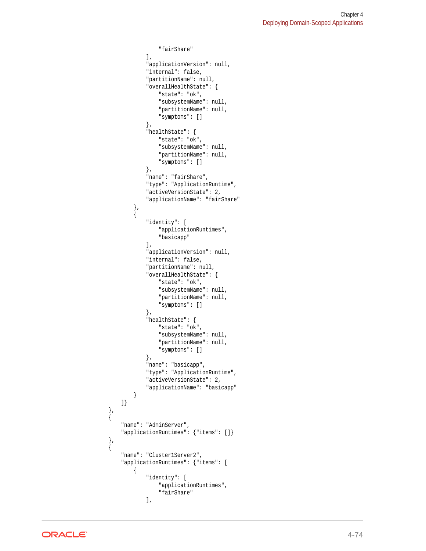```
 "fairShare"
                 ],
                  "applicationVersion": null,
                  "internal": false,
                  "partitionName": null,
                  "overallHealthState": {
                      "state": "ok",
                      "subsystemName": null,
                      "partitionName": null,
                      "symptoms": []
                 },
                  "healthState": {
                      "state": "ok",
                      "subsystemName": null,
                      "partitionName": null,
                      "symptoms": []
                 },
                  "name": "fairShare",
                  "type": "ApplicationRuntime",
                  "activeVersionState": 2,
                  "applicationName": "fairShare"
             },
\{ "identity": [
                      "applicationRuntimes",
                      "basicapp"
                 ],
                  "applicationVersion": null,
                  "internal": false,
                  "partitionName": null,
                  "overallHealthState": {
                      "state": "ok",
                      "subsystemName": null,
                      "partitionName": null,
                      "symptoms": []
                 },
                  "healthState": {
                      "state": "ok",
                      "subsystemName": null,
                      "partitionName": null,
                      "symptoms": []
                 },
                  "name": "basicapp",
                  "type": "ApplicationRuntime",
                  "activeVersionState": 2,
                  "applicationName": "basicapp"
 }
         ]}
    },
    {
         "name": "AdminServer",
         "applicationRuntimes": {"items": []}
    },
    {
         "name": "Cluster1Server2",
         "applicationRuntimes": {"items": [
             {
                  "identity": [
                      "applicationRuntimes",
                      "fairShare"
                 ],
```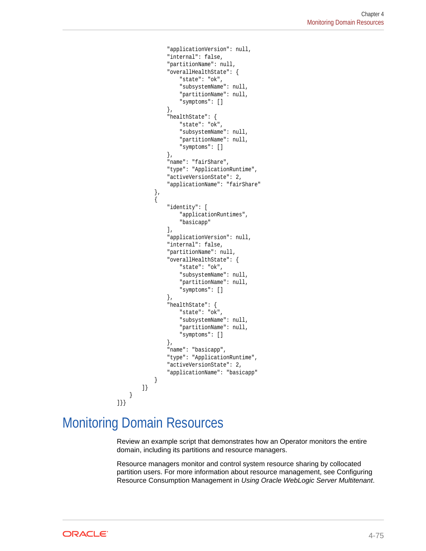```
 "applicationVersion": null,
                   "internal": false,
                   "partitionName": null,
                   "overallHealthState": {
                       "state": "ok",
                       "subsystemName": null,
                       "partitionName": null,
                       "symptoms": []
                  },
                   "healthState": {
                       "state": "ok",
                       "subsystemName": null,
                       "partitionName": null,
                       "symptoms": []
                  },
                   "name": "fairShare",
                   "type": "ApplicationRuntime",
                   "activeVersionState": 2,
                   "applicationName": "fairShare"
              },
 {
                   "identity": [
                       "applicationRuntimes",
                       "basicapp"
                  ],
                   "applicationVersion": null,
                   "internal": false,
                   "partitionName": null,
                   "overallHealthState": {
                       "state": "ok",
                       "subsystemName": null,
                       "partitionName": null,
                       "symptoms": []
                   },
                   "healthState": {
                       "state": "ok",
                       "subsystemName": null,
                       "partitionName": null,
                       "symptoms": []
                  },
                   "name": "basicapp",
                  "type": "ApplicationRuntime",
                   "activeVersionState": 2,
                   "applicationName": "basicapp"
 }
         ]}
\left\{\begin{array}{ccc} \end{array}\right\}]}}
```
## Monitoring Domain Resources

Review an example script that demonstrates how an Operator monitors the entire domain, including its partitions and resource managers.

Resource managers monitor and control system resource sharing by collocated partition users. For more information about resource management, see Configuring Resource Consumption Management in *Using Oracle WebLogic Server Multitenant*.

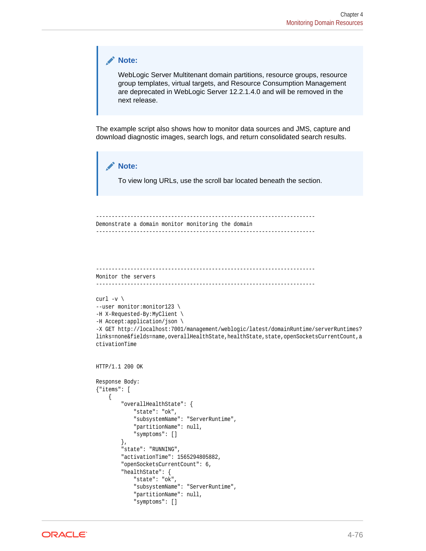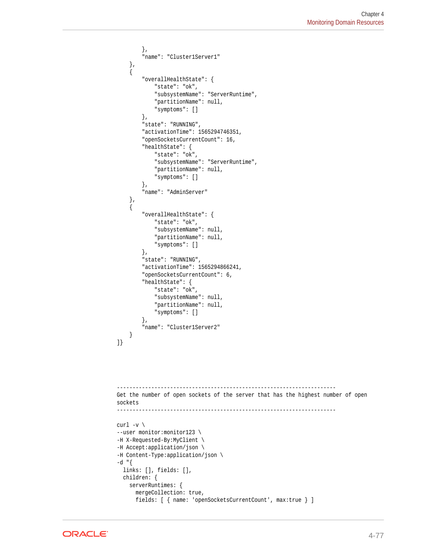```
 },
          "name": "Cluster1Server1"
     },
     {
          "overallHealthState": {
              "state": "ok",
              "subsystemName": "ServerRuntime",
              "partitionName": null,
              "symptoms": []
          },
          "state": "RUNNING",
          "activationTime": 1565294746351,
          "openSocketsCurrentCount": 16,
          "healthState": {
             "state": "ok",
              "subsystemName": "ServerRuntime",
              "partitionName": null,
              "symptoms": []
         },
          "name": "AdminServer"
     },
     {
          "overallHealthState": {
             "state": "ok",
              "subsystemName": null,
              "partitionName": null,
              "symptoms": []
         },
          "state": "RUNNING",
          "activationTime": 1565294866241,
          "openSocketsCurrentCount": 6,
          "healthState": {
              "state": "ok",
              "subsystemName": null,
              "partitionName": null,
              "symptoms": []
          },
          "name": "Cluster1Server2"
     }
]}
            ----------------------------------------------------------------------
Get the number of open sockets of the server that has the highest number of open 
sockets
----------------------------------------------------------------------
curl -v \backslash--user monitor: monitor123 \
-H X-Requested-By:MyClient \
-H Accept:application/json \
-H Content-Type:application/json \
-d "\{ links: [], fields: [],
   children: {
     serverRuntimes: {
       mergeCollection: true,
       fields: [ { name: 'openSocketsCurrentCount', max:true } ]
```
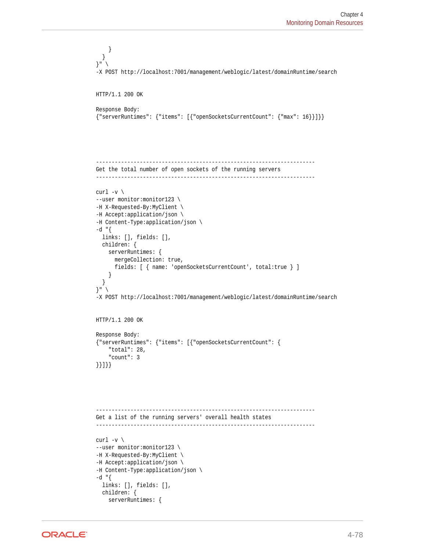```
 }
   }
}" \
-X POST http://localhost:7001/management/weblogic/latest/domainRuntime/search
HTTP/1.1 200 OK
Response Body:
{"serverRuntimes": {"items": [{"openSocketsCurrentCount": {"max": 16}}]}}
        ----------------------------------------------------------------------
Get the total number of open sockets of the running servers
----------------------------------------------------------------------
curl -v \backslash--user monitor:monitor123 \
-H X-Requested-By:MyClient \
-H Accept:application/json \
-H Content-Type:application/json \
-d "\{ links: [], fields: [],
   children: {
     serverRuntimes: {
       mergeCollection: true,
       fields: [ { name: 'openSocketsCurrentCount', total:true } ]
\left\{\begin{array}{ccc} \end{array}\right\} }
\}" \
-X POST http://localhost:7001/management/weblogic/latest/domainRuntime/search
HTTP/1.1 200 OK
Response Body:
{"serverRuntimes": {"items": [{"openSocketsCurrentCount": {
     "total": 28,
     "count": 3
}}]}}
----------------------------------------------------------------------
Get a list of the running servers' overall health states
----------------------------------------------------------------------
curl -v \backslash--user monitor:monitor123 \
-H X-Requested-By:MyClient \
-H Accept:application/json \
-H Content-Type:application/json \
-d "{
   links: [], fields: [],
   children: {
     serverRuntimes: {
```
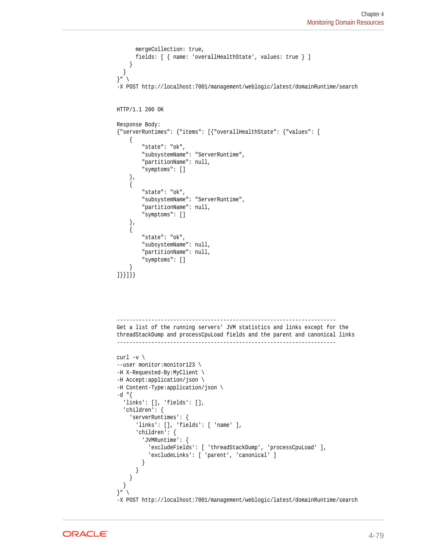```
 mergeCollection: true,
       fields: [ { name: 'overallHealthState', values: true } ]
     }
   }
}" \
-X POST http://localhost:7001/management/weblogic/latest/domainRuntime/search
HTTP/1.1 200 OK
Response Body:
{"serverRuntimes": {"items": [{"overallHealthState": {"values": [
\mathcal{A} "state": "ok",
          "subsystemName": "ServerRuntime",
          "partitionName": null,
          "symptoms": []
     },
\left\{\right. "state": "ok",
          "subsystemName": "ServerRuntime",
          "partitionName": null,
          "symptoms": []
     },
\left\{\right. "state": "ok",
          "subsystemName": null,
          "partitionName": null,
          "symptoms": []
\left\{\begin{array}{ccc} \end{array}\right\}]}}]}}
       ----------------------------------------------------------------------
Get a list of the running servers' JVM statistics and links except for the 
threadStackDump and processCpuLoad fields and the parent and canonical links
     ----------------------------------------------------------------------
curl -v \backslash--user monitor:monitor123 \
-H X-Requested-By:MyClient \
-H Accept:application/json \
-H Content-Type:application/json \
-d "\{ 'links': [], 'fields': [],
   'children': {
     'serverRuntimes': {
       'links': [], 'fields': [ 'name' ],
        'children': {
          'JVMRuntime': {
            'excludeFields': [ 'threadStackDump', 'processCpuLoad' ],
            'excludeLinks': [ 'parent', 'canonical' ]
          }
       }
     }
   }
}" \
-X POST http://localhost:7001/management/weblogic/latest/domainRuntime/search
```
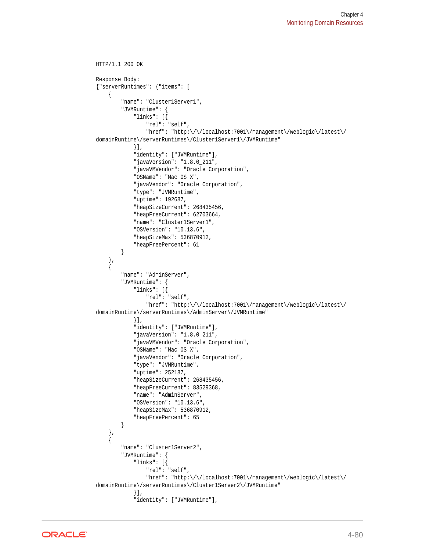```
HTTP/1.1 200 OK
Response Body:
{"serverRuntimes": {"items": [
\left\{\right. "name": "Cluster1Server1",
         "JVMRuntime": {
              "links": [{
                  "rel": "self",
                  "href": "http:\/\/localhost:7001\/management\/weblogic\/latest\/
domainRuntime\/serverRuntimes\/Cluster1Server1\/JVMRuntime"
              }],
              "identity": ["JVMRuntime"],
              "javaVersion": "1.8.0_211",
              "javaVMVendor": "Oracle Corporation",
              "OSName": "Mac OS X",
              "javaVendor": "Oracle Corporation",
              "type": "JVMRuntime",
              "uptime": 192687,
              "heapSizeCurrent": 268435456,
              "heapFreeCurrent": 62703664,
              "name": "Cluster1Server1",
              "OSVersion": "10.13.6",
              "heapSizeMax": 536870912,
              "heapFreePercent": 61
         }
     },
\left\{\right. "name": "AdminServer",
         "JVMRuntime": {
              "links": [{
                  "rel": "self",
                  "href": "http:\/\/localhost:7001\/management\/weblogic\/latest\/
domainRuntime\/serverRuntimes\/AdminServer\/JVMRuntime"
              }],
              "identity": ["JVMRuntime"],
              "javaVersion": "1.8.0_211",
              "javaVMVendor": "Oracle Corporation",
              "OSName": "Mac OS X",
              "javaVendor": "Oracle Corporation",
              "type": "JVMRuntime",
              "uptime": 252187,
              "heapSizeCurrent": 268435456,
              "heapFreeCurrent": 83529368,
              "name": "AdminServer",
              "OSVersion": "10.13.6",
              "heapSizeMax": 536870912,
              "heapFreePercent": 65
         }
     },
\mathcal{A} "name": "Cluster1Server2",
         "JVMRuntime": {
              "links": [{
                  "rel": "self",
                  "href": "http:\/\/localhost:7001\/management\/weblogic\/latest\/
domainRuntime\/serverRuntimes\/Cluster1Server2\/JVMRuntime"
              }],
              "identity": ["JVMRuntime"],
```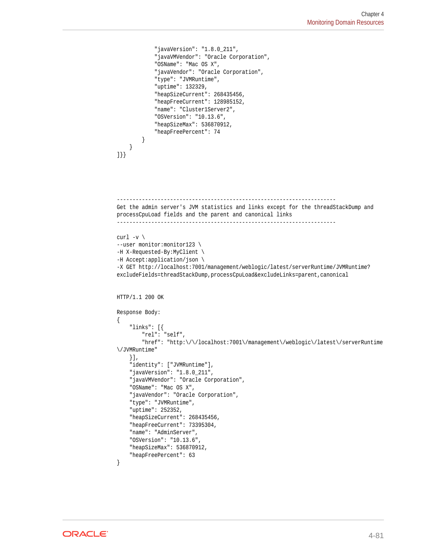```
 "javaVersion": "1.8.0_211",
              "javaVMVendor": "Oracle Corporation",
              "OSName": "Mac OS X",
              "javaVendor": "Oracle Corporation",
              "type": "JVMRuntime",
              "uptime": 132329,
              "heapSizeCurrent": 268435456,
              "heapFreeCurrent": 128985152,
              "name": "Cluster1Server2",
              "OSVersion": "10.13.6",
              "heapSizeMax": 536870912,
              "heapFreePercent": 74
         }
\left\{\begin{array}{ccc} \end{array}\right\}]}}
                                           -Get the admin server's JVM statistics and links except for the threadStackDump and 
processCpuLoad fields and the parent and canonical links
    ----------------------------------------------------------------------
curl -v \backslash--user monitor: monitor123 \
-H X-Requested-By:MyClient \
-H Accept:application/json \
-X GET http://localhost:7001/management/weblogic/latest/serverRuntime/JVMRuntime?
excludeFields=threadStackDump,processCpuLoad&excludeLinks=parent,canonical
HTTP/1.1 200 OK
Response Body:
{
     "links": [{
         "rel": "self",
          "href": "http:\/\/localhost:7001\/management\/weblogic\/latest\/serverRuntime
\/JVMRuntime"
     }],
     "identity": ["JVMRuntime"],
     "javaVersion": "1.8.0_211",
     "javaVMVendor": "Oracle Corporation",
     "OSName": "Mac OS X",
     "javaVendor": "Oracle Corporation",
     "type": "JVMRuntime",
     "uptime": 252352,
     "heapSizeCurrent": 268435456,
     "heapFreeCurrent": 73395304,
     "name": "AdminServer",
     "OSVersion": "10.13.6",
     "heapSizeMax": 536870912,
     "heapFreePercent": 63
}
```
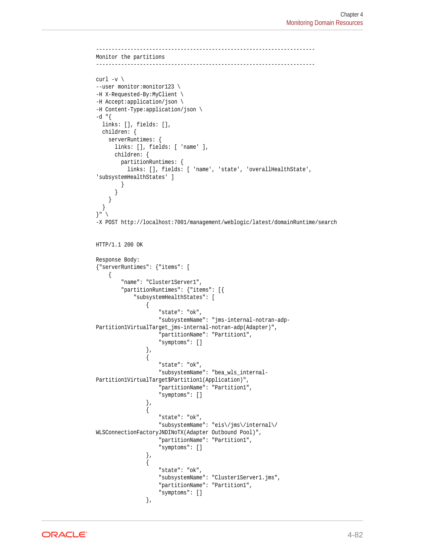```
-Monitor the partitions
----------------------------------------------------------------------
curl -v \backslash--user monitor:monitor123 \
-H X-Requested-By:MyClient \
-H Accept:application/json \
-H Content-Type:application/json \
-d "\{ links: [], fields: [],
   children: {
     serverRuntimes: {
        links: [], fields: [ 'name' ],
        children: {
          partitionRuntimes: {
           links: [], fields: [ 'name', 'state', 'overallHealthState',
'subsystemHealthStates' ]
 }
 }
      }
   }
}" \
-X POST http://localhost:7001/management/weblogic/latest/domainRuntime/search
HTTP/1.1 200 OK
Response Body:
{"serverRuntimes": {"items": [
\left\{\right. "name": "Cluster1Server1",
           "partitionRuntimes": {"items": [{
               "subsystemHealthStates": [
\left\{ \begin{array}{ccc} 1 & 1 & 1 \\ 1 & 1 & 1 \end{array} \right\} "state": "ok",
                         "subsystemName": "jms-internal-notran-adp-
Partition1VirtualTarget_jms-internal-notran-adp(Adapter)",
                         "partitionName": "Partition1",
                         "symptoms": []
                    },
\left\{ \begin{array}{ccc} 1 & 1 & 1 \\ 1 & 1 & 1 \end{array} \right\} "state": "ok",
                         "subsystemName": "bea_wls_internal-
Partition1VirtualTarget$Partition1(Application)",
                         "partitionName": "Partition1",
                         "symptoms": []
                    },
\left\{ \begin{array}{ccc} 1 & 1 & 1 \\ 1 & 1 & 1 \end{array} \right\} "state": "ok",
                         "subsystemName": "eis\/jms\/internal\/
WLSConnectionFactoryJNDINoTX(Adapter Outbound Pool)",
                         "partitionName": "Partition1",
                         "symptoms": []
                    },
\left\{ \begin{array}{ccc} 1 & 1 & 1 \\ 1 & 1 & 1 \end{array} \right\} "state": "ok",
                         "subsystemName": "Cluster1Server1.jms",
                         "partitionName": "Partition1",
                         "symptoms": []
                    },
```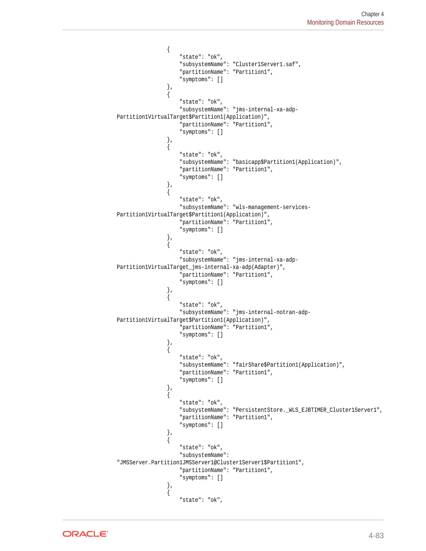```
\left\{ \begin{array}{ccc} 1 & 1 & 1 \\ 1 & 1 & 1 \end{array} \right\} "state": "ok",
                            "subsystemName": "Cluster1Server1.saf",
                            "partitionName": "Partition1",
                            "symptoms": []
                      },
\left\{ \begin{array}{ccc} 1 & 1 & 1 \\ 1 & 1 & 1 \end{array} \right\} "state": "ok",
                            "subsystemName": "jms-internal-xa-adp-
Partition1VirtualTarget$Partition1(Application)",
                            "partitionName": "Partition1",
                            "symptoms": []
                       },
\left\{ \begin{array}{ccc} 1 & 1 & 1 \\ 1 & 1 & 1 \end{array} \right\} "state": "ok",
                            "subsystemName": "basicapp$Partition1(Application)",
                            "partitionName": "Partition1",
                            "symptoms": []
                       },
\left\{ \begin{array}{ccc} 1 & 1 & 1 \\ 1 & 1 & 1 \end{array} \right\} "state": "ok",
                            "subsystemName": "wls-management-services-
Partition1VirtualTarget$Partition1(Application)",
                            "partitionName": "Partition1",
                            "symptoms": []
                      },
\left\{ \begin{array}{ccc} 1 & 1 & 1 \\ 1 & 1 & 1 \end{array} \right\} "state": "ok",
                            "subsystemName": "jms-internal-xa-adp-
Partition1VirtualTarget_jms-internal-xa-adp(Adapter)",
                            "partitionName": "Partition1",
                            "symptoms": []
                      },
\left\{ \begin{array}{ccc} 1 & 1 & 1 \\ 1 & 1 & 1 \end{array} \right\} "state": "ok",
                            "subsystemName": "jms-internal-notran-adp-
Partition1VirtualTarget$Partition1(Application)",
                            "partitionName": "Partition1",
                            "symptoms": []
                       },
\left\{ \begin{array}{ccc} 1 & 1 & 1 \\ 1 & 1 & 1 \end{array} \right\} "state": "ok",
                            "subsystemName": "fairShare$Partition1(Application)",
                            "partitionName": "Partition1",
                            "symptoms": []
                       },
\left\{ \begin{array}{ccc} 1 & 1 & 1 \\ 1 & 1 & 1 \end{array} \right\} "state": "ok",
                            "subsystemName": "PersistentStore._WLS_EJBTIMER_Cluster1Server1",
                            "partitionName": "Partition1",
                            "symptoms": []
                       },
\{ "state": "ok",
                            "subsystemName": 
"JMSServer.Partition1JMSServer1@Cluster1Server1$Partition1",
                            "partitionName": "Partition1",
                            "symptoms": []
                       },
\left\{ \begin{array}{ccc} 1 & 1 & 1 \\ 1 & 1 & 1 \end{array} \right\} "state": "ok",
```
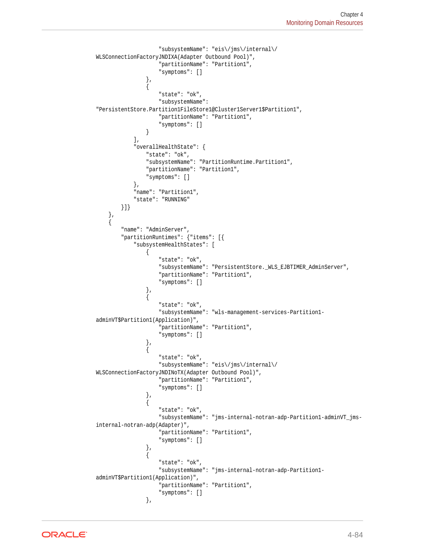```
 "subsystemName": "eis\/jms\/internal\/
WLSConnectionFactoryJNDIXA(Adapter Outbound Pool)",
                        "partitionName": "Partition1",
                        "symptoms": []
                    },
\left\{ \begin{array}{ccc} 1 & 1 & 1 \\ 1 & 1 & 1 \end{array} \right\} "state": "ok",
                        "subsystemName": 
"PersistentStore.Partition1FileStore1@Cluster1Server1$Partition1",
                        "partitionName": "Partition1",
                        "symptoms": []
 }
              \mathbf{1},
               "overallHealthState": {
                   "state": "ok",
                   "subsystemName": "PartitionRuntime.Partition1",
                   "partitionName": "Partition1",
                   "symptoms": []
               },
               "name": "Partition1",
               "state": "RUNNING"
          }]}
     },
     {
          "name": "AdminServer",
          "partitionRuntimes": {"items": [{
               "subsystemHealthStates": [
\{ "state": "ok",
                        "subsystemName": "PersistentStore._WLS_EJBTIMER_AdminServer",
                        "partitionName": "Partition1",
                        "symptoms": []
                   },
\left\{ \begin{array}{ccc} 1 & 1 & 1 \\ 1 & 1 & 1 \end{array} \right\} "state": "ok",
                        "subsystemName": "wls-management-services-Partition1-
adminVT$Partition1(Application)",
                        "partitionName": "Partition1",
                        "symptoms": []
                    },
\left\{ \begin{array}{ccc} 1 & 1 & 1 \\ 1 & 1 & 1 \end{array} \right\} "state": "ok",
                        "subsystemName": "eis\/jms\/internal\/
WLSConnectionFactoryJNDINoTX(Adapter Outbound Pool)",
                        "partitionName": "Partition1",
                        "symptoms": []
                    },
\{ "state": "ok",
                        "subsystemName": "jms-internal-notran-adp-Partition1-adminVT_jms-
internal-notran-adp(Adapter)",
                        "partitionName": "Partition1",
                        "symptoms": []
                    },
\left\{ \begin{array}{ccc} 1 & 1 & 1 \\ 1 & 1 & 1 \end{array} \right\} "state": "ok",
                        "subsystemName": "jms-internal-notran-adp-Partition1-
adminVT$Partition1(Application)",
                        "partitionName": "Partition1",
                        "symptoms": []
                   },
```
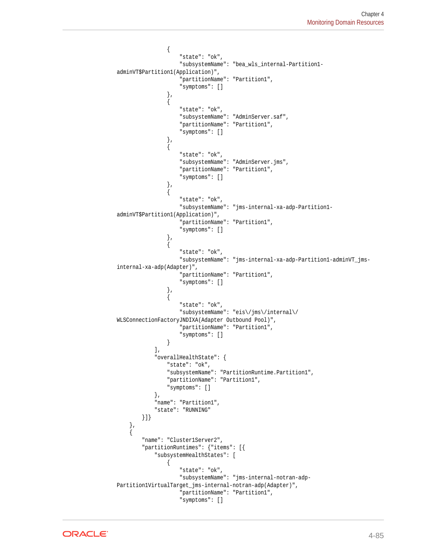```
\left\{ \begin{array}{ccc} 1 & 1 & 1 \\ 1 & 1 & 1 \end{array} \right\} "state": "ok",
                          "subsystemName": "bea_wls_internal-Partition1-
adminVT$Partition1(Application)",
                          "partitionName": "Partition1",
                          "symptoms": []
                     },
\{ "state": "ok",
                          "subsystemName": "AdminServer.saf",
                          "partitionName": "Partition1",
                          "symptoms": []
                     },
\left\{ \begin{array}{ccc} 1 & 1 & 1 \\ 1 & 1 & 1 \end{array} \right\} "state": "ok",
                          "subsystemName": "AdminServer.jms",
                          "partitionName": "Partition1",
                          "symptoms": []
                     },
\left\{ \begin{array}{ccc} 1 & 1 & 1 \\ 1 & 1 & 1 \end{array} \right\} "state": "ok",
                          "subsystemName": "jms-internal-xa-adp-Partition1-
adminVT$Partition1(Application)",
                          "partitionName": "Partition1",
                          "symptoms": []
                     },
\left\{ \begin{array}{ccc} 1 & 1 & 1 \\ 1 & 1 & 1 \end{array} \right\} "state": "ok",
                          "subsystemName": "jms-internal-xa-adp-Partition1-adminVT_jms-
internal-xa-adp(Adapter)",
                          "partitionName": "Partition1",
                          "symptoms": []
                     },
\left\{ \begin{array}{ccc} 1 & 1 & 1 \\ 1 & 1 & 1 \end{array} \right\} "state": "ok",
                          "subsystemName": "eis\/jms\/internal\/
WLSConnectionFactoryJNDIXA(Adapter Outbound Pool)",
                          "partitionName": "Partition1",
                          "symptoms": []
 }
                ],
                "overallHealthState": {
                     "state": "ok",
                     "subsystemName": "PartitionRuntime.Partition1",
                     "partitionName": "Partition1",
                     "symptoms": []
                },
                "name": "Partition1",
                "state": "RUNNING"
           }]}
      },
\left\{\right. "name": "Cluster1Server2",
           "partitionRuntimes": {"items": [{
                "subsystemHealthStates": [
\left\{ \begin{array}{ccc} 1 & 1 & 1 \\ 1 & 1 & 1 \end{array} \right\} "state": "ok",
                          "subsystemName": "jms-internal-notran-adp-
Partition1VirtualTarget_jms-internal-notran-adp(Adapter)",
                          "partitionName": "Partition1",
                          "symptoms": []
```
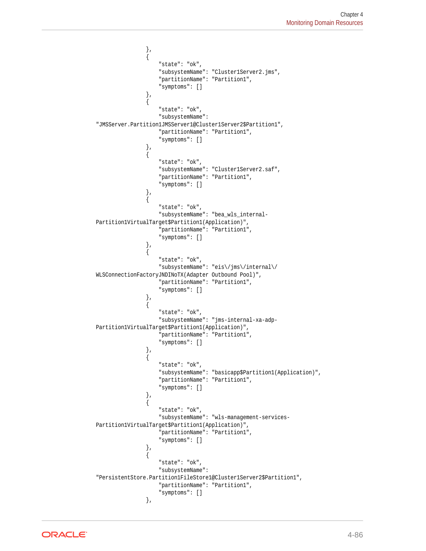```
 },
\left\{ \begin{array}{ccc} 1 & 1 & 1 \\ 1 & 1 & 1 \end{array} \right\} "state": "ok",
                          "subsystemName": "Cluster1Server2.jms",
                          "partitionName": "Partition1",
                          "symptoms": []
                     },
\{ "state": "ok",
                          "subsystemName": 
"JMSServer.Partition1JMSServer1@Cluster1Server2$Partition1",
                          "partitionName": "Partition1",
                          "symptoms": []
                     },
\left\{ \begin{array}{ccc} 1 & 1 & 1 \\ 1 & 1 & 1 \end{array} \right\} "state": "ok",
                          "subsystemName": "Cluster1Server2.saf",
                          "partitionName": "Partition1",
                          "symptoms": []
                     },
\left\{ \begin{array}{ccc} 1 & 1 & 1 \\ 1 & 1 & 1 \end{array} \right\} "state": "ok",
                          "subsystemName": "bea_wls_internal-
Partition1VirtualTarget$Partition1(Application)",
                          "partitionName": "Partition1",
                          "symptoms": []
                     },
\{ "state": "ok",
                          "subsystemName": "eis\/jms\/internal\/
WLSConnectionFactoryJNDINoTX(Adapter Outbound Pool)",
                          "partitionName": "Partition1",
                          "symptoms": []
                     },
\left\{ \begin{array}{ccc} 1 & 1 & 1 \\ 1 & 1 & 1 \end{array} \right\} "state": "ok",
                          "subsystemName": "jms-internal-xa-adp-
Partition1VirtualTarget$Partition1(Application)",
                          "partitionName": "Partition1",
                          "symptoms": []
                     },
\left\{ \begin{array}{ccc} 1 & 1 & 1 \\ 1 & 1 & 1 \end{array} \right\} "state": "ok",
                          "subsystemName": "basicapp$Partition1(Application)",
                          "partitionName": "Partition1",
                          "symptoms": []
                     },
\{ "state": "ok",
                          "subsystemName": "wls-management-services-
Partition1VirtualTarget$Partition1(Application)",
                          "partitionName": "Partition1",
                          "symptoms": []
                     },
\left\{ \begin{array}{ccc} 1 & 1 & 1 \\ 1 & 1 & 1 \end{array} \right\} "state": "ok",
                          "subsystemName": 
"PersistentStore.Partition1FileStore1@Cluster1Server2$Partition1",
                          "partitionName": "Partition1",
                          "symptoms": []
                     },
```
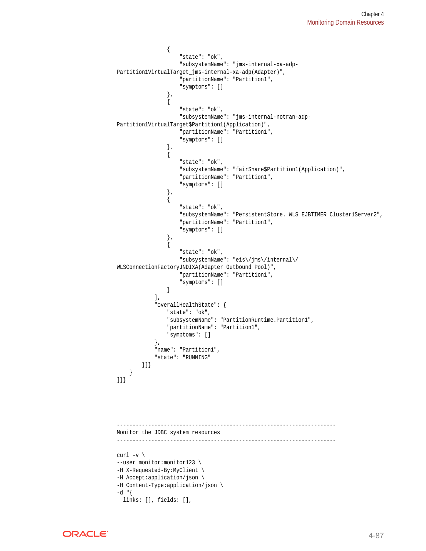```
\left\{ \begin{array}{ccc} 1 & 1 & 1 \\ 1 & 1 & 1 \end{array} \right\} "state": "ok",
                         "subsystemName": "jms-internal-xa-adp-
Partition1VirtualTarget_jms-internal-xa-adp(Adapter)",
                         "partitionName": "Partition1",
                         "symptoms": []
                    },
\{ "state": "ok",
                         "subsystemName": "jms-internal-notran-adp-
Partition1VirtualTarget$Partition1(Application)",
                         "partitionName": "Partition1",
                         "symptoms": []
                    },
\left\{ \begin{array}{ccc} 1 & 1 & 1 \\ 1 & 1 & 1 \end{array} \right\} "state": "ok",
                         "subsystemName": "fairShare$Partition1(Application)",
                         "partitionName": "Partition1",
                         "symptoms": []
                    },
\left\{ \begin{array}{ccc} 1 & 1 & 1 \\ 1 & 1 & 1 \end{array} \right\} "state": "ok",
                         "subsystemName": "PersistentStore._WLS_EJBTIMER_Cluster1Server2",
                         "partitionName": "Partition1",
                         "symptoms": []
                    },
\left\{ \begin{array}{ccc} 1 & 1 & 1 \\ 1 & 1 & 1 \end{array} \right\} "state": "ok",
                         "subsystemName": "eis\/jms\/internal\/
WLSConnectionFactoryJNDIXA(Adapter Outbound Pool)",
                         "partitionName": "Partition1",
                         "symptoms": []
 }
               ],
               "overallHealthState": {
                    "state": "ok",
                    "subsystemName": "PartitionRuntime.Partition1",
                    "partitionName": "Partition1",
                    "symptoms": []
               },
               "name": "Partition1",
               "state": "RUNNING"
          }]}
      }
]}}
 ----------------------------------------------------------------------
Monitor the JDBC system resources
----------------------------------------------------------------------
curl -v \backslash--user monitor:monitor123 \
-H X-Requested-By:MyClient \
-H Accept:application/json \
-H Content-Type:application/json \
-d "\{ links: [], fields: [],
```
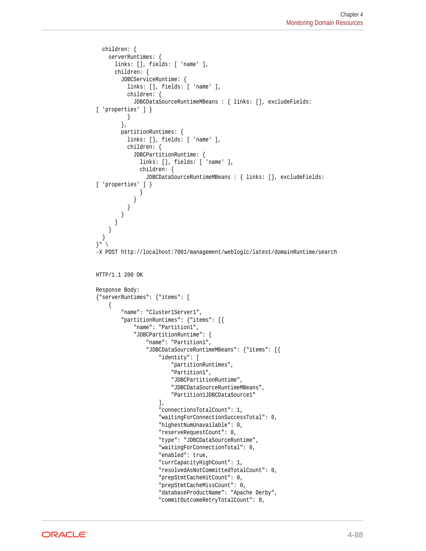```
 children: {
     serverRuntimes: {
       links: [], fields: [ 'name' ],
       children: {
         JDBCServiceRuntime: {
           links: [], fields: [ 'name' ],
           children: {
             JDBCDataSourceRuntimeMBeans : { links: [], excludeFields: 
[ 'properties' ] }
           }
         },
         partitionRuntimes: {
           links: [], fields: [ 'name' ],
           children: {
             JDBCPartitionRuntime: {
               links: [], fields: [ 'name' ],
               children: {
                 JDBCDataSourceRuntimeMBeans : { links: [], excludeFields: 
[ 'properties' ] }
 }
 }
           }
         }
       }
     }
   }
}" \
-X POST http://localhost:7001/management/weblogic/latest/domainRuntime/search
HTTP/1.1 200 OK
Response Body:
{"serverRuntimes": {"items": [
     {
         "name": "Cluster1Server1",
         "partitionRuntimes": {"items": [{
             "name": "Partition1",
             "JDBCPartitionRuntime": {
                 "name": "Partition1",
                  "JDBCDataSourceRuntimeMBeans": {"items": [{
                      "identity": [
                          "partitionRuntimes",
                          "Partition1",
                          "JDBCPartitionRuntime",
                          "JDBCDataSourceRuntimeMBeans",
                          "Partition1JDBCDataSource1"
                      ],
                      "connectionsTotalCount": 1,
                      "waitingForConnectionSuccessTotal": 0,
                      "highestNumUnavailable": 0,
                      "reserveRequestCount": 0,
                      "type": "JDBCDataSourceRuntime",
                      "waitingForConnectionTotal": 0,
                      "enabled": true,
                      "currCapacityHighCount": 1,
                      "resolvedAsNotCommittedTotalCount": 0,
                      "prepStmtCacheHitCount": 0,
                      "prepStmtCacheMissCount": 0,
                      "databaseProductName": "Apache Derby",
                      "commitOutcomeRetryTotalCount": 0,
```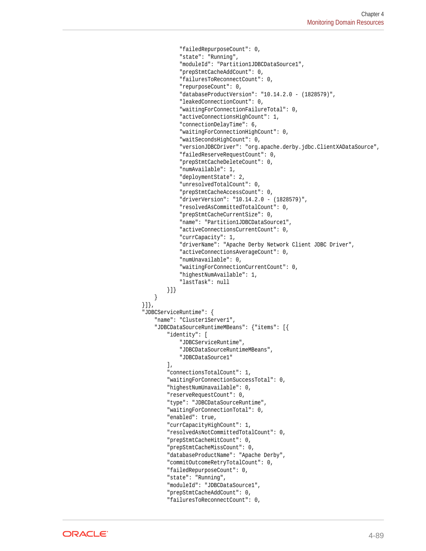```
 "failedRepurposeCount": 0,
                     "state": "Running",
                     "moduleId": "Partition1JDBCDataSource1",
                     "prepStmtCacheAddCount": 0,
                     "failuresToReconnectCount": 0,
                     "repurposeCount": 0,
                     "databaseProductVersion": "10.14.2.0 - (1828579)",
                     "leakedConnectionCount": 0,
                     "waitingForConnectionFailureTotal": 0,
                     "activeConnectionsHighCount": 1,
                     "connectionDelayTime": 6,
                     "waitingForConnectionHighCount": 0,
                     "waitSecondsHighCount": 0,
                     "versionJDBCDriver": "org.apache.derby.jdbc.ClientXADataSource",
                     "failedReserveRequestCount": 0,
                     "prepStmtCacheDeleteCount": 0,
                     "numAvailable": 1,
                     "deploymentState": 2,
                     "unresolvedTotalCount": 0,
                     "prepStmtCacheAccessCount": 0,
                     "driverVersion": "10.14.2.0 - (1828579)",
                     "resolvedAsCommittedTotalCount": 0,
                     "prepStmtCacheCurrentSize": 0,
                     "name": "Partition1JDBCDataSource1",
                     "activeConnectionsCurrentCount": 0,
                     "currCapacity": 1,
                     "driverName": "Apache Derby Network Client JDBC Driver",
                     "activeConnectionsAverageCount": 0,
                     "numUnavailable": 0,
                     "waitingForConnectionCurrentCount": 0,
                     "highestNumAvailable": 1,
                      "lastTask": null
                 }]}
 }
         }]},
         "JDBCServiceRuntime": {
             "name": "Cluster1Server1",
             "JDBCDataSourceRuntimeMBeans": {"items": [{
                 "identity": [
                     "JDBCServiceRuntime",
                     "JDBCDataSourceRuntimeMBeans",
                     "JDBCDataSource1"
                 ],
                 "connectionsTotalCount": 1,
                 "waitingForConnectionSuccessTotal": 0,
                 "highestNumUnavailable": 0,
                 "reserveRequestCount": 0,
                 "type": "JDBCDataSourceRuntime",
                 "waitingForConnectionTotal": 0,
                 "enabled": true,
                 "currCapacityHighCount": 1,
                 "resolvedAsNotCommittedTotalCount": 0,
                 "prepStmtCacheHitCount": 0,
                 "prepStmtCacheMissCount": 0,
                 "databaseProductName": "Apache Derby",
                 "commitOutcomeRetryTotalCount": 0,
                 "failedRepurposeCount": 0,
                 "state": "Running",
                 "moduleId": "JDBCDataSource1",
                 "prepStmtCacheAddCount": 0,
                 "failuresToReconnectCount": 0,
```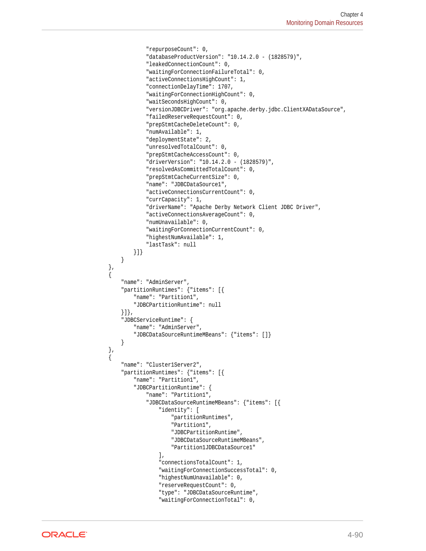```
 "repurposeCount": 0,
                  "databaseProductVersion": "10.14.2.0 - (1828579)",
                  "leakedConnectionCount": 0,
                  "waitingForConnectionFailureTotal": 0,
                  "activeConnectionsHighCount": 1,
                  "connectionDelayTime": 1707,
                  "waitingForConnectionHighCount": 0,
                  "waitSecondsHighCount": 0,
                  "versionJDBCDriver": "org.apache.derby.jdbc.ClientXADataSource",
                  "failedReserveRequestCount": 0,
                  "prepStmtCacheDeleteCount": 0,
                  "numAvailable": 1,
                  "deploymentState": 2,
                  "unresolvedTotalCount": 0,
                  "prepStmtCacheAccessCount": 0,
                  "driverVersion": "10.14.2.0 - (1828579)",
                  "resolvedAsCommittedTotalCount": 0,
                  "prepStmtCacheCurrentSize": 0,
                  "name": "JDBCDataSource1",
                  "activeConnectionsCurrentCount": 0,
                  "currCapacity": 1,
                  "driverName": "Apache Derby Network Client JDBC Driver",
                  "activeConnectionsAverageCount": 0,
                  "numUnavailable": 0,
                  "waitingForConnectionCurrentCount": 0,
                  "highestNumAvailable": 1,
                  "lastTask": null
             }]}
         }
    },
\left\{\right. "name": "AdminServer",
         "partitionRuntimes": {"items": [{
             "name": "Partition1",
             "JDBCPartitionRuntime": null
         }]},
         "JDBCServiceRuntime": {
             "name": "AdminServer",
             "JDBCDataSourceRuntimeMBeans": {"items": []}
         }
    },
\left\{\right. "name": "Cluster1Server2",
         "partitionRuntimes": {"items": [{
             "name": "Partition1",
             "JDBCPartitionRuntime": {
                  "name": "Partition1",
                  "JDBCDataSourceRuntimeMBeans": {"items": [{
                      "identity": [
                          "partitionRuntimes",
                          "Partition1",
                          "JDBCPartitionRuntime",
                          "JDBCDataSourceRuntimeMBeans",
                          "Partition1JDBCDataSource1"
                      ],
                      "connectionsTotalCount": 1,
                      "waitingForConnectionSuccessTotal": 0,
                      "highestNumUnavailable": 0,
                      "reserveRequestCount": 0,
                      "type": "JDBCDataSourceRuntime",
                      "waitingForConnectionTotal": 0,
```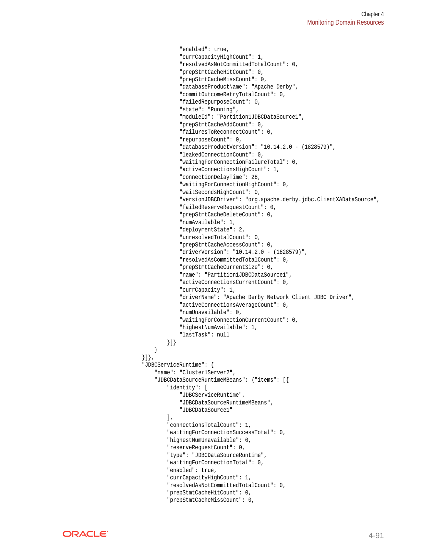```
 "enabled": true,
                     "currCapacityHighCount": 1,
                     "resolvedAsNotCommittedTotalCount": 0,
                     "prepStmtCacheHitCount": 0,
                      "prepStmtCacheMissCount": 0,
                     "databaseProductName": "Apache Derby",
                     "commitOutcomeRetryTotalCount": 0,
                     "failedRepurposeCount": 0,
                     "state": "Running",
                     "moduleId": "Partition1JDBCDataSource1",
                     "prepStmtCacheAddCount": 0,
                      "failuresToReconnectCount": 0,
                     "repurposeCount": 0,
                     "databaseProductVersion": "10.14.2.0 - (1828579)",
                     "leakedConnectionCount": 0,
                     "waitingForConnectionFailureTotal": 0,
                     "activeConnectionsHighCount": 1,
                     "connectionDelayTime": 28,
                     "waitingForConnectionHighCount": 0,
                     "waitSecondsHighCount": 0,
                     "versionJDBCDriver": "org.apache.derby.jdbc.ClientXADataSource",
                     "failedReserveRequestCount": 0,
                     "prepStmtCacheDeleteCount": 0,
                     "numAvailable": 1,
                     "deploymentState": 2,
                     "unresolvedTotalCount": 0,
                     "prepStmtCacheAccessCount": 0,
                     "driverVersion": "10.14.2.0 - (1828579)",
                     "resolvedAsCommittedTotalCount": 0,
                      "prepStmtCacheCurrentSize": 0,
                     "name": "Partition1JDBCDataSource1",
                     "activeConnectionsCurrentCount": 0,
                     "currCapacity": 1,
                     "driverName": "Apache Derby Network Client JDBC Driver",
                     "activeConnectionsAverageCount": 0,
                     "numUnavailable": 0,
                     "waitingForConnectionCurrentCount": 0,
                     "highestNumAvailable": 1,
                     "lastTask": null
                 }]}
 }
         "JDBCServiceRuntime": {
             "name": "Cluster1Server2",
             "JDBCDataSourceRuntimeMBeans": {"items": [{
                 "identity": [
                     "JDBCServiceRuntime",
                     "JDBCDataSourceRuntimeMBeans",
                     "JDBCDataSource1"
                 ],
                 "connectionsTotalCount": 1,
                 "waitingForConnectionSuccessTotal": 0,
                 "highestNumUnavailable": 0,
                 "reserveRequestCount": 0,
                 "type": "JDBCDataSourceRuntime",
                 "waitingForConnectionTotal": 0,
                 "enabled": true,
                 "currCapacityHighCount": 1,
                 "resolvedAsNotCommittedTotalCount": 0,
                 "prepStmtCacheHitCount": 0,
                 "prepStmtCacheMissCount": 0,
```


}]},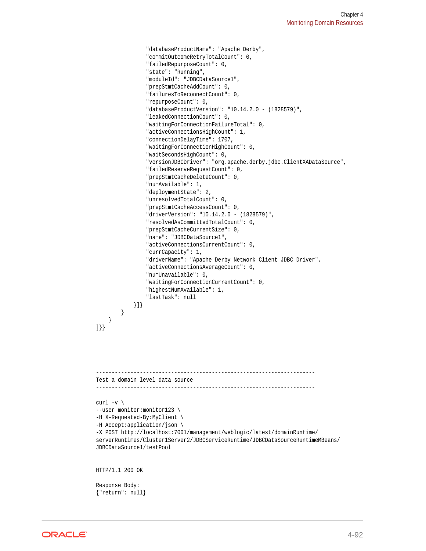```
 "databaseProductName": "Apache Derby",
                   "commitOutcomeRetryTotalCount": 0,
                   "failedRepurposeCount": 0,
                   "state": "Running",
                   "moduleId": "JDBCDataSource1",
                   "prepStmtCacheAddCount": 0,
                   "failuresToReconnectCount": 0,
                   "repurposeCount": 0,
                   "databaseProductVersion": "10.14.2.0 - (1828579)",
                   "leakedConnectionCount": 0,
                   "waitingForConnectionFailureTotal": 0,
                   "activeConnectionsHighCount": 1,
                   "connectionDelayTime": 1707,
                   "waitingForConnectionHighCount": 0,
                   "waitSecondsHighCount": 0,
                   "versionJDBCDriver": "org.apache.derby.jdbc.ClientXADataSource",
                   "failedReserveRequestCount": 0,
                   "prepStmtCacheDeleteCount": 0,
                   "numAvailable": 1,
                   "deploymentState": 2,
                   "unresolvedTotalCount": 0,
                   "prepStmtCacheAccessCount": 0,
                   "driverVersion": "10.14.2.0 - (1828579)",
                   "resolvedAsCommittedTotalCount": 0,
                   "prepStmtCacheCurrentSize": 0,
                   "name": "JDBCDataSource1",
                   "activeConnectionsCurrentCount": 0,
                   "currCapacity": 1,
                   "driverName": "Apache Derby Network Client JDBC Driver",
                   "activeConnectionsAverageCount": 0,
                   "numUnavailable": 0,
                   "waitingForConnectionCurrentCount": 0,
                   "highestNumAvailable": 1,
                   "lastTask": null
              }]}
         }
\left\{\begin{array}{ccc} \end{array}\right\}]}}
     ----------------------------------------------------------------------
Test a domain level data source
----------------------------------------------------------------------
curl -v \backslash--user monitor:monitor123 \
-H X-Requested-By:MyClient \
-H Accept:application/json \
-X POST http://localhost:7001/management/weblogic/latest/domainRuntime/
serverRuntimes/Cluster1Server2/JDBCServiceRuntime/JDBCDataSourceRuntimeMBeans/
JDBCDataSource1/testPool
HTTP/1.1 200 OK
Response Body:
{"return": null}
```
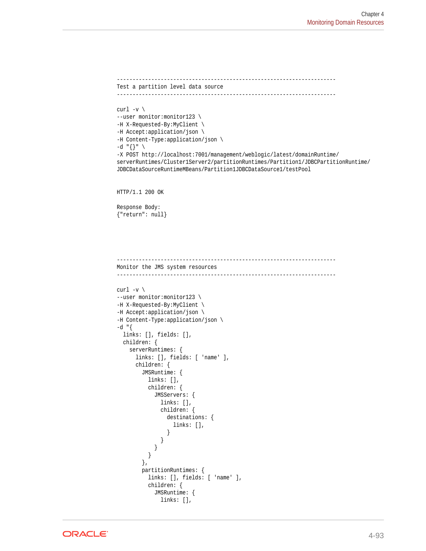```
----------------------------------------------------------------------
Test a partition level data source
----------------------------------------------------------------------
curl -v \backslash--user monitor:monitor123 \
-H X-Requested-By:MyClient \
-H Accept:application/json \
-H Content-Type:application/json \
-d "{}" \
-X POST http://localhost:7001/management/weblogic/latest/domainRuntime/
serverRuntimes/Cluster1Server2/partitionRuntimes/Partition1/JDBCPartitionRuntime/
JDBCDataSourceRuntimeMBeans/Partition1JDBCDataSource1/testPool
HTTP/1.1 200 OK
Response Body:
{"return": null}
----------------------------------------------------------------------
Monitor the JMS system resources
----------------------------------------------------------------------
curl -v \backslash--user monitor:monitor123 \
-H X-Requested-By:MyClient \
-H Accept:application/json \
-H Content-Type:application/json \
-d "{
   links: [], fields: [],
  children: {
     serverRuntimes: {
       links: [], fields: [ 'name' ],
       children: {
         JMSRuntime: {
           links: [],
           children: {
             JMSServers: {
               links: [],
               children: {
                 destinations: {
                   links: [],
 }
 }
             }
           }
         },
         partitionRuntimes: {
           links: [], fields: [ 'name' ],
           children: {
             JMSRuntime: {
```


links: [],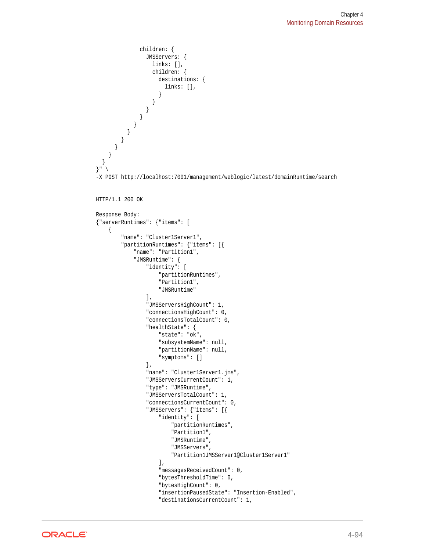```
 children: {
                 JMSServers: {
                   links: [],
                   children: {
                     destinations: {
                       links: [],
 }
 }
 }
 }
 }
 }
 }
 }
\left\{\begin{array}{ccc} \end{array}\right\}\vert}" \
-X POST http://localhost:7001/management/weblogic/latest/domainRuntime/search
HTTP/1.1 200 OK
Response Body:
{"serverRuntimes": {"items": [
\left\{\right. "name": "Cluster1Server1",
         "partitionRuntimes": {"items": [{
             "name": "Partition1",
             "JMSRuntime": {
                 "identity": [
                     "partitionRuntimes",
                     "Partition1",
                     "JMSRuntime"
                \,],
                 "JMSServersHighCount": 1,
                 "connectionsHighCount": 0,
                 "connectionsTotalCount": 0,
                 "healthState": {
                     "state": "ok",
                     "subsystemName": null,
                     "partitionName": null,
                     "symptoms": []
                 },
                 "name": "Cluster1Server1.jms",
                 "JMSServersCurrentCount": 1,
                 "type": "JMSRuntime",
                 "JMSServersTotalCount": 1,
                 "connectionsCurrentCount": 0,
                 "JMSServers": {"items": [{
                     "identity": [
                         "partitionRuntimes",
                         "Partition1",
                         "JMSRuntime",
                         "JMSServers",
                         "Partition1JMSServer1@Cluster1Server1"
 ],
                     "messagesReceivedCount": 0,
                     "bytesThresholdTime": 0,
                     "bytesHighCount": 0,
                     "insertionPausedState": "Insertion-Enabled",
                     "destinationsCurrentCount": 1,
```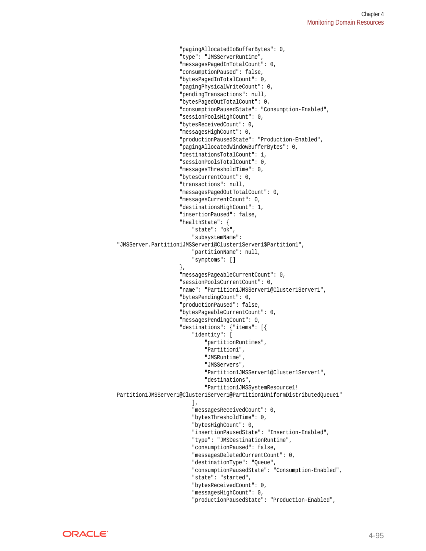```
 "pagingAllocatedIoBufferBytes": 0,
                         "type": "JMSServerRuntime",
                         "messagesPagedInTotalCount": 0,
                         "consumptionPaused": false,
                         "bytesPagedInTotalCount": 0,
                         "pagingPhysicalWriteCount": 0,
                         "pendingTransactions": null,
                         "bytesPagedOutTotalCount": 0,
                         "consumptionPausedState": "Consumption-Enabled",
                         "sessionPoolsHighCount": 0,
                         "bytesReceivedCount": 0,
                         "messagesHighCount": 0,
                         "productionPausedState": "Production-Enabled",
                         "pagingAllocatedWindowBufferBytes": 0,
                         "destinationsTotalCount": 1,
                         "sessionPoolsTotalCount": 0,
                         "messagesThresholdTime": 0,
                         "bytesCurrentCount": 0,
                         "transactions": null,
                         "messagesPagedOutTotalCount": 0,
                         "messagesCurrentCount": 0,
                         "destinationsHighCount": 1,
                         "insertionPaused": false,
                         "healthState": {
                             "state": "ok",
                             "subsystemName": 
"JMSServer.Partition1JMSServer1@Cluster1Server1$Partition1",
                             "partitionName": null,
                             "symptoms": []
                         },
                         "messagesPageableCurrentCount": 0,
                         "sessionPoolsCurrentCount": 0,
                         "name": "Partition1JMSServer1@Cluster1Server1",
                         "bytesPendingCount": 0,
                         "productionPaused": false,
                         "bytesPageableCurrentCount": 0,
                         "messagesPendingCount": 0,
                         "destinations": {"items": [{
                             "identity": [
                                  "partitionRuntimes",
                                  "Partition1",
                                  "JMSRuntime",
                                  "JMSServers",
                                  "Partition1JMSServer1@Cluster1Server1",
                                  "destinations",
                                  "Partition1JMSSystemResource1!
Partition1JMSServer1@Cluster1Server1@Partition1UniformDistributedQueue1"
\mathbf{1}, \mathbf{1}, \mathbf{1}, \mathbf{1}, \mathbf{1}, \mathbf{1}, \mathbf{1}, \mathbf{1}, \mathbf{1}, \mathbf{1}, \mathbf{1}, \mathbf{1}, \mathbf{1}, \mathbf{1}, \mathbf{1}, \mathbf{1}, \mathbf{1}, \mathbf{1}, \mathbf{1}, \mathbf{1}, \mathbf{1}, \mathbf{1},  "messagesReceivedCount": 0,
                             "bytesThresholdTime": 0,
                              "bytesHighCount": 0,
                              "insertionPausedState": "Insertion-Enabled",
                              "type": "JMSDestinationRuntime",
                              "consumptionPaused": false,
                              "messagesDeletedCurrentCount": 0,
                              "destinationType": "Queue",
                              "consumptionPausedState": "Consumption-Enabled",
                              "state": "started",
                              "bytesReceivedCount": 0,
                              "messagesHighCount": 0,
                              "productionPausedState": "Production-Enabled",
```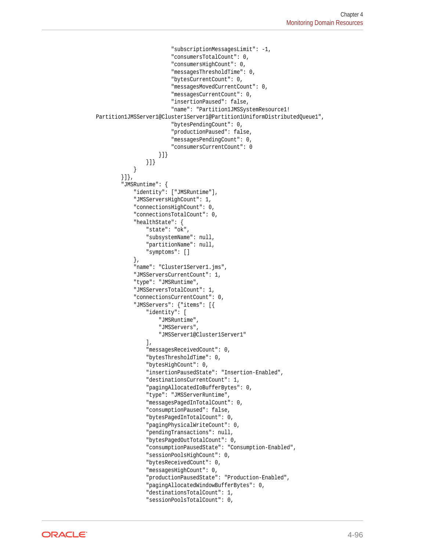```
 "subscriptionMessagesLimit": -1,
                          "consumersTotalCount": 0,
                          "consumersHighCount": 0,
                          "messagesThresholdTime": 0,
                          "bytesCurrentCount": 0,
                          "messagesMovedCurrentCount": 0,
                          "messagesCurrentCount": 0,
                          "insertionPaused": false,
                          "name": "Partition1JMSSystemResource1!
Partition1JMSServer1@Cluster1Server1@Partition1UniformDistributedQueue1",
                          "bytesPendingCount": 0,
                          "productionPaused": false,
                          "messagesPendingCount": 0,
                          "consumersCurrentCount": 0
                      }]}
                  }]}
             }
         }]},
         "JMSRuntime": {
             "identity": ["JMSRuntime"],
             "JMSServersHighCount": 1,
              "connectionsHighCount": 0,
              "connectionsTotalCount": 0,
              "healthState": {
                  "state": "ok",
                  "subsystemName": null,
                  "partitionName": null,
                  "symptoms": []
              },
              "name": "Cluster1Server1.jms",
             "JMSServersCurrentCount": 1,
              "type": "JMSRuntime",
              "JMSServersTotalCount": 1,
              "connectionsCurrentCount": 0,
              "JMSServers": {"items": [{
                  "identity": [
                      "JMSRuntime",
                      "JMSServers",
                      "JMSServer1@Cluster1Server1"
                  ],
                  "messagesReceivedCount": 0,
                  "bytesThresholdTime": 0,
                  "bytesHighCount": 0,
                  "insertionPausedState": "Insertion-Enabled",
                  "destinationsCurrentCount": 1,
                  "pagingAllocatedIoBufferBytes": 0,
                  "type": "JMSServerRuntime",
                  "messagesPagedInTotalCount": 0,
                  "consumptionPaused": false,
                  "bytesPagedInTotalCount": 0,
                  "pagingPhysicalWriteCount": 0,
                  "pendingTransactions": null,
                  "bytesPagedOutTotalCount": 0,
                  "consumptionPausedState": "Consumption-Enabled",
                  "sessionPoolsHighCount": 0,
                  "bytesReceivedCount": 0,
                  "messagesHighCount": 0,
                  "productionPausedState": "Production-Enabled",
                  "pagingAllocatedWindowBufferBytes": 0,
                  "destinationsTotalCount": 1,
                  "sessionPoolsTotalCount": 0,
```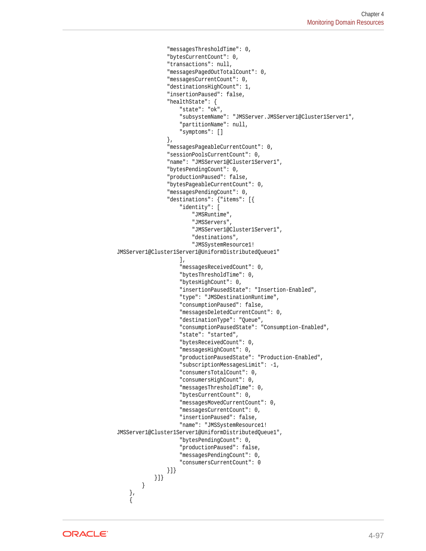```
 "messagesThresholdTime": 0,
                  "bytesCurrentCount": 0,
                  "transactions": null,
                  "messagesPagedOutTotalCount": 0,
                  "messagesCurrentCount": 0,
                  "destinationsHighCount": 1,
                  "insertionPaused": false,
                  "healthState": {
                      "state": "ok",
                      "subsystemName": "JMSServer.JMSServer1@Cluster1Server1",
                      "partitionName": null,
                      "symptoms": []
                  },
                  "messagesPageableCurrentCount": 0,
                  "sessionPoolsCurrentCount": 0,
                  "name": "JMSServer1@Cluster1Server1",
                  "bytesPendingCount": 0,
                  "productionPaused": false,
                  "bytesPageableCurrentCount": 0,
                  "messagesPendingCount": 0,
                  "destinations": {"items": [{
                      "identity": [
                          "JMSRuntime",
                          "JMSServers",
                          "JMSServer1@Cluster1Server1",
                          "destinations",
                          "JMSSystemResource1!
JMSServer1@Cluster1Server1@UniformDistributedQueue1"
                      ],
                      "messagesReceivedCount": 0,
                      "bytesThresholdTime": 0,
                      "bytesHighCount": 0,
                      "insertionPausedState": "Insertion-Enabled",
                      "type": "JMSDestinationRuntime",
                      "consumptionPaused": false,
                      "messagesDeletedCurrentCount": 0,
                      "destinationType": "Queue",
                      "consumptionPausedState": "Consumption-Enabled",
                      "state": "started",
                      "bytesReceivedCount": 0,
                      "messagesHighCount": 0,
                      "productionPausedState": "Production-Enabled",
                      "subscriptionMessagesLimit": -1,
                      "consumersTotalCount": 0,
                      "consumersHighCount": 0,
                      "messagesThresholdTime": 0,
                      "bytesCurrentCount": 0,
                      "messagesMovedCurrentCount": 0,
                      "messagesCurrentCount": 0,
                      "insertionPaused": false,
                      "name": "JMSSystemResource1!
JMSServer1@Cluster1Server1@UniformDistributedQueue1",
                      "bytesPendingCount": 0,
                      "productionPaused": false,
                      "messagesPendingCount": 0,
                      "consumersCurrentCount": 0
                  }]}
             }]}
         }
     },
\left\{\right.
```
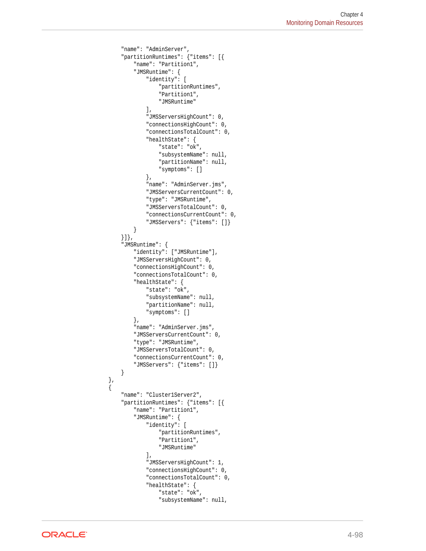```
 "name": "AdminServer",
         "partitionRuntimes": {"items": [{
             "name": "Partition1",
             "JMSRuntime": {
                  "identity": [
                      "partitionRuntimes",
                      "Partition1",
                      "JMSRuntime"
                 \mathbf{I},
                  "JMSServersHighCount": 0,
                  "connectionsHighCount": 0,
                  "connectionsTotalCount": 0,
                  "healthState": {
                      "state": "ok",
                      "subsystemName": null,
                      "partitionName": null,
                      "symptoms": []
                  },
                  "name": "AdminServer.jms",
                  "JMSServersCurrentCount": 0,
                  "type": "JMSRuntime",
                  "JMSServersTotalCount": 0,
                  "connectionsCurrentCount": 0,
                  "JMSServers": {"items": []}
 }
         }]},
         "JMSRuntime": {
             "identity": ["JMSRuntime"],
             "JMSServersHighCount": 0,
             "connectionsHighCount": 0,
             "connectionsTotalCount": 0,
             "healthState": {
                  "state": "ok",
                  "subsystemName": null,
                  "partitionName": null,
                  "symptoms": []
             },
             "name": "AdminServer.jms",
             "JMSServersCurrentCount": 0,
             "type": "JMSRuntime",
             "JMSServersTotalCount": 0,
             "connectionsCurrentCount": 0,
             "JMSServers": {"items": []}
         }
     },
\left\{\right. "name": "Cluster1Server2",
         "partitionRuntimes": {"items": [{
             "name": "Partition1",
             "JMSRuntime": {
                  "identity": [
                      "partitionRuntimes",
                      "Partition1",
                      "JMSRuntime"
                  ],
                  "JMSServersHighCount": 1,
                  "connectionsHighCount": 0,
                  "connectionsTotalCount": 0,
                  "healthState": {
                      "state": "ok",
                      "subsystemName": null,
```
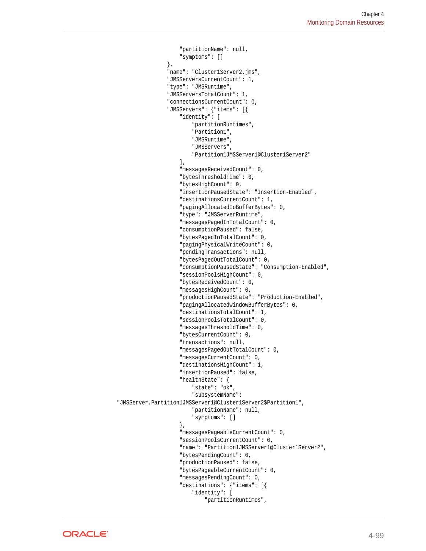```
 "partitionName": null,
                     "symptoms": []
                 },
                 "name": "Cluster1Server2.jms",
                 "JMSServersCurrentCount": 1,
                 "type": "JMSRuntime",
                 "JMSServersTotalCount": 1,
                 "connectionsCurrentCount": 0,
                 "JMSServers": {"items": [{
                     "identity": [
                          "partitionRuntimes",
                          "Partition1",
                          "JMSRuntime",
                          "JMSServers",
                          "Partition1JMSServer1@Cluster1Server2"
 ],
                     "messagesReceivedCount": 0,
                     "bytesThresholdTime": 0,
                     "bytesHighCount": 0,
                     "insertionPausedState": "Insertion-Enabled",
                     "destinationsCurrentCount": 1,
                     "pagingAllocatedIoBufferBytes": 0,
                     "type": "JMSServerRuntime",
                     "messagesPagedInTotalCount": 0,
                     "consumptionPaused": false,
                     "bytesPagedInTotalCount": 0,
                     "pagingPhysicalWriteCount": 0,
                     "pendingTransactions": null,
                     "bytesPagedOutTotalCount": 0,
                     "consumptionPausedState": "Consumption-Enabled",
                     "sessionPoolsHighCount": 0,
                     "bytesReceivedCount": 0,
                     "messagesHighCount": 0,
                      "productionPausedState": "Production-Enabled",
                      "pagingAllocatedWindowBufferBytes": 0,
                      "destinationsTotalCount": 1,
                     "sessionPoolsTotalCount": 0,
                     "messagesThresholdTime": 0,
                     "bytesCurrentCount": 0,
                     "transactions": null,
                     "messagesPagedOutTotalCount": 0,
                     "messagesCurrentCount": 0,
                     "destinationsHighCount": 1,
                     "insertionPaused": false,
                     "healthState": {
                         "state": "ok",
                          "subsystemName": 
"JMSServer.Partition1JMSServer1@Cluster1Server2$Partition1",
                          "partitionName": null,
                          "symptoms": []
                     },
                     "messagesPageableCurrentCount": 0,
                     "sessionPoolsCurrentCount": 0,
                     "name": "Partition1JMSServer1@Cluster1Server2",
                     "bytesPendingCount": 0,
                      "productionPaused": false,
                      "bytesPageableCurrentCount": 0,
                      "messagesPendingCount": 0,
                     "destinations": {"items": [{
                          "identity": [
                              "partitionRuntimes",
```
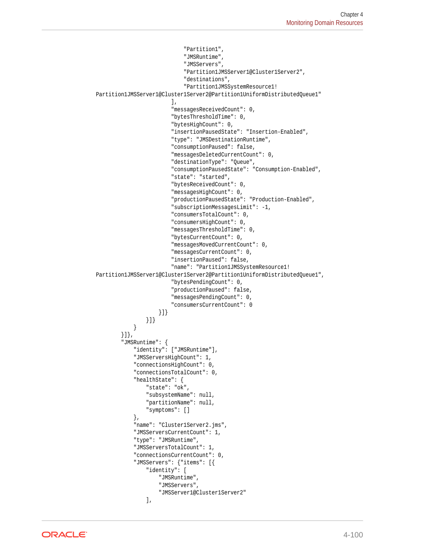```
 "Partition1",
                                   "JMSRuntime",
                                   "JMSServers",
                                   "Partition1JMSServer1@Cluster1Server2",
                                   "destinations",
                                   "Partition1JMSSystemResource1!
Partition1JMSServer1@Cluster1Server2@Partition1UniformDistributedQueue1"
\mathbf{1}, \mathbf{1}, \mathbf{1}, \mathbf{1}, \mathbf{1}, \mathbf{1}, \mathbf{1}, \mathbf{1}, \mathbf{1}, \mathbf{1}, \mathbf{1}, \mathbf{1}, \mathbf{1}, \mathbf{1}, \mathbf{1}, \mathbf{1}, \mathbf{1}, \mathbf{1}, \mathbf{1}, \mathbf{1}, \mathbf{1}, \mathbf{1},  "messagesReceivedCount": 0,
                              "bytesThresholdTime": 0,
                              "bytesHighCount": 0,
                              "insertionPausedState": "Insertion-Enabled",
                              "type": "JMSDestinationRuntime",
                              "consumptionPaused": false,
                              "messagesDeletedCurrentCount": 0,
                              "destinationType": "Queue",
                              "consumptionPausedState": "Consumption-Enabled",
                              "state": "started",
                              "bytesReceivedCount": 0,
                              "messagesHighCount": 0,
                              "productionPausedState": "Production-Enabled",
                              "subscriptionMessagesLimit": -1,
                              "consumersTotalCount": 0,
                              "consumersHighCount": 0,
                              "messagesThresholdTime": 0,
                              "bytesCurrentCount": 0,
                              "messagesMovedCurrentCount": 0,
                              "messagesCurrentCount": 0,
                              "insertionPaused": false,
                              "name": "Partition1JMSSystemResource1!
Partition1JMSServer1@Cluster1Server2@Partition1UniformDistributedQueue1",
                              "bytesPendingCount": 0,
                              "productionPaused": false,
                              "messagesPendingCount": 0,
                              "consumersCurrentCount": 0
                         }]}
                    }]}
 }
          }]},
          "JMSRuntime": {
               "identity": ["JMSRuntime"],
               "JMSServersHighCount": 1,
               "connectionsHighCount": 0,
               "connectionsTotalCount": 0,
               "healthState": {
                    "state": "ok",
                    "subsystemName": null,
                    "partitionName": null,
                    "symptoms": []
               },
               "name": "Cluster1Server2.jms",
               "JMSServersCurrentCount": 1,
               "type": "JMSRuntime",
               "JMSServersTotalCount": 1,
               "connectionsCurrentCount": 0,
               "JMSServers": {"items": [{
                    "identity": [
                         "JMSRuntime",
                         "JMSServers",
                         "JMSServer1@Cluster1Server2"
                    ],
```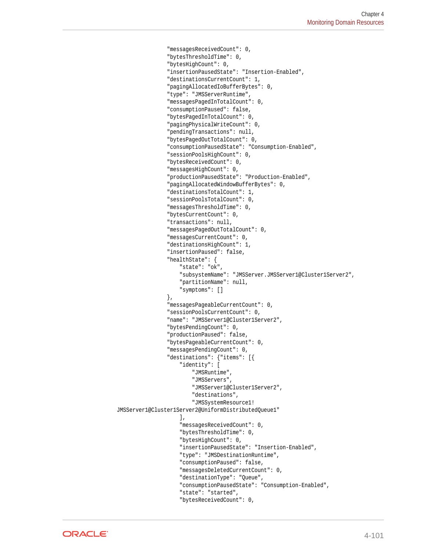```
 "messagesReceivedCount": 0,
                  "bytesThresholdTime": 0,
                  "bytesHighCount": 0,
                  "insertionPausedState": "Insertion-Enabled",
                  "destinationsCurrentCount": 1,
                  "pagingAllocatedIoBufferBytes": 0,
                  "type": "JMSServerRuntime",
                  "messagesPagedInTotalCount": 0,
                  "consumptionPaused": false,
                  "bytesPagedInTotalCount": 0,
                  "pagingPhysicalWriteCount": 0,
                  "pendingTransactions": null,
                  "bytesPagedOutTotalCount": 0,
                  "consumptionPausedState": "Consumption-Enabled",
                  "sessionPoolsHighCount": 0,
                  "bytesReceivedCount": 0,
                  "messagesHighCount": 0,
                  "productionPausedState": "Production-Enabled",
                  "pagingAllocatedWindowBufferBytes": 0,
                  "destinationsTotalCount": 1,
                  "sessionPoolsTotalCount": 0,
                  "messagesThresholdTime": 0,
                  "bytesCurrentCount": 0,
                  "transactions": null,
                  "messagesPagedOutTotalCount": 0,
                  "messagesCurrentCount": 0,
                  "destinationsHighCount": 1,
                  "insertionPaused": false,
                  "healthState": {
                      "state": "ok",
                      "subsystemName": "JMSServer.JMSServer1@Cluster1Server2",
                      "partitionName": null,
                      "symptoms": []
                  },
                  "messagesPageableCurrentCount": 0,
                  "sessionPoolsCurrentCount": 0,
                  "name": "JMSServer1@Cluster1Server2",
                  "bytesPendingCount": 0,
                  "productionPaused": false,
                  "bytesPageableCurrentCount": 0,
                  "messagesPendingCount": 0,
                  "destinations": {"items": [{
                      "identity": [
                          "JMSRuntime",
                          "JMSServers",
                          "JMSServer1@Cluster1Server2",
                          "destinations",
                          "JMSSystemResource1!
JMSServer1@Cluster1Server2@UniformDistributedQueue1"
 ],
                      "messagesReceivedCount": 0,
                      "bytesThresholdTime": 0,
                      "bytesHighCount": 0,
                      "insertionPausedState": "Insertion-Enabled",
                      "type": "JMSDestinationRuntime",
                      "consumptionPaused": false,
                      "messagesDeletedCurrentCount": 0,
                      "destinationType": "Queue",
                      "consumptionPausedState": "Consumption-Enabled",
                      "state": "started",
                      "bytesReceivedCount": 0,
```
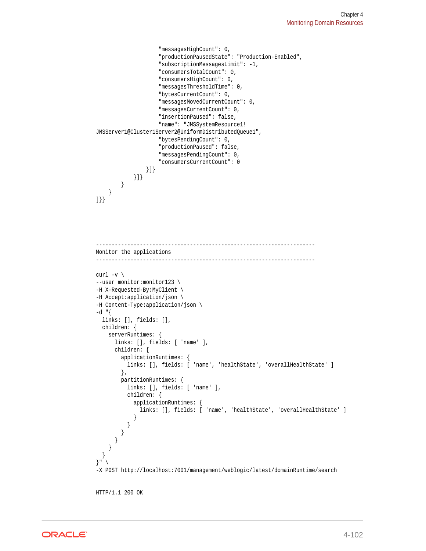```
 "messagesHighCount": 0,
                      "productionPausedState": "Production-Enabled",
                      "subscriptionMessagesLimit": -1,
                      "consumersTotalCount": 0,
                      "consumersHighCount": 0,
                      "messagesThresholdTime": 0,
                      "bytesCurrentCount": 0,
                      "messagesMovedCurrentCount": 0,
                      "messagesCurrentCount": 0,
                      "insertionPaused": false,
                      "name": "JMSSystemResource1!
JMSServer1@Cluster1Server2@UniformDistributedQueue1",
                      "bytesPendingCount": 0,
                      "productionPaused": false,
                      "messagesPendingCount": 0,
                      "consumersCurrentCount": 0
                  }]}
             }]}
         }
     }
]}}
```

```
----------------------------------------------------------------------
Monitor the applications
----------------------------------------------------------------------
```

```
curl -v \backslash--user monitor:monitor123 \
-H X-Requested-By:MyClient \
-H Accept:application/json \
-H Content-Type:application/json \
-d "\{ links: [], fields: [],
   children: {
     serverRuntimes: {
       links: [], fields: [ 'name' ],
       children: {
         applicationRuntimes: {
          links: [], fields: [ 'name', 'healthState', 'overallHealthState' ]
         },
         partitionRuntimes: {
           links: [], fields: [ 'name' ],
           children: {
             applicationRuntimes: {
               links: [], fields: [ 'name', 'healthState', 'overallHealthState' ]
 }
          }
        }
      }
     }
   }
\} " \sqrt{ }-X POST http://localhost:7001/management/weblogic/latest/domainRuntime/search
HTTP/1.1 200 OK
```
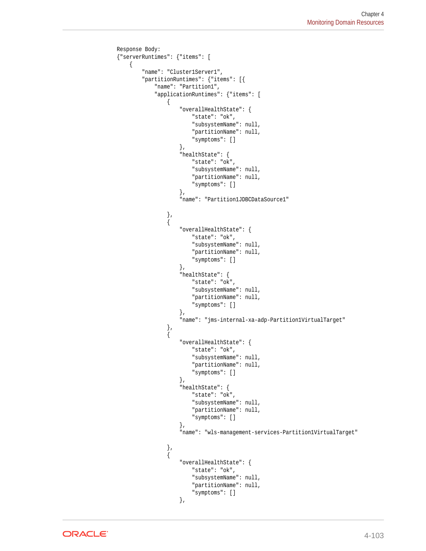```
Response Body:
{"serverRuntimes": {"items": [
     {
          "name": "Cluster1Server1",
          "partitionRuntimes": {"items": [{
               "name": "Partition1",
               "applicationRuntimes": {"items": [
\{ "overallHealthState": {
                             "state": "ok",
                             "subsystemName": null,
                             "partitionName": null,
                             "symptoms": []
                        },
                        "healthState": {
                             "state": "ok",
                             "subsystemName": null,
                             "partitionName": null,
                             "symptoms": []
                        },
                        "name": "Partition1JDBCDataSource1"
                   },
\left\{ \begin{array}{ccc} 1 & 1 & 1 \\ 1 & 1 & 1 \end{array} \right\} "overallHealthState": {
                             "state": "ok",
                             "subsystemName": null,
                             "partitionName": null,
                             "symptoms": []
                        },
                        "healthState": {
                             "state": "ok",
                             "subsystemName": null,
                             "partitionName": null,
                             "symptoms": []
                        },
                         "name": "jms-internal-xa-adp-Partition1VirtualTarget"
                   },
\left\{ \begin{array}{ccc} 1 & 1 & 1 \\ 1 & 1 & 1 \end{array} \right\} "overallHealthState": {
                             "state": "ok",
                             "subsystemName": null,
                             "partitionName": null,
                             "symptoms": []
 },
                        "healthState": {
                             "state": "ok",
                             "subsystemName": null,
                             "partitionName": null,
                             "symptoms": []
                        },
                        "name": "wls-management-services-Partition1VirtualTarget"
\}, \{, \}, \{, \}, \{\left\{ \begin{array}{ccc} 1 & 1 & 1 \\ 1 & 1 & 1 \end{array} \right\} "overallHealthState": {
                             "state": "ok",
                             "subsystemName": null,
                             "partitionName": null,
                             "symptoms": []
                        },
```
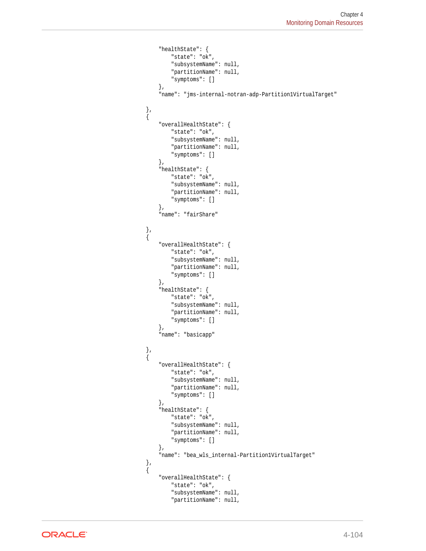```
 "healthState": {
                               "state": "ok",
                               "subsystemName": null,
                               "partitionName": null,
                               "symptoms": []
                          },
                          "name": "jms-internal-notran-adp-Partition1VirtualTarget"
                     },
\left\{ \begin{array}{ccc} 1 & 1 & 1 \\ 1 & 1 & 1 \end{array} \right\} "overallHealthState": {
                               "state": "ok",
                               "subsystemName": null,
                               "partitionName": null,
                               "symptoms": []
                          },
                          "healthState": {
                               "state": "ok",
                               "subsystemName": null,
                               "partitionName": null,
                               "symptoms": []
                          },
                          "name": "fairShare"
                     },
\left\{ \begin{array}{ccc} 1 & 1 & 1 \\ 1 & 1 & 1 \end{array} \right\} "overallHealthState": {
                               "state": "ok",
                               "subsystemName": null,
                               "partitionName": null,
                               "symptoms": []
                          },
                          "healthState": {
                               "state": "ok",
                                "subsystemName": null,
                               "partitionName": null,
                               "symptoms": []
                          },
                          "name": "basicapp"
                     },
\left\{ \begin{array}{ccc} 1 & 1 & 1 \\ 1 & 1 & 1 \end{array} \right\} "overallHealthState": {
                               "state": "ok",
                               "subsystemName": null,
                               "partitionName": null,
                               "symptoms": []
                          },
                          "healthState": {
                               "state": "ok",
                               "subsystemName": null,
                               "partitionName": null,
                               "symptoms": []
                          },
                          "name": "bea_wls_internal-Partition1VirtualTarget"
                     },
\left\{ \begin{array}{ccc} 1 & 1 & 1 \\ 1 & 1 & 1 \end{array} \right\} "overallHealthState": {
                               "state": "ok",
                               "subsystemName": null,
                               "partitionName": null,
```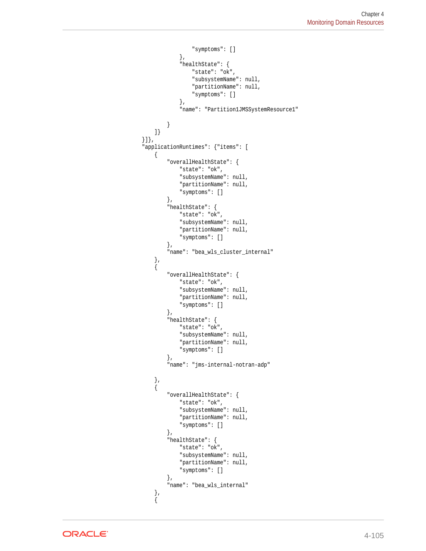```
 "symptoms": []
                    },
                    "healthState": {
                        "state": "ok",
                        "subsystemName": null,
                        "partitionName": null,
                        "symptoms": []
                    },
                    "name": "Partition1JMSSystemResource1"
 }
            ]}
        }]},
         "applicationRuntimes": {"items": [
 {
                "overallHealthState": {
                    "state": "ok",
                    "subsystemName": null,
                    "partitionName": null,
                    "symptoms": []
                },
                "healthState": {
                    "state": "ok",
                    "subsystemName": null,
                    "partitionName": null,
                    "symptoms": []
                },
                "name": "bea_wls_cluster_internal"
 },
 {
                "overallHealthState": {
                    "state": "ok",
                    "subsystemName": null,
                    "partitionName": null,
                     "symptoms": []
                },
                 "healthState": {
                    "state": "ok",
                    "subsystemName": null,
                    "partitionName": null,
                    "symptoms": []
                },
                "name": "jms-internal-notran-adp"
            },
 {
                "overallHealthState": {
                    "state": "ok",
                    "subsystemName": null,
                    "partitionName": null,
                    "symptoms": []
                },
                "healthState": {
                    "state": "ok",
                    "subsystemName": null,
                    "partitionName": null,
                    "symptoms": []
                },
                "name": "bea_wls_internal"
 },
 {
```
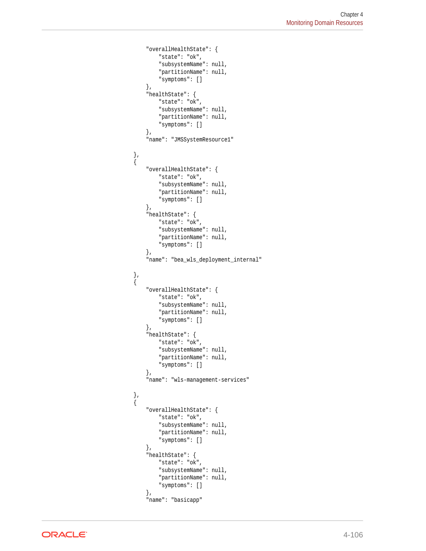```
 "overallHealthState": {
                     "state": "ok",
                     "subsystemName": null,
                      "partitionName": null,
                      "symptoms": []
                 },
                 "healthState": {
                     "state": "ok",
                     "subsystemName": null,
                      "partitionName": null,
                     "symptoms": []
                 },
                 "name": "JMSSystemResource1"
 },
\{ "overallHealthState": {
                     "state": "ok",
                     "subsystemName": null,
                     "partitionName": null,
                     "symptoms": []
                 },
                 "healthState": {
                     "state": "ok",
                     "subsystemName": null,
                     "partitionName": null,
                     "symptoms": []
                 },
                 "name": "bea_wls_deployment_internal"
             },
             {
                 "overallHealthState": {
                     "state": "ok",
                      "subsystemName": null,
                      "partitionName": null,
                      "symptoms": []
                 },
                 "healthState": {
                     "state": "ok",
                     "subsystemName": null,
                     "partitionName": null,
                     "symptoms": []
                 },
                 "name": "wls-management-services"
             },
\{ "overallHealthState": {
                     "state": "ok",
                     "subsystemName": null,
                     "partitionName": null,
                     "symptoms": []
                 },
                 "healthState": {
                     "state": "ok",
                      "subsystemName": null,
                      "partitionName": null,
                     "symptoms": []
                 },
                 "name": "basicapp"
```
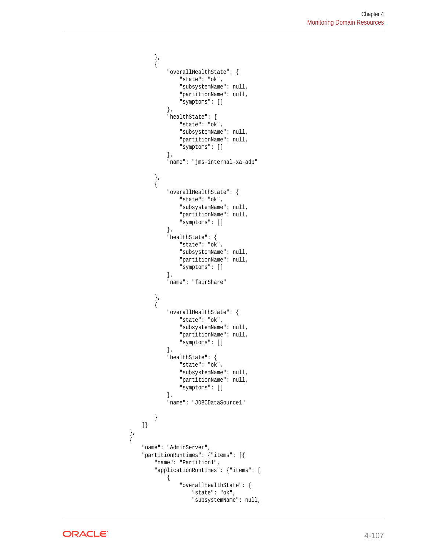```
 },
\{ "overallHealthState": {
                    "state": "ok",
                    "subsystemName": null,
                    "partitionName": null,
                    "symptoms": []
                },
                "healthState": {
                    "state": "ok",
                    "subsystemName": null,
                    "partitionName": null,
                    "symptoms": []
                },
                 "name": "jms-internal-xa-adp"
            },
 {
                "overallHealthState": {
                    "state": "ok",
                    "subsystemName": null,
                    "partitionName": null,
                    "symptoms": []
                },
                "healthState": {
                    "state": "ok",
                    "subsystemName": null,
                    "partitionName": null,
                    "symptoms": []
                },
                "name": "fairShare"
 },
 {
                "overallHealthState": {
                    "state": "ok",
                    "subsystemName": null,
                    "partitionName": null,
                    "symptoms": []
                },
                "healthState": {
                    "state": "ok",
                    "subsystemName": null,
                    "partitionName": null,
                    "symptoms": []
                },
                "name": "JDBCDataSource1"
 }
        ]}
 },
        "name": "AdminServer",
        "partitionRuntimes": {"items": [{
            "name": "Partition1",
            "applicationRuntimes": {"items": [
\{ "overallHealthState": {
                        "state": "ok",
                        "subsystemName": null,
```


 $\mathcal{A}$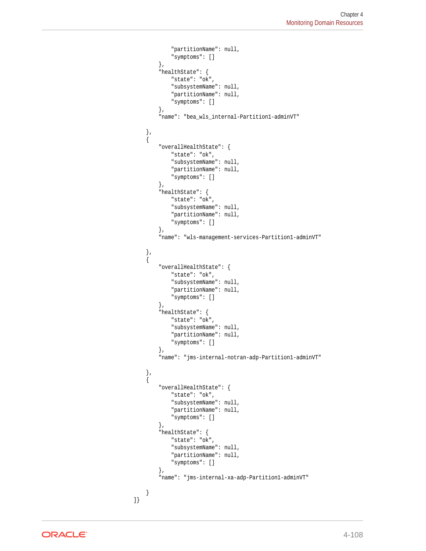```
 "partitionName": null,
                             "symptoms": []
                        },
                        "healthState": {
                             "state": "ok",
                             "subsystemName": null,
                             "partitionName": null,
                             "symptoms": []
                        },
                        "name": "bea_wls_internal-Partition1-adminVT"
                  \left\{ \begin{array}{c} \end{array} \right.\{ "overallHealthState": {
                            "state": "ok",
                             "subsystemName": null,
                             "partitionName": null,
                             "symptoms": []
                        },
                        "healthState": {
                             "state": "ok",
                             "subsystemName": null,
                             "partitionName": null,
                             "symptoms": []
                        },
                        "name": "wls-management-services-Partition1-adminVT"
                   },
\left\{ \begin{array}{ccc} 1 & 1 & 1 \\ 1 & 1 & 1 \end{array} \right\} "overallHealthState": {
                             "state": "ok",
                             "subsystemName": null,
                             "partitionName": null,
                             "symptoms": []
                        },
                        "healthState": {
                             "state": "ok",
                             "subsystemName": null,
                             "partitionName": null,
                             "symptoms": []
                        },
                        "name": "jms-internal-notran-adp-Partition1-adminVT"
                   },
\left\{ \begin{array}{ccc} 1 & 1 & 1 \\ 1 & 1 & 1 \end{array} \right\} "overallHealthState": {
                             "state": "ok",
                             "subsystemName": null,
                             "partitionName": null,
                             "symptoms": []
                        },
                        "healthState": {
                             "state": "ok",
                             "subsystemName": null,
                             "partitionName": null,
                             "symptoms": []
                        },
                        "name": "jms-internal-xa-adp-Partition1-adminVT"
 }
               ]}
```
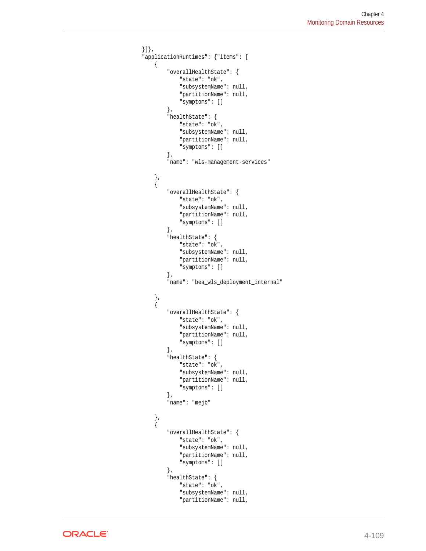```
 }]},
         "applicationRuntimes": {"items": [
             {
                 "overallHealthState": {
                     "state": "ok",
                     "subsystemName": null,
                     "partitionName": null,
                     "symptoms": []
                 },
                 "healthState": {
                     "state": "ok",
                     "subsystemName": null,
                     "partitionName": null,
                     "symptoms": []
                 },
                 "name": "wls-management-services"
             },
 {
                 "overallHealthState": {
                    "state": "ok",
                     "subsystemName": null,
                     "partitionName": null,
                     "symptoms": []
                 },
                 "healthState": {
                     "state": "ok",
                     "subsystemName": null,
                     "partitionName": null,
                     "symptoms": []
                 },
                 "name": "bea_wls_deployment_internal"
 },
 {
                 "overallHealthState": {
                     "state": "ok",
                     "subsystemName": null,
                     "partitionName": null,
                     "symptoms": []
                 },
                 "healthState": {
                     "state": "ok",
                     "subsystemName": null,
                     "partitionName": null,
                     "symptoms": []
                 },
                 "name": "mejb"
 },
 {
                 "overallHealthState": {
                     "state": "ok",
                     "subsystemName": null,
                     "partitionName": null,
                     "symptoms": []
                 },
                 "healthState": {
                     "state": "ok",
                     "subsystemName": null,
                     "partitionName": null,
```
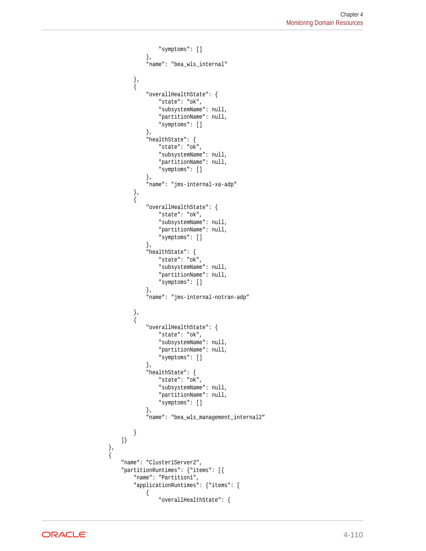```
 "symptoms": []
                  },
                  "name": "bea_wls_internal"
 },
\{ "overallHealthState": {
                      "state": "ok",
                      "subsystemName": null,
                      "partitionName": null,
                      "symptoms": []
                  },
                  "healthState": {
                      "state": "ok",
                      "subsystemName": null,
                      "partitionName": null,
                      "symptoms": []
                  },
                  "name": "jms-internal-xa-adp"
             },
\{ "overallHealthState": {
                      "state": "ok",
                      "subsystemName": null,
                      "partitionName": null,
                      "symptoms": []
                  },
                  "healthState": {
                      "state": "ok",
                      "subsystemName": null,
                      "partitionName": null,
                      "symptoms": []
                  },
                  "name": "jms-internal-notran-adp"
             },
\{ "overallHealthState": {
                      "state": "ok",
                      "subsystemName": null,
                      "partitionName": null,
                      "symptoms": []
                  },
                  "healthState": {
                      "state": "ok",
                      "subsystemName": null,
                      "partitionName": null,
                      "symptoms": []
                  },
                  "name": "bea_wls_management_internal2"
 }
         ]}
 },
\left\{\right. "name": "Cluster1Server2",
         "partitionRuntimes": {"items": [{
             "name": "Partition1",
             "applicationRuntimes": {"items": [
\left\{ \begin{array}{ccc} 1 & 1 & 1 \\ 1 & 1 & 1 \end{array} \right\} "overallHealthState": {
```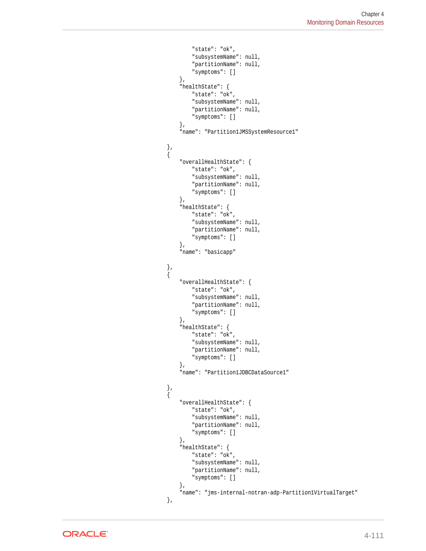```
 "state": "ok",
                              "subsystemName": null,
                              "partitionName": null,
                              "symptoms": []
                         },
                         "healthState": {
                              "state": "ok",
                              "subsystemName": null,
                              "partitionName": null,
                              "symptoms": []
                         },
                         "name": "Partition1JMSSystemResource1"
\}, \{, \}, \{, \}, \{\left\{ \begin{array}{ccc} 1 & 1 & 1 \\ 1 & 1 & 1 \end{array} \right\} "overallHealthState": {
                              "state": "ok",
                              "subsystemName": null,
                              "partitionName": null,
                              "symptoms": []
                         },
                         "healthState": {
                              "state": "ok",
                              "subsystemName": null,
                              "partitionName": null,
                              "symptoms": []
                         },
                         "name": "basicapp"
\}, \{, \}, \{, \}, \{\left\{ \begin{array}{ccc} 1 & 1 & 1 \\ 1 & 1 & 1 \end{array} \right\} "overallHealthState": {
                              "state": "ok",
                              "subsystemName": null,
                              "partitionName": null,
                              "symptoms": []
                         },
                         "healthState": {
                              "state": "ok",
                              "subsystemName": null,
                              "partitionName": null,
                              "symptoms": []
                         },
                         "name": "Partition1JDBCDataSource1"
                    },
\left\{ \begin{array}{ccc} 1 & 1 & 1 \\ 1 & 1 & 1 \end{array} \right\} "overallHealthState": {
                              "state": "ok",
                              "subsystemName": null,
                              "partitionName": null,
                              "symptoms": []
                         },
                         "healthState": {
                              "state": "ok",
                              "subsystemName": null,
                              "partitionName": null,
                              "symptoms": []
                         },
                         "name": "jms-internal-notran-adp-Partition1VirtualTarget"
                    },
```
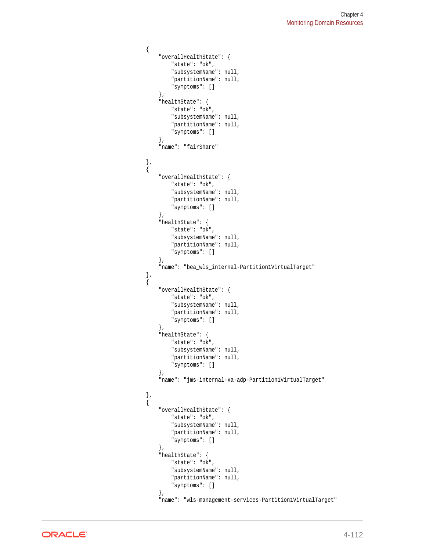```
\left\{ \begin{array}{ccc} 1 & 1 & 1 \\ 1 & 1 & 1 \end{array} \right\} "overallHealthState": {
                             "state": "ok",
                             "subsystemName": null,
                             "partitionName": null,
                             "symptoms": []
                        },
                         "healthState": {
                             "state": "ok",
                              "subsystemName": null,
                              "partitionName": null,
                              "symptoms": []
                         },
                         "name": "fairShare"
                    },
\left\{ \begin{array}{ccc} 1 & 1 & 1 \\ 1 & 1 & 1 \end{array} \right\} "overallHealthState": {
                             "state": "ok",
                             "subsystemName": null,
                             "partitionName": null,
                             "symptoms": []
                        },
                         "healthState": {
                             "state": "ok",
                             "subsystemName": null,
                              "partitionName": null,
                             "symptoms": []
                        },
                         "name": "bea_wls_internal-Partition1VirtualTarget"
                    },
\left\{ \begin{array}{ccc} 1 & 1 & 1 \\ 1 & 1 & 1 \end{array} \right\} "overallHealthState": {
                             "state": "ok",
                              "subsystemName": null,
                              "partitionName": null,
                              "symptoms": []
                        },
                         "healthState": {
                             "state": "ok",
                             "subsystemName": null,
                             "partitionName": null,
                             "symptoms": []
                        },
                         "name": "jms-internal-xa-adp-Partition1VirtualTarget"
                    },
\{ "overallHealthState": {
                             "state": "ok",
                             "subsystemName": null,
                             "partitionName": null,
                             "symptoms": []
                         },
                         "healthState": {
                             "state": "ok",
                              "subsystemName": null,
                              "partitionName": null,
                              "symptoms": []
                         },
                         "name": "wls-management-services-Partition1VirtualTarget"
```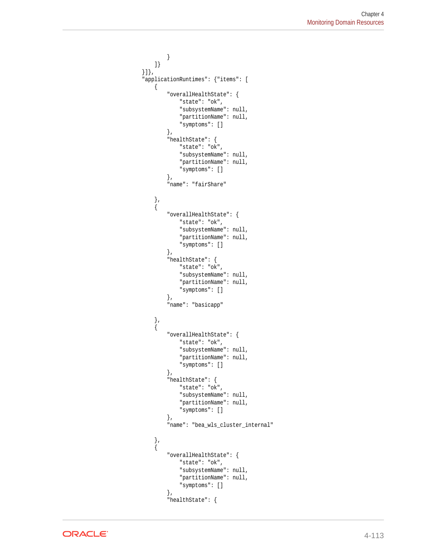```
 }
             ]}
         }]},
         "applicationRuntimes": {"items": [
             {
                 "overallHealthState": {
                     "state": "ok",
                     "subsystemName": null,
                     "partitionName": null,
                     "symptoms": []
                 },
                 "healthState": {
                     "state": "ok",
                     "subsystemName": null,
                     "partitionName": null,
                     "symptoms": []
                 },
                 "name": "fairShare"
             },
 {
                 "overallHealthState": {
                     "state": "ok",
                     "subsystemName": null,
                     "partitionName": null,
                     "symptoms": []
                 },
                 "healthState": {
                     "state": "ok",
                     "subsystemName": null,
                     "partitionName": null,
                     "symptoms": []
                 },
                 "name": "basicapp"
             },
\{ "overallHealthState": {
                     "state": "ok",
                     "subsystemName": null,
                     "partitionName": null,
                     "symptoms": []
                 },
                 "healthState": {
                     "state": "ok",
                     "subsystemName": null,
                     "partitionName": null,
                     "symptoms": []
                 },
                 "name": "bea_wls_cluster_internal"
\}, \}, \}, \} {
                 "overallHealthState": {
                     "state": "ok",
                     "subsystemName": null,
                     "partitionName": null,
                     "symptoms": []
                 },
                 "healthState": {
```
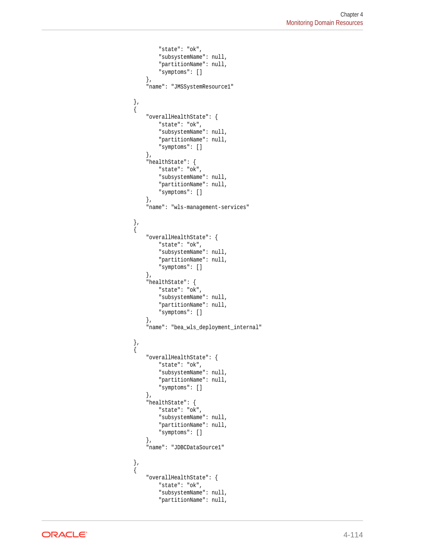```
 "state": "ok",
                      "subsystemName": null,
                      "partitionName": null,
                      "symptoms": []
                 },
                  "name": "JMSSystemResource1"
             },
             {
                  "overallHealthState": {
                     "state": "ok",
                      "subsystemName": null,
                      "partitionName": null,
                      "symptoms": []
                 },
                  "healthState": {
                      "state": "ok",
                      "subsystemName": null,
                      "partitionName": null,
                      "symptoms": []
                 },
                 "name": "wls-management-services"
             },
\{ "overallHealthState": {
                      "state": "ok",
                      "subsystemName": null,
                      "partitionName": null,
                      "symptoms": []
                 },
                  "healthState": {
                      "state": "ok",
                      "subsystemName": null,
                      "partitionName": null,
                      "symptoms": []
                 },
                  "name": "bea_wls_deployment_internal"
             },
\{ "overallHealthState": {
                      "state": "ok",
                      "subsystemName": null,
                      "partitionName": null,
                      "symptoms": []
                 },
                  "healthState": {
                      "state": "ok",
                      "subsystemName": null,
                      "partitionName": null,
                      "symptoms": []
                 },
                  "name": "JDBCDataSource1"
             },
             {
                  "overallHealthState": {
                      "state": "ok",
                      "subsystemName": null,
                      "partitionName": null,
```
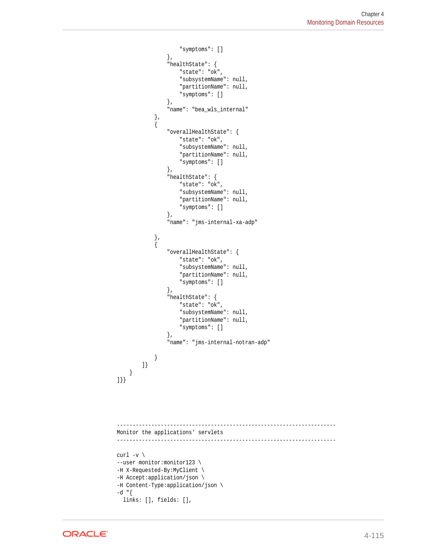```
 "symptoms": []
                  },
                  "healthState": {
                       "state": "ok",
                      "subsystemName": null,
                       "partitionName": null,
                       "symptoms": []
                  },
                  "name": "bea_wls_internal"
 },
 {
                  "overallHealthState": {
                      "state": "ok",
                      "subsystemName": null,
                       "partitionName": null,
                       "symptoms": []
                  },
                  "healthState": {
                      "state": "ok",
                      "subsystemName": null,
                      "partitionName": null,
                      "symptoms": []
                  },
                  "name": "jms-internal-xa-adp"
              },
 {
                  "overallHealthState": {
                      "state": "ok",
                       "subsystemName": null,
                       "partitionName": null,
                       "symptoms": []
                  },
                  "healthState": {
                       "state": "ok",
                       "subsystemName": null,
                       "partitionName": null,
                       "symptoms": []
                  },
                  "name": "jms-internal-notran-adp"
              }
         ]}
     }
]}}
     ----------------------------------------------------------------------
Monitor the applications' servlets
----------------------------------------------------------------------
curl -v \backslash--user monitor: monitor123 \
-H X-Requested-By:MyClient \
-H Accept:application/json \
-H Content-Type:application/json \
-d "{
   links: [], fields: [],
```
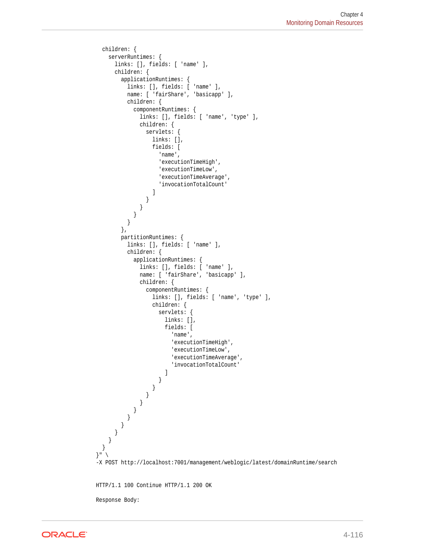```
 children: {
    serverRuntimes: {
      links: [], fields: [ 'name' ],
      children: {
        applicationRuntimes: {
          links: [], fields: [ 'name' ],
          name: [ 'fairShare', 'basicapp' ],
          children: {
            componentRuntimes: {
              links: [], fields: [ 'name', 'type' ],
              children: {
                servlets: {
                  links: [],
                  fields: [
                    'name',
                    'executionTimeHigh',
                    'executionTimeLow',
                    'executionTimeAverage',
                    'invocationTotalCount'
 ]
 }
              }
            }
          }
        },
        partitionRuntimes: {
          links: [], fields: [ 'name' ],
          children: {
            applicationRuntimes: {
              links: [], fields: [ 'name' ],
             name: [ 'fairShare', 'basicapp' ],
              children: {
                componentRuntimes: {
                  links: [], fields: [ 'name', 'type' ],
                  children: {
                    servlets: {
                      links: [],
                      fields: [
                        'name',
                        'executionTimeHigh',
                        'executionTimeLow',
                        'executionTimeAverage',
                        'invocationTotalCount'
) and the contract of the contract \mathbf{I} }
 }
 }
 }
 }
 }
 }
      }
    }
  }
\}" \
-X POST http://localhost:7001/management/weblogic/latest/domainRuntime/search
HTTP/1.1 100 Continue HTTP/1.1 200 OK
Response Body:
```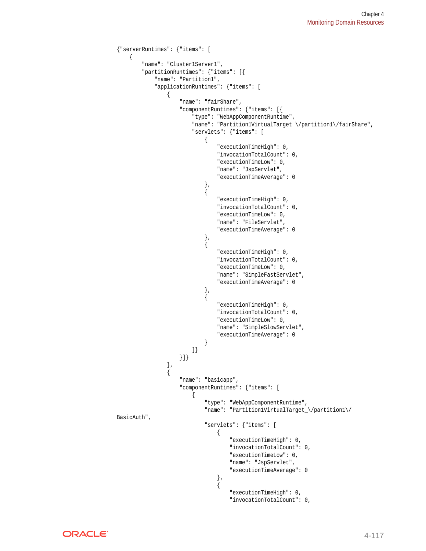```
{"serverRuntimes": {"items": [
\left\{\right. "name": "Cluster1Server1",
         "partitionRuntimes": {"items": [{
             "name": "Partition1",
             "applicationRuntimes": {"items": [
\left\{ \begin{array}{ccc} 1 & 1 & 1 \\ 1 & 1 & 1 \end{array} \right\} "name": "fairShare",
                     "componentRuntimes": {"items": [{
                         "type": "WebAppComponentRuntime",
                          "name": "Partition1VirtualTarget_\/partition1\/fairShare",
                          "servlets": {"items": [
\{ "executionTimeHigh": 0,
                                  "invocationTotalCount": 0,
                                  "executionTimeLow": 0,
                                  "name": "JspServlet",
                                  "executionTimeAverage": 0
\}, and the same state \}, and the same state \}, and the same state \{x_i\}{ } "executionTimeHigh": 0,
                                  "invocationTotalCount": 0,
                                  "executionTimeLow": 0,
                                  "name": "FileServlet",
                                  "executionTimeAverage": 0
\}, and the same state \}, and the same state \}, and the same state \{x_i\}{ } "executionTimeHigh": 0,
                                  "invocationTotalCount": 0,
                                  "executionTimeLow": 0,
                                  "name": "SimpleFastServlet",
                                  "executionTimeAverage": 0
\{x_i\}{ } "executionTimeHigh": 0,
                                  "invocationTotalCount": 0,
                                  "executionTimeLow": 0,
                                  "name": "SimpleSlowServlet",
                                  "executionTimeAverage": 0
 }
 ]}
                     }]}
                 },
\left\{ \begin{array}{ccc} 1 & 1 & 1 \\ 1 & 1 & 1 \end{array} \right\} "name": "basicapp",
                     "componentRuntimes": {"items": [
\{ "type": "WebAppComponentRuntime",
                              "name": "Partition1VirtualTarget_\/partition1\/
BasicAuth",
                              "servlets": {"items": [
\{ "executionTimeHigh": 0,
                                      "invocationTotalCount": 0,
                                      "executionTimeLow": 0,
                                      "name": "JspServlet",
                                      "executionTimeAverage": 0
\}, and the contract of \}, and the contract of \}, and the contract of \{\{ "executionTimeHigh": 0,
                                      "invocationTotalCount": 0,
```
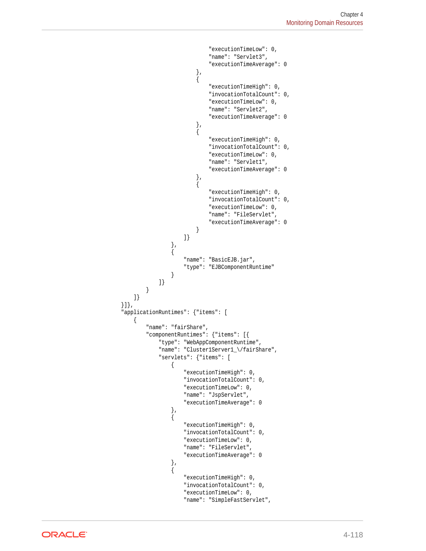```
 "executionTimeLow": 0,
                                        "name": "Servlet3",
                                        "executionTimeAverage": 0
 },
\{ "executionTimeHigh": 0,
                                        "invocationTotalCount": 0,
                                        "executionTimeLow": 0,
                                        "name": "Servlet2",
                                        "executionTimeAverage": 0
 },
\{ "executionTimeHigh": 0,
                                        "invocationTotalCount": 0,
                                        "executionTimeLow": 0,
                                        "name": "Servlet1",
                                        "executionTimeAverage": 0
\}, and the contract of \}, and the contract of \}, and the contract of \{\{ "executionTimeHigh": 0,
                                        "invocationTotalCount": 0,
                                        "executionTimeLow": 0,
                                        "name": "FileServlet",
                                        "executionTimeAverage": 0
}<br>}<br>}
\}\}, \{, \}, \{, \}, \{, \}, \{, \}, \{, \}, \{, \}, \{, \}, \{, \}, \{, \}, \{, \}, \{, \}, \{, \}, \{, \}, \{, \}, \{, \}, \{, \}, \{, \}, \{, \},
\{ "name": "BasicEJB.jar",
                               "type": "EJBComponentRuntime"
 }
                      ]}
 }
             ]}
         }]},
         "applicationRuntimes": {"items": [
             {
                  "name": "fairShare",
                  "componentRuntimes": {"items": [{
                      "type": "WebAppComponentRuntime",
                      "name": "Cluster1Server1_\/fairShare",
                      "servlets": {"items": [
\{ "executionTimeHigh": 0,
                               "invocationTotalCount": 0,
                               "executionTimeLow": 0,
                               "name": "JspServlet",
                               "executionTimeAverage": 0
\}, \{, \}, \{, \}, \{, \}, \{, \}, \{, \}, \{, \}, \{, \}, \{, \}, \{, \}, \{, \}, \{, \}, \{, \}, \{, \}, \{, \}, \{, \}, \{, \}, \{, \}, \{, \},
\{ "executionTimeHigh": 0,
                               "invocationTotalCount": 0,
                               "executionTimeLow": 0,
                               "name": "FileServlet",
                               "executionTimeAverage": 0
\}, \{, \}, \{, \}, \{, \}, \{, \}, \{, \}, \{, \}, \{, \}, \{, \}, \{, \}, \{, \}, \{, \}, \{, \}, \{, \}, \{, \}, \{, \}, \{, \}, \{, \}, \{, \},
\{ "executionTimeHigh": 0,
                               "invocationTotalCount": 0,
                               "executionTimeLow": 0,
                               "name": "SimpleFastServlet",
```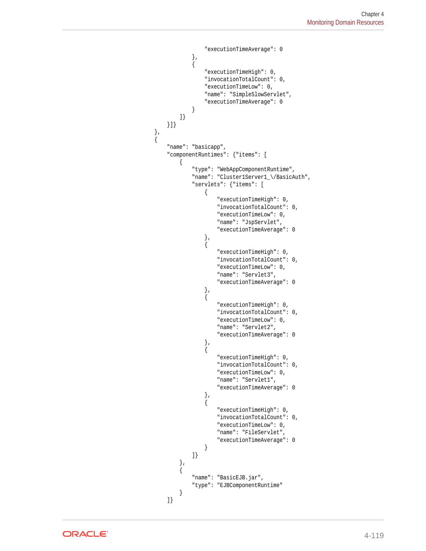```
 "executionTimeAverage": 0
\}, \{, \}, \{, \}, \{, \}, \{, \}, \{, \}, \{, \}, \{, \}, \{, \}, \{, \}, \{, \}, \{, \}, \{, \}, \{, \}, \{, \}, \{, \}, \{, \}, \{, \}, \{, \},
\{ "executionTimeHigh": 0,
                            "invocationTotalCount": 0,
                            "executionTimeLow": 0,
                            "name": "SimpleSlowServlet",
                            "executionTimeAverage": 0
 }
                    ]}
                }]}
 },
\{ "name": "basicapp",
                "componentRuntimes": {"items": [
\{ "type": "WebAppComponentRuntime",
                        "name": "Cluster1Server1_\/BasicAuth",
                        "servlets": {"items": [
{ } "executionTimeHigh": 0,
                                "invocationTotalCount": 0,
                                "executionTimeLow": 0,
                                "name": "JspServlet",
                                "executionTimeAverage": 0
\}, and the same state \}, and the same state \}, and the same state \{x_i\}{ } "executionTimeHigh": 0,
                                "invocationTotalCount": 0,
                                "executionTimeLow": 0,
                                "name": "Servlet3",
                                "executionTimeAverage": 0
\{x_i\}{ } "executionTimeHigh": 0,
                                "invocationTotalCount": 0,
                                "executionTimeLow": 0,
                                "name": "Servlet2",
                                "executionTimeAverage": 0
\}, and the same state \}, and the same state \}, and the same state \{x_i\}{ } "executionTimeHigh": 0,
                                "invocationTotalCount": 0,
                                "executionTimeLow": 0,
                                "name": "Servlet1",
                                "executionTimeAverage": 0
\}, and the same state \}, and the same state \}, and the same state \{x_i\}\{ "executionTimeHigh": 0,
                                "invocationTotalCount": 0,
                                "executionTimeLow": 0,
                                "name": "FileServlet",
                                "executionTimeAverage": 0
 }
 ]}
                    },
\{ "name": "BasicEJB.jar",
                        "type": "EJBComponentRuntime"
 }
                ]}
```
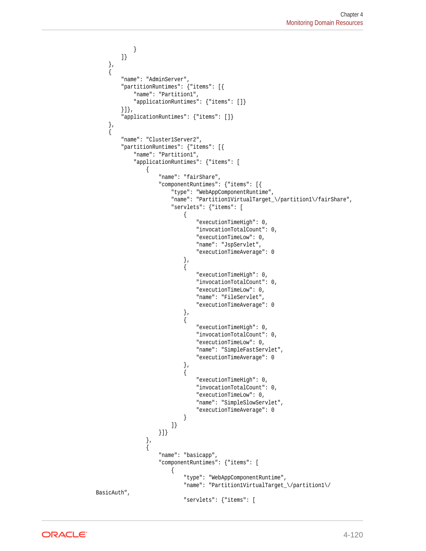```
 }
         ]}
     },
     {
         "name": "AdminServer",
         "partitionRuntimes": {"items": [{
             "name": "Partition1",
              "applicationRuntimes": {"items": []}
         }]},
         "applicationRuntimes": {"items": []}
     },
     {
         "name": "Cluster1Server2",
         "partitionRuntimes": {"items": [{
             "name": "Partition1",
             "applicationRuntimes": {"items": [
\left\{ \begin{array}{ccc} 1 & 1 & 1 \\ 1 & 1 & 1 \end{array} \right\} "name": "fairShare",
                      "componentRuntimes": {"items": [{
                          "type": "WebAppComponentRuntime",
                          "name": "Partition1VirtualTarget_\/partition1\/fairShare",
                          "servlets": {"items": [
\{ "executionTimeHigh": 0,
                                   "invocationTotalCount": 0,
                                   "executionTimeLow": 0,
                                   "name": "JspServlet",
                                   "executionTimeAverage": 0
\}, and the same state \}, and the same state \}, and the same state \{x_i\}{ } "executionTimeHigh": 0,
                                   "invocationTotalCount": 0,
                                   "executionTimeLow": 0,
                                   "name": "FileServlet",
                                   "executionTimeAverage": 0
\}, and the same state \}, and the same state \}, and the same state \{x_i\}{ } "executionTimeHigh": 0,
                                   "invocationTotalCount": 0,
                                   "executionTimeLow": 0,
                                   "name": "SimpleFastServlet",
                                   "executionTimeAverage": 0
\{x_i\}{ } "executionTimeHigh": 0,
                                   "invocationTotalCount": 0,
                                   "executionTimeLow": 0,
                                   "name": "SimpleSlowServlet",
                                   "executionTimeAverage": 0
 }
                          ]}
                      }]}
                  },
\left\{ \begin{array}{ccc} 1 & 1 & 1 \\ 1 & 1 & 1 \end{array} \right\} "name": "basicapp",
                      "componentRuntimes": {"items": [
\{ "type": "WebAppComponentRuntime",
                              "name": "Partition1VirtualTarget_\/partition1\/
BasicAuth",
                              "servlets": {"items": [
```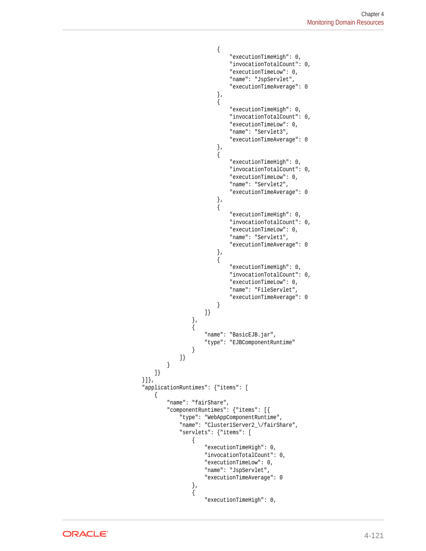```
\{ "executionTimeHigh": 0,
                                   "invocationTotalCount": 0,
                                   "executionTimeLow": 0,
                                   "name": "JspServlet",
                                   "executionTimeAverage": 0
 },
\{ "executionTimeHigh": 0,
                                   "invocationTotalCount": 0,
                                   "executionTimeLow": 0,
                                   "name": "Servlet3",
                                   "executionTimeAverage": 0
 },
\{ "executionTimeHigh": 0,
                                   "invocationTotalCount": 0,
                                   "executionTimeLow": 0,
                                   "name": "Servlet2",
                                   "executionTimeAverage": 0
 },
\{ "executionTimeHigh": 0,
                                   "invocationTotalCount": 0,
                                   "executionTimeLow": 0,
                                   "name": "Servlet1",
                                   "executionTimeAverage": 0
\}, and the contract of \}, and the contract of \}, and the contract of \{\{ "executionTimeHigh": 0,
                                   "invocationTotalCount": 0,
                                   "executionTimeLow": 0,
                                   "name": "FileServlet",
                                   "executionTimeAverage": 0
}<br>}<br>}
\}\}, \{, \}, \{, \}, \{, \}, \{, \}, \{, \}, \{, \}, \{, \}, \{, \}, \{, \}, \{, \}, \{, \}, \{, \}, \{, \}, \{, \}, \{, \}, \{, \}, \{, \}, \{, \},
\{ "name": "BasicEJB.jar",
                            "type": "EJBComponentRuntime"
 }
                   ]}
 }
            ]}
        }]},
        "applicationRuntimes": {"items": [
            {
                "name": "fairShare",
                "componentRuntimes": {"items": [{
                    "type": "WebAppComponentRuntime",
                    "name": "Cluster1Server2_\/fairShare",
                    "servlets": {"items": [
\{ "executionTimeHigh": 0,
                           "invocationTotalCount": 0,
                           "executionTimeLow": 0,
                            "name": "JspServlet",
                            "executionTimeAverage": 0
\}, \{, \}, \{, \}, \{, \}, \{, \}, \{, \}, \{, \}, \{, \}, \{, \}, \{, \}, \{, \}, \{, \}, \{, \}, \{, \}, \{, \}, \{, \}, \{, \}, \{, \}, \{, \},
\{ "executionTimeHigh": 0,
```
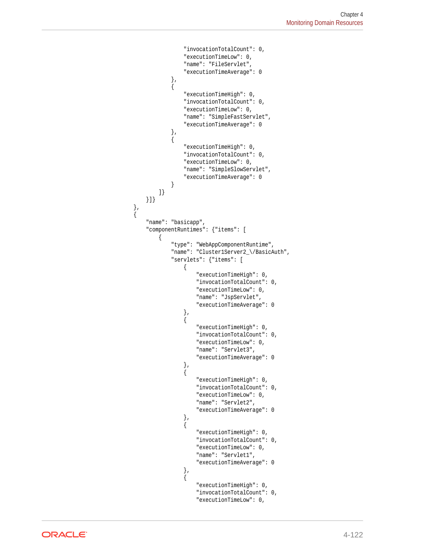```
 "invocationTotalCount": 0,
                                "executionTimeLow": 0,
                                "name": "FileServlet",
                                "executionTimeAverage": 0
\}, \{, \}, \{, \}, \{, \}, \{, \}, \{, \}, \{, \}, \{, \}, \{, \}, \{, \}, \{, \}, \{, \}, \{, \}, \{, \}, \{, \}, \{, \}, \{, \}, \{, \}, \{, \},
\{ "executionTimeHigh": 0,
                                "invocationTotalCount": 0,
                                "executionTimeLow": 0,
                                "name": "SimpleFastServlet",
                                "executionTimeAverage": 0
\}, \{, \}, \{, \}, \{, \}, \{, \}, \{, \}, \{, \}, \{, \}, \{, \}, \{, \}, \{, \}, \{, \}, \{, \}, \{, \}, \{, \}, \{, \}, \{, \}, \{, \}, \{, \},
\{ "executionTimeHigh": 0,
                                "invocationTotalCount": 0,
                                "executionTimeLow": 0,
                                "name": "SimpleSlowServlet",
                                "executionTimeAverage": 0
 }
                       ]}
                  }]}
              },
\{ "name": "basicapp",
                   "componentRuntimes": {"items": [
\{ "type": "WebAppComponentRuntime",
                            "name": "Cluster1Server2_\/BasicAuth",
                            "servlets": {"items": [
{ } "executionTimeHigh": 0,
                                     "invocationTotalCount": 0,
                                     "executionTimeLow": 0,
                                     "name": "JspServlet",
                                     "executionTimeAverage": 0
\}, and the same state \}, and the same state \}, and the same state \{x_i\}{ } "executionTimeHigh": 0,
                                     "invocationTotalCount": 0,
                                     "executionTimeLow": 0,
                                     "name": "Servlet3",
                                     "executionTimeAverage": 0
\{x_i\}{ } "executionTimeHigh": 0,
                                     "invocationTotalCount": 0,
                                     "executionTimeLow": 0,
                                     "name": "Servlet2",
                                     "executionTimeAverage": 0
\}, and the same state \}, and the same state \}, and the same state \{x_i\}{ } "executionTimeHigh": 0,
                                     "invocationTotalCount": 0,
                                     "executionTimeLow": 0,
                                     "name": "Servlet1",
                                     "executionTimeAverage": 0
\}, and the same state \}, and the same state \}, and the same state \{x_i\}\{ "executionTimeHigh": 0,
                                     "invocationTotalCount": 0,
                                     "executionTimeLow": 0,
```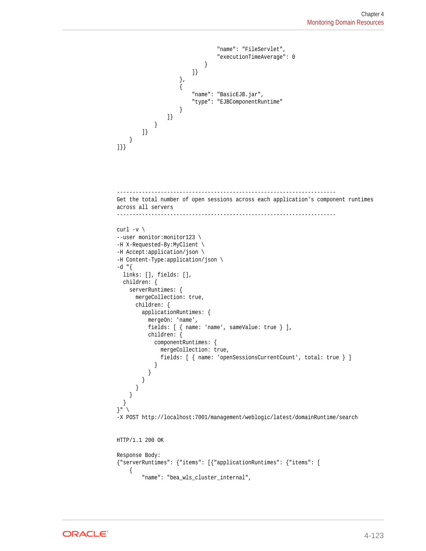```
 "name": "FileServlet",
                                "executionTimeAverage": 0
 }
                        ]}
                    },
\{ "name": "BasicEJB.jar",
                        "type": "EJBComponentRuntime"
 }
                ]}
            }
        ]}
     }
]}}
----------------------------------------------------------------------
Get the total number of open sessions across each application's component runtimes 
across all servers
----------------------------------------------------------------------
curl -v \backslash--user monitor:monitor123 \
-H X-Requested-By:MyClient \
-H Accept:application/json \
-H Content-Type:application/json \
-d "\{ links: [], fields: [],
  children: {
    serverRuntimes: {
      mergeCollection: true,
      children: {
        applicationRuntimes: {
          mergeOn: 'name',
          fields: [ { name: 'name', sameValue: true } ],
          children: {
            componentRuntimes: {
              mergeCollection: true,
              fields: [ { name: 'openSessionsCurrentCount', total: true } ]
 }
          }
        }
      }
     }
  }
}" \
-X POST http://localhost:7001/management/weblogic/latest/domainRuntime/search
HTTP/1.1 200 OK
Response Body:
{"serverRuntimes": {"items": [{"applicationRuntimes": {"items": [
     {
         "name": "bea_wls_cluster_internal",
```
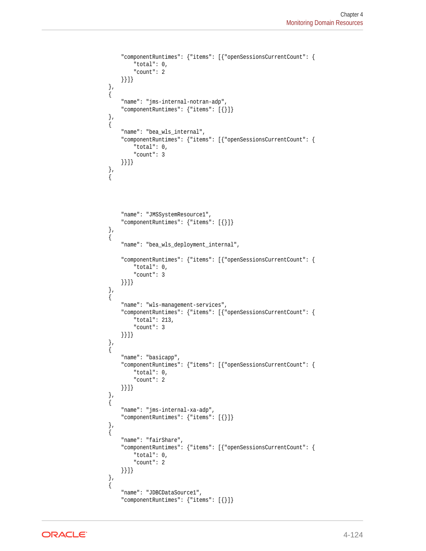```
 "componentRuntimes": {"items": [{"openSessionsCurrentCount": {
             "total": 0,
             "count": 2
         }}]}
     },
     {
         "name": "jms-internal-notran-adp",
         "componentRuntimes": {"items": [{}]}
     },
\left\{\right. "name": "bea_wls_internal",
         "componentRuntimes": {"items": [{"openSessionsCurrentCount": {
             "total": 0,
              "count": 3
         }}]}
     },
     {
         "name": "JMSSystemResource1",
         "componentRuntimes": {"items": [{}]}
     },
     {
         "name": "bea_wls_deployment_internal",
         "componentRuntimes": {"items": [{"openSessionsCurrentCount": {
             "total": 0,
              "count": 3
         }}]}
     },
     {
         "name": "wls-management-services",
         "componentRuntimes": {"items": [{"openSessionsCurrentCount": {
             "total": 213,
             "count": 3
         }}]}
    },
\left\{\right. "name": "basicapp",
         "componentRuntimes": {"items": [{"openSessionsCurrentCount": {
             "total": 0,
             "count": 2
         }}]}
     },
     {
         "name": "jms-internal-xa-adp",
         "componentRuntimes": {"items": [{}]}
     },
     {
         "name": "fairShare",
         "componentRuntimes": {"items": [{"openSessionsCurrentCount": {
             "total": 0,
             "count": 2
         }}]}
     },
     {
         "name": "JDBCDataSource1",
         "componentRuntimes": {"items": [{}]}
```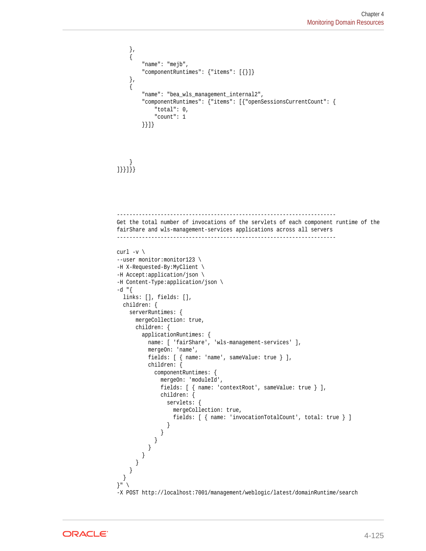```
 },
     {
         "name": "mejb",
         "componentRuntimes": {"items": [{}]}
     },
\left\{\right. "name": "bea_wls_management_internal2",
         "componentRuntimes": {"items": [{"openSessionsCurrentCount": {
             "total": 0,
             "count": 1
         }}]}
\left\{\begin{array}{ccc} \end{array}\right\}]}}]}}
----------------------------------------------------------------------
Get the total number of invocations of the servlets of each component runtime of the 
fairShare and wls-management-services applications across all servers
----------------------------------------------------------------------
curl -v \backslash--user monitor:monitor123 \
-H X-Requested-By:MyClient \
-H Accept:application/json \
-H Content-Type:application/json \
-d "{
   links: [], fields: [],
   children: {
     serverRuntimes: {
       mergeCollection: true,
       children: {
         applicationRuntimes: {
           name: [ 'fairShare', 'wls-management-services' ],
           mergeOn: 'name',
           fields: [ { name: 'name', sameValue: true } ],
           children: {
             componentRuntimes: {
               mergeOn: 'moduleId',
               fields: [ { name: 'contextRoot', sameValue: true } ],
               children: {
                 servlets: {
                   mergeCollection: true,
                   fields: [ { name: 'invocationTotalCount', total: true } ]
 }
 }
 }
 }
 }
 }
     }
   }
\} "
-X POST http://localhost:7001/management/weblogic/latest/domainRuntime/search
```
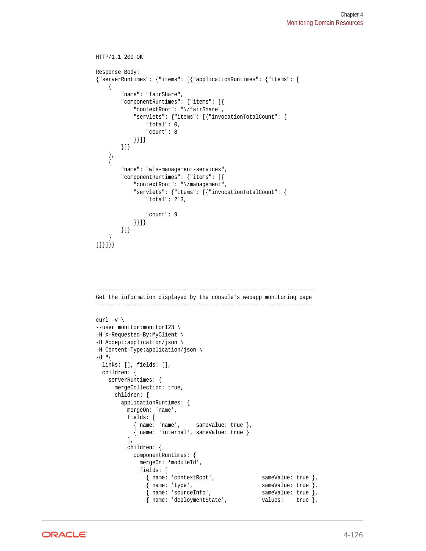```
HTTP/1.1 200 OK
Response Body:
{"serverRuntimes": {"items": [{"applicationRuntimes": {"items": [
     {
         "name": "fairShare",
         "componentRuntimes": {"items": [{
             "contextRoot": "\/fairShare",
             "servlets": {"items": [{"invocationTotalCount": {
                 "total": 0,
                 "count": 8
             }}]}
        }]}
     },
     {
         "name": "wls-management-services",
         "componentRuntimes": {"items": [{
             "contextRoot": "\/management",
             "servlets": {"items": [{"invocationTotalCount": {
                 "total": 213,
                 "count": 9
             }}]}
        }]}
     }
]}}]}}
            ----------------------------------------------------------------------
Get the information displayed by the console's webapp monitoring page
----------------------------------------------------------------------
curl -v \backslash--user monitor:monitor123 \
-H X-Requested-By:MyClient \
-H Accept:application/json \
-H Content-Type:application/json \
-d "{
  links: [], fields: [],
   children: {
     serverRuntimes: {
      mergeCollection: true,
       children: {
         applicationRuntimes: {
          mergeOn: 'name',
          fields: [
             { name: 'name', sameValue: true },
             { name: 'internal', sameValue: true }
           ],
           children: {
             componentRuntimes: {
               mergeOn: 'moduleId',
               fields: [
                { name: 'contextRoot', sameValue: true },
                { name: 'type', sameValue: true },
                { name: 'sourceInfo', sameValue: true },
                 { name: 'deploymentState', values: true },
```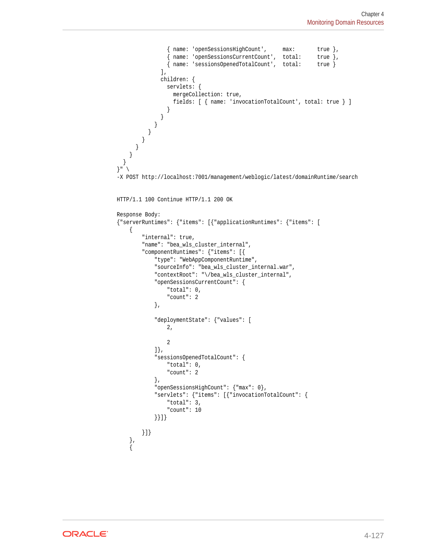```
 { name: 'openSessionsHighCount', max: true },
                { name: 'openSessionsCurrentCount', total: true },
                { name: 'sessionsOpenedTotalCount', total: true }
               ],
               children: {
                servlets: {
                  mergeCollection: true,
                  fields: [ { name: 'invocationTotalCount', total: true } ]
 }
 }
 }
 }
}<br>}
 }
    }
  }
}" \
-X POST http://localhost:7001/management/weblogic/latest/domainRuntime/search
HTTP/1.1 100 Continue HTTP/1.1 200 OK
Response Body:
{"serverRuntimes": {"items": [{"applicationRuntimes": {"items": [
\left\{\right. "internal": true,
         "name": "bea_wls_cluster_internal",
         "componentRuntimes": {"items": [{
             "type": "WebAppComponentRuntime",
             "sourceInfo": "bea_wls_cluster_internal.war",
             "contextRoot": "\/bea_wls_cluster_internal",
             "openSessionsCurrentCount": {
                "total": 0,
                 "count": 2
             },
             "deploymentState": {"values": [
                2,
 2
             ]},
             "sessionsOpenedTotalCount": {
                "total": 0,
                "count": 2
             },
             "openSessionsHighCount": {"max": 0},
             "servlets": {"items": [{"invocationTotalCount": {
                "total": 3,
                "count": 10
            }}]}
        }]}
     },
\left\{\right.
```
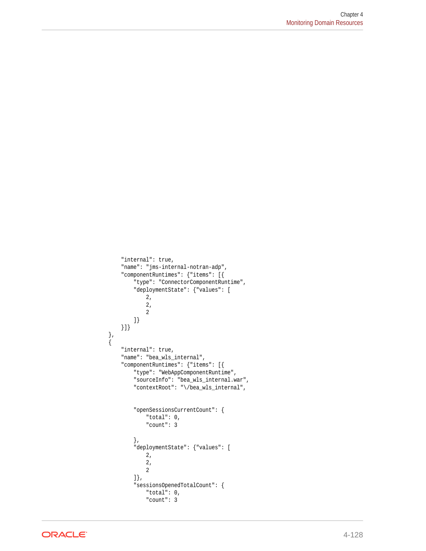```
 "internal": true,
        "name": "jms-internal-notran-adp",
        "componentRuntimes": {"items": [{
             "type": "ConnectorComponentRuntime",
             "deploymentState": {"values": [
                 2,
                 2,
 2
             ]}
        }]}
 },
\left\{\right. "internal": true,
        "name": "bea_wls_internal",
        "componentRuntimes": {"items": [{
            "type": "WebAppComponentRuntime",
             "sourceInfo": "bea_wls_internal.war",
             "contextRoot": "\/bea_wls_internal",
             "openSessionsCurrentCount": {
                 "total": 0,
                 "count": 3
             },
             "deploymentState": {"values": [
                2,
                 2,
 2
             ]},
             "sessionsOpenedTotalCount": {
                 "total": 0,
                 "count": 3
```
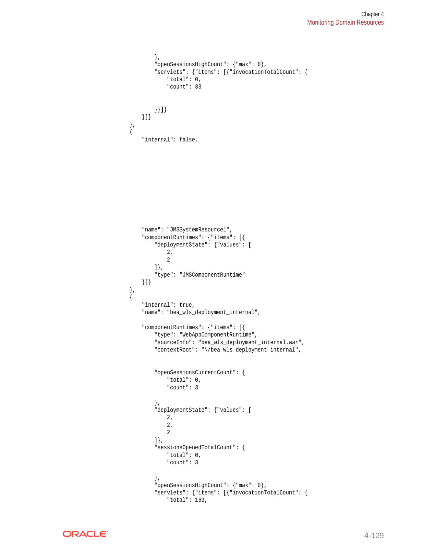```
 },
             "openSessionsHighCount": {"max": 0},
             "servlets": {"items": [{"invocationTotalCount": {
                 "total": 0,
                 "count": 33
             }}]}
        }]}
 },
\left\{\right. "internal": false,
         "name": "JMSSystemResource1",
         "componentRuntimes": {"items": [{
             "deploymentState": {"values": [
                 2,
 2
             ]},
             "type": "JMSComponentRuntime"
         }]}
    },
    {
         "internal": true,
         "name": "bea_wls_deployment_internal",
         "componentRuntimes": {"items": [{
             "type": "WebAppComponentRuntime",
             "sourceInfo": "bea_wls_deployment_internal.war",
             "contextRoot": "\/bea_wls_deployment_internal",
             "openSessionsCurrentCount": {
                 "total": 0,
                 "count": 3
             },
             "deploymentState": {"values": [
                 2,
                 2,
 2
             ]},
             "sessionsOpenedTotalCount": {
                 "total": 0,
                 "count": 3
             },
             "openSessionsHighCount": {"max": 0},
             "servlets": {"items": [{"invocationTotalCount": {
                 "total": 169,
```
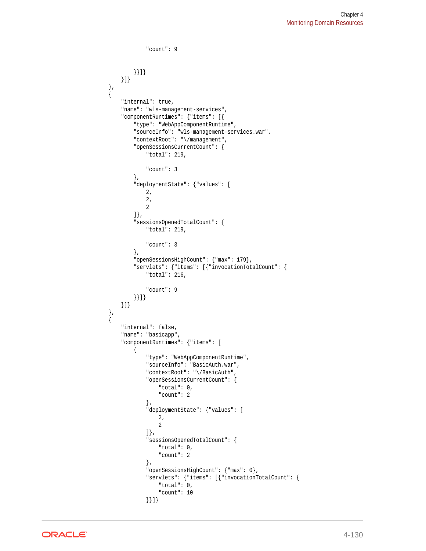```
 "count": 9
             }}]}
        }]}
    },
    {
         "internal": true,
         "name": "wls-management-services",
         "componentRuntimes": {"items": [{
             "type": "WebAppComponentRuntime",
             "sourceInfo": "wls-management-services.war",
             "contextRoot": "\/management",
             "openSessionsCurrentCount": {
                 "total": 219,
                 "count": 3
             },
             "deploymentState": {"values": [
                 2,
                 2,
 2
             ]},
             "sessionsOpenedTotalCount": {
                 "total": 219,
                 "count": 3
             },
             "openSessionsHighCount": {"max": 179},
             "servlets": {"items": [{"invocationTotalCount": {
                 "total": 216,
                 "count": 9
             }}]}
        }]}
    },
    {
         "internal": false,
         "name": "basicapp",
         "componentRuntimes": {"items": [
             {
                 "type": "WebAppComponentRuntime",
                 "sourceInfo": "BasicAuth.war",
                 "contextRoot": "\/BasicAuth",
                 "openSessionsCurrentCount": {
                     "total": 0,
                     "count": 2
                 },
                 "deploymentState": {"values": [
                     2,
 2
                 ]},
                 "sessionsOpenedTotalCount": {
                     "total": 0,
                     "count": 2
                 },
                 "openSessionsHighCount": {"max": 0},
                 "servlets": {"items": [{"invocationTotalCount": {
                     "total": 0,
                     "count": 10
                 }}]}
```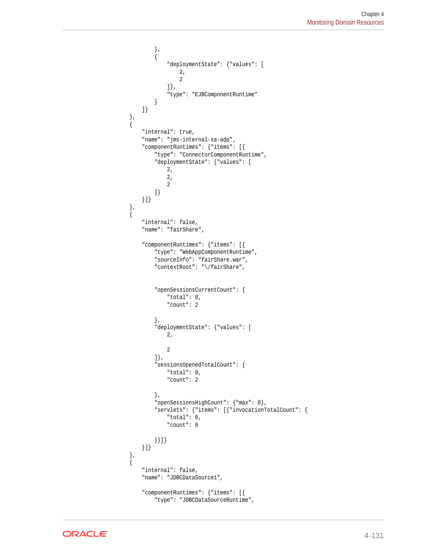```
 },
             {
                 "deploymentState": {"values": [
                     2,
 2
                 ]},
                 "type": "EJBComponentRuntime"
 }
        ]}
 },
\left\{\right. "internal": true,
         "name": "jms-internal-xa-adp",
         "componentRuntimes": {"items": [{
            "type": "ConnectorComponentRuntime",
             "deploymentState": {"values": [
                2,
                 2,
 2
             ]}
        }]}
    },
    {
        "internal": false,
         "name": "fairShare",
         "componentRuntimes": {"items": [{
             "type": "WebAppComponentRuntime",
             "sourceInfo": "fairShare.war",
             "contextRoot": "\/fairShare",
             "openSessionsCurrentCount": {
                 "total": 0,
                 "count": 2
             },
             "deploymentState": {"values": [
                 2,
 2
             ]},
             "sessionsOpenedTotalCount": {
                 "total": 0,
                 "count": 2
             },
             "openSessionsHighCount": {"max": 0},
             "servlets": {"items": [{"invocationTotalCount": {
                 "total": 0,
                 "count": 8
             }}]}
        }]}
 },
\left\{\right. "internal": false,
         "name": "JDBCDataSource1",
         "componentRuntimes": {"items": [{
             "type": "JDBCDataSourceRuntime",
```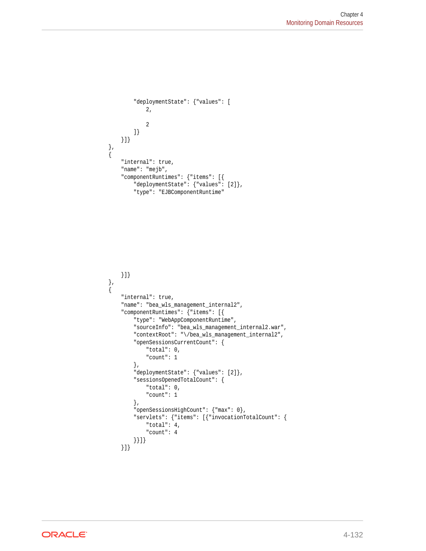```
 "deploymentState": {"values": [
                 2,
 2
            ]}
        }]}
 },
\left\{\right. "internal": true,
        "name": "mejb",
        "componentRuntimes": {"items": [{
            "deploymentState": {"values": [2]},
            "type": "EJBComponentRuntime"
```

```
 }]}
 },
\mathcal{A} "internal": true,
         "name": "bea_wls_management_internal2",
         "componentRuntimes": {"items": [{
             "type": "WebAppComponentRuntime",
             "sourceInfo": "bea_wls_management_internal2.war",
             "contextRoot": "\/bea_wls_management_internal2",
             "openSessionsCurrentCount": {
                 "total": 0,
                 "count": 1
             },
             "deploymentState": {"values": [2]},
             "sessionsOpenedTotalCount": {
                 "total": 0,
                 "count": 1
             },
             "openSessionsHighCount": {"max": 0},
             "servlets": {"items": [{"invocationTotalCount": {
                 "total": 4,
                 "count": 4
             }}]}
         }]}
```
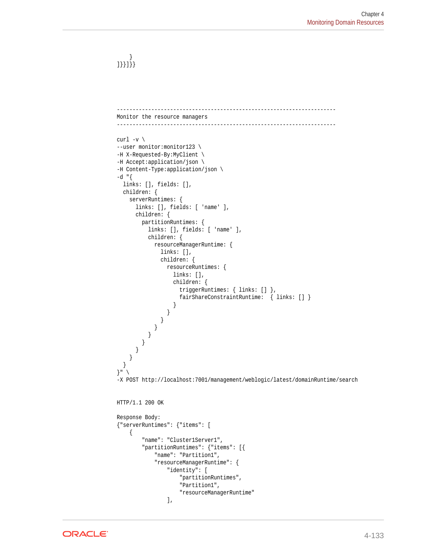} ]}}]}}

```
----------------------------------------------------------------------
Monitor the resource managers
----------------------------------------------------------------------
curl -v \backslash--user monitor:monitor123 \
-H X-Requested-By:MyClient \
-H Accept:application/json \
-H Content-Type:application/json \
-d "{
   links: [], fields: [],
   children: {
     serverRuntimes: {
       links: [], fields: [ 'name' ],
       children: {
         partitionRuntimes: {
           links: [], fields: [ 'name' ],
           children: {
             resourceManagerRuntime: {
               links: [],
               children: {
                 resourceRuntimes: {
                    links: [],
                   children: {
                      triggerRuntimes: { links: [] },
                      fairShareConstraintRuntime: { links: [] }
 }
                 }
               }
             }
          }
        }
       }
     }
   }
}" \
-X POST http://localhost:7001/management/weblogic/latest/domainRuntime/search
HTTP/1.1 200 OK
Response Body:
{"serverRuntimes": {"items": [
     {
         "name": "Cluster1Server1",
         "partitionRuntimes": {"items": [{
             "name": "Partition1",
              "resourceManagerRuntime": {
                  "identity": [
                      "partitionRuntimes",
                      "Partition1",
                      "resourceManagerRuntime"
                 ],
```
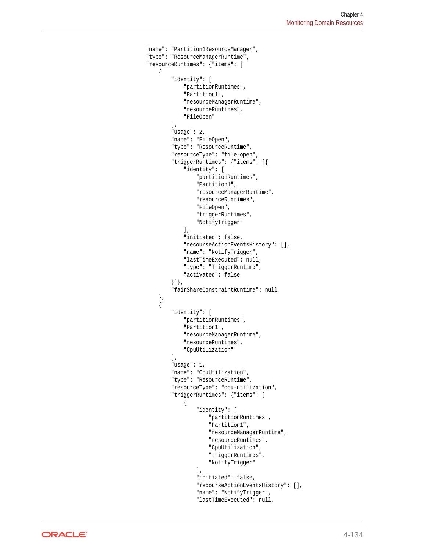```
 "name": "Partition1ResourceManager",
                "type": "ResourceManagerRuntime",
                "resourceRuntimes": {"items": [
\{ "identity": [
                            "partitionRuntimes",
                            "Partition1",
                            "resourceManagerRuntime",
                            "resourceRuntimes",
                            "FileOpen"
 ],
                         "usage": 2,
                         "name": "FileOpen",
                        "type": "ResourceRuntime",
                         "resourceType": "file-open",
                        "triggerRuntimes": {"items": [{
                            "identity": [
                                "partitionRuntimes",
                                "Partition1",
                                "resourceManagerRuntime",
                                "resourceRuntimes",
                                "FileOpen",
                                "triggerRuntimes",
                                "NotifyTrigger"
\mathbf{1}, \mathbf{1}, \mathbf{1} "initiated": false,
                            "recourseActionEventsHistory": [],
                            "name": "NotifyTrigger",
                            "lastTimeExecuted": null,
                            "type": "TriggerRuntime",
                            "activated": false
                        }]},
                         "fairShareConstraintRuntime": null
                    },
\{ "identity": [
                            "partitionRuntimes",
                            "Partition1",
                            "resourceManagerRuntime",
                            "resourceRuntimes",
                            "CpuUtilization"
                        ],
                         "usage": 1,
                        "name": "CpuUtilization",
                        "type": "ResourceRuntime",
                        "resourceType": "cpu-utilization",
                         "triggerRuntimes": {"items": [
\{ "identity": [
                                     "partitionRuntimes",
                                     "Partition1",
                                     "resourceManagerRuntime",
                                     "resourceRuntimes",
                                     "CpuUtilization",
                                     "triggerRuntimes",
                                     "NotifyTrigger"
\mathbf{I}, \mathbf{I}, \mathbf{I} "initiated": false,
                                "recourseActionEventsHistory": [],
                                "name": "NotifyTrigger",
                                "lastTimeExecuted": null,
```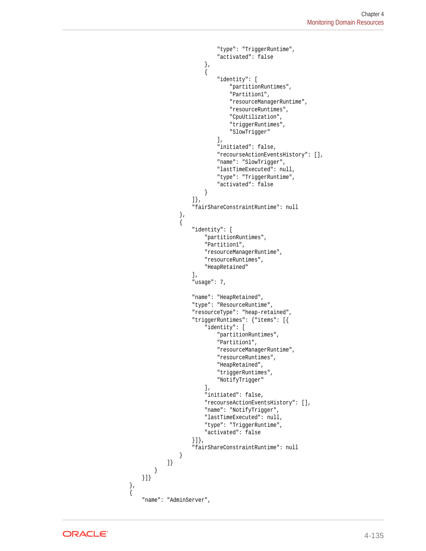```
 "type": "TriggerRuntime",
                               "activated": false
\{x_i\}{ } "identity": [
                                   "partitionRuntimes",
                                   "Partition1",
                                   "resourceManagerRuntime",
                                   "resourceRuntimes",
                                   "CpuUtilization",
                                   "triggerRuntimes",
                                   "SlowTrigger"
\mathbf{1}, \mathbf{1}, \mathbf{1} "initiated": false,
                               "recourseActionEventsHistory": [],
                               "name": "SlowTrigger",
                               "lastTimeExecuted": null,
                               "type": "TriggerRuntime",
                               "activated": false
 }
                       ]},
                       "fairShareConstraintRuntime": null
                   },
\{ "identity": [
                           "partitionRuntimes",
                           "Partition1",
                           "resourceManagerRuntime",
                           "resourceRuntimes",
                           "HeapRetained"
 ],
                       "usage": 7,
                       "name": "HeapRetained",
                       "type": "ResourceRuntime",
                       "resourceType": "heap-retained",
                       "triggerRuntimes": {"items": [{
                           "identity": [
                               "partitionRuntimes",
                               "Partition1",
                               "resourceManagerRuntime",
                               "resourceRuntimes",
                               "HeapRetained",
                               "triggerRuntimes",
                               "NotifyTrigger"
\mathbf{1}, \mathbf{1}, \mathbf{1} "initiated": false,
                           "recourseActionEventsHistory": [],
                           "name": "NotifyTrigger",
                           "lastTimeExecuted": null,
                           "type": "TriggerRuntime",
                           "activated": false
                       }]},
                       "fairShareConstraintRuntime": null
 }
               ]}
            }
        }]}
        "name": "AdminServer",
```


 }, {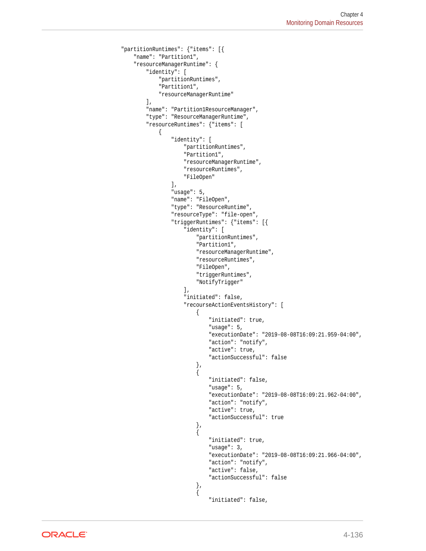```
 "partitionRuntimes": {"items": [{
             "name": "Partition1",
             "resourceManagerRuntime": {
                  "identity": [
                      "partitionRuntimes",
                      "Partition1",
                      "resourceManagerRuntime"
                  ],
                  "name": "Partition1ResourceManager",
                  "type": "ResourceManagerRuntime",
                  "resourceRuntimes": {"items": [
\{ "identity": [
                               "partitionRuntimes",
                               "Partition1",
                               "resourceManagerRuntime",
                               "resourceRuntimes",
                               "FileOpen"
 ],
                          "usage": 5,
                          "name": "FileOpen",
                          "type": "ResourceRuntime",
                          "resourceType": "file-open",
                          "triggerRuntimes": {"items": [{
                               "identity": [
                                   "partitionRuntimes",
                                   "Partition1",
                                   "resourceManagerRuntime",
                                   "resourceRuntimes",
                                   "FileOpen",
                                   "triggerRuntimes",
                                   "NotifyTrigger"
\mathbf{I}, \mathbf{I}, \mathbf{I}, \mathbf{I}, \mathbf{I}, \mathbf{I}, \mathbf{I}, \mathbf{I}, \mathbf{I}, \mathbf{I}, \mathbf{I}, \mathbf{I}, \mathbf{I}, \mathbf{I}, \mathbf{I}, \mathbf{I}, \mathbf{I}, \mathbf{I}, \mathbf{I}, \mathbf{I}, \mathbf{I}, \mathbf{I},  "initiated": false,
                               "recourseActionEventsHistory": [
\{ "initiated": true,
                                        "usage": 5,
                                        "executionDate": "2019-08-08T16:09:21.959-04:00",
                                        "action": "notify",
                                        "active": true,
                                        "actionSuccessful": false
\}, and the contract of \}, and the contract of \}, and the contract of \{\{ "initiated": false,
                                       "usage": 5,
                                        "executionDate": "2019-08-08T16:09:21.962-04:00",
                                        "action": "notify",
                                        "active": true,
                                        "actionSuccessful": true
 },
\{ "initiated": true,
                                        "usage": 3,
                                        "executionDate": "2019-08-08T16:09:21.966-04:00",
                                       "action": "notify",
                                        "active": false,
                                        "actionSuccessful": false
 },
\{ "initiated": false,
```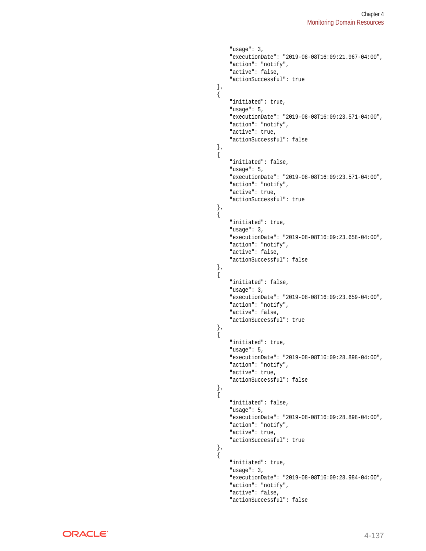```
 "usage": 3,
                              "executionDate": "2019-08-08T16:09:21.967-04:00",
                              "action": "notify",
                              "active": false,
                              "actionSuccessful": true
 },
\{ "initiated": true,
                              "usage": 5,
                              "executionDate": "2019-08-08T16:09:23.571-04:00",
                             "action": "notify",
                              "active": true,
                              "actionSuccessful": false
 },
\{ "initiated": false,
                              "usage": 5,
                              "executionDate": "2019-08-08T16:09:23.571-04:00",
                              "action": "notify",
                              "active": true,
                              "actionSuccessful": true
 },
\{ "initiated": true,
                              "usage": 3,
                              "executionDate": "2019-08-08T16:09:23.658-04:00",
                              "action": "notify",
                              "active": false,
                              "actionSuccessful": false
 },
\{ "initiated": false,
                              "usage": 3,
                              "executionDate": "2019-08-08T16:09:23.659-04:00",
                              "action": "notify",
                              "active": false,
                              "actionSuccessful": true
\}, and the contract of \}, and the contract of \}, and the contract of \{\{ "initiated": true,
                              "usage": 5,
                              "executionDate": "2019-08-08T16:09:28.898-04:00",
                              "action": "notify",
                              "active": true,
                              "actionSuccessful": false
 },
\{ "initiated": false,
                              "usage": 5,
                              "executionDate": "2019-08-08T16:09:28.898-04:00",
                              "action": "notify",
                              "active": true,
                              "actionSuccessful": true
 },
\{ "initiated": true,
                              "usage": 3,
                              "executionDate": "2019-08-08T16:09:28.984-04:00",
                              "action": "notify",
                              "active": false,
                              "actionSuccessful": false
```
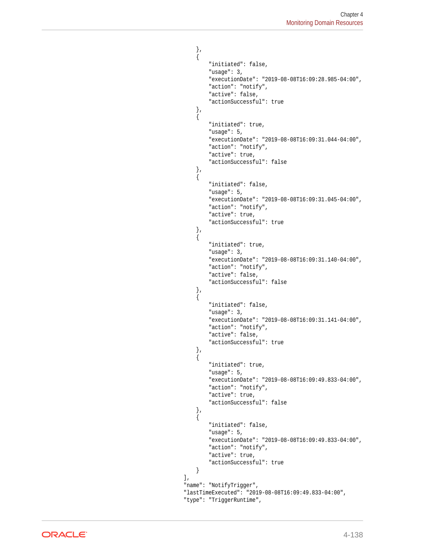```
 },
\{ "initiated": false,
                                  "usage": 3,
                                  "executionDate": "2019-08-08T16:09:28.985-04:00",
                                  "action": "notify",
                                  "active": false,
                                  "actionSuccessful": true
 },
\{ "initiated": true,
                                   "usage": 5,
                                   "executionDate": "2019-08-08T16:09:31.044-04:00",
                                  "action": "notify",
                                  "active": true,
                                  "actionSuccessful": false
 },
\{ "initiated": false,
                                  "usage": 5,
                                  "executionDate": "2019-08-08T16:09:31.045-04:00",
                                  "action": "notify",
                                  "active": true,
                                  "actionSuccessful": true
 },
\{ "initiated": true,
                                  "usage": 3,
                                  "executionDate": "2019-08-08T16:09:31.140-04:00",
                                  "action": "notify",
                                  "active": false,
                                  "actionSuccessful": false
\}, and the contract of \}, and the contract of \}, and the contract of \{\{ "initiated": false,
                                  "usage": 3,
                                  "executionDate": "2019-08-08T16:09:31.141-04:00",
                                  "action": "notify",
                                  "active": false,
                                  "actionSuccessful": true
 },
\{ "initiated": true,
                                  "usage": 5,
                                  "executionDate": "2019-08-08T16:09:49.833-04:00",
                                  "action": "notify",
                                  "active": true,
                                  "actionSuccessful": false
 },
\{ "initiated": false,
                                  "usage": 5,
                                  "executionDate": "2019-08-08T16:09:49.833-04:00",
                                  "action": "notify",
                                  "active": true,
                                   "actionSuccessful": true
}<br>}<br>}
\mathbf{I}, \mathbf{I}, \mathbf{I}, \mathbf{I}, \mathbf{I}, \mathbf{I}, \mathbf{I}, \mathbf{I}, \mathbf{I}, \mathbf{I}, \mathbf{I}, \mathbf{I}, \mathbf{I}, \mathbf{I}, \mathbf{I}, \mathbf{I}, \mathbf{I}, \mathbf{I}, \mathbf{I}, \mathbf{I}, \mathbf{I}, \mathbf{I},  "name": "NotifyTrigger",
                           "lastTimeExecuted": "2019-08-08T16:09:49.833-04:00",
                           "type": "TriggerRuntime",
```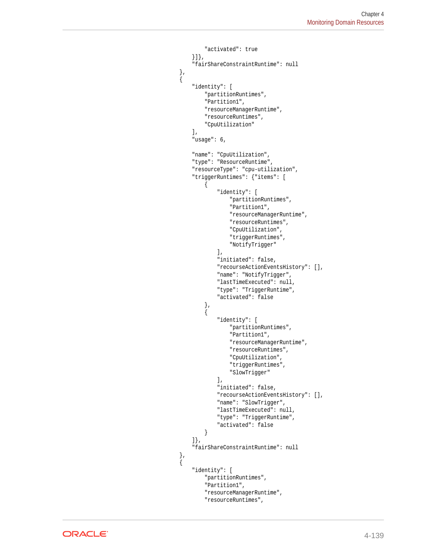```
 "activated": true
                        }]},
                        "fairShareConstraintRuntime": null
                    },
\{ "identity": [
                            "partitionRuntimes",
                            "Partition1",
                            "resourceManagerRuntime",
                            "resourceRuntimes",
                            "CpuUtilization"
 ],
                        "usage": 6,
                        "name": "CpuUtilization",
                        "type": "ResourceRuntime",
                        "resourceType": "cpu-utilization",
                        "triggerRuntimes": {"items": [
{ } "identity": [
                                    "partitionRuntimes",
                                    "Partition1",
                                    "resourceManagerRuntime",
                                    "resourceRuntimes",
                                    "CpuUtilization",
                                    "triggerRuntimes",
                                    "NotifyTrigger"
\mathbf{1}, \mathbf{1}, \mathbf{1} "initiated": false,
                                "recourseActionEventsHistory": [],
                                "name": "NotifyTrigger",
                                "lastTimeExecuted": null,
                                "type": "TriggerRuntime",
                                "activated": false
\}, and the same state \}, and the same state \}, and the same state \{x_i\}{ } "identity": [
                                    "partitionRuntimes",
                                    "Partition1",
                                    "resourceManagerRuntime",
                                    "resourceRuntimes",
                                    "CpuUtilization",
                                    "triggerRuntimes",
                                    "SlowTrigger"
\mathbf{I}, \mathbf{I}, \mathbf{I} "initiated": false,
                                "recourseActionEventsHistory": [],
                                "name": "SlowTrigger",
                                "lastTimeExecuted": null,
                                "type": "TriggerRuntime",
                                "activated": false
 }
                        ]},
                        "fairShareConstraintRuntime": null
                    },
\{ "identity": [
                            "partitionRuntimes",
                            "Partition1",
                            "resourceManagerRuntime",
                            "resourceRuntimes",
```
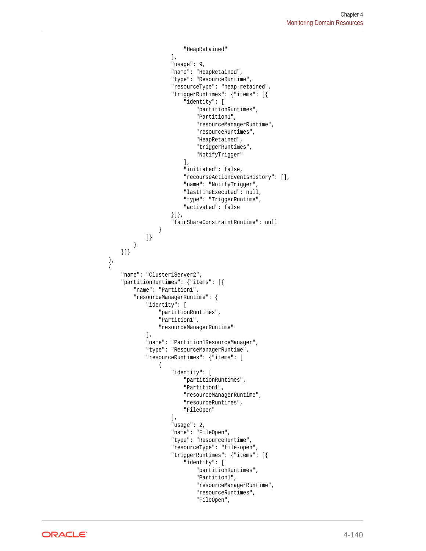```
 "HeapRetained"
 ],
                         "usage": 9,
                         "name": "HeapRetained",
                         "type": "ResourceRuntime",
                         "resourceType": "heap-retained",
                         "triggerRuntimes": {"items": [{
                             "identity": [
                                 "partitionRuntimes",
                                 "Partition1",
                                 "resourceManagerRuntime",
                                 "resourceRuntimes",
                                 "HeapRetained",
                                 "triggerRuntimes",
                                 "NotifyTrigger"
\mathbf{1}, \mathbf{1}, \mathbf{1} "initiated": false,
                             "recourseActionEventsHistory": [],
                             "name": "NotifyTrigger",
                             "lastTimeExecuted": null,
                             "type": "TriggerRuntime",
                             "activated": false
                        }]},
                         "fairShareConstraintRuntime": null
 }
                ]}
            }
        }]}
\vert,
\left\{\right. "name": "Cluster1Server2",
        "partitionRuntimes": {"items": [{
            "name": "Partition1",
            "resourceManagerRuntime": {
                 "identity": [
                     "partitionRuntimes",
                     "Partition1",
                     "resourceManagerRuntime"
                ],
                 "name": "Partition1ResourceManager",
                 "type": "ResourceManagerRuntime",
                 "resourceRuntimes": {"items": [
\{ "identity": [
                             "partitionRuntimes",
                             "Partition1",
                             "resourceManagerRuntime",
                             "resourceRuntimes",
                             "FileOpen"
 ],
                         "usage": 2,
                         "name": "FileOpen",
                         "type": "ResourceRuntime",
                         "resourceType": "file-open",
                         "triggerRuntimes": {"items": [{
                             "identity": [
                                 "partitionRuntimes",
                                 "Partition1",
                                 "resourceManagerRuntime",
                                 "resourceRuntimes",
                                 "FileOpen",
```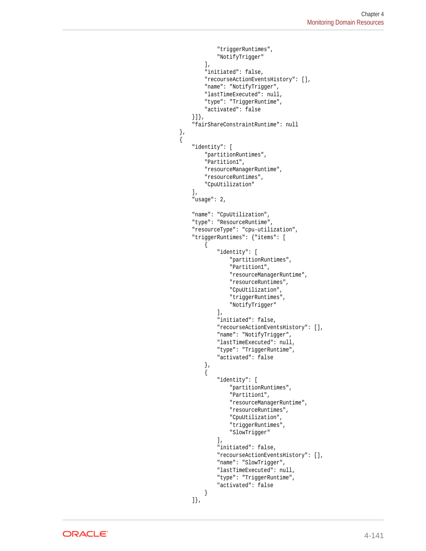```
 "triggerRuntimes",
                                     "NotifyTrigger"
\mathbf{I}, \mathbf{I}, \mathbf{I}, \mathbf{I}, \mathbf{I}, \mathbf{I}, \mathbf{I}, \mathbf{I}, \mathbf{I}, \mathbf{I}, \mathbf{I}, \mathbf{I}, \mathbf{I}, \mathbf{I}, \mathbf{I}, \mathbf{I}, \mathbf{I}, \mathbf{I}, \mathbf{I}, \mathbf{I}, \mathbf{I}, \mathbf{I},  "initiated": false,
                                 "recourseActionEventsHistory": [],
                                "name": "NotifyTrigger",
                                "lastTimeExecuted": null,
                                "type": "TriggerRuntime",
                                "activated": false
                            }]},
                            "fairShareConstraintRuntime": null
                       },
                            "identity": [
                                "partitionRuntimes",
                                 "Partition1",
                                "resourceManagerRuntime",
                                "resourceRuntimes",
                                "CpuUtilization"
 ],
                            "usage": 2,
                            "name": "CpuUtilization",
                            "type": "ResourceRuntime",
                            "resourceType": "cpu-utilization",
                            "triggerRuntimes": {"items": [
{ } "identity": [
                                          "partitionRuntimes",
                                          "Partition1",
                                          "resourceManagerRuntime",
                                          "resourceRuntimes",
                                          "CpuUtilization",
                                          "triggerRuntimes",
                                          "NotifyTrigger"
\mathbf{I}, \mathbf{I}, \mathbf{I} "initiated": false,
                                     "recourseActionEventsHistory": [],
                                     "name": "NotifyTrigger",
                                     "lastTimeExecuted": null,
                                     "type": "TriggerRuntime",
                                     "activated": false
\{x_i\}{ } "identity": [
                                         "partitionRuntimes",
                                         "Partition1",
                                         "resourceManagerRuntime",
                                          "resourceRuntimes",
                                          "CpuUtilization",
                                          "triggerRuntimes",
                                          "SlowTrigger"
\mathbf{1}, \mathbf{1}, \mathbf{1} "initiated": false,
                                     "recourseActionEventsHistory": [],
                                     "name": "SlowTrigger",
                                     "lastTimeExecuted": null,
                                     "type": "TriggerRuntime",
                                     "activated": false
 }
                            ]},
```
 $\{$ 

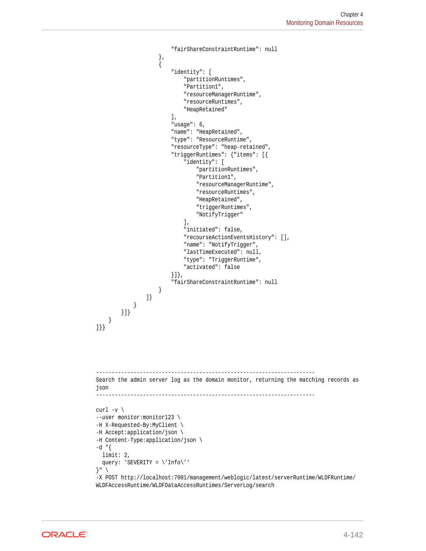```
 "fairShareConstraintRuntime": null
                     },
\{ "identity": [
                             "partitionRuntimes",
                             "Partition1",
                             "resourceManagerRuntime",
                             "resourceRuntimes",
                             "HeapRetained"
 ],
                         "usage": 6,
                         "name": "HeapRetained",
                         "type": "ResourceRuntime",
                         "resourceType": "heap-retained",
                         "triggerRuntimes": {"items": [{
                             "identity": [
                                 "partitionRuntimes",
                                 "Partition1",
                                 "resourceManagerRuntime",
                                 "resourceRuntimes",
                                 "HeapRetained",
                                 "triggerRuntimes",
                                 "NotifyTrigger"
\mathbf{1}, \mathbf{1}, \mathbf{1} "initiated": false,
                             "recourseActionEventsHistory": [],
                             "name": "NotifyTrigger",
                             "lastTimeExecuted": null,
                             "type": "TriggerRuntime",
                             "activated": false
                         }]},
                         "fairShareConstraintRuntime": null
 }
 ]}
 }
 }]}
     }
]}}
          ----------------------------------------------------------------------
Search the admin server log as the domain monitor, returning the matching records as 
json
                          ----------------------------------------------------------------------
curl -v \backslash--user monitor: monitor123 \
-H X-Requested-By:MyClient \
-H Accept:application/json \
-H Content-Type:application/json \
-d "{
  limit: 2,
  query: 'SEVERITY = \'Info\''
\}" \
-X POST http://localhost:7001/management/weblogic/latest/serverRuntime/WLDFRuntime/
WLDFAccessRuntime/WLDFDataAccessRuntimes/ServerLog/search
```
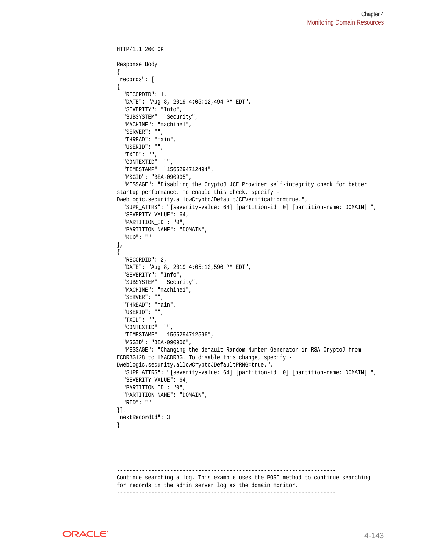```
HTTP/1.1 200 OK
Response Body:
{
"records": [
{
   "RECORDID": 1,
   "DATE": "Aug 8, 2019 4:05:12,494 PM EDT",
   "SEVERITY": "Info",
   "SUBSYSTEM": "Security",
   "MACHINE": "machine1",
   "SERVER": "",
   "THREAD": "main",
   "USERID": "",
   "TXID": "",
   "CONTEXTID": "",
   "TIMESTAMP": "1565294712494",
   "MSGID": "BEA-090905",
   "MESSAGE": "Disabling the CryptoJ JCE Provider self-integrity check for better 
startup performance. To enable this check, specify -
Dweblogic.security.allowCryptoJDefaultJCEVerification=true.",
   "SUPP_ATTRS": "[severity-value: 64] [partition-id: 0] [partition-name: DOMAIN] ",
   "SEVERITY_VALUE": 64,
   "PARTITION_ID": "0",
   "PARTITION_NAME": "DOMAIN",
   "RID": ""
},
{
   "RECORDID": 2,
   "DATE": "Aug 8, 2019 4:05:12,596 PM EDT",
   "SEVERITY": "Info",
   "SUBSYSTEM": "Security",
   "MACHINE": "machine1",
   "SERVER": "",
   "THREAD": "main",
   "USERID": "",
   "TXID": "",
   "CONTEXTID": "",
   "TIMESTAMP": "1565294712596",
   "MSGID": "BEA-090906",
   "MESSAGE": "Changing the default Random Number Generator in RSA CryptoJ from 
ECDRBG128 to HMACDRBG. To disable this change, specify -
Dweblogic.security.allowCryptoJDefaultPRNG=true.",
   "SUPP_ATTRS": "[severity-value: 64] [partition-id: 0] [partition-name: DOMAIN] ",
   "SEVERITY_VALUE": 64,
   "PARTITION_ID": "0",
   "PARTITION_NAME": "DOMAIN",
   "RID": ""
}],
"nextRecordId": 3
}
```
---------------------------------------------------------------------- Continue searching a log. This example uses the POST method to continue searching for records in the admin server log as the domain monitor. ----------------------------------------------------------------------

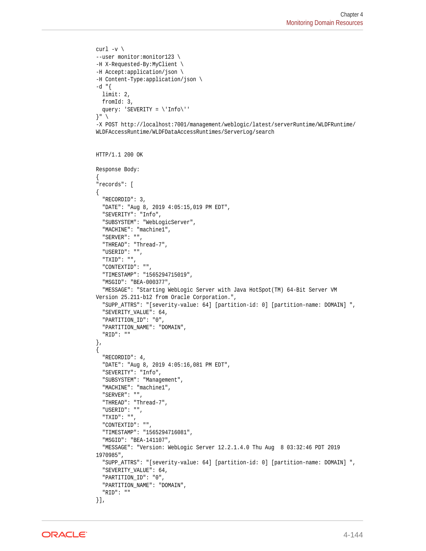```
curl -v \backslash--user monitor:monitor123 \
-H X-Requested-By:MyClient \
-H Accept:application/json \
-H Content-Type:application/json \
-d "\{ limit: 2,
  fromId: 3,
   query: 'SEVERITY = \'Info\''
}" \
-X POST http://localhost:7001/management/weblogic/latest/serverRuntime/WLDFRuntime/
WLDFAccessRuntime/WLDFDataAccessRuntimes/ServerLog/search
HTTP/1.1 200 OK
Response Body:
{
"records": [
{
   "RECORDID": 3,
   "DATE": "Aug 8, 2019 4:05:15,019 PM EDT",
   "SEVERITY": "Info",
   "SUBSYSTEM": "WebLogicServer",
   "MACHINE": "machine1",
   "SERVER": "",
   "THREAD": "Thread-7",
   "USERID": "",
   "TXID": "",
   "CONTEXTID": "",
   "TIMESTAMP": "1565294715019",
   "MSGID": "BEA-000377",
   "MESSAGE": "Starting WebLogic Server with Java HotSpot(TM) 64-Bit Server VM 
Version 25.211-b12 from Oracle Corporation.",
   "SUPP_ATTRS": "[severity-value: 64] [partition-id: 0] [partition-name: DOMAIN] ",
   "SEVERITY_VALUE": 64,
   "PARTITION_ID": "0",
   "PARTITION_NAME": "DOMAIN",
   "RID": ""
},
{
   "RECORDID": 4,
   "DATE": "Aug 8, 2019 4:05:16,081 PM EDT",
   "SEVERITY": "Info",
   "SUBSYSTEM": "Management",
   "MACHINE": "machine1",
   "SERVER": "",
   "THREAD": "Thread-7",
   "USERID": "",
   "TXID": "",
   "CONTEXTID": "",
   "TIMESTAMP": "1565294716081",
   "MSGID": "BEA-141107",
   "MESSAGE": "Version: WebLogic Server 12.2.1.4.0 Thu Aug 8 03:32:46 PDT 2019 
1970985",
   "SUPP_ATTRS": "[severity-value: 64] [partition-id: 0] [partition-name: DOMAIN] ",
   "SEVERITY_VALUE": 64,
   "PARTITION_ID": "0",
   "PARTITION_NAME": "DOMAIN",
   "RID": ""
}],
```
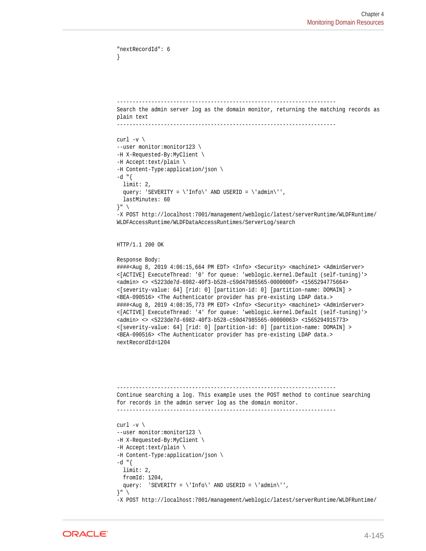```
}
 ----------------------------------------------------------------------
Search the admin server log as the domain monitor, returning the matching records as 
plain text
----------------------------------------------------------------------
curl -v \backslash--user monitor:monitor123 \
-H X-Requested-By:MyClient \
-H Accept:text/plain \
-H Content-Type:application/json \
-d "{
  limit: 2,
 query: 'SEVERITY = \linf \circ \urly' AND USERID = \land \ad{\min} \urly',
  lastMinutes: 60
}" \
-X POST http://localhost:7001/management/weblogic/latest/serverRuntime/WLDFRuntime/
WLDFAccessRuntime/WLDFDataAccessRuntimes/ServerLog/search
```

```
HTTP/1.1 200 OK
```
"nextRecordId": 6

```
Response Body:
```
####<Aug 8, 2019 4:06:15,664 PM EDT> <Info> <Security> <machine1> <AdminServer> <[ACTIVE] ExecuteThread: '0' for queue: 'weblogic.kernel.Default (self-tuning)'> <admin> <> <5223de7d-6982-40f3-b528-c59d47985565-0000000f> <1565294775664> <[severity-value: 64] [rid: 0] [partition-id: 0] [partition-name: DOMAIN] > <BEA-090516> <The Authenticator provider has pre-existing LDAP data.> ####<Aug 8, 2019 4:08:35,773 PM EDT> <Info> <Security> <machine1> <AdminServer> <[ACTIVE] ExecuteThread: '4' for queue: 'weblogic.kernel.Default (self-tuning)'> <admin> <> <5223de7d-6982-40f3-b528-c59d47985565-00000063> <1565294915773> <[severity-value: 64] [rid: 0] [partition-id: 0] [partition-name: DOMAIN] > <BEA-090516> <The Authenticator provider has pre-existing LDAP data.> nextRecordId=1204

```
----------------------------------------------------------------------
Continue searching a log. This example uses the POST method to continue searching 
for records in the admin server log as the domain monitor.
----------------------------------------------------------------------
curl -v \backslash--user monitor:monitor123 \
-H X-Requested-By:MyClient \
-H Accept:text/plain \
-H Content-Type:application/json \
-d "\{ limit: 2,
  fromId: 1204,
 query: <br> 'SEVERITY = \'Info\' AND USERID = \'admin\'',
\}" \
```

```
-X POST http://localhost:7001/management/weblogic/latest/serverRuntime/WLDFRuntime/
```
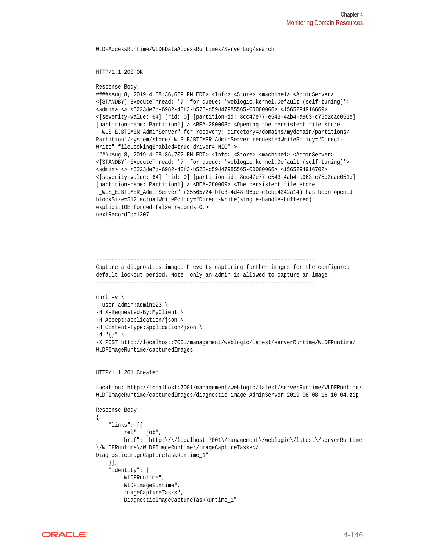WLDFAccessRuntime/WLDFDataAccessRuntimes/ServerLog/search

HTTP/1.1 200 OK

```
Response Body:
```
####<Aug 8, 2019 4:08:36,669 PM EDT> <Info> <Store> <machine1> <AdminServer> <[STANDBY] ExecuteThread: '7' for queue: 'weblogic.kernel.Default (self-tuning)'> <admin> <> <5223de7d-6982-40f3-b528-c59d47985565-00000066> <1565294916669> <[severity-value: 64] [rid: 0] [partition-id: 8cc47e77-e543-4ab4-a963-c75c2cac051e] [partition-name: Partition1] > <BEA-280008> <Opening the persistent file store "\_WLS\_EJBTIMER\_AdminServer" for recovery: directory=/domains/mydomain/partitions/ Partition1/system/store/\_WLS\_EJBTIMER\_AdminServer requestedWritePolicy="Direct-Write" fileLockingEnabled=true driver="NIO".> ####<Aug 8, 2019 4:08:36,702 PM EDT> <Info> <Store> <machine1> <AdminServer> <[STANDBY] ExecuteThread: '7' for queue: 'weblogic.kernel.Default (self-tuning)'> <admin> <> <5223de7d-6982-40f3-b528-c59d47985565-00000066> <1565294916702> <[severity-value: 64] [rid: 0] [partition-id: 8cc47e77-e543-4ab4-a963-c75c2cac051e] [partition-name: Partition1] > <BEA-280009> <The persistent file store "\_WLS\_EJBTIMER\_AdminServer" (35565724-bfc3-4d48-96be-c1cbe4242a14) has been opened: blockSize=512 actualWritePolicy="Direct-Write(single-handle-buffered)" explicitIOEnforced=false records=0.> nextRecordId=1207

---------------------------------------------------------------------- Capture a diagnostics image. Prevents capturing further images for the configured default lockout period. Note: only an admin is allowed to capture an image. ----------------------------------------------------------------------

```
curl -v \backslash--user admin:admin123 \
-H X-Requested-By:MyClient \
-H Accept:application/json \
-H Content-Type:application/json \
-d "{}" \
-X POST http://localhost:7001/management/weblogic/latest/serverRuntime/WLDFRuntime/
WLDFImageRuntime/capturedImages
```

```
HTTP/1.1 201 Created
```
Location: http://localhost:7001/management/weblogic/latest/serverRuntime/WLDFRuntime/ WLDFImageRuntime/capturedImages/diagnostic\_image\_AdminServer\_2019\_08\_08\_16\_10\_04.zip

```
Response Body:
{
     "links": [{
         "rel": "job",
         "href": "http:\/\/localhost:7001\/management\/weblogic\/latest\/serverRuntime
\/WLDFRuntime\/WLDFImageRuntime\/imageCaptureTasks\/
DiagnosticImageCaptureTaskRuntime_1"
     }],
     "identity": [
         "WLDFRuntime",
         "WLDFImageRuntime",
         "imageCaptureTasks",
         "DiagnosticImageCaptureTaskRuntime_1"
```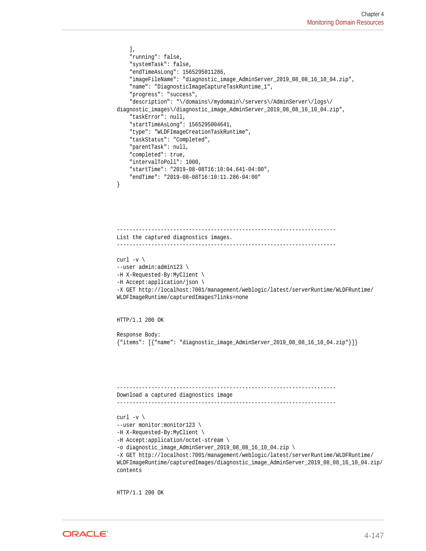```
 ],
     "running": false,
     "systemTask": false,
     "endTimeAsLong": 1565295011286,
     "imageFileName": "diagnostic_image_AdminServer_2019_08_08_16_10_04.zip",
     "name": "DiagnosticImageCaptureTaskRuntime_1",
     "progress": "success",
     "description": "\/domains\/mydomain\/servers\/AdminServer\/logs\/
diagnostic_images\/diagnostic_image_AdminServer_2019_08_08_16_10_04.zip",
     "taskError": null,
     "startTimeAsLong": 1565295004641,
     "type": "WLDFImageCreationTaskRuntime",
     "taskStatus": "Completed",
     "parentTask": null,
     "completed": true,
     "intervalToPoll": 1000,
     "startTime": "2019-08-08T16:10:04.641-04:00",
     "endTime": "2019-08-08T16:10:11.286-04:00"
}
                     ----------------------------------------------------------------------
List the captured diagnostics images.
----------------------------------------------------------------------
curl -v \backslash--user admin:admin123 \
-H X-Requested-By:MyClient \
-H Accept:application/json \
-X GET http://localhost:7001/management/weblogic/latest/serverRuntime/WLDFRuntime/
WLDFImageRuntime/capturedImages?links=none
HTTP/1.1 200 OK
Response Body:
{"items": [{"name": "diagnostic_image_AdminServer_2019_08_08_16_10_04.zip"}]}
    ----------------------------------------------------------------------
Download a captured diagnostics image
----------------------------------------------------------------------
curl -v \backslash--user monitor: monitor123 \
-H X-Requested-By:MyClient \
-H Accept:application/octet-stream \
-o diagnostic_image_AdminServer_2019_08_08_16_10_04.zip \
-X GET http://localhost:7001/management/weblogic/latest/serverRuntime/WLDFRuntime/
WLDFImageRuntime/capturedImages/diagnostic_image_AdminServer_2019_08_08_16_10_04.zip/
contents
```
HTTP/1.1 200 OK

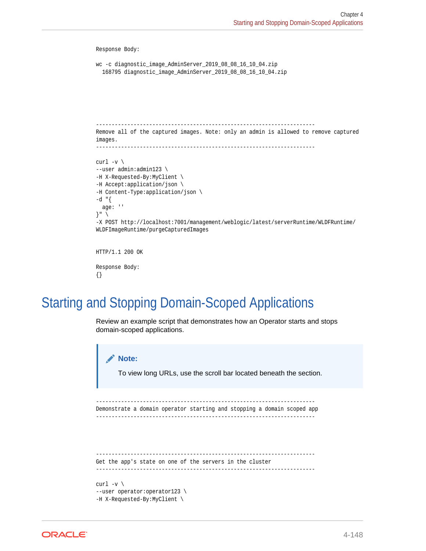```
Response Body:
wc -c diagnostic_image_AdminServer_2019_08_08_16_10_04.zip
   168795 diagnostic_image_AdminServer_2019_08_08_16_10_04.zip
         ----------------------------------------------------------------------
Remove all of the captured images. Note: only an admin is allowed to remove captured 
images.
            ----------------------------------------------------------------------
curl -v \backslash--user admin:admin123 \
-H X-Requested-By:MyClient \
-H Accept:application/json \
-H Content-Type:application/json \
-d "\{ age: ''
}" \
-X POST http://localhost:7001/management/weblogic/latest/serverRuntime/WLDFRuntime/
WLDFImageRuntime/purgeCapturedImages
HTTP/1.1 200 OK
Response Body:
```

```
{}
```
## Starting and Stopping Domain-Scoped Applications

Review an example script that demonstrates how an Operator starts and stops domain-scoped applications.

```
Note:
       To view long URLs, use the scroll bar located beneath the section.
----------------------------------------------------------------------
Demonstrate a domain operator starting and stopping a domain scoped app
----------------------------------------------------------------------
----------------------------------------------------------------------
Get the app's state on one of the servers in the cluster
----------------------------------------------------------------------
curl -v \backslash--user operator:operator123 \
-H X-Requested-By:MyClient \
```
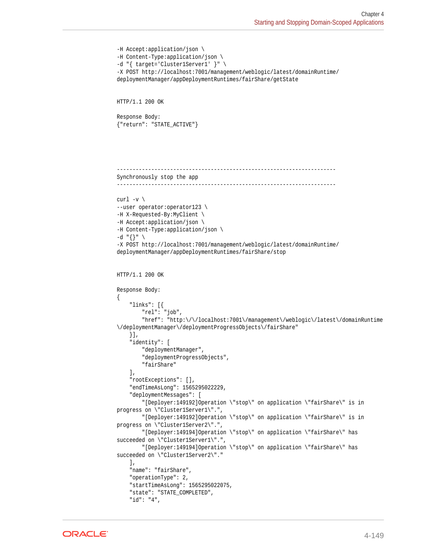```
-H Accept:application/json \
-H Content-Type:application/json \
-d "{ target='Cluster1Server1' }" \
-X POST http://localhost:7001/management/weblogic/latest/domainRuntime/
deploymentManager/appDeploymentRuntimes/fairShare/getState
HTTP/1.1 200 OK
Response Body:
{"return": "STATE_ACTIVE"}
             ----------------------------------------------------------------------
Synchronously stop the app
----------------------------------------------------------------------
curl -v \backslash--user operator:operator123 \
-H X-Requested-By:MyClient \
-H Accept:application/json \
-H Content-Type:application/json \
-d "{}" \
-X POST http://localhost:7001/management/weblogic/latest/domainRuntime/
deploymentManager/appDeploymentRuntimes/fairShare/stop
HTTP/1.1 200 OK
Response Body:
{
     "links": [{
         "rel": "job",
         "href": "http:\/\/localhost:7001\/management\/weblogic\/latest\/domainRuntime
\/deploymentManager\/deploymentProgressObjects\/fairShare"
     }],
     "identity": [
         "deploymentManager",
         "deploymentProgressObjects",
         "fairShare"
    \,],
     "rootExceptions": [],
     "endTimeAsLong": 1565295022229,
     "deploymentMessages": [
         "[Deployer:149192]Operation \"stop\" on application \"fairShare\" is in 
progress on \"Cluster1Server1\".",
         "[Deployer:149192]Operation \"stop\" on application \"fairShare\" is in 
progress on \"Cluster1Server2\".",
         "[Deployer:149194]Operation \"stop\" on application \"fairShare\" has 
succeeded on \"Cluster1Server1\".",
         "[Deployer:149194]Operation \"stop\" on application \"fairShare\" has 
succeeded on \"Cluster1Server2\"."
     ],
     "name": "fairShare",
     "operationType": 2,
     "startTimeAsLong": 1565295022075,
     "state": "STATE_COMPLETED",
     "id": "4",
```
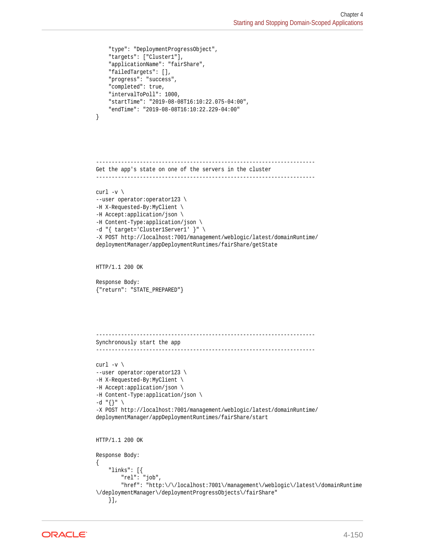```
 "type": "DeploymentProgressObject",
     "targets": ["Cluster1"],
     "applicationName": "fairShare",
     "failedTargets": [],
     "progress": "success",
     "completed": true,
     "intervalToPoll": 1000,
     "startTime": "2019-08-08T16:10:22.075-04:00",
     "endTime": "2019-08-08T16:10:22.229-04:00"
}
       ----------------------------------------------------------------------
Get the app's state on one of the servers in the cluster
----------------------------------------------------------------------
curl -v \backslash--user operator:operator123 \
-H X-Requested-By:MyClient \
-H Accept:application/json \
-H Content-Type:application/json \
-d "{ target='Cluster1Server1' }" \
-X POST http://localhost:7001/management/weblogic/latest/domainRuntime/
deploymentManager/appDeploymentRuntimes/fairShare/getState
HTTP/1.1 200 OK
Response Body:
{"return": "STATE_PREPARED"}
----------------------------------------------------------------------
Synchronously start the app
----------------------------------------------------------------------
curl -v \backslash--user operator:operator123 \
-H X-Requested-By:MyClient \
-H Accept:application/json \
-H Content-Type:application/json \
-d "{}" \
-X POST http://localhost:7001/management/weblogic/latest/domainRuntime/
deploymentManager/appDeploymentRuntimes/fairShare/start
HTTP/1.1 200 OK
Response Body:
{
     "links": [{
         "rel": "job",
         "href": "http:\/\/localhost:7001\/management\/weblogic\/latest\/domainRuntime
\/deploymentManager\/deploymentProgressObjects\/fairShare"
     }],
```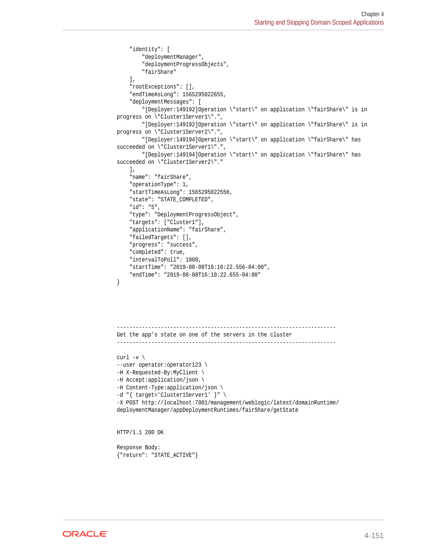```
 "identity": [
         "deploymentManager",
         "deploymentProgressObjects",
         "fairShare"
    \mathbf{1},
     "rootExceptions": [],
     "endTimeAsLong": 1565295022655,
     "deploymentMessages": [
         "[Deployer:149192]Operation \"start\" on application \"fairShare\" is in 
progress on \"Cluster1Server1\".",
         "[Deployer:149192]Operation \"start\" on application \"fairShare\" is in 
progress on \"Cluster1Server2\".",
         "[Deployer:149194]Operation \"start\" on application \"fairShare\" has 
succeeded on \"Cluster1Server1\".",
         "[Deployer:149194]Operation \"start\" on application \"fairShare\" has 
succeeded on \"Cluster1Server2\"."
     ],
     "name": "fairShare",
     "operationType": 1,
     "startTimeAsLong": 1565295022556,
     "state": "STATE_COMPLETED",
     "id": "5",
     "type": "DeploymentProgressObject",
     "targets": ["Cluster1"],
     "applicationName": "fairShare",
     "failedTargets": [],
     "progress": "success",
     "completed": true,
     "intervalToPoll": 1000,
     "startTime": "2019-08-08T16:10:22.556-04:00",
     "endTime": "2019-08-08T16:10:22.655-04:00"
}
     ----------------------------------------------------------------------
Get the app's state on one of the servers in the cluster
----------------------------------------------------------------------
curl -v \backslash--user operator:operator123 \
-H X-Requested-By:MyClient \
-H Accept:application/json \
-H Content-Type:application/json \
-d "{ target='Cluster1Server1' }" \
-X POST http://localhost:7001/management/weblogic/latest/domainRuntime/
deploymentManager/appDeploymentRuntimes/fairShare/getState
HTTP/1.1 200 OK
Response Body:
```

```
{"return": "STATE_ACTIVE"}
```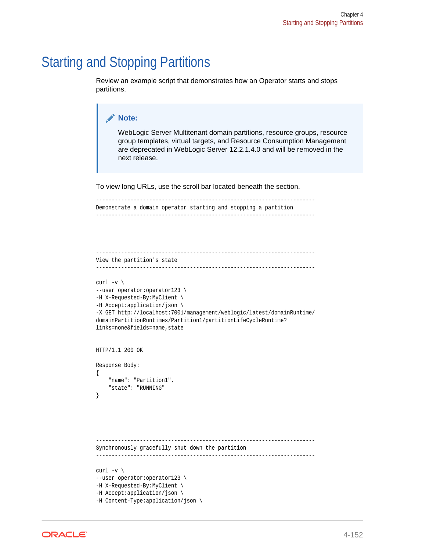## Starting and Stopping Partitions

Review an example script that demonstrates how an Operator starts and stops partitions.

```
Note:
       WebLogic Server Multitenant domain partitions, resource groups, resource
       group templates, virtual targets, and Resource Consumption Management
       are deprecated in WebLogic Server 12.2.1.4.0 and will be removed in the
       next release.
To view long URLs, use the scroll bar located beneath the section.
----------------------------------------------------------------------
Demonstrate a domain operator starting and stopping a partition
----------------------------------------------------------------------
----------------------------------------------------------------------
View the partition's state
----------------------------------------------------------------------
curl -v \backslash--user operator:operator123 \
-H X-Requested-By:MyClient \
-H Accept:application/json \
-X GET http://localhost:7001/management/weblogic/latest/domainRuntime/
domainPartitionRuntimes/Partition1/partitionLifeCycleRuntime?
links=none&fields=name, state
HTTP/1.1 200 OK
Response Body:
{
     "name": "Partition1",
     "state": "RUNNING"
}
       ----------------------------------------------------------------------
Synchronously gracefully shut down the partition
  ----------------------------------------------------------------------
curl -v \backslash--user operator:operator123 \
-H X-Requested-By:MyClient \
-H Accept:application/json \
-H Content-Type:application/json \
```
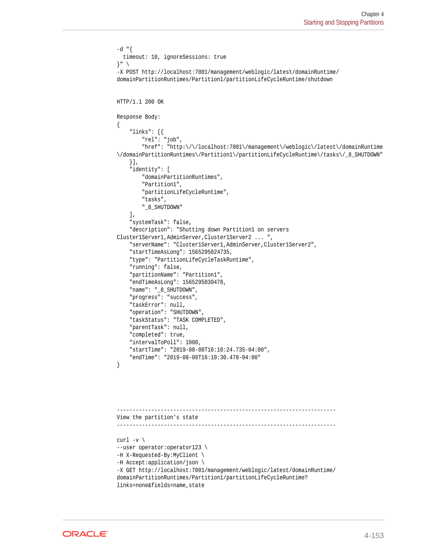```
-d "{
   timeout: 10, ignoreSessions: true
}" \
-X POST http://localhost:7001/management/weblogic/latest/domainRuntime/
domainPartitionRuntimes/Partition1/partitionLifeCycleRuntime/shutdown
HTTP/1.1 200 OK
Response Body:
{
     "links": [{
         "rel": "job",
         "href": "http:\/\/localhost:7001\/management\/weblogic\/latest\/domainRuntime
\/domainPartitionRuntimes\/Partition1\/partitionLifeCycleRuntime\/tasks\/_8_SHUTDOWN"
     }],
     "identity": [
         "domainPartitionRuntimes",
         "Partition1",
         "partitionLifeCycleRuntime",
         "tasks",
         "_8_SHUTDOWN"
    \cdot "systemTask": false,
     "description": "Shutting down Partition1 on servers 
Cluster1Server1,AdminServer,Cluster1Server2 ... ",
     "serverName": "Cluster1Server1,AdminServer,Cluster1Server2",
     "startTimeAsLong": 1565295024735,
     "type": "PartitionLifeCycleTaskRuntime",
     "running": false,
     "partitionName": "Partition1",
     "endTimeAsLong": 1565295030478,
     "name": "_8_SHUTDOWN",
     "progress": "success",
     "taskError": null,
     "operation": "SHUTDOWN",
     "taskStatus": "TASK COMPLETED",
     "parentTask": null,
     "completed": true,
     "intervalToPoll": 1000,
     "startTime": "2019-08-08T16:10:24.735-04:00",
     "endTime": "2019-08-08T16:10:30.478-04:00"
}
 ----------------------------------------------------------------------
View the partition's state
----------------------------------------------------------------------
curl -v \backslash--user operator:operator123 \
-H X-Requested-By:MyClient \
```

```
-H Accept:application/json \
```

```
-X GET http://localhost:7001/management/weblogic/latest/domainRuntime/
domainPartitionRuntimes/Partition1/partitionLifeCycleRuntime?
```

```
links=none&fields=name, state
```
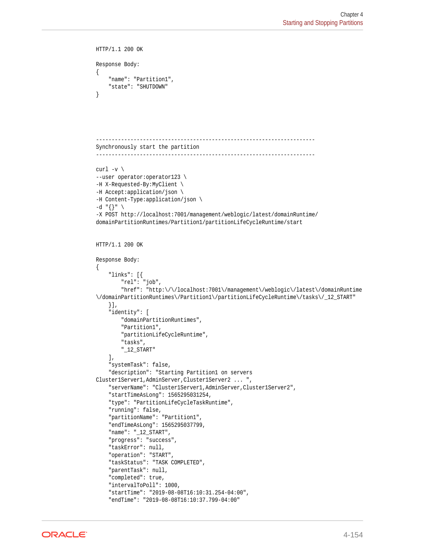```
HTTP/1.1 200 OK
Response Body:
{
     "name": "Partition1",
     "state": "SHUTDOWN"
}
            ----------------------------------------------------------------------
Synchronously start the partition
----------------------------------------------------------------------
curl -v \backslash--user operator:operator123 \
-H X-Requested-By:MyClient \
-H Accept:application/json \
-H Content-Type:application/json \
-d "{}" \
-X POST http://localhost:7001/management/weblogic/latest/domainRuntime/
domainPartitionRuntimes/Partition1/partitionLifeCycleRuntime/start
HTTP/1.1 200 OK
Response Body:
{
     "links": [{
         "rel": "job",
        "href{'': "http:///localhost:7001/\mbox{management}\mbox{\tt/weblogic}\mbox{\tt/latest}\mbox{\tt/domainRuntime}}\/domainPartitionRuntimes\/Partition1\/partitionLifeCycleRuntime\/tasks\/_12_START"
    \{\cdot\},
     "identity": [
         "domainPartitionRuntimes",
         "Partition1",
         "partitionLifeCycleRuntime",
         "tasks",
         "_12_START"
    \cdot "systemTask": false,
     "description": "Starting Partition1 on servers 
Cluster1Server1,AdminServer,Cluster1Server2 ... ",
     "serverName": "Cluster1Server1,AdminServer,Cluster1Server2",
     "startTimeAsLong": 1565295031254,
     "type": "PartitionLifeCycleTaskRuntime",
     "running": false,
     "partitionName": "Partition1",
     "endTimeAsLong": 1565295037799,
     "name": "_12_START",
     "progress": "success",
     "taskError": null,
     "operation": "START",
     "taskStatus": "TASK COMPLETED",
     "parentTask": null,
     "completed": true,
     "intervalToPoll": 1000,
     "startTime": "2019-08-08T16:10:31.254-04:00",
     "endTime": "2019-08-08T16:10:37.799-04:00"
```
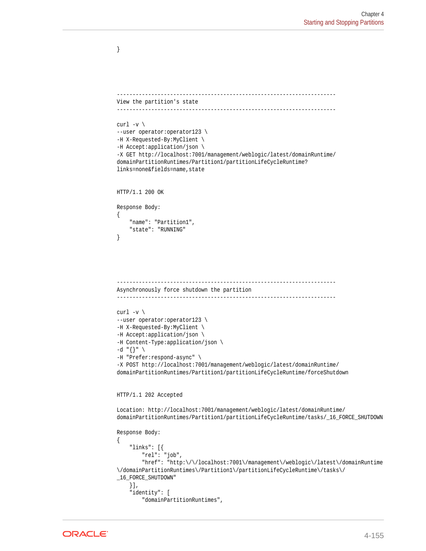```
----------------------------------------------------------------------
View the partition's state
----------------------------------------------------------------------
curl -v \backslash--user operator:operator123 \
-H X-Requested-By:MyClient \
-H Accept:application/json \
-X GET http://localhost:7001/management/weblogic/latest/domainRuntime/
domainPartitionRuntimes/Partition1/partitionLifeCycleRuntime?
links=none&fields=name, state
HTTP/1.1 200 OK
Response Body:
{
     "name": "Partition1",
     "state": "RUNNING"
}
 ----------------------------------------------------------------------
Asynchronously force shutdown the partition
----------------------------------------------------------------------
curl -v \backslash--user operator:operator123 \
-H X-Requested-By:MyClient \
-H Accept:application/json \
-H Content-Type:application/json \
-d "{}" \
-H "Prefer:respond-async" \
-X POST http://localhost:7001/management/weblogic/latest/domainRuntime/
domainPartitionRuntimes/Partition1/partitionLifeCycleRuntime/forceShutdown
HTTP/1.1 202 Accepted
Location: http://localhost:7001/management/weblogic/latest/domainRuntime/
domainPartitionRuntimes/Partition1/partitionLifeCycleRuntime/tasks/_16_FORCE_SHUTDOWN
Response Body:
{
     "links": [{
         "rel": "job",
         "href": "http:\/\/localhost:7001\/management\/weblogic\/latest\/domainRuntime
\/domainPartitionRuntimes\/Partition1\/partitionLifeCycleRuntime\/tasks\/
_16_FORCE_SHUTDOWN"
     }],
     "identity": [
         "domainPartitionRuntimes",
```


}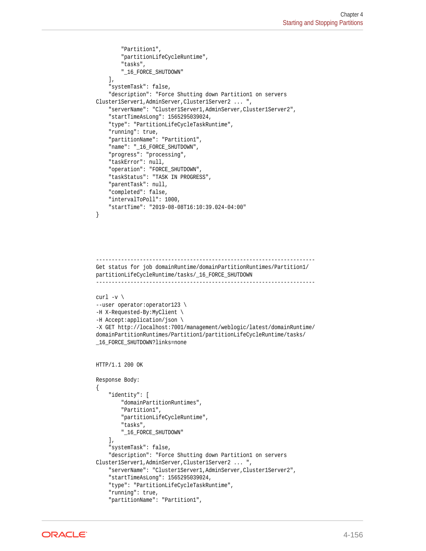```
 "Partition1",
         "partitionLifeCycleRuntime",
         "tasks",
         "_16_FORCE_SHUTDOWN"
    \mathbf{1},
     "systemTask": false,
     "description": "Force Shutting down Partition1 on servers 
Cluster1Server1,AdminServer,Cluster1Server2 ... ",
     "serverName": "Cluster1Server1,AdminServer,Cluster1Server2",
     "startTimeAsLong": 1565295039024,
     "type": "PartitionLifeCycleTaskRuntime",
     "running": true,
     "partitionName": "Partition1",
     "name": "_16_FORCE_SHUTDOWN",
     "progress": "processing",
     "taskError": null,
     "operation": "FORCE_SHUTDOWN",
     "taskStatus": "TASK IN PROGRESS",
     "parentTask": null,
     "completed": false,
     "intervalToPoll": 1000,
     "startTime": "2019-08-08T16:10:39.024-04:00"
}
----------------------------------------------------------------------
Get status for job domainRuntime/domainPartitionRuntimes/Partition1/
partitionLifeCycleRuntime/tasks/_16_FORCE_SHUTDOWN
----------------------------------------------------------------------
curl -v \backslash--user operator:operator123 \
-H X-Requested-By:MyClient \
-H Accept:application/json \
-X GET http://localhost:7001/management/weblogic/latest/domainRuntime/
domainPartitionRuntimes/Partition1/partitionLifeCycleRuntime/tasks/
_16_FORCE_SHUTDOWN?links=none
HTTP/1.1 200 OK
Response Body:
{
     "identity": [
         "domainPartitionRuntimes",
         "Partition1",
         "partitionLifeCycleRuntime",
         "tasks",
         "_16_FORCE_SHUTDOWN"
     ],
     "systemTask": false,
     "description": "Force Shutting down Partition1 on servers 
Cluster1Server1,AdminServer,Cluster1Server2 ... ",
     "serverName": "Cluster1Server1,AdminServer,Cluster1Server2",
     "startTimeAsLong": 1565295039024,
     "type": "PartitionLifeCycleTaskRuntime",
     "running": true,
     "partitionName": "Partition1",
```
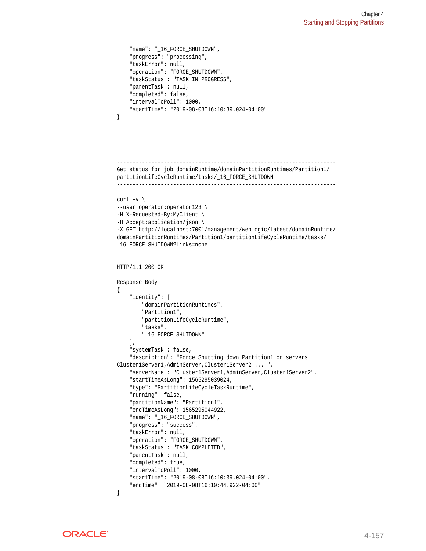```
 "name": "_16_FORCE_SHUTDOWN",
     "progress": "processing",
     "taskError": null,
     "operation": "FORCE_SHUTDOWN",
     "taskStatus": "TASK IN PROGRESS",
     "parentTask": null,
     "completed": false,
     "intervalToPoll": 1000,
     "startTime": "2019-08-08T16:10:39.024-04:00"
}
----------------------------------------------------------------------
Get status for job domainRuntime/domainPartitionRuntimes/Partition1/
partitionLifeCycleRuntime/tasks/_16_FORCE_SHUTDOWN
----------------------------------------------------------------------
curl -v \backslash--user operator:operator123 \
-H X-Requested-By:MyClient \
-H Accept:application/json \
-X GET http://localhost:7001/management/weblogic/latest/domainRuntime/
domainPartitionRuntimes/Partition1/partitionLifeCycleRuntime/tasks/
_16_FORCE_SHUTDOWN?links=none
HTTP/1.1 200 OK
Response Body:
\{ "identity": [
         "domainPartitionRuntimes",
         "Partition1",
         "partitionLifeCycleRuntime",
         "tasks",
         "_16_FORCE_SHUTDOWN"
    \cdot "systemTask": false,
     "description": "Force Shutting down Partition1 on servers 
Cluster1Server1,AdminServer,Cluster1Server2 ... ",
     "serverName": "Cluster1Server1,AdminServer,Cluster1Server2",
     "startTimeAsLong": 1565295039024,
     "type": "PartitionLifeCycleTaskRuntime",
     "running": false,
     "partitionName": "Partition1",
     "endTimeAsLong": 1565295044922,
     "name": "_16_FORCE_SHUTDOWN",
     "progress": "success",
     "taskError": null,
     "operation": "FORCE_SHUTDOWN",
     "taskStatus": "TASK COMPLETED",
     "parentTask": null,
     "completed": true,
     "intervalToPoll": 1000,
     "startTime": "2019-08-08T16:10:39.024-04:00",
     "endTime": "2019-08-08T16:10:44.922-04:00"
}
```
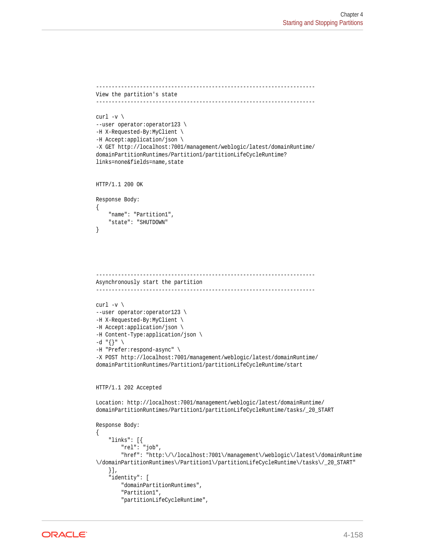```
----------------------------------------------------------------------
View the partition's state
----------------------------------------------------------------------
curl -v \backslash--user operator:operator123 \
-H X-Requested-By:MyClient \
-H Accept:application/json \
-X GET http://localhost:7001/management/weblogic/latest/domainRuntime/
domainPartitionRuntimes/Partition1/partitionLifeCycleRuntime?
links=none&fields=name, state
HTTP/1.1 200 OK
Response Body:
{
     "name": "Partition1",
     "state": "SHUTDOWN"
}
      ----------------------------------------------------------------------
Asynchronously start the partition
----------------------------------------------------------------------
curl -v \backslash--user operator:operator123 \
-H X-Requested-By:MyClient \
-H Accept:application/json \
-H Content-Type:application/json \
-d "{}" \
-H "Prefer:respond-async" \
-X POST http://localhost:7001/management/weblogic/latest/domainRuntime/
domainPartitionRuntimes/Partition1/partitionLifeCycleRuntime/start
HTTP/1.1 202 Accepted
Location: http://localhost:7001/management/weblogic/latest/domainRuntime/
domainPartitionRuntimes/Partition1/partitionLifeCycleRuntime/tasks/_20_START
Response Body:
{
     "links": [{
         "rel": "job",
         "href": "http:\/\/localhost:7001\/management\/weblogic\/latest\/domainRuntime
\/domainPartitionRuntimes\/Partition1\/partitionLifeCycleRuntime\/tasks\/_20_START"
     }],
     "identity": [
         "domainPartitionRuntimes",
         "Partition1",
         "partitionLifeCycleRuntime",
```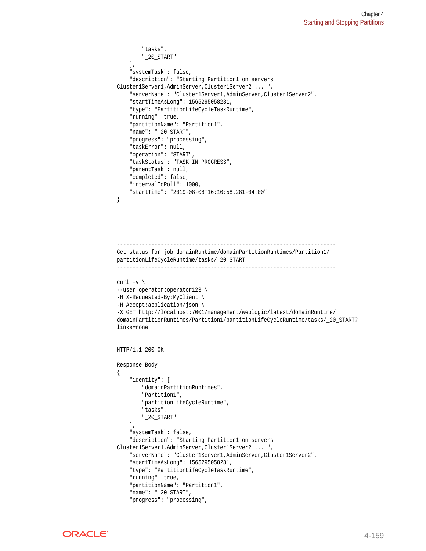```
 "tasks",
         "_20_START"
    \mathbf{1},
     "systemTask": false,
     "description": "Starting Partition1 on servers 
Cluster1Server1,AdminServer,Cluster1Server2 ... ",
     "serverName": "Cluster1Server1,AdminServer,Cluster1Server2",
     "startTimeAsLong": 1565295058281,
     "type": "PartitionLifeCycleTaskRuntime",
     "running": true,
     "partitionName": "Partition1",
     "name": "_20_START",
     "progress": "processing",
     "taskError": null,
     "operation": "START",
     "taskStatus": "TASK IN PROGRESS",
     "parentTask": null,
     "completed": false,
     "intervalToPoll": 1000,
     "startTime": "2019-08-08T16:10:58.281-04:00"
}
```

```
----------------------------------------------------------------------
Get status for job domainRuntime/domainPartitionRuntimes/Partition1/
partitionLifeCycleRuntime/tasks/_20_START
       ----------------------------------------------------------------------
curl -v \backslash--user operator:operator123 \
-H X-Requested-By:MyClient \
-H Accept:application/json \
-X GET http://localhost:7001/management/weblogic/latest/domainRuntime/
domainPartitionRuntimes/Partition1/partitionLifeCycleRuntime/tasks/_20_START?
links=none
HTTP/1.1 200 OK
Response Body:
{
     "identity": [
         "domainPartitionRuntimes",
         "Partition1",
         "partitionLifeCycleRuntime",
         "tasks",
         "_20_START"
     ],
     "systemTask": false,
     "description": "Starting Partition1 on servers 
Cluster1Server1,AdminServer,Cluster1Server2 ... ",
```

```
 "serverName": "Cluster1Server1,AdminServer,Cluster1Server2",
 "startTimeAsLong": 1565295058281,
 "type": "PartitionLifeCycleTaskRuntime",
 "running": true,
```

```
 "partitionName": "Partition1",
```

```
 "name": "_20_START",
 "progress": "processing",
```
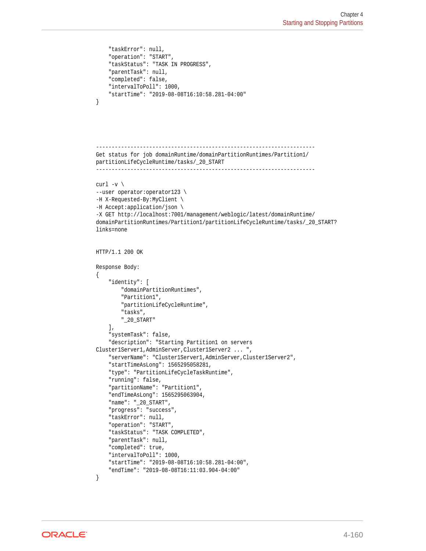```
 "taskError": null,
     "operation": "START",
     "taskStatus": "TASK IN PROGRESS",
     "parentTask": null,
     "completed": false,
     "intervalToPoll": 1000,
     "startTime": "2019-08-08T16:10:58.281-04:00"
}
----------------------------------------------------------------------
Get status for job domainRuntime/domainPartitionRuntimes/Partition1/
partitionLifeCycleRuntime/tasks/_20_START
----------------------------------------------------------------------
curl -v \backslash--user operator:operator123 \
-H X-Requested-By:MyClient \
-H Accept:application/json \
-X GET http://localhost:7001/management/weblogic/latest/domainRuntime/
domainPartitionRuntimes/Partition1/partitionLifeCycleRuntime/tasks/_20_START?
links=none
HTTP/1.1 200 OK
Response Body:
{
     "identity": [
         "domainPartitionRuntimes",
         "Partition1",
         "partitionLifeCycleRuntime",
         "tasks",
         "_20_START"
    \cdot "systemTask": false,
     "description": "Starting Partition1 on servers 
Cluster1Server1,AdminServer,Cluster1Server2 ... ",
     "serverName": "Cluster1Server1,AdminServer,Cluster1Server2",
     "startTimeAsLong": 1565295058281,
     "type": "PartitionLifeCycleTaskRuntime",
     "running": false,
     "partitionName": "Partition1",
     "endTimeAsLong": 1565295063904,
     "name": "_20_START",
     "progress": "success",
     "taskError": null,
     "operation": "START",
     "taskStatus": "TASK COMPLETED",
     "parentTask": null,
     "completed": true,
     "intervalToPoll": 1000,
     "startTime": "2019-08-08T16:10:58.281-04:00",
     "endTime": "2019-08-08T16:11:03.904-04:00"
```

```
}
```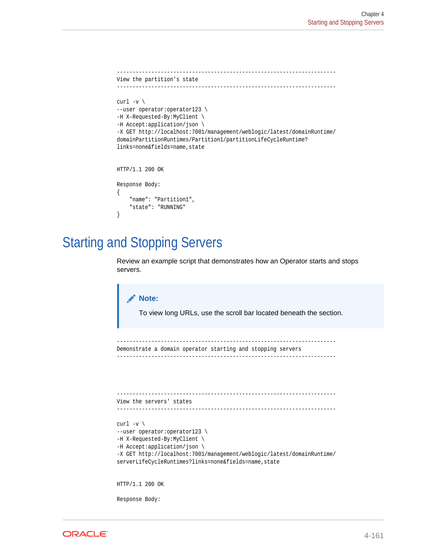```
----------------------------------------------------------------------
View the partition's state
----------------------------------------------------------------------
curl -v \backslash--user operator:operator123 \
-H X-Requested-By:MyClient \
-H Accept:application/json \
-X GET http://localhost:7001/management/weblogic/latest/domainRuntime/
domainPartitionRuntimes/Partition1/partitionLifeCycleRuntime?
links=none&fields=name,state
HTTP/1.1 200 OK
Response Body:
{
     "name": "Partition1",
     "state": "RUNNING"
}
```
## Starting and Stopping Servers

Review an example script that demonstrates how an Operator starts and stops servers.

## **Note:**

To view long URLs, use the scroll bar located beneath the section.

```
----------------------------------------------------------------------
Demonstrate a domain operator starting and stopping servers
----------------------------------------------------------------------
```

```
----------------------------------------------------------------------
View the servers' states
```

```
----------------------------------------------------------------------
```

```
curl -v \backslash--user operator:operator123 \
-H X-Requested-By:MyClient \
-H Accept:application/json \
-X GET http://localhost:7001/management/weblogic/latest/domainRuntime/
serverLifeCycleRuntimes?links=none&fields=name, state
```
HTTP/1.1 200 OK

Response Body:

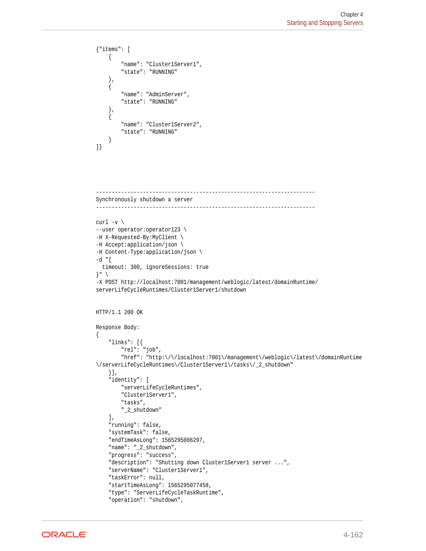```
{"items": [
     {
          "name": "Cluster1Server1",
          "state": "RUNNING"
     },
     {
          "name": "AdminServer",
          "state": "RUNNING"
     },
\left\{\right. "name": "Cluster1Server2",
          "state": "RUNNING"
\left\{\begin{array}{ccc} \end{array}\right\}]}
----------------------------------------------------------------------
Synchronously shutdown a server
----------------------------------------------------------------------
curl -v \backslash--user operator:operator123 \
-H X-Requested-By:MyClient \
-H Accept:application/json \
-H Content-Type:application/json \
-d "{
   timeout: 300, ignoreSessions: true
\} " \setminus-X POST http://localhost:7001/management/weblogic/latest/domainRuntime/
serverLifeCycleRuntimes/Cluster1Server1/shutdown
HTTP/1.1 200 OK
Response Body:
{
     "links": [{
         "rel": "job",
          "href": "http:\/\/localhost:7001\/management\/weblogic\/latest\/domainRuntime
\/serverLifeCycleRuntimes\/Cluster1Server1\/tasks\/_2_shutdown"
     }],
     "identity": [
         "serverLifeCycleRuntimes",
         "Cluster1Server1",
         "tasks",
          "_2_shutdown"
    \mathbf{1},
     "running": false,
     "systemTask": false,
     "endTimeAsLong": 1565295086297,
     "name": "_2_shutdown",
     "progress": "success",
    "description": "Shutting down Cluster1Server1 server ...",
     "serverName": "Cluster1Server1",
     "taskError": null,
     "startTimeAsLong": 1565295077458,
     "type": "ServerLifeCycleTaskRuntime",
     "operation": "shutdown",
```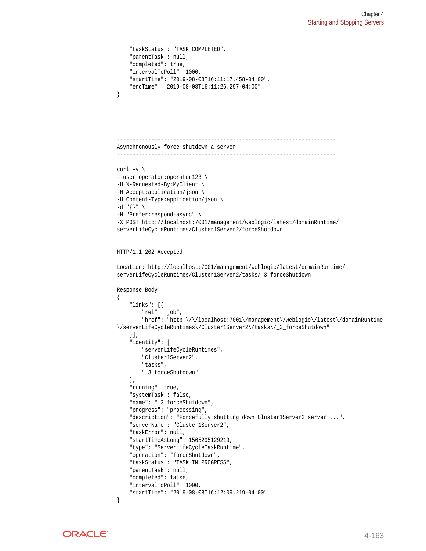```
 "taskStatus": "TASK COMPLETED",
     "parentTask": null,
     "completed": true,
     "intervalToPoll": 1000,
     "startTime": "2019-08-08T16:11:17.458-04:00",
     "endTime": "2019-08-08T16:11:26.297-04:00"
}
        ----------------------------------------------------------------------
Asynchronously force shutdown a server
----------------------------------------------------------------------
curl -v \backslash--user operator:operator123 \
-H X-Requested-By:MyClient \
-H Accept:application/json \
-H Content-Type:application/json \
-d "{}" \
-H "Prefer:respond-async" \
-X POST http://localhost:7001/management/weblogic/latest/domainRuntime/
serverLifeCycleRuntimes/Cluster1Server2/forceShutdown
HTTP/1.1 202 Accepted
Location: http://localhost:7001/management/weblogic/latest/domainRuntime/
serverLifeCycleRuntimes/Cluster1Server2/tasks/_3_forceShutdown
Response Body:
{
     "links": [{
         "rel": "job",
         "href": "http:\/\/localhost:7001\/management\/weblogic\/latest\/domainRuntime
\/serverLifeCycleRuntimes\/Cluster1Server2\/tasks\/_3_forceShutdown"
     }],
     "identity": [
         "serverLifeCycleRuntimes",
         "Cluster1Server2",
         "tasks",
         "_3_forceShutdown"
    \mathbf{1},
     "running": true,
     "systemTask": false,
     "name": "_3_forceShutdown",
     "progress": "processing",
    "description": "Forcefully shutting down Cluster1Server2 server ...",
     "serverName": "Cluster1Server2",
     "taskError": null,
     "startTimeAsLong": 1565295129219,
     "type": "ServerLifeCycleTaskRuntime",
     "operation": "forceShutdown",
     "taskStatus": "TASK IN PROGRESS",
     "parentTask": null,
     "completed": false,
     "intervalToPoll": 1000,
     "startTime": "2019-08-08T16:12:09.219-04:00"
}
```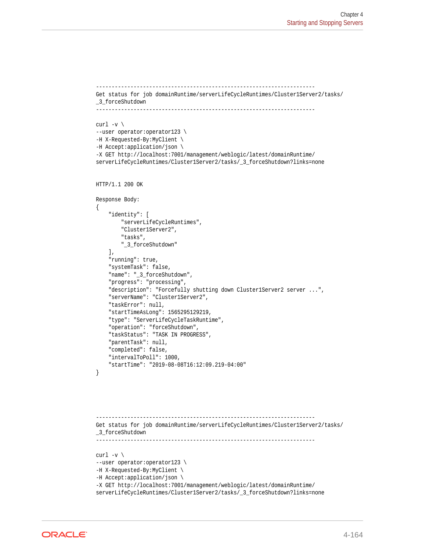```
----------------------------------------------------------------------
Get status for job domainRuntime/serverLifeCycleRuntimes/Cluster1Server2/tasks/
_3_forceShutdown
 ----------------------------------------------------------------------
curl -v \backslash--user operator:operator123 \
-H X-Requested-By:MyClient \
-H Accept:application/json \
-X GET http://localhost:7001/management/weblogic/latest/domainRuntime/
serverLifeCycleRuntimes/Cluster1Server2/tasks/ 3 forceShutdown?links=none
HTTP/1.1 200 OK
Response Body:
{
     "identity": [
         "serverLifeCycleRuntimes",
         "Cluster1Server2",
         "tasks",
         "_3_forceShutdown"
    \mathbf{1},
     "running": true,
     "systemTask": false,
     "name": "_3_forceShutdown",
     "progress": "processing",
    "description": "Forcefully shutting down Cluster1Server2 server ...",
     "serverName": "Cluster1Server2",
     "taskError": null,
     "startTimeAsLong": 1565295129219,
     "type": "ServerLifeCycleTaskRuntime",
     "operation": "forceShutdown",
     "taskStatus": "TASK IN PROGRESS",
     "parentTask": null,
     "completed": false,
     "intervalToPoll": 1000,
     "startTime": "2019-08-08T16:12:09.219-04:00"
}
    ----------------------------------------------------------------------
Get status for job domainRuntime/serverLifeCycleRuntimes/Cluster1Server2/tasks/
_3_forceShutdown
 ----------------------------------------------------------------------
curl -v \backslash--user operator:operator123 \
-H X-Requested-By:MyClient \
-H Accept:application/json \
-X GET http://localhost:7001/management/weblogic/latest/domainRuntime/
serverLifeCycleRuntimes/Cluster1Server2/tasks/_3_forceShutdown?links=none
```
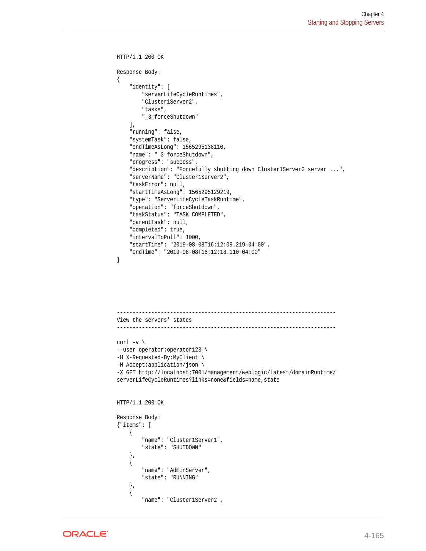```
HTTP/1.1 200 OK
Response Body:
{
     "identity": [
         "serverLifeCycleRuntimes",
         "Cluster1Server2",
         "tasks",
          "_3_forceShutdown"
    \mathbf{1},
     "running": false,
     "systemTask": false,
     "endTimeAsLong": 1565295138110,
     "name": "_3_forceShutdown",
     "progress": "success",
    "description": "Forcefully shutting down Cluster1Server2 server ...",
     "serverName": "Cluster1Server2",
     "taskError": null,
     "startTimeAsLong": 1565295129219,
     "type": "ServerLifeCycleTaskRuntime",
     "operation": "forceShutdown",
     "taskStatus": "TASK COMPLETED",
     "parentTask": null,
     "completed": true,
     "intervalToPoll": 1000,
     "startTime": "2019-08-08T16:12:09.219-04:00",
     "endTime": "2019-08-08T16:12:18.110-04:00"
}
 ----------------------------------------------------------------------
View the servers' states
    ----------------------------------------------------------------------
curl -v \backslash--user operator:operator123 \
-H X-Requested-By:MyClient \
-H Accept:application/json \
-X GET http://localhost:7001/management/weblogic/latest/domainRuntime/
serverLifeCycleRuntimes?links=none&fields=name,state
HTTP/1.1 200 OK
Response Body:
{"items": [
     {
         "name": "Cluster1Server1",
         "state": "SHUTDOWN"
     },
\left\{\right. "name": "AdminServer",
         "state": "RUNNING"
```
 },  $\left\{\right.$ 

"name": "Cluster1Server2",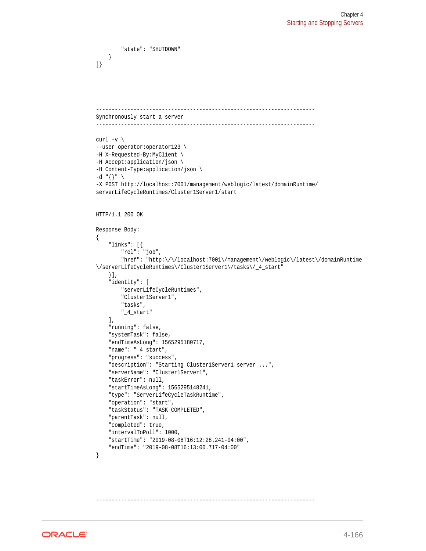```
 "state": "SHUTDOWN"
     }
]}
      ----------------------------------------------------------------------
Synchronously start a server
----------------------------------------------------------------------
curl -v \backslash--user operator:operator123 \
-H X-Requested-By:MyClient \
-H Accept:application/json \
-H Content-Type:application/json \
-d "{}" \
-X POST http://localhost:7001/management/weblogic/latest/domainRuntime/
serverLifeCycleRuntimes/Cluster1Server1/start
HTTP/1.1 200 OK
Response Body:
{
     "links": [{
         "rel": "job",
         "href": "http:\/\/localhost:7001\/management\/weblogic\/latest\/domainRuntime
\/serverLifeCycleRuntimes\/Cluster1Server1\/tasks\/_4_start"
     }],
     "identity": [
         "serverLifeCycleRuntimes",
         "Cluster1Server1",
         "tasks",
         "_4_start"
     ],
     "running": false,
     "systemTask": false,
     "endTimeAsLong": 1565295180717,
     "name": "_4_start",
     "progress": "success",
     "description": "Starting Cluster1Server1 server ...",
     "serverName": "Cluster1Server1",
     "taskError": null,
     "startTimeAsLong": 1565295148241,
     "type": "ServerLifeCycleTaskRuntime",
     "operation": "start",
     "taskStatus": "TASK COMPLETED",
     "parentTask": null,
     "completed": true,
     "intervalToPoll": 1000,
     "startTime": "2019-08-08T16:12:28.241-04:00",
     "endTime": "2019-08-08T16:13:00.717-04:00"
}
```
**ORACLE** 

----------------------------------------------------------------------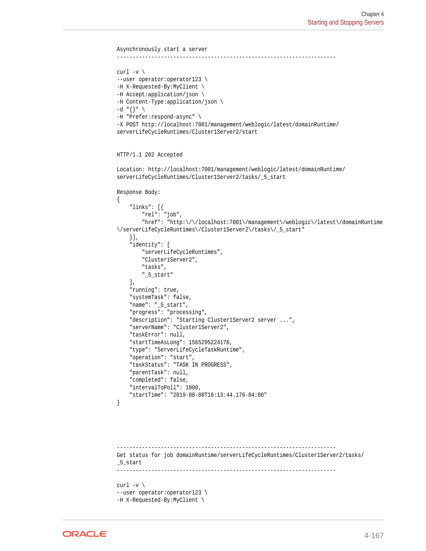```
Asynchronously start a server
----------------------------------------------------------------------
curl -v \backslash--user operator:operator123 \
-H X-Requested-By:MyClient \
-H Accept:application/json \
-H Content-Type:application/json \
-d "{}" \
-H "Prefer:respond-async" \
-X POST http://localhost:7001/management/weblogic/latest/domainRuntime/
serverLifeCycleRuntimes/Cluster1Server2/start
HTTP/1.1 202 Accepted
Location: http://localhost:7001/management/weblogic/latest/domainRuntime/
serverLifeCycleRuntimes/Cluster1Server2/tasks/_5_start
Response Body:
{
     "links": [{
         "rel": "job",
          "href": "http:\/\/localhost:7001\/management\/weblogic\/latest\/domainRuntime
\/serverLifeCycleRuntimes\/Cluster1Server2\/tasks\/_5_start"
     }],
     "identity": [
         "serverLifeCycleRuntimes",
          "Cluster1Server2",
          "tasks",
          "_5_start"
     ],
     "running": true,
     "systemTask": false,
     "name": "_5_start",
     "progress": "processing",
     "description": "Starting Cluster1Server2 server ...",
     "serverName": "Cluster1Server2",
     "taskError": null,
     "startTimeAsLong": 1565295224176,
     "type": "ServerLifeCycleTaskRuntime",
     "operation": "start",
     "taskStatus": "TASK IN PROGRESS",
     "parentTask": null,
     "completed": false,
     "intervalToPoll": 1000,
     "startTime": "2019-08-08T16:13:44.176-04:00"
}
              ----------------------------------------------------------------------
Get status for job domainRuntime/serverLifeCycleRuntimes/Cluster1Server2/tasks/
_5_start
                   ----------------------------------------------------------------------
curl -v \backslash--user operator:operator123 \
```

```
-H X-Requested-By:MyClient \
```
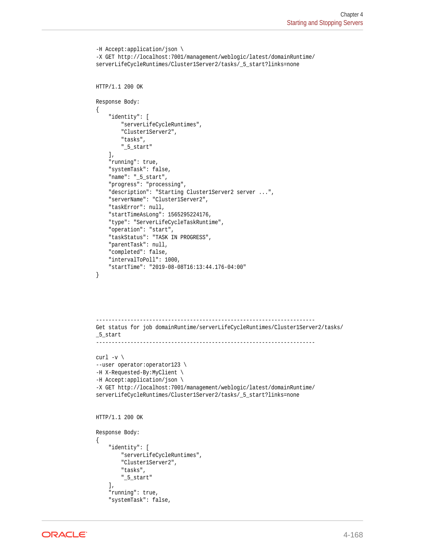```
-H Accept:application/json \
-X GET http://localhost:7001/management/weblogic/latest/domainRuntime/
serverLifeCycleRuntimes/Cluster1Server2/tasks/_5_start?links=none
HTTP/1.1 200 OK
Response Body:
{
     "identity": [
         "serverLifeCycleRuntimes",
         "Cluster1Server2",
         "tasks",
         "_5_start"
     ],
     "running": true,
     "systemTask": false,
     "name": "_5_start",
     "progress": "processing",
     "description": "Starting Cluster1Server2 server ...",
     "serverName": "Cluster1Server2",
     "taskError": null,
     "startTimeAsLong": 1565295224176,
     "type": "ServerLifeCycleTaskRuntime",
     "operation": "start",
     "taskStatus": "TASK IN PROGRESS",
     "parentTask": null,
     "completed": false,
     "intervalToPoll": 1000,
     "startTime": "2019-08-08T16:13:44.176-04:00"
}
                ----------------------------------------------------------------------
Get status for job domainRuntime/serverLifeCycleRuntimes/Cluster1Server2/tasks/
_5_start
          ----------------------------------------------------------------------
curl -v \backslash--user operator:operator123 \
-H X-Requested-By:MyClient \
-H Accept:application/json \
-X GET http://localhost:7001/management/weblogic/latest/domainRuntime/
serverLifeCycleRuntimes/Cluster1Server2/tasks/_5_start?links=none
HTTP/1.1 200 OK
Response Body:
{
     "identity": [
         "serverLifeCycleRuntimes",
         "Cluster1Server2",
         "tasks",
         "_5_start"
     ],
     "running": true,
     "systemTask": false,
```
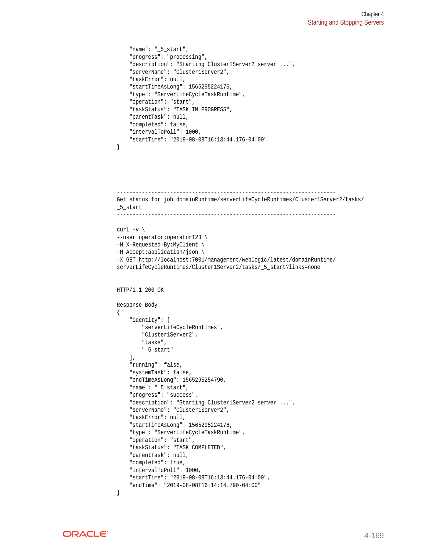```
 "name": "_5_start",
     "progress": "processing",
     "description": "Starting Cluster1Server2 server ...",
     "serverName": "Cluster1Server2",
     "taskError": null,
     "startTimeAsLong": 1565295224176,
     "type": "ServerLifeCycleTaskRuntime",
     "operation": "start",
     "taskStatus": "TASK IN PROGRESS",
     "parentTask": null,
     "completed": false,
     "intervalToPoll": 1000,
     "startTime": "2019-08-08T16:13:44.176-04:00"
}
----------------------------------------------------------------------
Get status for job domainRuntime/serverLifeCycleRuntimes/Cluster1Server2/tasks/
_5_start
----------------------------------------------------------------------
curl -v \backslash--user operator:operator123 \
-H X-Requested-By:MyClient \
-H Accept:application/json \
-X GET http://localhost:7001/management/weblogic/latest/domainRuntime/
serverLifeCycleRuntimes/Cluster1Server2/tasks/_5_start?links=none
HTTP/1.1 200 OK
Response Body:
{
     "identity": [
         "serverLifeCycleRuntimes",
         "Cluster1Server2",
         "tasks",
         "_5_start"
    \cdot "running": false,
     "systemTask": false,
     "endTimeAsLong": 1565295254790,
     "name": "_5_start",
     "progress": "success",
     "description": "Starting Cluster1Server2 server ...",
     "serverName": "Cluster1Server2",
     "taskError": null,
     "startTimeAsLong": 1565295224176,
     "type": "ServerLifeCycleTaskRuntime",
     "operation": "start",
     "taskStatus": "TASK COMPLETED",
     "parentTask": null,
     "completed": true,
     "intervalToPoll": 1000,
     "startTime": "2019-08-08T16:13:44.176-04:00",
     "endTime": "2019-08-08T16:14:14.790-04:00"
}
```
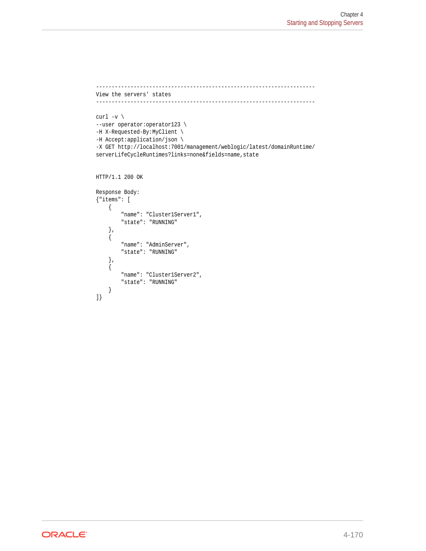```
----------------------------------------------------------------------
View the servers' states
----------------------------------------------------------------------
curl -v \backslash--user operator:operator123 \
-H X-Requested-By:MyClient \
-H Accept:application/json \
-X GET http://localhost:7001/management/weblogic/latest/domainRuntime/
serverLifeCycleRuntimes?links=none&fields=name,state
HTTP/1.1 200 OK
Response Body:
{"items": [
     {
         "name": "Cluster1Server1",
         "state": "RUNNING"
     },
     {
         "name": "AdminServer",
         "state": "RUNNING"
     },
     {
         "name": "Cluster1Server2",
         "state": "RUNNING"
     }
```
]}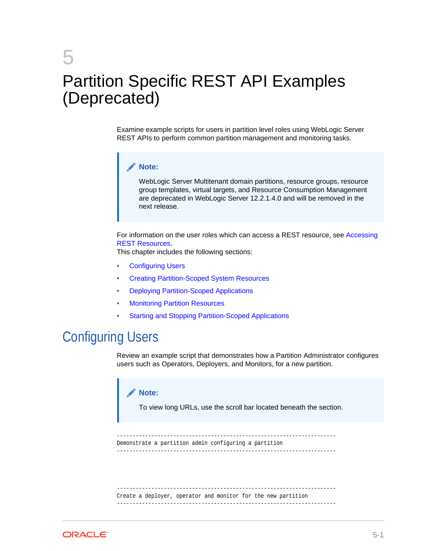# 5 Partition Specific REST API Examples (Deprecated)

Examine example scripts for users in partition level roles using WebLogic Server REST APIs to perform common partition management and monitoring tasks.

#### **Note:**

WebLogic Server Multitenant domain partitions, resource groups, resource group templates, virtual targets, and Resource Consumption Management are deprecated in WebLogic Server 12.2.1.4.0 and will be removed in the next release.

For information on the user roles which can access a REST resource, see [Accessing](#page-18-0) [REST Resources](#page-18-0).

This chapter includes the following sections:

- Configuring Users
- [Creating Partition-Scoped System Resources](#page-220-0)
- [Deploying Partition-Scoped Applications](#page-243-0)
- **[Monitoring Partition Resources](#page-254-0)**
- [Starting and Stopping Partition-Scoped Applications](#page-307-0)

### Configuring Users

Review an example script that demonstrates how a Partition Administrator configures users such as Operators, Deployers, and Monitors, for a new partition.

#### **Note:**

To view long URLs, use the scroll bar located beneath the section.

```
----------------------------------------------------------------------
Demonstrate a partition admin configuring a partition
----------------------------------------------------------------------
```
---------------------------------------------------------------------- Create a deployer, operator and monitor for the new partition ----------------------------------------------------------------------

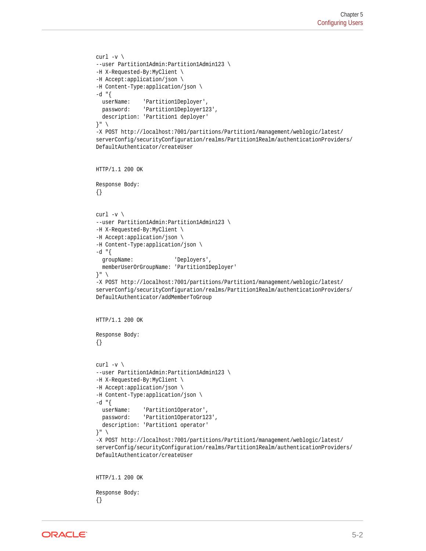```
curl -v \backslash--user Partition1Admin:Partition1Admin123 \
-H X-Requested-By:MyClient \
-H Accept:application/json \
-H Content-Type:application/json \
-d "{
   userName: 'Partition1Deployer',
   password: 'Partition1Deployer123',
   description: 'Partition1 deployer'
}" \
-X POST http://localhost:7001/partitions/Partition1/management/weblogic/latest/
serverConfig/securityConfiguration/realms/Partition1Realm/authenticationProviders/
DefaultAuthenticator/createUser
HTTP/1.1 200 OK
Response Body:
{}
curl -v \backslash--user Partition1Admin:Partition1Admin123 \
-H X-Requested-By:MyClient \
-H Accept:application/json \
-H Content-Type:application/json \
-d "\{ groupName: 'Deployers',
   memberUserOrGroupName: 'Partition1Deployer'
}" \
-X POST http://localhost:7001/partitions/Partition1/management/weblogic/latest/
serverConfig/securityConfiguration/realms/Partition1Realm/authenticationProviders/
DefaultAuthenticator/addMemberToGroup
HTTP/1.1 200 OK
Response Body:
{}
curl -v \backslash--user Partition1Admin:Partition1Admin123 \
-H X-Requested-By:MyClient \
-H Accept:application/json \
-H Content-Type:application/json \
-d "\{ userName: 'Partition1Operator',
  password: 'Partition1Operator123',
  description: 'Partition1 operator'
}" \
-X POST http://localhost:7001/partitions/Partition1/management/weblogic/latest/
serverConfig/securityConfiguration/realms/Partition1Realm/authenticationProviders/
DefaultAuthenticator/createUser
HTTP/1.1 200 OK
```
Response Body: {}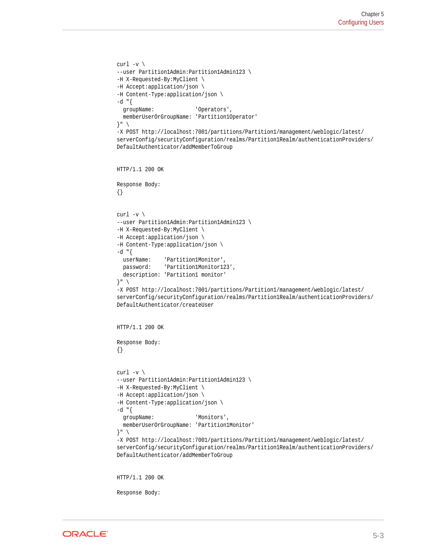```
curl -v \backslash--user Partition1Admin:Partition1Admin123 \
-H X-Requested-By:MyClient \
-H Accept:application/json \
-H Content-Type:application/json \
-d "{
  groupName: 'Operators',
   memberUserOrGroupName: 'Partition1Operator'
\} " \quad \ \,-X POST http://localhost:7001/partitions/Partition1/management/weblogic/latest/
serverConfig/securityConfiguration/realms/Partition1Realm/authenticationProviders/
DefaultAuthenticator/addMemberToGroup
HTTP/1.1 200 OK
Response Body:
{}
curl -v \backslash--user Partition1Admin:Partition1Admin123 \
-H X-Requested-By:MyClient \
-H Accept:application/json \
-H Content-Type:application/json \
-d "\{ userName: 'Partition1Monitor',
  password: 'Partition1Monitor123',
   description: 'Partition1 monitor'
}" \
-X POST http://localhost:7001/partitions/Partition1/management/weblogic/latest/
serverConfig/securityConfiguration/realms/Partition1Realm/authenticationProviders/
DefaultAuthenticator/createUser
HTTP/1.1 200 OK
Response Body:
{}
curl -v \backslash--user Partition1Admin:Partition1Admin123 \
-H X-Requested-By:MyClient \
-H Accept:application/json \
-H Content-Type:application/json \
-d "{
   groupName: 'Monitors',
   memberUserOrGroupName: 'Partition1Monitor'
\}" \
-X POST http://localhost:7001/partitions/Partition1/management/weblogic/latest/
serverConfig/securityConfiguration/realms/Partition1Realm/authenticationProviders/
DefaultAuthenticator/addMemberToGroup
HTTP/1.1 200 OK
```
Response Body:

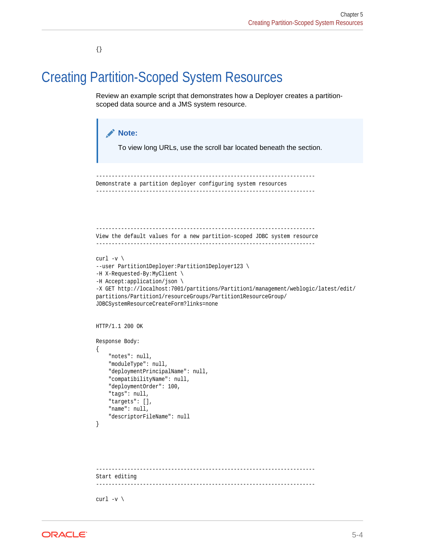{}

## <span id="page-220-0"></span>Creating Partition-Scoped System Resources

Review an example script that demonstrates how a Deployer creates a partitionscoped data source and a JMS system resource.

```
Note:
       To view long URLs, use the scroll bar located beneath the section.
      -Demonstrate a partition deployer configuring system resources
----------------------------------------------------------------------
              ----------------------------------------------------------------------
View the default values for a new partition-scoped JDBC system resource
----------------------------------------------------------------------
curl -v \backslash--user Partition1Deployer:Partition1Deployer123 \
-H X-Requested-By:MyClient \
-H Accept:application/json \
-X GET http://localhost:7001/partitions/Partition1/management/weblogic/latest/edit/
partitions/Partition1/resourceGroups/Partition1ResourceGroup/
JDBCSystemResourceCreateForm?links=none
HTTP/1.1 200 OK
Response Body:
{
     "notes": null,
     "moduleType": null,
     "deploymentPrincipalName": null,
     "compatibilityName": null,
     "deploymentOrder": 100,
     "tags": null,
     "targets": [],
     "name": null,
     "descriptorFileName": null
}
----------------------------------------------------------------------
Start editing
----------------------------------------------------------------------
curl -v \backslash
```
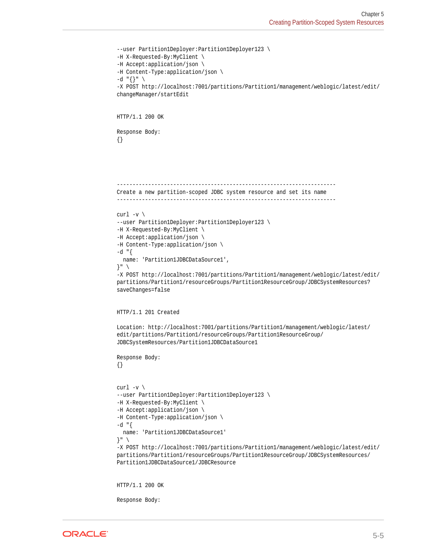```
--user Partition1Deployer:Partition1Deployer123 \
-H X-Requested-By:MyClient \
-H Accept:application/json \
-H Content-Type:application/json \
-d "\{\}" \
-X POST http://localhost:7001/partitions/Partition1/management/weblogic/latest/edit/
changeManager/startEdit
HTTP/1.1 200 OK
Response Body:
{}
 ----------------------------------------------------------------------
Create a new partition-scoped JDBC system resource and set its name
----------------------------------------------------------------------
curl -v \backslash--user Partition1Deployer:Partition1Deployer123 \
-H X-Requested-By:MyClient \
-H Accept:application/json \
-H Content-Type:application/json \
-d "\{ name: 'Partition1JDBCDataSource1',
}" \
-X POST http://localhost:7001/partitions/Partition1/management/weblogic/latest/edit/
partitions/Partition1/resourceGroups/Partition1ResourceGroup/JDBCSystemResources?
saveChanges=false
HTTP/1.1 201 Created
Location: http://localhost:7001/partitions/Partition1/management/weblogic/latest/
edit/partitions/Partition1/resourceGroups/Partition1ResourceGroup/
JDBCSystemResources/Partition1JDBCDataSource1
Response Body:
{}
curl -v \backslash--user Partition1Deployer:Partition1Deployer123 \
-H X-Requested-By:MyClient \
-H Accept:application/json \
-H Content-Type:application/json \
-d "{
  name: 'Partition1JDBCDataSource1'
}" \
-X POST http://localhost:7001/partitions/Partition1/management/weblogic/latest/edit/
partitions/Partition1/resourceGroups/Partition1ResourceGroup/JDBCSystemResources/
Partition1JDBCDataSource1/JDBCResource
HTTP/1.1 200 OK
Response Body:
```
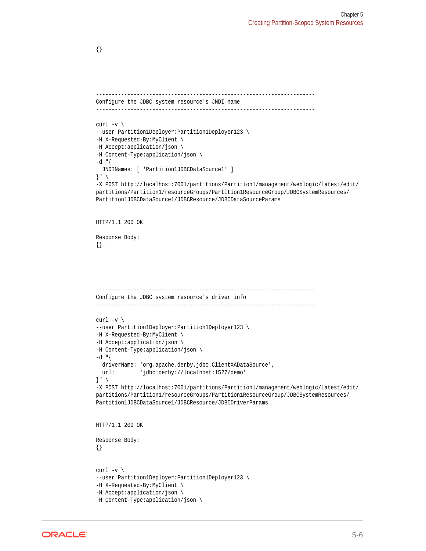---------------------------------------------------------------------- Configure the JDBC system resource's JNDI name --------------------------------------------------------------------- curl  $-v \backslash$ --user Partition1Deployer:Partition1Deployer123 \ -H X-Requested-By:MyClient \ -H Accept:application/json \ -H Content-Type:application/json \  $-d$  " $\{$  JNDINames: [ 'Partition1JDBCDataSource1' ] }" \ -X POST http://localhost:7001/partitions/Partition1/management/weblogic/latest/edit/ partitions/Partition1/resourceGroups/Partition1ResourceGroup/JDBCSystemResources/ Partition1JDBCDataSource1/JDBCResource/JDBCDataSourceParams HTTP/1.1 200 OK Response Body: {} ---------------------------------------------------------------------- Configure the JDBC system resource's driver info --------------------------------------------------------------------- curl  $-v \backslash$ --user Partition1Deployer:Partition1Deployer123 \ -H X-Requested-By:MyClient \ -H Accept:application/json \ -H Content-Type:application/json \  $-d$  " $\{$  driverName: 'org.apache.derby.jdbc.ClientXADataSource', url: 'jdbc:derby://localhost:1527/demo' }" \ -X POST http://localhost:7001/partitions/Partition1/management/weblogic/latest/edit/ partitions/Partition1/resourceGroups/Partition1ResourceGroup/JDBCSystemResources/ Partition1JDBCDataSource1/JDBCResource/JDBCDriverParams HTTP/1.1 200 OK Response Body: {} curl  $-v \backslash$ --user Partition1Deployer:Partition1Deployer123 \ -H X-Requested-By:MyClient \ -H Accept:application/json \ -H Content-Type:application/json \

{}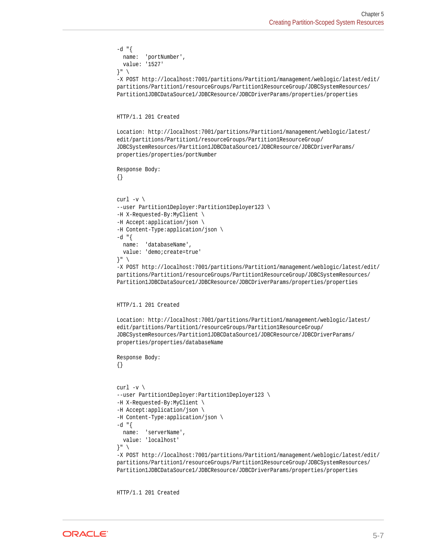```
-d "{
   name: 'portNumber',
   value: '1527'
}" \
-X POST http://localhost:7001/partitions/Partition1/management/weblogic/latest/edit/
partitions/Partition1/resourceGroups/Partition1ResourceGroup/JDBCSystemResources/
Partition1JDBCDataSource1/JDBCResource/JDBCDriverParams/properties/properties
HTTP/1.1 201 Created
Location: http://localhost:7001/partitions/Partition1/management/weblogic/latest/
edit/partitions/Partition1/resourceGroups/Partition1ResourceGroup/
JDBCSystemResources/Partition1JDBCDataSource1/JDBCResource/JDBCDriverParams/
properties/properties/portNumber
Response Body:
{}
curl -v \backslash--user Partition1Deployer:Partition1Deployer123 \
-H X-Requested-By:MyClient \
-H Accept:application/json \
-H Content-Type:application/json \
-d "\{ name: 'databaseName',
   value: 'demo;create=true'
\}" \
-X POST http://localhost:7001/partitions/Partition1/management/weblogic/latest/edit/
partitions/Partition1/resourceGroups/Partition1ResourceGroup/JDBCSystemResources/
Partition1JDBCDataSource1/JDBCResource/JDBCDriverParams/properties/properties
HTTP/1.1 201 Created
Location: http://localhost:7001/partitions/Partition1/management/weblogic/latest/
edit/partitions/Partition1/resourceGroups/Partition1ResourceGroup/
JDBCSystemResources/Partition1JDBCDataSource1/JDBCResource/JDBCDriverParams/
properties/properties/databaseName
Response Body:
{}
curl -v \backslash--user Partition1Deployer:Partition1Deployer123 \
-H X-Requested-By:MyClient \
-H Accept:application/json \
-H Content-Type:application/json \
-d "{
   name: 'serverName',
   value: 'localhost'
\} " \rightarrow-X POST http://localhost:7001/partitions/Partition1/management/weblogic/latest/edit/
partitions/Partition1/resourceGroups/Partition1ResourceGroup/JDBCSystemResources/
Partition1JDBCDataSource1/JDBCResource/JDBCDriverParams/properties/properties
```
HTTP/1.1 201 Created

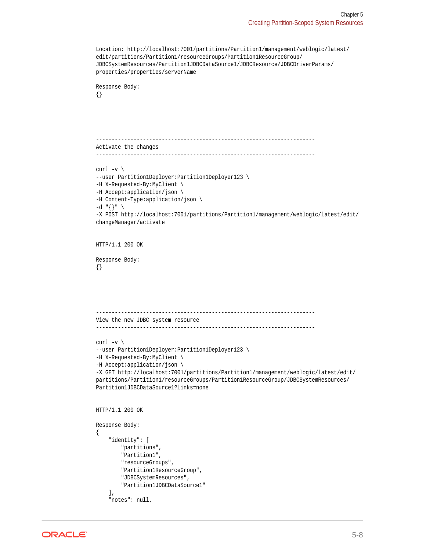```
Location: http://localhost:7001/partitions/Partition1/management/weblogic/latest/
edit/partitions/Partition1/resourceGroups/Partition1ResourceGroup/
JDBCSystemResources/Partition1JDBCDataSource1/JDBCResource/JDBCDriverParams/
properties/properties/serverName
Response Body:
{}
           ----------------------------------------------------------------------
Activate the changes
----------------------------------------------------------------------
curl -v \backslash--user Partition1Deployer:Partition1Deployer123 \
-H X-Requested-By:MyClient \
-H Accept:application/json \
-H Content-Type:application/json \
-d "{}" \
-X POST http://localhost:7001/partitions/Partition1/management/weblogic/latest/edit/
changeManager/activate
HTTP/1.1 200 OK
Response Body:
{}
 ----------------------------------------------------------------------
View the new JDBC system resource
----------------------------------------------------------------------
curl -v \backslash--user Partition1Deployer:Partition1Deployer123 \
-H X-Requested-By:MyClient \
-H Accept:application/json \
-X GET http://localhost:7001/partitions/Partition1/management/weblogic/latest/edit/
partitions/Partition1/resourceGroups/Partition1ResourceGroup/JDBCSystemResources/
Partition1JDBCDataSource1?links=none
HTTP/1.1 200 OK
Response Body:
{
     "identity": [
         "partitions",
         "Partition1",
         "resourceGroups",
         "Partition1ResourceGroup",
         "JDBCSystemResources",
         "Partition1JDBCDataSource1"
    \mathbf{1},
     "notes": null,
```
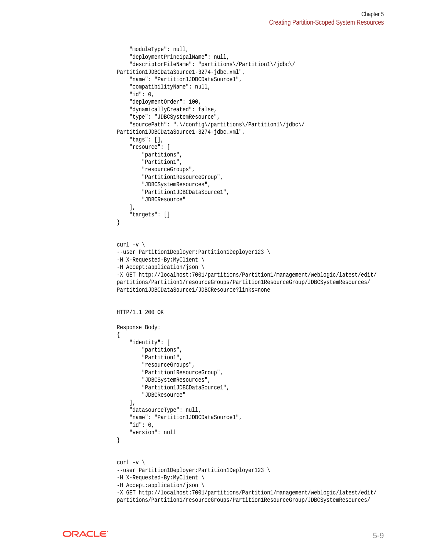```
 "moduleType": null,
     "deploymentPrincipalName": null,
     "descriptorFileName": "partitions\/Partition1\/jdbc\/
Partition1JDBCDataSource1-3274-jdbc.xml",
     "name": "Partition1JDBCDataSource1",
     "compatibilityName": null,
     "id": 0,
     "deploymentOrder": 100,
     "dynamicallyCreated": false,
     "type": "JDBCSystemResource",
     "sourcePath": ".\/config\/partitions\/Partition1\/jdbc\/
Partition1JDBCDataSource1-3274-jdbc.xml",
     "tags": [],
     "resource": [
         "partitions",
         "Partition1",
         "resourceGroups",
         "Partition1ResourceGroup",
         "JDBCSystemResources",
         "Partition1JDBCDataSource1",
         "JDBCResource"
     ],
     "targets": []
}
curl -v \backslash--user Partition1Deployer:Partition1Deployer123 \
-H X-Requested-By:MyClient \
-H Accept:application/json \
-X GET http://localhost:7001/partitions/Partition1/management/weblogic/latest/edit/
partitions/Partition1/resourceGroups/Partition1ResourceGroup/JDBCSystemResources/
Partition1JDBCDataSource1/JDBCResource?links=none
HTTP/1.1 200 OK
Response Body:
{
     "identity": [
         "partitions",
         "Partition1",
         "resourceGroups",
         "Partition1ResourceGroup",
         "JDBCSystemResources",
         "Partition1JDBCDataSource1",
         "JDBCResource"
    \mathbf{1},
     "datasourceType": null,
     "name": "Partition1JDBCDataSource1",
     "id": 0,
     "version": null
}
curl -v \backslash--user Partition1Deployer:Partition1Deployer123 \
-H X-Requested-By:MyClient \
-H Accept:application/json \
-X GET http://localhost:7001/partitions/Partition1/management/weblogic/latest/edit/
partitions/Partition1/resourceGroups/Partition1ResourceGroup/JDBCSystemResources/
```
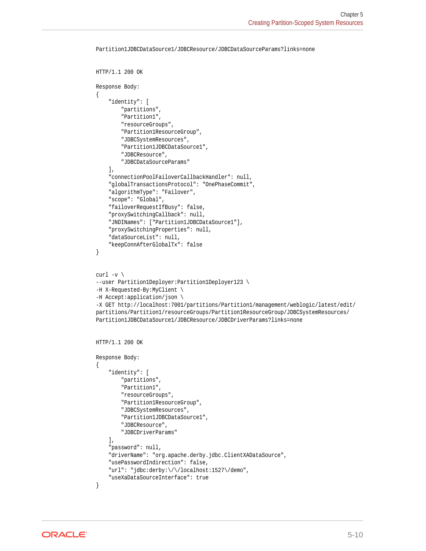```
HTTP/1.1 200 OK
Response Body:
{
     "identity": [
         "partitions",
         "Partition1",
         "resourceGroups",
         "Partition1ResourceGroup",
         "JDBCSystemResources",
         "Partition1JDBCDataSource1",
         "JDBCResource",
         "JDBCDataSourceParams"
    \cdot "connectionPoolFailoverCallbackHandler": null,
     "globalTransactionsProtocol": "OnePhaseCommit",
     "algorithmType": "Failover",
     "scope": "Global",
     "failoverRequestIfBusy": false,
     "proxySwitchingCallback": null,
     "JNDINames": ["Partition1JDBCDataSource1"],
     "proxySwitchingProperties": null,
     "dataSourceList": null,
     "keepConnAfterGlobalTx": false
}
curl -v \backslash--user Partition1Deployer:Partition1Deployer123 \
-H X-Requested-By:MyClient \
-H Accept:application/json \
-X GET http://localhost:7001/partitions/Partition1/management/weblogic/latest/edit/
partitions/Partition1/resourceGroups/Partition1ResourceGroup/JDBCSystemResources/
Partition1JDBCDataSource1/JDBCResource/JDBCDriverParams?links=none
HTTP/1.1 200 OK
Response Body:
{
     "identity": [
         "partitions",
         "Partition1",
         "resourceGroups",
         "Partition1ResourceGroup",
         "JDBCSystemResources",
         "Partition1JDBCDataSource1",
         "JDBCResource",
         "JDBCDriverParams"
     ],
     "password": null,
     "driverName": "org.apache.derby.jdbc.ClientXADataSource",
     "usePasswordIndirection": false,
     "url": "jdbc:derby:\/\/localhost:1527\/demo",
     "useXaDataSourceInterface": true
}
```
Partition1JDBCDataSource1/JDBCResource/JDBCDataSourceParams?links=none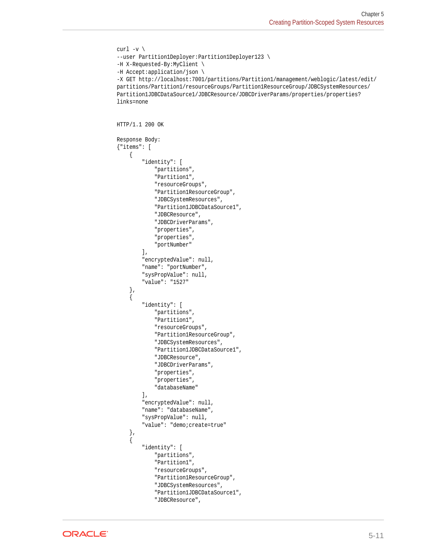```
curl -v \backslash--user Partition1Deployer:Partition1Deployer123 \
-H X-Requested-By:MyClient \
-H Accept:application/json \
-X GET http://localhost:7001/partitions/Partition1/management/weblogic/latest/edit/
partitions/Partition1/resourceGroups/Partition1ResourceGroup/JDBCSystemResources/
Partition1JDBCDataSource1/JDBCResource/JDBCDriverParams/properties/properties?
links=none
HTTP/1.1 200 OK
Response Body:
{"items": [
\left\{\right. "identity": [
              "partitions",
              "Partition1",
              "resourceGroups",
              "Partition1ResourceGroup",
              "JDBCSystemResources",
              "Partition1JDBCDataSource1",
              "JDBCResource",
              "JDBCDriverParams",
              "properties",
              "properties",
              "portNumber"
          ],
          "encryptedValue": null,
          "name": "portNumber",
          "sysPropValue": null,
          "value": "1527"
     },
\left\{\right. "identity": [
              "partitions",
              "Partition1",
              "resourceGroups",
              "Partition1ResourceGroup",
              "JDBCSystemResources",
              "Partition1JDBCDataSource1",
              "JDBCResource",
              "JDBCDriverParams",
              "properties",
              "properties",
              "databaseName"
         \mathbf{1},
          "encryptedValue": null,
          "name": "databaseName",
          "sysPropValue": null,
          "value": "demo;create=true"
     },
    \overline{\left(} "identity": [
              "partitions",
              "Partition1",
              "resourceGroups",
              "Partition1ResourceGroup",
              "JDBCSystemResources",
              "Partition1JDBCDataSource1",
```


```
ORACLE
```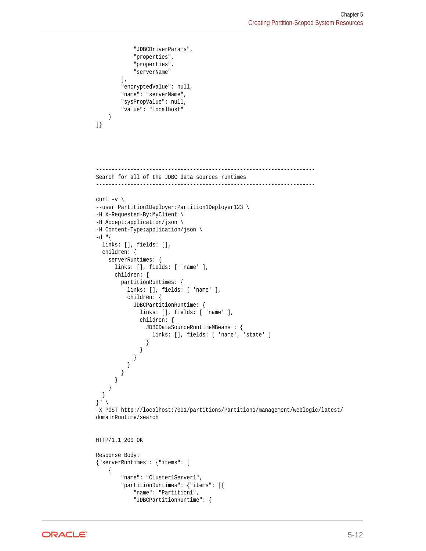```
 "JDBCDriverParams",
             "properties",
             "properties",
             "serverName"
         ],
         "encryptedValue": null,
         "name": "serverName",
         "sysPropValue": null,
         "value": "localhost"
     }
]}
          ----------------------------------------------------------------------
Search for all of the JDBC data sources runtimes
----------------------------------------------------------------------
curl -v \backslash--user Partition1Deployer:Partition1Deployer123 \
-H X-Requested-By:MyClient \
-H Accept:application/json \
-H Content-Type:application/json \
-d "\{ links: [], fields: [],
  children: {
     serverRuntimes: {
       links: [], fields: [ 'name' ],
       children: {
         partitionRuntimes: {
           links: [], fields: [ 'name' ],
           children: {
             JDBCPartitionRuntime: {
               links: [], fields: [ 'name' ],
               children: {
                 JDBCDataSourceRuntimeMBeans : {
                   links: [], fields: [ 'name', 'state' ]
 }
 }
            }
          }
        }
      }
     }
   }
\}" \
-X POST http://localhost:7001/partitions/Partition1/management/weblogic/latest/
domainRuntime/search
HTTP/1.1 200 OK
Response Body:
{"serverRuntimes": {"items": [
     {
         "name": "Cluster1Server1",
         "partitionRuntimes": {"items": [{
             "name": "Partition1",
             "JDBCPartitionRuntime": {
```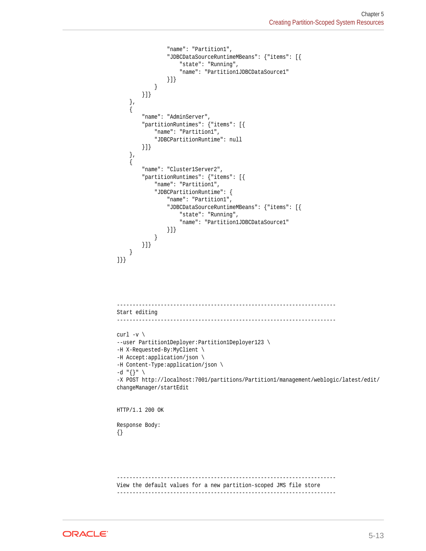```
 "name": "Partition1",
                   "JDBCDataSourceRuntimeMBeans": {"items": [{
                       "state": "Running",
                       "name": "Partition1JDBCDataSource1"
                  }]}
              }
         }]}
 },
\left\{\right. "name": "AdminServer",
          "partitionRuntimes": {"items": [{
              "name": "Partition1",
              "JDBCPartitionRuntime": null
         }]}
\vert,
\left\{\right. "name": "Cluster1Server2",
          "partitionRuntimes": {"items": [{
              "name": "Partition1",
              "JDBCPartitionRuntime": {
                  "name": "Partition1",
                   "JDBCDataSourceRuntimeMBeans": {"items": [{
                       "state": "Running",
                       "name": "Partition1JDBCDataSource1"
                  }]}
              }
         }]}
     }
]}}
                  ----------------------------------------------------------------------
Start editing
----------------------------------------------------------------------
curl -v \backslash--user Partition1Deployer:Partition1Deployer123 \
-H X-Requested-By:MyClient \
-H Accept:application/json \
-H Content-Type:application/json \
-d "{}" \
-X POST http://localhost:7001/partitions/Partition1/management/weblogic/latest/edit/
changeManager/startEdit
HTTP/1.1 200 OK
Response Body:
{}
               ----------------------------------------------------------------------
View the default values for a new partition-scoped JMS file store
```
----------------------------------------------------------------------

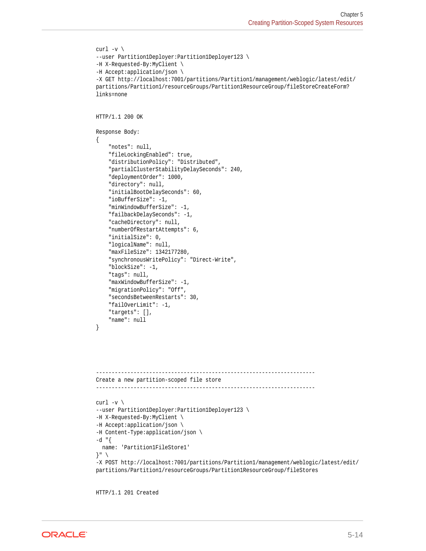```
curl -v \backslash--user Partition1Deployer:Partition1Deployer123 \
-H X-Requested-By:MyClient \
-H Accept:application/json \
-X GET http://localhost:7001/partitions/Partition1/management/weblogic/latest/edit/
partitions/Partition1/resourceGroups/Partition1ResourceGroup/fileStoreCreateForm?
links=none
HTTP/1.1 200 OK
Response Body:
{
     "notes": null,
     "fileLockingEnabled": true,
     "distributionPolicy": "Distributed",
     "partialClusterStabilityDelaySeconds": 240,
     "deploymentOrder": 1000,
     "directory": null,
     "initialBootDelaySeconds": 60,
     "ioBufferSize": -1,
     "minWindowBufferSize": -1,
     "failbackDelaySeconds": -1,
     "cacheDirectory": null,
     "numberOfRestartAttempts": 6,
     "initialSize": 0,
     "logicalName": null,
     "maxFileSize": 1342177280,
     "synchronousWritePolicy": "Direct-Write",
     "blockSize": -1,
     "tags": null,
     "maxWindowBufferSize": -1,
     "migrationPolicy": "Off",
     "secondsBetweenRestarts": 30,
     "failOverLimit": -1,
     "targets": [],
     "name": null
}
----------------------------------------------------------------------
Create a new partition-scoped file store
----------------------------------------------------------------------
curl -v \backslash--user Partition1Deployer:Partition1Deployer123 \
-H X-Requested-By:MyClient \
-H Accept:application/json \
-H Content-Type:application/json \
-d "{
  name: 'Partition1FileStore1'
}" \
-X POST http://localhost:7001/partitions/Partition1/management/weblogic/latest/edit/
partitions/Partition1/resourceGroups/Partition1ResourceGroup/fileStores
```
HTTP/1.1 201 Created

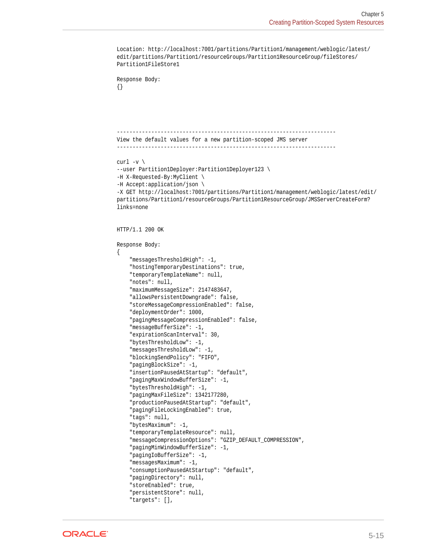```
Location: http://localhost:7001/partitions/Partition1/management/weblogic/latest/
edit/partitions/Partition1/resourceGroups/Partition1ResourceGroup/fileStores/
Partition1FileStore1
Response Body:
{}
   ----------------------------------------------------------------------
View the default values for a new partition-scoped JMS server
----------------------------------------------------------------------
curl -v \backslash--user Partition1Deployer:Partition1Deployer123 \
-H X-Requested-By:MyClient \
-H Accept:application/json \
-X GET http://localhost:7001/partitions/Partition1/management/weblogic/latest/edit/
partitions/Partition1/resourceGroups/Partition1ResourceGroup/JMSServerCreateForm?
links=none
HTTP/1.1 200 OK
Response Body:
{
     "messagesThresholdHigh": -1,
     "hostingTemporaryDestinations": true,
     "temporaryTemplateName": null,
     "notes": null,
     "maximumMessageSize": 2147483647,
     "allowsPersistentDowngrade": false,
     "storeMessageCompressionEnabled": false,
     "deploymentOrder": 1000,
     "pagingMessageCompressionEnabled": false,
     "messageBufferSize": -1,
     "expirationScanInterval": 30,
     "bytesThresholdLow": -1,
     "messagesThresholdLow": -1,
     "blockingSendPolicy": "FIFO",
     "pagingBlockSize": -1,
     "insertionPausedAtStartup": "default",
     "pagingMaxWindowBufferSize": -1,
     "bytesThresholdHigh": -1,
     "pagingMaxFileSize": 1342177280,
     "productionPausedAtStartup": "default",
     "pagingFileLockingEnabled": true,
     "tags": null,
     "bytesMaximum": -1,
     "temporaryTemplateResource": null,
     "messageCompressionOptions": "GZIP_DEFAULT_COMPRESSION",
     "pagingMinWindowBufferSize": -1,
     "pagingIoBufferSize": -1,
     "messagesMaximum": -1,
     "consumptionPausedAtStartup": "default",
     "pagingDirectory": null,
     "storeEnabled": true,
     "persistentStore": null,
     "targets": [],
```
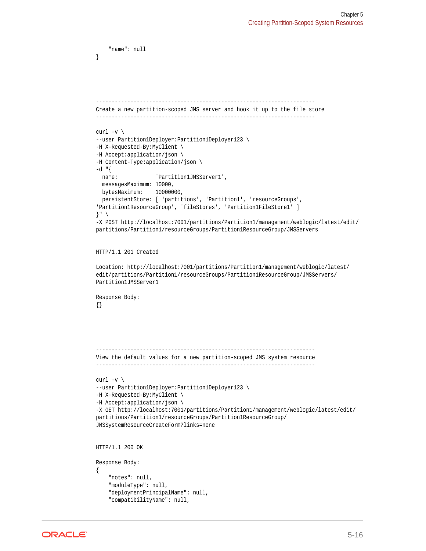```
 "name": null
}
----------------------------------------------------------------------
Create a new partition-scoped JMS server and hook it up to the file store
----------------------------------------------------------------------
curl -v \backslash--user Partition1Deployer:Partition1Deployer123 \
-H X-Requested-By:MyClient \
-H Accept:application/json \
-H Content-Type:application/json \
-d "{
 name: 'Partition1JMSServer1',
   messagesMaximum: 10000,
  bytesMaximum: 10000000,
  persistentStore: [ 'partitions', 'Partition1', 'resourceGroups', 
'Partition1ResourceGroup', 'fileStores', 'Partition1FileStore1' ]
}" \
-X POST http://localhost:7001/partitions/Partition1/management/weblogic/latest/edit/
partitions/Partition1/resourceGroups/Partition1ResourceGroup/JMSServers
HTTP/1.1 201 Created
Location: http://localhost:7001/partitions/Partition1/management/weblogic/latest/
edit/partitions/Partition1/resourceGroups/Partition1ResourceGroup/JMSServers/
Partition1JMSServer1
Response Body:
{}
----------------------------------------------------------------------
View the default values for a new partition-scoped JMS system resource
----------------------------------------------------------------------
curl -v \backslash--user Partition1Deployer:Partition1Deployer123 \
-H X-Requested-By:MyClient \
-H Accept:application/json \
-X GET http://localhost:7001/partitions/Partition1/management/weblogic/latest/edit/
partitions/Partition1/resourceGroups/Partition1ResourceGroup/
JMSSystemResourceCreateForm?links=none
HTTP/1.1 200 OK
Response Body:
{
     "notes": null,
     "moduleType": null,
     "deploymentPrincipalName": null,
     "compatibilityName": null,
```
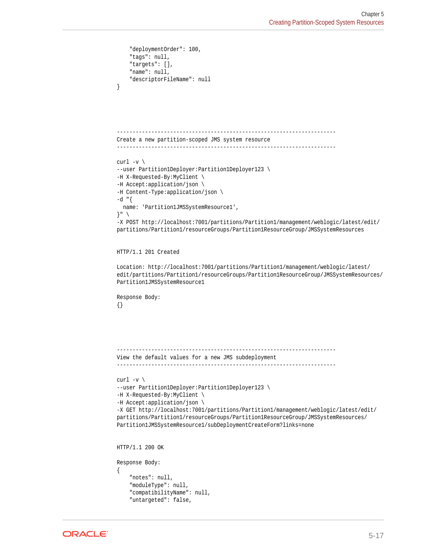```
 "deploymentOrder": 100,
     "tags": null,
     "targets": [],
     "name": null,
     "descriptorFileName": null
}
    ----------------------------------------------------------------------
Create a new partition-scoped JMS system resource
----------------------------------------------------------------------
curl -v \backslash--user Partition1Deployer:Partition1Deployer123 \
-H X-Requested-By:MyClient \
-H Accept:application/json \
-H Content-Type:application/json \
-d "{
  name: 'Partition1JMSSystemResource1',
}" \
-X POST http://localhost:7001/partitions/Partition1/management/weblogic/latest/edit/
partitions/Partition1/resourceGroups/Partition1ResourceGroup/JMSSystemResources
HTTP/1.1 201 Created
Location: http://localhost:7001/partitions/Partition1/management/weblogic/latest/
edit/partitions/Partition1/resourceGroups/Partition1ResourceGroup/JMSSystemResources/
Partition1JMSSystemResource1
Response Body:
{}
----------------------------------------------------------------------
View the default values for a new JMS subdeployment
----------------------------------------------------------------------
curl -v \backslash--user Partition1Deployer:Partition1Deployer123 \
-H X-Requested-By:MyClient \
-H Accept:application/json \
-X GET http://localhost:7001/partitions/Partition1/management/weblogic/latest/edit/
partitions/Partition1/resourceGroups/Partition1ResourceGroup/JMSSystemResources/
Partition1JMSSystemResource1/subDeploymentCreateForm?links=none
HTTP/1.1 200 OK
Response Body:
{
     "notes": null,
     "moduleType": null,
     "compatibilityName": null,
     "untargeted": false,
```
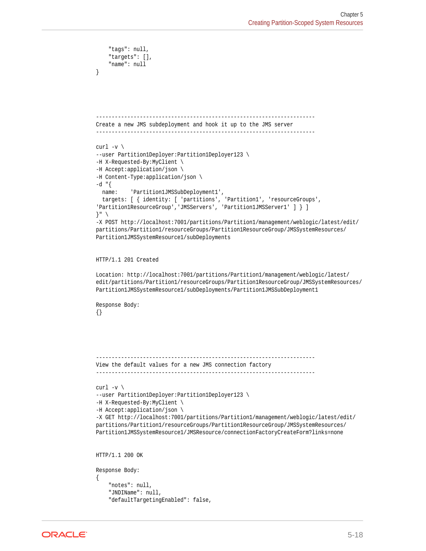```
 "tags": null,
     "targets": [],
     "name": null
}
   ----------------------------------------------------------------------
Create a new JMS subdeployment and hook it up to the JMS server
----------------------------------------------------------------------
curl -v \backslash--user Partition1Deployer:Partition1Deployer123 \
-H X-Requested-By:MyClient \
-H Accept:application/json \
-H Content-Type:application/json \
-d "{
  name: 'Partition1JMSSubDeployment1',
   targets: [ { identity: [ 'partitions', 'Partition1', 'resourceGroups', 
'Partition1ResourceGroup','JMSServers', 'Partition1JMSServer1' ] } ]
}" \
-X POST http://localhost:7001/partitions/Partition1/management/weblogic/latest/edit/
partitions/Partition1/resourceGroups/Partition1ResourceGroup/JMSSystemResources/
Partition1JMSSystemResource1/subDeployments
HTTP/1.1 201 Created
Location: http://localhost:7001/partitions/Partition1/management/weblogic/latest/
edit/partitions/Partition1/resourceGroups/Partition1ResourceGroup/JMSSystemResources/
Partition1JMSSystemResource1/subDeployments/Partition1JMSSubDeployment1
Response Body:
{}
----------------------------------------------------------------------
View the default values for a new JMS connection factory
----------------------------------------------------------------------
curl -v \backslash--user Partition1Deployer:Partition1Deployer123 \
-H X-Requested-By:MyClient \
-H Accept:application/json \
-X GET http://localhost:7001/partitions/Partition1/management/weblogic/latest/edit/
partitions/Partition1/resourceGroups/Partition1ResourceGroup/JMSSystemResources/
Partition1JMSSystemResource1/JMSResource/connectionFactoryCreateForm?links=none
HTTP/1.1 200 OK
Response Body:
{
     "notes": null,
     "JNDIName": null,
```

```
ORACLE®
```
"defaultTargetingEnabled": false,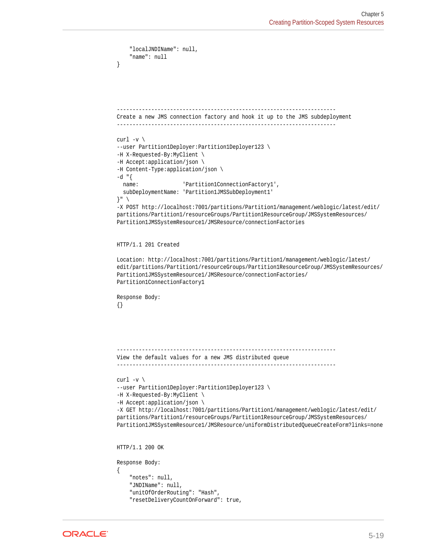```
 "localJNDIName": null,
     "name": null
}
       ----------------------------------------------------------------------
Create a new JMS connection factory and hook it up to the JMS subdeployment
----------------------------------------------------------------------
curl -v \backslash--user Partition1Deployer:Partition1Deployer123 \
-H X-Requested-By:MyClient \
-H Accept:application/json \
-H Content-Type:application/json \
-d "{
 name: 'Partition1ConnectionFactory1',
  subDeploymentName: 'Partition1JMSSubDeployment1'
}" \
-X POST http://localhost:7001/partitions/Partition1/management/weblogic/latest/edit/
partitions/Partition1/resourceGroups/Partition1ResourceGroup/JMSSystemResources/
Partition1JMSSystemResource1/JMSResource/connectionFactories
HTTP/1.1 201 Created
Location: http://localhost:7001/partitions/Partition1/management/weblogic/latest/
edit/partitions/Partition1/resourceGroups/Partition1ResourceGroup/JMSSystemResources/
Partition1JMSSystemResource1/JMSResource/connectionFactories/
Partition1ConnectionFactory1
Response Body:
{}
   ----------------------------------------------------------------------
View the default values for a new JMS distributed queue
----------------------------------------------------------------------
curl -v \backslash--user Partition1Deployer:Partition1Deployer123 \
-H X-Requested-By:MyClient \
-H Accept:application/json \
-X GET http://localhost:7001/partitions/Partition1/management/weblogic/latest/edit/
partitions/Partition1/resourceGroups/Partition1ResourceGroup/JMSSystemResources/
Partition1JMSSystemResource1/JMSResource/uniformDistributedQueueCreateForm?links=none
HTTP/1.1 200 OK
Response Body:
{
     "notes": null,
     "JNDIName": null,
     "unitOfOrderRouting": "Hash",
     "resetDeliveryCountOnForward": true,
```

```
ORACLE
```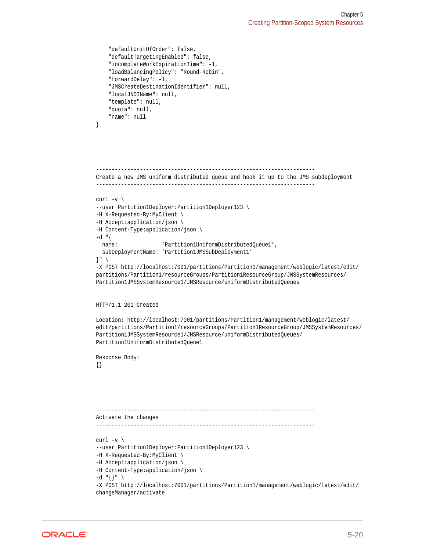```
 "defaultUnitOfOrder": false,
     "defaultTargetingEnabled": false,
     "incompleteWorkExpirationTime": -1,
     "loadBalancingPolicy": "Round-Robin",
     "forwardDelay": -1,
     "JMSCreateDestinationIdentifier": null,
     "localJNDIName": null,
     "template": null,
     "quota": null,
     "name": null
}
          ----------------------------------------------------------------------
Create a new JMS uniform distributed queue and hook it up to the JMS subdeployment
----------------------------------------------------------------------
curl -v \backslash--user Partition1Deployer:Partition1Deployer123 \
-H X-Requested-By:MyClient \
-H Accept:application/json \
-H Content-Type:application/json \
-d "\{ name: 'Partition1UniformDistributedQueue1',
   subDeploymentName: 'Partition1JMSSubDeployment1'
}" \
-X POST http://localhost:7001/partitions/Partition1/management/weblogic/latest/edit/
partitions/Partition1/resourceGroups/Partition1ResourceGroup/JMSSystemResources/
Partition1JMSSystemResource1/JMSResource/uniformDistributedQueues
HTTP/1.1 201 Created
Location: http://localhost:7001/partitions/Partition1/management/weblogic/latest/
edit/partitions/Partition1/resourceGroups/Partition1ResourceGroup/JMSSystemResources/
Partition1JMSSystemResource1/JMSResource/uniformDistributedQueues/
Partition1UniformDistributedQueue1
Response Body:
{}
----------------------------------------------------------------------
Activate the changes
----------------------------------------------------------------------
curl -v \
--user Partition1Deployer:Partition1Deployer123 \
-H X-Requested-By:MyClient \
-H Accept:application/json \
-H Content-Type:application/json \
-d "{}" \
-X POST http://localhost:7001/partitions/Partition1/management/weblogic/latest/edit/
changeManager/activate
```
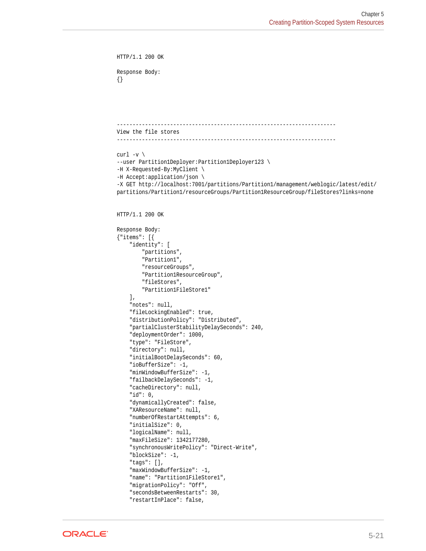```
HTTP/1.1 200 OK
Response Body:
{}
  ----------------------------------------------------------------------
View the file stores
----------------------------------------------------------------------
curl -v \backslash--user Partition1Deployer:Partition1Deployer123 \
-H X-Requested-By:MyClient \
-H Accept:application/json \
-X GET http://localhost:7001/partitions/Partition1/management/weblogic/latest/edit/
partitions/Partition1/resourceGroups/Partition1ResourceGroup/fileStores?links=none
HTTP/1.1 200 OK
Response Body:
{"items": [{
     "identity": [
         "partitions",
         "Partition1",
         "resourceGroups",
         "Partition1ResourceGroup",
         "fileStores",
         "Partition1FileStore1"
     ],
     "notes": null,
     "fileLockingEnabled": true,
     "distributionPolicy": "Distributed",
     "partialClusterStabilityDelaySeconds": 240,
     "deploymentOrder": 1000,
     "type": "FileStore",
     "directory": null,
     "initialBootDelaySeconds": 60,
     "ioBufferSize": -1,
     "minWindowBufferSize": -1,
     "failbackDelaySeconds": -1,
     "cacheDirectory": null,
     "id": 0,
     "dynamicallyCreated": false,
     "XAResourceName": null,
     "numberOfRestartAttempts": 6,
     "initialSize": 0,
     "logicalName": null,
     "maxFileSize": 1342177280,
     "synchronousWritePolicy": "Direct-Write",
     "blockSize": -1,
     "tags": [],
     "maxWindowBufferSize": -1,
     "name": "Partition1FileStore1",
     "migrationPolicy": "Off",
     "secondsBetweenRestarts": 30,
```


"restartInPlace": false,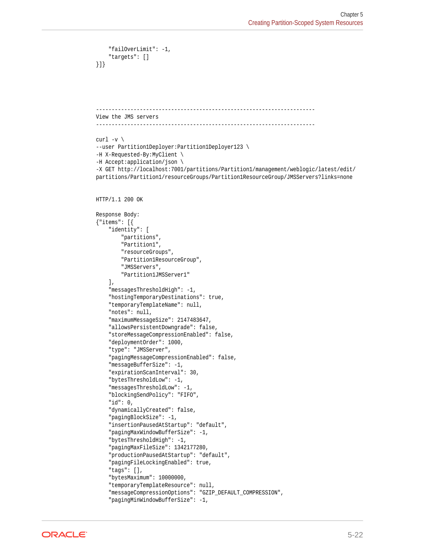```
 "failOverLimit": -1,
     "targets": []
}]}
      ----------------------------------------------------------------------
View the JMS servers
----------------------------------------------------------------------
curl -v \backslash--user Partition1Deployer:Partition1Deployer123 \
-H X-Requested-By:MyClient \
-H Accept:application/json \
-X GET http://localhost:7001/partitions/Partition1/management/weblogic/latest/edit/
partitions/Partition1/resourceGroups/Partition1ResourceGroup/JMSServers?links=none
HTTP/1.1 200 OK
Response Body:
{"items": [{
     "identity": [
         "partitions",
         "Partition1",
         "resourceGroups",
         "Partition1ResourceGroup",
         "JMSServers",
         "Partition1JMSServer1"
    \cdot "messagesThresholdHigh": -1,
     "hostingTemporaryDestinations": true,
     "temporaryTemplateName": null,
     "notes": null,
     "maximumMessageSize": 2147483647,
     "allowsPersistentDowngrade": false,
     "storeMessageCompressionEnabled": false,
     "deploymentOrder": 1000,
     "type": "JMSServer",
     "pagingMessageCompressionEnabled": false,
     "messageBufferSize": -1,
     "expirationScanInterval": 30,
     "bytesThresholdLow": -1,
     "messagesThresholdLow": -1,
     "blockingSendPolicy": "FIFO",
     "id": 0,
     "dynamicallyCreated": false,
     "pagingBlockSize": -1,
     "insertionPausedAtStartup": "default",
     "pagingMaxWindowBufferSize": -1,
     "bytesThresholdHigh": -1,
     "pagingMaxFileSize": 1342177280,
     "productionPausedAtStartup": "default",
     "pagingFileLockingEnabled": true,
     "tags": [],
     "bytesMaximum": 10000000,
     "temporaryTemplateResource": null,
     "messageCompressionOptions": "GZIP_DEFAULT_COMPRESSION",
     "pagingMinWindowBufferSize": -1,
```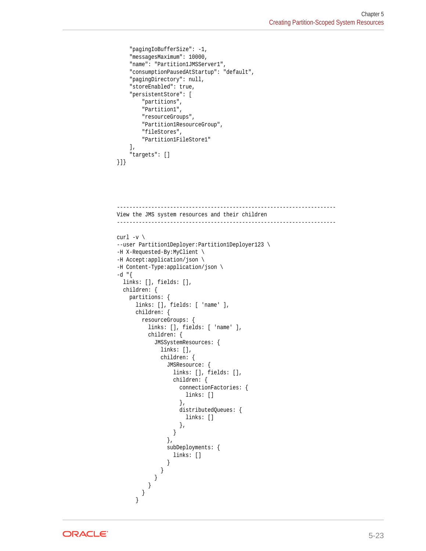```
 "pagingIoBufferSize": -1,
     "messagesMaximum": 10000,
     "name": "Partition1JMSServer1",
     "consumptionPausedAtStartup": "default",
     "pagingDirectory": null,
     "storeEnabled": true,
     "persistentStore": [
         "partitions",
         "Partition1",
         "resourceGroups",
         "Partition1ResourceGroup",
         "fileStores",
         "Partition1FileStore1"
    \,],
     "targets": []
}]}
```

```
----------------------------------------------------------------------
View the JMS system resources and their children
----------------------------------------------------------------------
curl -v \backslash--user Partition1Deployer:Partition1Deployer123 \
-H X-Requested-By:MyClient \
-H Accept:application/json \
-H Content-Type:application/json \
-d "\{ links: [], fields: [],
  children: {
    partitions: {
      links: [], fields: [ 'name' ],
      children: {
        resourceGroups: {
          links: [], fields: [ 'name' ],
          children: {
            JMSSystemResources: {
              links: [],
              children: {
                JMSResource: {
                  links: [], fields: [],
                  children: {
                    connectionFactories: {
                      links: []
                    },
                    distributedQueues: {
                      links: []
                    },
 }
                },
                subDeployments: {
                  links: []
 }
 }
 }
 }
 }
 }
```
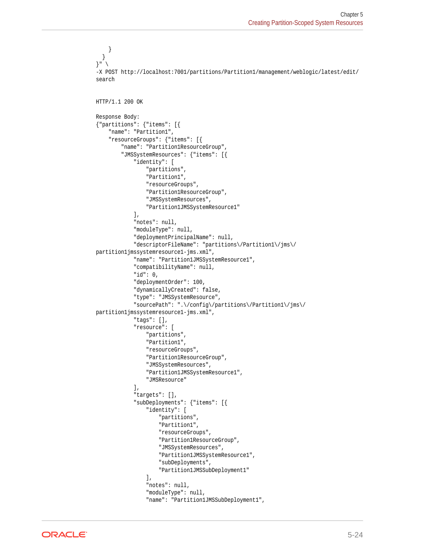```
 }
   }
}" \
-X POST http://localhost:7001/partitions/Partition1/management/weblogic/latest/edit/
search
HTTP/1.1 200 OK
Response Body:
{"partitions": {"items": [{
     "name": "Partition1",
     "resourceGroups": {"items": [{
         "name": "Partition1ResourceGroup",
         "JMSSystemResources": {"items": [{
              "identity": [
                  "partitions",
                  "Partition1",
                  "resourceGroups",
                  "Partition1ResourceGroup",
                  "JMSSystemResources",
                  "Partition1JMSSystemResource1"
              ],
              "notes": null,
              "moduleType": null,
              "deploymentPrincipalName": null,
              "descriptorFileName": "partitions\/Partition1\/jms\/
partition1jmssystemresource1-jms.xml",
              "name": "Partition1JMSSystemResource1",
              "compatibilityName": null,
              "id": 0,
              "deploymentOrder": 100,
              "dynamicallyCreated": false,
              "type": "JMSSystemResource",
              "sourcePath": ".\/config\/partitions\/Partition1\/jms\/
partition1jmssystemresource1-jms.xml",
              "tags": [],
              "resource": [
                  "partitions",
                  "Partition1",
                  "resourceGroups",
                  "Partition1ResourceGroup",
                  "JMSSystemResources",
                  "Partition1JMSSystemResource1",
                  "JMSResource"
             \mathbf{I},
              "targets": [],
              "subDeployments": {"items": [{
                  "identity": [
                       "partitions",
                       "Partition1",
                       "resourceGroups",
                       "Partition1ResourceGroup",
                       "JMSSystemResources",
                       "Partition1JMSSystemResource1",
                       "subDeployments",
                       "Partition1JMSSubDeployment1"
                 \mathbf{1},
                  "notes": null,
                  "moduleType": null,
                  "name": "Partition1JMSSubDeployment1",
```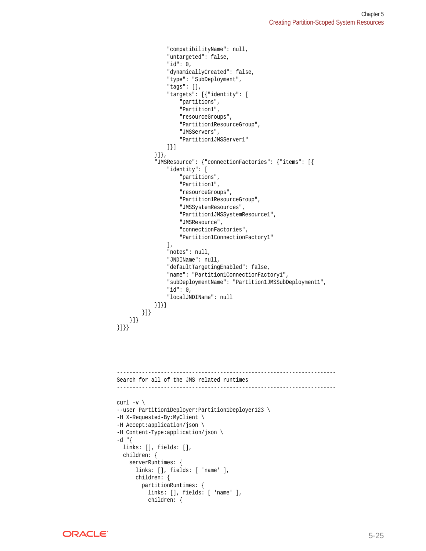```
 "compatibilityName": null,
                        "untargeted": false,
                        "id": 0,
                        "dynamicallyCreated": false,
                        "type": "SubDeployment",
                        "tags": [],
                        "targets": [{"identity": [
                             "partitions",
                             "Partition1",
                             "resourceGroups",
                             "Partition1ResourceGroup",
                             "JMSServers",
                             "Partition1JMSServer1"
                       ]}]
                  }]},
                  "JMSResource": {"connectionFactories": {"items": [{
                        "identity": [
                             "partitions",
                             "Partition1",
                             "resourceGroups",
                             "Partition1ResourceGroup",
                             "JMSSystemResources",
                             "Partition1JMSSystemResource1",
                             "JMSResource",
                             "connectionFactories",
                             "Partition1ConnectionFactory1"
                       ],
                       "notes": null,
                        "JNDIName": null,
                        "defaultTargetingEnabled": false,
                        "name": "Partition1ConnectionFactory1",
                        "subDeploymentName": "Partition1JMSSubDeployment1",
                        "id": 0,
                        "localJNDIName": null
          {\mbox{\bf{}}}\mbox{\bf{}}\mbox{\bf{}}\mbox{\bf{}}\mbox{\bf{}}\mbox{\bf{}}\mbox{\bf{}}\mbox{\bf{}}\mbox{\bf{}}\mbox{\bf{}}\mbox{\bf{}}\mbox{\bf{}}\mbox{\bf{}}\mbox{\bf{}}\mbox{\bf{}}\mbox{\bf{}}\mbox{\bf{}}\mbox{\bf{}}\mbox{\bf{}}\mbox{\bf{}}\mbox{\bf{}}\mbox{\bf{}}\mbox{\bf{}}\mbox{\bf{}}\mbox{\bf{}}\mbox{\bf{}}\mbox{\bf{}}\mbox{\bf{}}\mbox{\bf{}}\mbox{\bf{}}\mbox{\bf{}}\mbox }]}
 }]}
}]}}
          ----------------------------------------------------------------------
Search for all of the JMS related runtimes
----------------------------------------------------------------------
curl -v \backslash--user Partition1Deployer:Partition1Deployer123 \
-H X-Requested-By:MyClient \
-H Accept:application/json \
-H Content-Type:application/json \
-d "{
   links: [], fields: [],
   children: {
      serverRuntimes: {
         links: [], fields: [ 'name' ],
         children: {
            partitionRuntimes: {
               links: [], fields: [ 'name' ],
               children: {
```
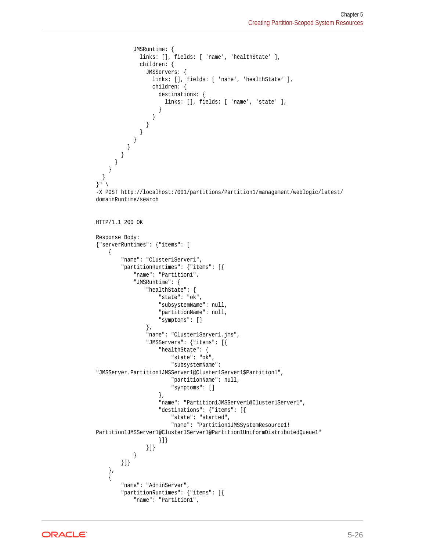```
 JMSRuntime: {
               links: [], fields: [ 'name', 'healthState' ],
               children: {
                 JMSServers: {
                   links: [], fields: [ 'name', 'healthState' ],
                   children: {
                     destinations: {
                       links: [], fields: [ 'name', 'state' ],
 }
 }
 }
 }
 }
 }
 }
 }
\left\{\begin{array}{ccc} \end{array}\right\} }
}" \
-X POST http://localhost:7001/partitions/Partition1/management/weblogic/latest/
domainRuntime/search
HTTP/1.1 200 OK
Response Body:
{"serverRuntimes": {"items": [
     {
         "name": "Cluster1Server1",
         "partitionRuntimes": {"items": [{
             "name": "Partition1",
             "JMSRuntime": {
                 "healthState": {
                     "state": "ok",
                     "subsystemName": null,
                     "partitionName": null,
                     "symptoms": []
                 },
                 "name": "Cluster1Server1.jms",
                 "JMSServers": {"items": [{
                     "healthState": {
                         "state": "ok",
                         "subsystemName": 
"JMSServer.Partition1JMSServer1@Cluster1Server1$Partition1",
                         "partitionName": null,
                         "symptoms": []
                     },
                     "name": "Partition1JMSServer1@Cluster1Server1",
                     "destinations": {"items": [{
                         "state": "started",
                         "name": "Partition1JMSSystemResource1!
Partition1JMSServer1@Cluster1Server1@Partition1UniformDistributedQueue1"
                     }]}
                 }]}
 }
        }]}
     },
     {
         "name": "AdminServer",
         "partitionRuntimes": {"items": [{
             "name": "Partition1",
```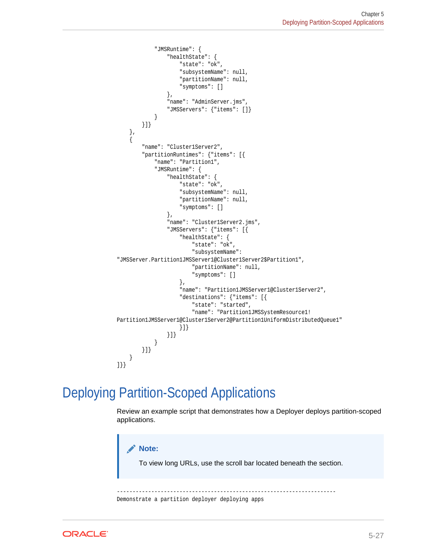```
 "JMSRuntime": {
                  "healthState": {
                      "state": "ok",
                      "subsystemName": null,
                      "partitionName": null,
                      "symptoms": []
                  },
                  "name": "AdminServer.jms",
                  "JMSServers": {"items": []}
 }
         }]}
\vert,
\mathcal{A} "name": "Cluster1Server2",
         "partitionRuntimes": {"items": [{
              "name": "Partition1",
              "JMSRuntime": {
                  "healthState": {
                     "state": "ok",
                      "subsystemName": null,
                      "partitionName": null,
                      "symptoms": []
                  },
                  "name": "Cluster1Server2.jms",
                  "JMSServers": {"items": [{
                      "healthState": {
                          "state": "ok",
                          "subsystemName": 
"JMSServer.Partition1JMSServer1@Cluster1Server2$Partition1",
                          "partitionName": null,
                          "symptoms": []
                      },
                      "name": "Partition1JMSServer1@Cluster1Server2",
                      "destinations": {"items": [{
                          "state": "started",
                          "name": "Partition1JMSSystemResource1!
Partition1JMSServer1@Cluster1Server2@Partition1UniformDistributedQueue1"
                      }]}
                  }]}
             }
         }]}
     }
]}}
```
### Deploying Partition-Scoped Applications

Review an example script that demonstrates how a Deployer deploys partition-scoped applications.



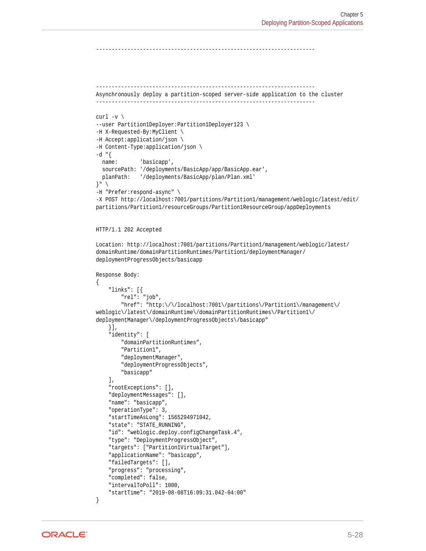```
----------------------------------------------------------------------
----------------------------------------------------------------------
Asynchronously deploy a partition-scoped server-side application to the cluster
----------------------------------------------------------------------
curl -v \backslash--user Partition1Deployer:Partition1Deployer123 \
-H X-Requested-By:MyClient \
-H Accept:application/json \
-H Content-Type:application/json \
-d "\{ name: 'basicapp',
   sourcePath: '/deployments/BasicApp/app/BasicApp.ear',
  planPath: '/deployments/BasicApp/plan/Plan.xml'
}" \
-H "Prefer:respond-async" \
-X POST http://localhost:7001/partitions/Partition1/management/weblogic/latest/edit/
partitions/Partition1/resourceGroups/Partition1ResourceGroup/appDeployments
HTTP/1.1 202 Accepted
Location: http://localhost:7001/partitions/Partition1/management/weblogic/latest/
domainRuntime/domainPartitionRuntimes/Partition1/deploymentManager/
deploymentProgressObjects/basicapp
Response Body:
{
     "links": [{
         "rel": "job",
         "href": "http:\/\/localhost:7001\/partitions\/Partition1\/management\/
weblogic\/latest\/domainRuntime\/domainPartitionRuntimes\/Partition1\/
deploymentManager\/deploymentProgressObjects\/basicapp"
     }],
     "identity": [
         "domainPartitionRuntimes",
         "Partition1",
         "deploymentManager",
         "deploymentProgressObjects",
         "basicapp"
    \mathbf{1},
     "rootExceptions": [],
     "deploymentMessages": [],
     "name": "basicapp",
     "operationType": 3,
     "startTimeAsLong": 1565294971042,
     "state": "STATE_RUNNING",
     "id": "weblogic.deploy.configChangeTask.4",
     "type": "DeploymentProgressObject",
     "targets": ["Partition1VirtualTarget"],
     "applicationName": "basicapp",
     "failedTargets": [],
     "progress": "processing",
     "completed": false,
     "intervalToPoll": 1000,
     "startTime": "2019-08-08T16:09:31.042-04:00"
}
```

```
ORACLE®
```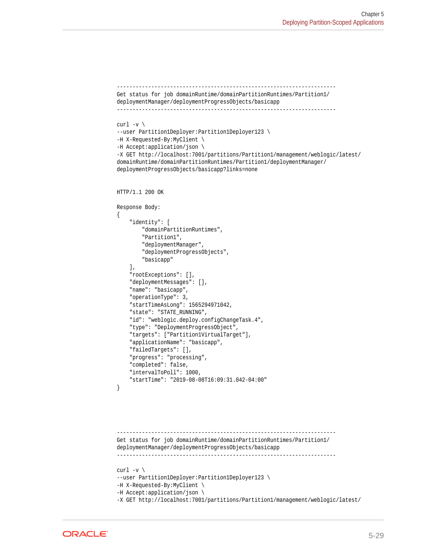```
----------------------------------------------------------------------
Get status for job domainRuntime/domainPartitionRuntimes/Partition1/
deploymentManager/deploymentProgressObjects/basicapp
----------------------------------------------------------------------
curl -v \backslash--user Partition1Deployer:Partition1Deployer123 \
-H X-Requested-By:MyClient \
-H Accept:application/json \
-X GET http://localhost:7001/partitions/Partition1/management/weblogic/latest/
domainRuntime/domainPartitionRuntimes/Partition1/deploymentManager/
deploymentProgressObjects/basicapp?links=none
HTTP/1.1 200 OK
Response Body:
\{ "identity": [
         "domainPartitionRuntimes",
         "Partition1",
         "deploymentManager",
         "deploymentProgressObjects",
         "basicapp"
     ],
     "rootExceptions": [],
     "deploymentMessages": [],
     "name": "basicapp",
     "operationType": 3,
     "startTimeAsLong": 1565294971042,
     "state": "STATE_RUNNING",
     "id": "weblogic.deploy.configChangeTask.4",
     "type": "DeploymentProgressObject",
     "targets": ["Partition1VirtualTarget"],
     "applicationName": "basicapp",
     "failedTargets": [],
     "progress": "processing",
     "completed": false,
     "intervalToPoll": 1000,
     "startTime": "2019-08-08T16:09:31.042-04:00"
}
----------------------------------------------------------------------
Get status for job domainRuntime/domainPartitionRuntimes/Partition1/
deploymentManager/deploymentProgressObjects/basicapp
----------------------------------------------------------------------
curl -v \backslash--user Partition1Deployer:Partition1Deployer123 \
-H X-Requested-By:MyClient \
-H Accept:application/json \
```


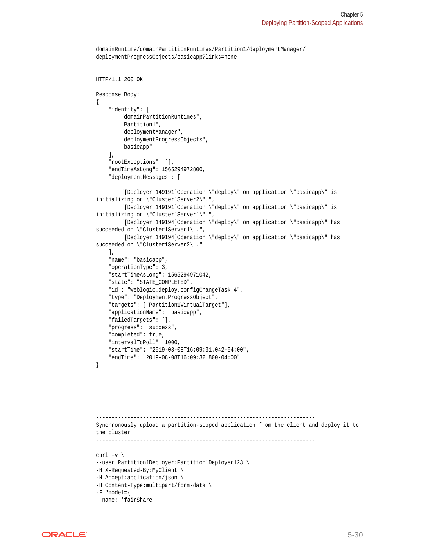```
domainRuntime/domainPartitionRuntimes/Partition1/deploymentManager/
deploymentProgressObjects/basicapp?links=none
```

```
HTTP/1.1 200 OK
Response Body:
\{ "identity": [
         "domainPartitionRuntimes",
         "Partition1",
         "deploymentManager",
         "deploymentProgressObjects",
         "basicapp"
    \cdot "rootExceptions": [],
     "endTimeAsLong": 1565294972800,
     "deploymentMessages": [
         "[Deployer:149191]Operation \"deploy\" on application \"basicapp\" is 
initializing on \"Cluster1Server2\".",
         "[Deployer:149191]Operation \"deploy\" on application \"basicapp\" is 
initializing on \"Cluster1Server1\".",
         "[Deployer:149194]Operation \"deploy\" on application \"basicapp\" has 
succeeded on \"Cluster1Server1\".",
         "[Deployer:149194]Operation \"deploy\" on application \"basicapp\" has 
succeeded on \"Cluster1Server2\"."
     ],
     "name": "basicapp",
     "operationType": 3,
     "startTimeAsLong": 1565294971042,
     "state": "STATE_COMPLETED",
     "id": "weblogic.deploy.configChangeTask.4",
     "type": "DeploymentProgressObject",
     "targets": ["Partition1VirtualTarget"],
     "applicationName": "basicapp",
     "failedTargets": [],
     "progress": "success",
     "completed": true,
     "intervalToPoll": 1000,
     "startTime": "2019-08-08T16:09:31.042-04:00",
     "endTime": "2019-08-08T16:09:32.800-04:00"
}
```

```
----------------------------------------------------------------------
Synchronously upload a partition-scoped application from the client and deploy it to 
the cluster
----------------------------------------------------------------------
curl -v \backslash--user Partition1Deployer:Partition1Deployer123 \
-H X-Requested-By:MyClient \
-H Accept:application/json \
-H Content-Type:multipart/form-data \
-F "model={
```

```
ORACLE®
```
name: 'fairShare'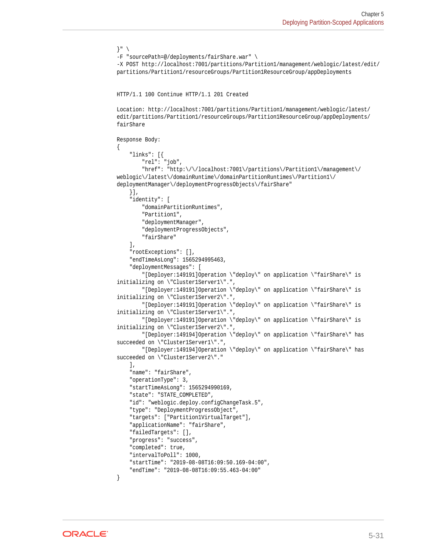```
}" \
-F "sourcePath=@/deployments/fairShare.war" \
-X POST http://localhost:7001/partitions/Partition1/management/weblogic/latest/edit/
partitions/Partition1/resourceGroups/Partition1ResourceGroup/appDeployments
HTTP/1.1 100 Continue HTTP/1.1 201 Created
Location: http://localhost:7001/partitions/Partition1/management/weblogic/latest/
edit/partitions/Partition1/resourceGroups/Partition1ResourceGroup/appDeployments/
fairShare
Response Body:
{
     "links": [{
         "rel": "job",
         "href": "http:\/\/localhost:7001\/partitions\/Partition1\/management\/
weblogic\/latest\/domainRuntime\/domainPartitionRuntimes\/Partition1\/
deploymentManager\/deploymentProgressObjects\/fairShare"
     }],
     "identity": [
         "domainPartitionRuntimes",
         "Partition1",
         "deploymentManager",
         "deploymentProgressObjects",
         "fairShare"
     ],
     "rootExceptions": [],
     "endTimeAsLong": 1565294995463,
     "deploymentMessages": [
         "[Deployer:149191]Operation \"deploy\" on application \"fairShare\" is 
initializing on \"Cluster1Server1\".",
         "[Deployer:149191]Operation \"deploy\" on application \"fairShare\" is 
initializing on \"Cluster1Server2\".",
         "[Deployer:149191]Operation \"deploy\" on application \"fairShare\" is 
initializing on \"Cluster1Server1\".",
         "[Deployer:149191]Operation \"deploy\" on application \"fairShare\" is 
initializing on \"Cluster1Server2\".",
         "[Deployer:149194]Operation \"deploy\" on application \"fairShare\" has 
succeeded on \"Cluster1Server1\".",
         "[Deployer:149194]Operation \"deploy\" on application \"fairShare\" has 
succeeded on \"Cluster1Server2\"."
   \cdot "name": "fairShare",
     "operationType": 3,
     "startTimeAsLong": 1565294990169,
     "state": "STATE_COMPLETED",
     "id": "weblogic.deploy.configChangeTask.5",
     "type": "DeploymentProgressObject",
     "targets": ["Partition1VirtualTarget"],
     "applicationName": "fairShare",
     "failedTargets": [],
     "progress": "success",
     "completed": true,
     "intervalToPoll": 1000,
     "startTime": "2019-08-08T16:09:50.169-04:00",
     "endTime": "2019-08-08T16:09:55.463-04:00"
}
```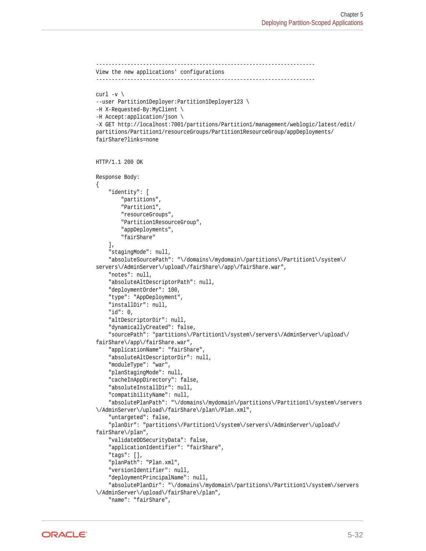```
----------------------------------------------------------------------
View the new applications' configurations
----------------------------------------------------------------------
curl -v \backslash--user Partition1Deployer:Partition1Deployer123 \
-H X-Requested-By:MyClient \
-H Accept:application/json \
-X GET http://localhost:7001/partitions/Partition1/management/weblogic/latest/edit/
partitions/Partition1/resourceGroups/Partition1ResourceGroup/appDeployments/
fairShare?links=none
HTTP/1.1 200 OK
Response Body:
{
     "identity": [
         "partitions",
         "Partition1",
         "resourceGroups",
         "Partition1ResourceGroup",
         "appDeployments",
         "fairShare"
    \mathbf{1},
     "stagingMode": null,
     "absoluteSourcePath": "\/domains\/mydomain\/partitions\/Partition1\/system\/
servers\/AdminServer\/upload\/fairShare\/app\/fairShare.war",
     "notes": null,
     "absoluteAltDescriptorPath": null,
     "deploymentOrder": 100,
     "type": "AppDeployment",
     "installDir": null,
     "id": 0,
     "altDescriptorDir": null,
     "dynamicallyCreated": false,
     "sourcePath": "partitions\/Partition1\/system\/servers\/AdminServer\/upload\/
fairShare\/app\/fairShare.war",
     "applicationName": "fairShare",
     "absoluteAltDescriptorDir": null,
     "moduleType": "war",
     "planStagingMode": null,
     "cacheInAppDirectory": false,
     "absoluteInstallDir": null,
     "compatibilityName": null,
     "absolutePlanPath": "\/domains\/mydomain\/partitions\/Partition1\/system\/servers
\/AdminServer\/upload\/fairShare\/plan\/Plan.xml",
     "untargeted": false,
     "planDir": "partitions\/Partition1\/system\/servers\/AdminServer\/upload\/
fairShare\/plan",
     "validateDDSecurityData": false,
     "applicationIdentifier": "fairShare",
     "tags": [],
     "planPath": "Plan.xml",
     "versionIdentifier": null,
     "deploymentPrincipalName": null,
     "absolutePlanDir": "\/domains\/mydomain\/partitions\/Partition1\/system\/servers
\/AdminServer\/upload\/fairShare\/plan",
     "name": "fairShare",
```
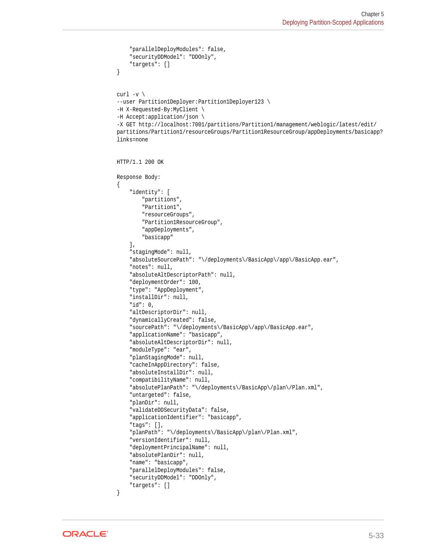```
 "parallelDeployModules": false,
     "securityDDModel": "DDOnly",
     "targets": []
}
curl -v \backslash--user Partition1Deployer:Partition1Deployer123 \
-H X-Requested-By:MyClient \
-H Accept:application/json \
-X GET http://localhost:7001/partitions/Partition1/management/weblogic/latest/edit/
partitions/Partition1/resourceGroups/Partition1ResourceGroup/appDeployments/basicapp?
links=none
HTTP/1.1 200 OK
Response Body:
{
     "identity": [
         "partitions",
         "Partition1",
         "resourceGroups",
         "Partition1ResourceGroup",
         "appDeployments",
         "basicapp"
     ],
     "stagingMode": null,
     "absoluteSourcePath": "\/deployments\/BasicApp\/app\/BasicApp.ear",
     "notes": null,
     "absoluteAltDescriptorPath": null,
     "deploymentOrder": 100,
     "type": "AppDeployment",
     "installDir": null,
     "id": 0,
     "altDescriptorDir": null,
     "dynamicallyCreated": false,
     "sourcePath": "\/deployments\/BasicApp\/app\/BasicApp.ear",
     "applicationName": "basicapp",
     "absoluteAltDescriptorDir": null,
     "moduleType": "ear",
     "planStagingMode": null,
     "cacheInAppDirectory": false,
     "absoluteInstallDir": null,
     "compatibilityName": null,
     "absolutePlanPath": "\/deployments\/BasicApp\/plan\/Plan.xml",
     "untargeted": false,
     "planDir": null,
     "validateDDSecurityData": false,
     "applicationIdentifier": "basicapp",
     "tags": [],
     "planPath": "\/deployments\/BasicApp\/plan\/Plan.xml",
     "versionIdentifier": null,
     "deploymentPrincipalName": null,
     "absolutePlanDir": null,
     "name": "basicapp",
     "parallelDeployModules": false,
     "securityDDModel": "DDOnly",
     "targets": []
}
```
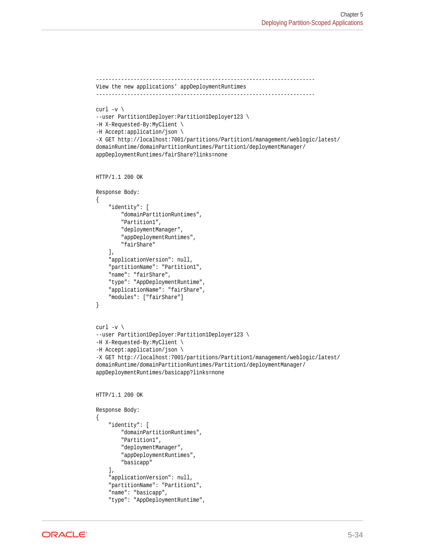```
----------------------------------------------------------------------
View the new applications' appDeploymentRuntimes
----------------------------------------------------------------------
curl -v \backslash--user Partition1Deployer:Partition1Deployer123 \
-H X-Requested-By:MyClient \
-H Accept:application/json \
-X GET http://localhost:7001/partitions/Partition1/management/weblogic/latest/
domainRuntime/domainPartitionRuntimes/Partition1/deploymentManager/
appDeploymentRuntimes/fairShare?links=none
HTTP/1.1 200 OK
Response Body:
{
     "identity": [
         "domainPartitionRuntimes",
         "Partition1",
         "deploymentManager",
         "appDeploymentRuntimes",
         "fairShare"
    \mathbf{1},
     "applicationVersion": null,
     "partitionName": "Partition1",
     "name": "fairShare",
     "type": "AppDeploymentRuntime",
     "applicationName": "fairShare",
     "modules": ["fairShare"]
}
curl -v \backslash--user Partition1Deployer:Partition1Deployer123 \
-H X-Requested-By:MyClient \
-H Accept:application/json \
-X GET http://localhost:7001/partitions/Partition1/management/weblogic/latest/
domainRuntime/domainPartitionRuntimes/Partition1/deploymentManager/
appDeploymentRuntimes/basicapp?links=none
HTTP/1.1 200 OK
Response Body:
{
     "identity": [
         "domainPartitionRuntimes",
         "Partition1",
         "deploymentManager",
         "appDeploymentRuntimes",
         "basicapp"
    \cdot "applicationVersion": null,
     "partitionName": "Partition1",
     "name": "basicapp",
     "type": "AppDeploymentRuntime",
```
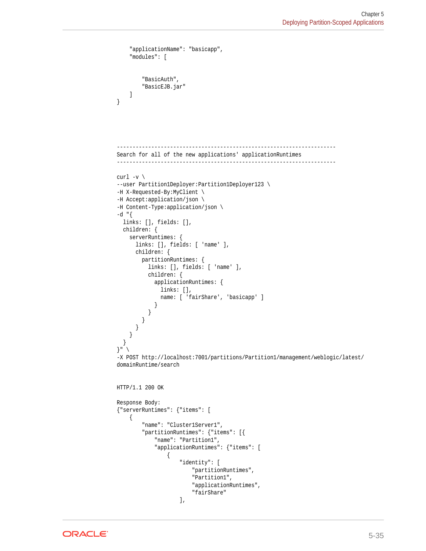```
 "applicationName": "basicapp",
     "modules": [
          "BasicAuth",
          "BasicEJB.jar"
     ]
}
       ----------------------------------------------------------------------
Search for all of the new applications' applicationRuntimes
 ----------------------------------------------------------------------
curl -v \backslash--user Partition1Deployer:Partition1Deployer123 \
-H X-Requested-By:MyClient \
-H Accept:application/json \
-H Content-Type:application/json \
-d "{
   links: [], fields: [],
   children: {
     serverRuntimes: {
       links: [], fields: [ 'name' ],
       children: {
          partitionRuntimes: {
            links: [], fields: [ 'name' ],
            children: {
              applicationRuntimes: {
                links: [],
                name: [ 'fairShare', 'basicapp' ]
 }
            }
         }
       }
     }
   }
\left| \begin{array}{c} 1 \end{array} \right|-X POST http://localhost:7001/partitions/Partition1/management/weblogic/latest/
domainRuntime/search
HTTP/1.1 200 OK
Response Body:
{"serverRuntimes": {"items": [
     {
          "name": "Cluster1Server1",
          "partitionRuntimes": {"items": [{
              "name": "Partition1",
              "applicationRuntimes": {"items": [
\left\{ \begin{array}{ccc} 1 & 1 & 1 \\ 1 & 1 & 1 \end{array} \right\} "identity": [
                            "partitionRuntimes",
                            "Partition1",
                            "applicationRuntimes",
                            "fairShare"
 ],
```
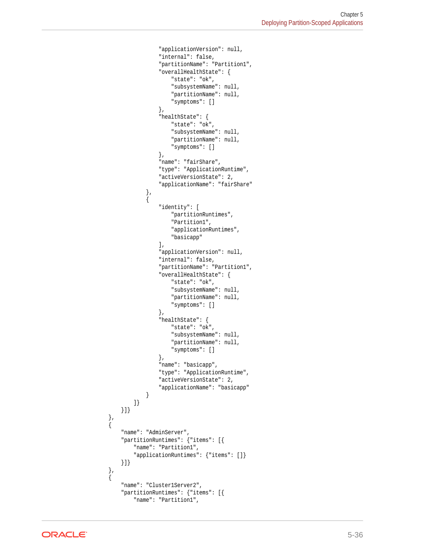```
 "applicationVersion": null,
                       "internal": false,
                       "partitionName": "Partition1",
                       "overallHealthState": {
                           "state": "ok",
                           "subsystemName": null,
                           "partitionName": null,
                           "symptoms": []
                       },
                       "healthState": {
                           "state": "ok",
                           "subsystemName": null,
                           "partitionName": null,
                           "symptoms": []
                       },
                       "name": "fairShare",
                       "type": "ApplicationRuntime",
                       "activeVersionState": 2,
                       "applicationName": "fairShare"
                  },
\left\{ \begin{array}{ccc} 1 & 1 & 1 \\ 1 & 1 & 1 \end{array} \right\} "identity": [
                           "partitionRuntimes",
                           "Partition1",
                           "applicationRuntimes",
                           "basicapp"
                       ],
                       "applicationVersion": null,
                       "internal": false,
                       "partitionName": "Partition1",
                       "overallHealthState": {
                           "state": "ok",
                           "subsystemName": null,
                           "partitionName": null,
                           "symptoms": []
                       },
                       "healthState": {
                           "state": "ok",
                           "subsystemName": null,
                           "partitionName": null,
                           "symptoms": []
                      },
                       "name": "basicapp",
                       "type": "ApplicationRuntime",
                       "activeVersionState": 2,
                       "applicationName": "basicapp"
 }
              ]}
         }]}
         "name": "AdminServer",
         "partitionRuntimes": {"items": [{
             "name": "Partition1",
              "applicationRuntimes": {"items": []}
         }]}
         "name": "Cluster1Server2",
         "partitionRuntimes": {"items": [{
              "name": "Partition1",
```
 }, {

 }, {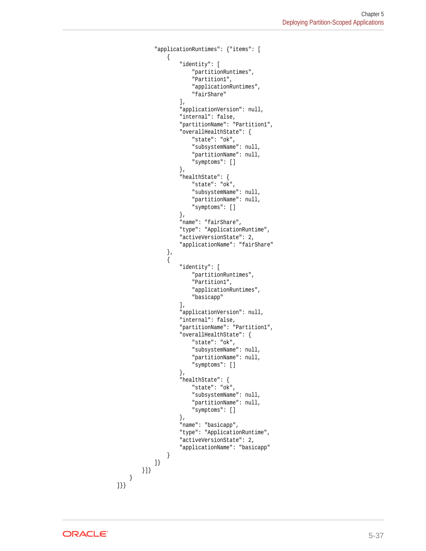```
 "applicationRuntimes": {"items": [
\left\{ \begin{array}{ccc} 1 & 1 & 1 \\ 1 & 1 & 1 \end{array} \right\} "identity": [
                            "partitionRuntimes",
                            "Partition1",
                            "applicationRuntimes",
                            "fairShare"
                        ],
                        "applicationVersion": null,
                        "internal": false,
                        "partitionName": "Partition1",
                        "overallHealthState": {
                            "state": "ok",
                            "subsystemName": null,
                            "partitionName": null,
                            "symptoms": []
                        },
                        "healthState": {
                            "state": "ok",
                            "subsystemName": null,
                            "partitionName": null,
                            "symptoms": []
                        },
                        "name": "fairShare",
                        "type": "ApplicationRuntime",
                        "activeVersionState": 2,
                        "applicationName": "fairShare"
                   },
\left\{ \begin{array}{ccc} 1 & 1 & 1 \\ 1 & 1 & 1 \end{array} \right\} "identity": [
                            "partitionRuntimes",
                            "Partition1",
                            "applicationRuntimes",
                            "basicapp"
 ],
                        "applicationVersion": null,
                        "internal": false,
                        "partitionName": "Partition1",
                        "overallHealthState": {
                            "state": "ok",
                            "subsystemName": null,
                            "partitionName": null,
                            "symptoms": []
                        },
                        "healthState": {
                            "state": "ok",
                            "subsystemName": null,
                            "partitionName": null,
                            "symptoms": []
                        },
                        "name": "basicapp",
                        "type": "ApplicationRuntime",
                        "activeVersionState": 2,
                        "applicationName": "basicapp"
 }
              ]}
         }]}
     }
]}}
```
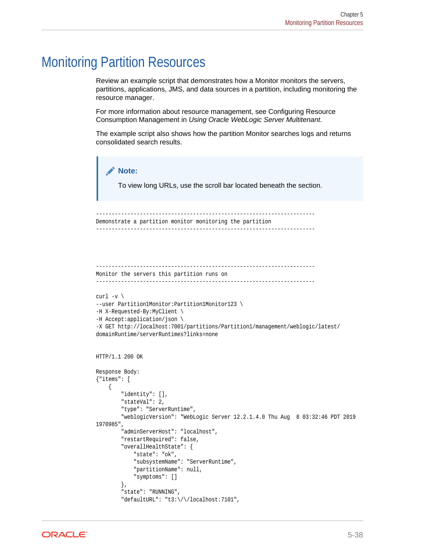## Monitoring Partition Resources

Review an example script that demonstrates how a Monitor monitors the servers, partitions, applications, JMS, and data sources in a partition, including monitoring the resource manager.

For more information about resource management, see Configuring Resource Consumption Management in *Using Oracle WebLogic Server Multitenant*.

The example script also shows how the partition Monitor searches logs and returns consolidated search results.

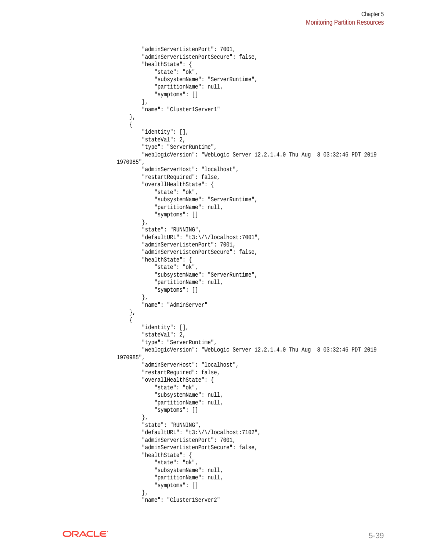```
 "adminServerListenPort": 7001,
         "adminServerListenPortSecure": false,
         "healthState": {
              "state": "ok",
              "subsystemName": "ServerRuntime",
              "partitionName": null,
              "symptoms": []
         },
         "name": "Cluster1Server1"
     },
\left\{\right. "identity": [],
         "stateVal": 2,
         "type": "ServerRuntime",
          "weblogicVersion": "WebLogic Server 12.2.1.4.0 Thu Aug 8 03:32:46 PDT 2019 
1970985",
         "adminServerHost": "localhost",
         "restartRequired": false,
         "overallHealthState": {
             "state": "ok",
             "subsystemName": "ServerRuntime",
              "partitionName": null,
              "symptoms": []
         },
         "state": "RUNNING",
         "defaultURL": "t3:\/\/localhost:7001",
         "adminServerListenPort": 7001,
         "adminServerListenPortSecure": false,
         "healthState": {
              "state": "ok",
              "subsystemName": "ServerRuntime",
              "partitionName": null,
              "symptoms": []
         },
          "name": "AdminServer"
     },
\left\{\right. "identity": [],
         "stateVal": 2,
         "type": "ServerRuntime",
         "weblogicVersion": "WebLogic Server 12.2.1.4.0 Thu Aug 8 03:32:46 PDT 2019 
1970985",
         "adminServerHost": "localhost",
         "restartRequired": false,
         "overallHealthState": {
             "state": "ok",
              "subsystemName": null,
              "partitionName": null,
              "symptoms": []
         },
         "state": "RUNNING",
         "defaultURL": "t3:\/\/localhost:7102",
         "adminServerListenPort": 7001,
          "adminServerListenPortSecure": false,
         "healthState": {
             "state": "ok",
              "subsystemName": null,
              "partitionName": null,
              "symptoms": []
         },
          "name": "Cluster1Server2"
```
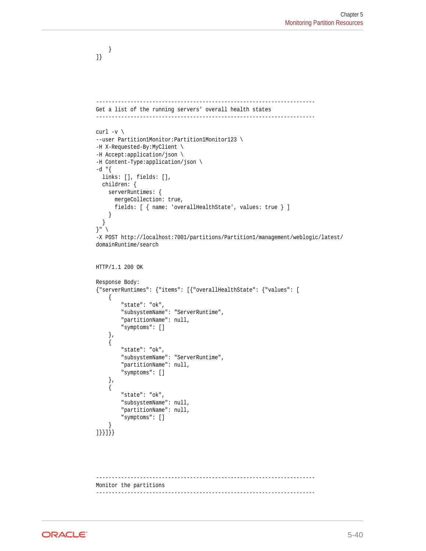```
 }
]}
----------------------------------------------------------------------
Get a list of the running servers' overall health states
----------------------------------------------------------------------
curl -v \backslash--user Partition1Monitor:Partition1Monitor123 \
-H X-Requested-By:MyClient \
-H Accept:application/json \
-H Content-Type:application/json \
-d "\{ links: [], fields: [],
   children: {
     serverRuntimes: {
       mergeCollection: true,
       fields: [ { name: 'overallHealthState', values: true } ]
\left\{\begin{array}{ccc} \end{array}\right\} }
}" \
-X POST http://localhost:7001/partitions/Partition1/management/weblogic/latest/
domainRuntime/search
HTTP/1.1 200 OK
Response Body:
{"serverRuntimes": {"items": [{"overallHealthState": {"values": [
     {
          "state": "ok",
          "subsystemName": "ServerRuntime",
         "partitionName": null,
          "symptoms": []
     },
\left\{\right. "state": "ok",
         "subsystemName": "ServerRuntime",
         "partitionName": null,
          "symptoms": []
     },
\left\{\right. "state": "ok",
         "subsystemName": null,
          "partitionName": null,
          "symptoms": []
     }
]}}]}}
----------------------------------------------------------------------
Monitor the partitions
```
----------------------------------------------------------------------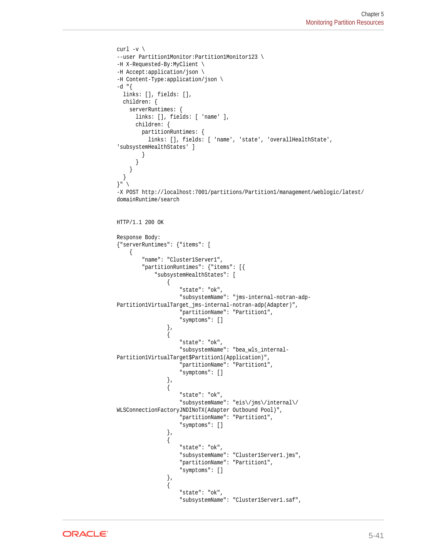```
curl -v \backslash--user Partition1Monitor:Partition1Monitor123 \
-H X-Requested-By:MyClient \
-H Accept:application/json \
-H Content-Type:application/json \
-d "\{ links: [], fields: [],
   children: {
     serverRuntimes: {
        links: [], fields: [ 'name' ],
        children: {
          partitionRuntimes: {
             links: [], fields: [ 'name', 'state', 'overallHealthState', 
'subsystemHealthStates' ]
 }
 }
\left\{\begin{array}{ccc} \end{array}\right\} }
\}" \setminus-X POST http://localhost:7001/partitions/Partition1/management/weblogic/latest/
domainRuntime/search
HTTP/1.1 200 OK
Response Body:
{"serverRuntimes": {"items": [
     {
           "name": "Cluster1Server1",
           "partitionRuntimes": {"items": [{
               "subsystemHealthStates": [
\left\{ \begin{array}{ccc} 1 & 1 & 1 \\ 1 & 1 & 1 \end{array} \right\} "state": "ok",
                         "subsystemName": "jms-internal-notran-adp-
Partition1VirtualTarget_jms-internal-notran-adp(Adapter)",
                         "partitionName": "Partition1",
                         "symptoms": []
                    },
\left\{ \begin{array}{ccc} 1 & 1 & 1 \\ 1 & 1 & 1 \end{array} \right\} "state": "ok",
                         "subsystemName": "bea_wls_internal-
Partition1VirtualTarget$Partition1(Application)",
                         "partitionName": "Partition1",
                         "symptoms": []
                    },
\left\{ \begin{array}{ccc} 1 & 1 & 1 \\ 1 & 1 & 1 \end{array} \right\} "state": "ok",
                         "subsystemName": "eis\/jms\/internal\/
WLSConnectionFactoryJNDINoTX(Adapter Outbound Pool)",
                         "partitionName": "Partition1",
                         "symptoms": []
                    },
\{ "state": "ok",
                         "subsystemName": "Cluster1Server1.jms",
                         "partitionName": "Partition1",
                         "symptoms": []
                    },
\left\{ \begin{array}{ccc} 1 & 1 & 1 \\ 1 & 1 & 1 \end{array} \right\} "state": "ok",
                         "subsystemName": "Cluster1Server1.saf",
```
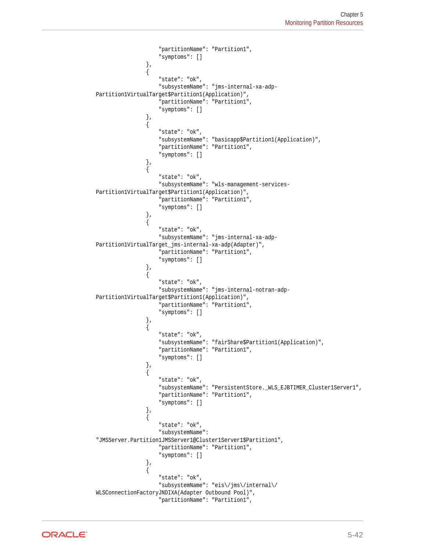```
 "partitionName": "Partition1",
                            "symptoms": []
                      },
\left\{ \begin{array}{ccc} 1 & 1 & 1 \\ 1 & 1 & 1 \end{array} \right\} "state": "ok",
                           "subsystemName": "jms-internal-xa-adp-
Partition1VirtualTarget$Partition1(Application)",
                           "partitionName": "Partition1",
                            "symptoms": []
                      },
\left\{ \begin{array}{ccc} 1 & 1 & 1 \\ 1 & 1 & 1 \end{array} \right\} "state": "ok",
                            "subsystemName": "basicapp$Partition1(Application)",
                           "partitionName": "Partition1",
                            "symptoms": []
                      },
\left\{ \begin{array}{ccc} 1 & 1 & 1 \\ 1 & 1 & 1 \end{array} \right\} "state": "ok",
                           "subsystemName": "wls-management-services-
Partition1VirtualTarget$Partition1(Application)",
                           "partitionName": "Partition1",
                           "symptoms": []
                      },
\left\{ \begin{array}{ccc} 1 & 1 & 1 \\ 1 & 1 & 1 \end{array} \right\} "state": "ok",
                           "subsystemName": "jms-internal-xa-adp-
Partition1VirtualTarget_jms-internal-xa-adp(Adapter)",
                            "partitionName": "Partition1",
                            "symptoms": []
                      },
\left\{ \begin{array}{ccc} 1 & 1 & 1 \\ 1 & 1 & 1 \end{array} \right\} "state": "ok",
                           "subsystemName": "jms-internal-notran-adp-
Partition1VirtualTarget$Partition1(Application)",
                            "partitionName": "Partition1",
                            "symptoms": []
                      },
\{ "state": "ok",
                           "subsystemName": "fairShare$Partition1(Application)",
                           "partitionName": "Partition1",
                           "symptoms": []
                      },
\left\{ \begin{array}{ccc} 1 & 1 & 1 \\ 1 & 1 & 1 \end{array} \right\} "state": "ok",
                           "subsystemName": "PersistentStore._WLS_EJBTIMER_Cluster1Server1",
                           "partitionName": "Partition1",
                           "symptoms": []
\}, \{, \}, \{, \}, \{\left\{ \begin{array}{ccc} 1 & 1 & 1 \\ 1 & 1 & 1 \end{array} \right\} "state": "ok",
                           "subsystemName": 
"JMSServer.Partition1JMSServer1@Cluster1Server1$Partition1",
                           "partitionName": "Partition1",
                            "symptoms": []
                      },
\left\{ \begin{array}{ccc} 1 & 1 & 1 \\ 1 & 1 & 1 \end{array} \right\} "state": "ok",
                           "subsystemName": "eis\/jms\/internal\/
WLSConnectionFactoryJNDIXA(Adapter Outbound Pool)",
                            "partitionName": "Partition1",
```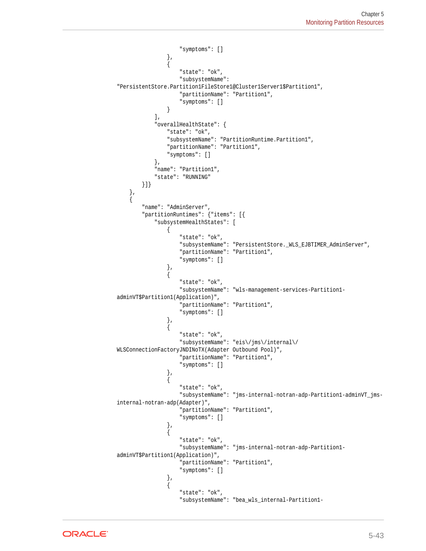```
 "symptoms": []
                    },
\{ "state": "ok",
                         "subsystemName": 
"PersistentStore.Partition1FileStore1@Cluster1Server1$Partition1",
                         "partitionName": "Partition1",
                         "symptoms": []
 }
               ],
               "overallHealthState": {
                    "state": "ok",
                    "subsystemName": "PartitionRuntime.Partition1",
                    "partitionName": "Partition1",
                     "symptoms": []
               },
               "name": "Partition1",
               "state": "RUNNING"
          }]}
     },
\left\{\right. "name": "AdminServer",
           "partitionRuntimes": {"items": [{
               "subsystemHealthStates": [
\left\{ \begin{array}{ccc} 1 & 1 & 1 \\ 1 & 1 & 1 \end{array} \right\} "state": "ok",
                         "subsystemName": "PersistentStore._WLS_EJBTIMER_AdminServer",
                         "partitionName": "Partition1",
                         "symptoms": []
                    },
\left\{ \begin{array}{ccc} 1 & 1 & 1 \\ 1 & 1 & 1 \end{array} \right\} "state": "ok",
                         "subsystemName": "wls-management-services-Partition1-
adminVT$Partition1(Application)",
                         "partitionName": "Partition1",
                         "symptoms": []
                    },
\{ "state": "ok",
                         "subsystemName": "eis\/jms\/internal\/
WLSConnectionFactoryJNDINoTX(Adapter Outbound Pool)",
                         "partitionName": "Partition1",
                         "symptoms": []
                    },
\left\{ \begin{array}{ccc} 1 & 1 & 1 \\ 1 & 1 & 1 \end{array} \right\} "state": "ok",
                         "subsystemName": "jms-internal-notran-adp-Partition1-adminVT_jms-
internal-notran-adp(Adapter)",
                         "partitionName": "Partition1",
                         "symptoms": []
                    },
\left\{ \begin{array}{ccc} 1 & 1 & 1 \\ 1 & 1 & 1 \end{array} \right\} "state": "ok",
                         "subsystemName": "jms-internal-notran-adp-Partition1-
adminVT$Partition1(Application)",
                         "partitionName": "Partition1",
                         "symptoms": []
                    },
\left\{ \begin{array}{ccc} 1 & 1 & 1 \\ 1 & 1 & 1 \end{array} \right\} "state": "ok",
                         "subsystemName": "bea_wls_internal-Partition1-
```
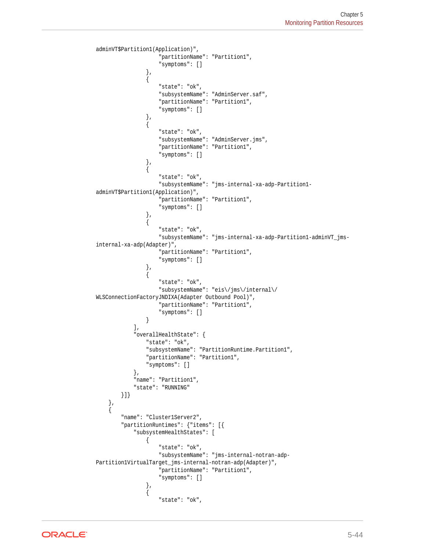```
adminVT$Partition1(Application)",
                          "partitionName": "Partition1",
                          "symptoms": []
                     },
\left\{ \begin{array}{ccc} 1 & 1 & 1 \\ 1 & 1 & 1 \end{array} \right\} "state": "ok",
                          "subsystemName": "AdminServer.saf",
                          "partitionName": "Partition1",
                          "symptoms": []
                     },
\left\{ \begin{array}{ccc} 1 & 1 & 1 \\ 1 & 1 & 1 \end{array} \right\} "state": "ok",
                          "subsystemName": "AdminServer.jms",
                          "partitionName": "Partition1",
                          "symptoms": []
                     },
\left\{ \begin{array}{ccc} 1 & 1 & 1 \\ 1 & 1 & 1 \end{array} \right\} "state": "ok",
                          "subsystemName": "jms-internal-xa-adp-Partition1-
adminVT$Partition1(Application)",
                          "partitionName": "Partition1",
                          "symptoms": []
                     },
\left\{ \begin{array}{ccc} 1 & 1 & 1 \\ 1 & 1 & 1 \end{array} \right\} "state": "ok",
                          "subsystemName": "jms-internal-xa-adp-Partition1-adminVT_jms-
internal-xa-adp(Adapter)",
                          "partitionName": "Partition1",
                          "symptoms": []
                     },
\left\{ \begin{array}{ccc} 1 & 1 & 1 \\ 1 & 1 & 1 \end{array} \right\} "state": "ok",
                          "subsystemName": "eis\/jms\/internal\/
WLSConnectionFactoryJNDIXA(Adapter Outbound Pool)",
                          "partitionName": "Partition1",
                          "symptoms": []
 }
                ],
                "overallHealthState": {
                     "state": "ok",
                     "subsystemName": "PartitionRuntime.Partition1",
                     "partitionName": "Partition1",
                     "symptoms": []
                },
                "name": "Partition1",
                "state": "RUNNING"
          }]}
     },
      {
           "name": "Cluster1Server2",
           "partitionRuntimes": {"items": [{
                "subsystemHealthStates": [
\{ "state": "ok",
                          "subsystemName": "jms-internal-notran-adp-
Partition1VirtualTarget_jms-internal-notran-adp(Adapter)",
                          "partitionName": "Partition1",
                          "symptoms": []
                     },
\left\{ \begin{array}{ccc} 1 & 1 & 1 \\ 1 & 1 & 1 \end{array} \right\} "state": "ok",
```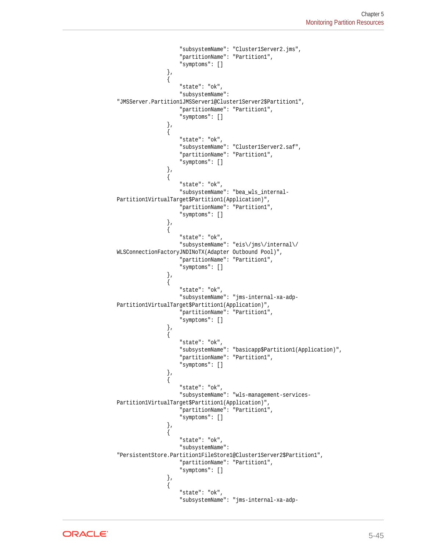```
 "subsystemName": "Cluster1Server2.jms",
                            "partitionName": "Partition1",
                            "symptoms": []
                      },
\left\{ \begin{array}{ccc} 1 & 1 & 1 \\ 1 & 1 & 1 \end{array} \right\} "state": "ok",
                            "subsystemName": 
"JMSServer.Partition1JMSServer1@Cluster1Server2$Partition1",
                            "partitionName": "Partition1",
                            "symptoms": []
                      },
\left\{ \begin{array}{ccc} 1 & 1 & 1 \\ 1 & 1 & 1 \end{array} \right\} "state": "ok",
                            "subsystemName": "Cluster1Server2.saf",
                            "partitionName": "Partition1",
                            "symptoms": []
                      },
\{ "state": "ok",
                            "subsystemName": "bea_wls_internal-
Partition1VirtualTarget$Partition1(Application)",
                            "partitionName": "Partition1",
                            "symptoms": []
                      },
\left\{ \begin{array}{ccc} 1 & 1 & 1 \\ 1 & 1 & 1 \end{array} \right\} "state": "ok",
                          "subsystemName":\ "eis \verb|/jms \verb|/internal|/WLSConnectionFactoryJNDINoTX(Adapter Outbound Pool)",
                            "partitionName": "Partition1",
                            "symptoms": []
                      },
\left\{ \begin{array}{ccc} 1 & 1 & 1 \\ 1 & 1 & 1 \end{array} \right\} "state": "ok",
                            "subsystemName": "jms-internal-xa-adp-
Partition1VirtualTarget$Partition1(Application)",
                            "partitionName": "Partition1",
                            "symptoms": []
                      },
\left\{ \begin{array}{ccc} 1 & 1 & 1 \\ 1 & 1 & 1 \end{array} \right\} "state": "ok",
                            "subsystemName": "basicapp$Partition1(Application)",
                            "partitionName": "Partition1",
                            "symptoms": []
                      },
\left\{ \begin{array}{ccc} 1 & 1 & 1 \\ 1 & 1 & 1 \end{array} \right\} "state": "ok",
                            "subsystemName": "wls-management-services-
Partition1VirtualTarget$Partition1(Application)",
                            "partitionName": "Partition1",
                            "symptoms": []
                      },
\left\{ \begin{array}{ccc} 1 & 1 & 1 \\ 1 & 1 & 1 \end{array} \right\} "state": "ok",
                           "subsystemName": 
"PersistentStore.Partition1FileStore1@Cluster1Server2$Partition1",
                            "partitionName": "Partition1",
                            "symptoms": []
                      },
\left\{ \begin{array}{ccc} 1 & 1 & 1 \\ 1 & 1 & 1 \end{array} \right\} "state": "ok",
                            "subsystemName": "jms-internal-xa-adp-
```
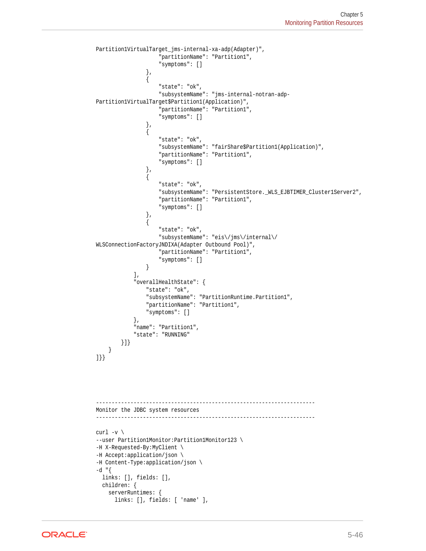```
Partition1VirtualTarget_jms-internal-xa-adp(Adapter)",
                        "partitionName": "Partition1",
                        "symptoms": []
                    },
\left\{ \begin{array}{ccc} 1 & 1 & 1 \\ 1 & 1 & 1 \end{array} \right\} "state": "ok",
                        "subsystemName": "jms-internal-notran-adp-
Partition1VirtualTarget$Partition1(Application)",
                        "partitionName": "Partition1",
                        "symptoms": []
                    },
\left\{ \begin{array}{ccc} 1 & 1 & 1 \\ 1 & 1 & 1 \end{array} \right\} "state": "ok",
                        "subsystemName": "fairShare$Partition1(Application)",
                        "partitionName": "Partition1",
                        "symptoms": []
                    },
\{ "state": "ok",
                        "subsystemName": "PersistentStore._WLS_EJBTIMER_Cluster1Server2",
                        "partitionName": "Partition1",
                        "symptoms": []
                    },
\left\{ \begin{array}{ccc} 1 & 1 & 1 \\ 1 & 1 & 1 \end{array} \right\} "state": "ok",
                        "subsystemName": "eis\/jms\/internal\/
WLSConnectionFactoryJNDIXA(Adapter Outbound Pool)",
                        "partitionName": "Partition1",
                        "symptoms": []
 }
               ],
               "overallHealthState": {
                    "state": "ok",
                    "subsystemName": "PartitionRuntime.Partition1",
                    "partitionName": "Partition1",
                    "symptoms": []
               },
               "name": "Partition1",
               "state": "RUNNING"
          }]}
\left\{\begin{array}{ccc} \end{array}\right\}]}}
----------------------------------------------------------------------
Monitor the JDBC system resources
----------------------------------------------------------------------
curl -v \
--user Partition1Monitor:Partition1Monitor123 \
-H X-Requested-By:MyClient \
-H Accept:application/json \
-H Content-Type:application/json \
-d "{
   links: [], fields: [],
   children: {
     serverRuntimes: {
       links: [], fields: [ 'name' ],
```
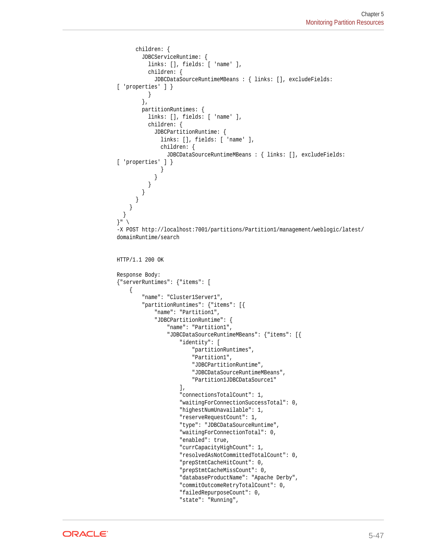```
 children: {
         JDBCServiceRuntime: {
           links: [], fields: [ 'name' ],
           children: {
             JDBCDataSourceRuntimeMBeans : { links: [], excludeFields: 
[ 'properties' ] }
           }
         },
         partitionRuntimes: {
           links: [], fields: [ 'name' ],
           children: {
             JDBCPartitionRuntime: {
               links: [], fields: [ 'name' ],
               children: {
                 JDBCDataSourceRuntimeMBeans : { links: [], excludeFields: 
[ 'properties' ] }
 }
 }
 }
         }
       }
     }
   }
}" \
-X POST http://localhost:7001/partitions/Partition1/management/weblogic/latest/
domainRuntime/search
HTTP/1.1 200 OK
Response Body:
{"serverRuntimes": {"items": [
     {
         "name": "Cluster1Server1",
         "partitionRuntimes": {"items": [{
             "name": "Partition1",
             "JDBCPartitionRuntime": {
                 "name": "Partition1",
                  "JDBCDataSourceRuntimeMBeans": {"items": [{
                      "identity": [
                          "partitionRuntimes",
                          "Partition1",
                          "JDBCPartitionRuntime",
                          "JDBCDataSourceRuntimeMBeans",
                          "Partition1JDBCDataSource1"
                     \mathbf{I},
                      "connectionsTotalCount": 1,
                      "waitingForConnectionSuccessTotal": 0,
                      "highestNumUnavailable": 1,
                      "reserveRequestCount": 1,
                      "type": "JDBCDataSourceRuntime",
                      "waitingForConnectionTotal": 0,
                      "enabled": true,
                      "currCapacityHighCount": 1,
                      "resolvedAsNotCommittedTotalCount": 0,
                      "prepStmtCacheHitCount": 0,
                      "prepStmtCacheMissCount": 0,
                      "databaseProductName": "Apache Derby",
                      "commitOutcomeRetryTotalCount": 0,
                      "failedRepurposeCount": 0,
                      "state": "Running",
```
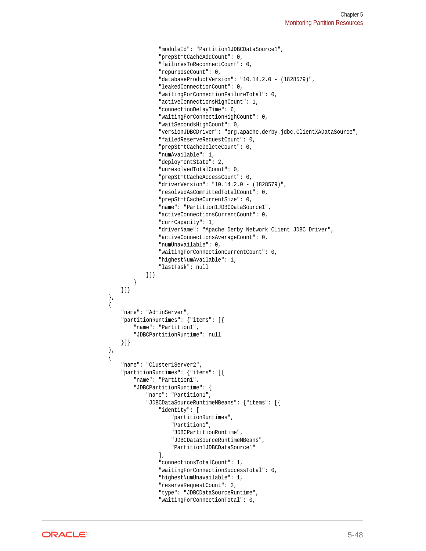```
 "moduleId": "Partition1JDBCDataSource1",
                      "prepStmtCacheAddCount": 0,
                      "failuresToReconnectCount": 0,
                      "repurposeCount": 0,
                      "databaseProductVersion": "10.14.2.0 - (1828579)",
                      "leakedConnectionCount": 0,
                      "waitingForConnectionFailureTotal": 0,
                      "activeConnectionsHighCount": 1,
                      "connectionDelayTime": 6,
                      "waitingForConnectionHighCount": 0,
                      "waitSecondsHighCount": 0,
                      "versionJDBCDriver": "org.apache.derby.jdbc.ClientXADataSource",
                      "failedReserveRequestCount": 0,
                      "prepStmtCacheDeleteCount": 0,
                      "numAvailable": 1,
                      "deploymentState": 2,
                      "unresolvedTotalCount": 0,
                      "prepStmtCacheAccessCount": 0,
                      "driverVersion": "10.14.2.0 - (1828579)",
                      "resolvedAsCommittedTotalCount": 0,
                      "prepStmtCacheCurrentSize": 0,
                      "name": "Partition1JDBCDataSource1",
                      "activeConnectionsCurrentCount": 0,
                      "currCapacity": 1,
                      "driverName": "Apache Derby Network Client JDBC Driver",
                      "activeConnectionsAverageCount": 0,
                      "numUnavailable": 0,
                      "waitingForConnectionCurrentCount": 0,
                      "highestNumAvailable": 1,
                      "lastTask": null
                 }]}
 }
         }]}
    },
\left\{\right. "name": "AdminServer",
         "partitionRuntimes": {"items": [{
             "name": "Partition1",
             "JDBCPartitionRuntime": null
         }]}
    },
\left\{\right. "name": "Cluster1Server2",
         "partitionRuntimes": {"items": [{
             "name": "Partition1",
             "JDBCPartitionRuntime": {
                 "name": "Partition1",
                 "JDBCDataSourceRuntimeMBeans": {"items": [{
                      "identity": [
                          "partitionRuntimes",
                          "Partition1",
                          "JDBCPartitionRuntime",
                          "JDBCDataSourceRuntimeMBeans",
                          "Partition1JDBCDataSource1"
                      ],
                      "connectionsTotalCount": 1,
                      "waitingForConnectionSuccessTotal": 0,
                      "highestNumUnavailable": 1,
                      "reserveRequestCount": 2,
                      "type": "JDBCDataSourceRuntime",
                      "waitingForConnectionTotal": 0,
```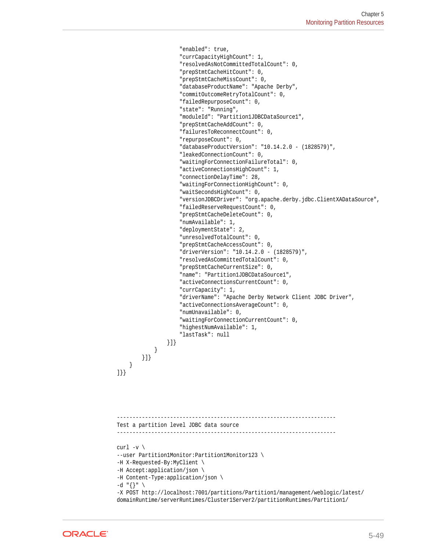```
 "enabled": true,
                      "currCapacityHighCount": 1,
                      "resolvedAsNotCommittedTotalCount": 0,
                      "prepStmtCacheHitCount": 0,
                      "prepStmtCacheMissCount": 0,
                      "databaseProductName": "Apache Derby",
                      "commitOutcomeRetryTotalCount": 0,
                      "failedRepurposeCount": 0,
                      "state": "Running",
                      "moduleId": "Partition1JDBCDataSource1",
                      "prepStmtCacheAddCount": 0,
                      "failuresToReconnectCount": 0,
                      "repurposeCount": 0,
                      "databaseProductVersion": "10.14.2.0 - (1828579)",
                      "leakedConnectionCount": 0,
                      "waitingForConnectionFailureTotal": 0,
                      "activeConnectionsHighCount": 1,
                      "connectionDelayTime": 28,
                      "waitingForConnectionHighCount": 0,
                      "waitSecondsHighCount": 0,
                      "versionJDBCDriver": "org.apache.derby.jdbc.ClientXADataSource",
                      "failedReserveRequestCount": 0,
                      "prepStmtCacheDeleteCount": 0,
                      "numAvailable": 1,
                      "deploymentState": 2,
                      "unresolvedTotalCount": 0,
                      "prepStmtCacheAccessCount": 0,
                      "driverVersion": "10.14.2.0 - (1828579)",
                      "resolvedAsCommittedTotalCount": 0,
                      "prepStmtCacheCurrentSize": 0,
                      "name": "Partition1JDBCDataSource1",
                      "activeConnectionsCurrentCount": 0,
                      "currCapacity": 1,
                      "driverName": "Apache Derby Network Client JDBC Driver",
                      "activeConnectionsAverageCount": 0,
                      "numUnavailable": 0,
                      "waitingForConnectionCurrentCount": 0,
                      "highestNumAvailable": 1,
                      "lastTask": null
                 }]}
 }
        }]}
     }
]}}
 ----------------------------------------------------------------------
Test a partition level JDBC data source
----------------------------------------------------------------------
curl -v \backslash--user Partition1Monitor:Partition1Monitor123 \
-H X-Requested-By:MyClient \
-H Accept:application/json \
-H Content-Type:application/json \
-d "\{\}" \
-X POST http://localhost:7001/partitions/Partition1/management/weblogic/latest/
domainRuntime/serverRuntimes/Cluster1Server2/partitionRuntimes/Partition1/
```
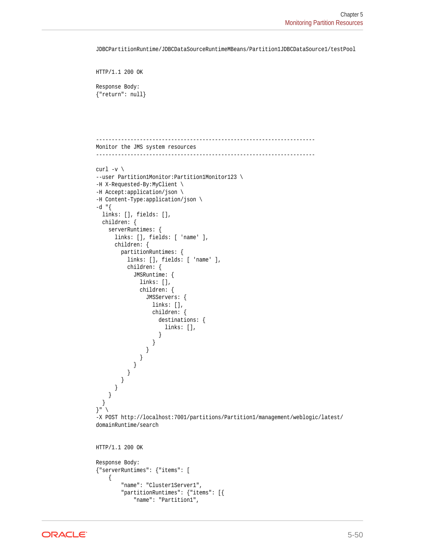JDBCPartitionRuntime/JDBCDataSourceRuntimeMBeans/Partition1JDBCDataSource1/testPool

```
HTTP/1.1 200 OK
```
Response Body: {"return": null}

```
----------------------------------------------------------------------
Monitor the JMS system resources
----------------------------------------------------------------------
curl -v \backslash--user Partition1Monitor:Partition1Monitor123 \
-H X-Requested-By:MyClient \
-H Accept:application/json \
-H Content-Type:application/json \
-d "{
  links: [], fields: [],
  children: {
     serverRuntimes: {
       links: [], fields: [ 'name' ],
       children: {
         partitionRuntimes: {
           links: [], fields: [ 'name' ],
           children: {
             JMSRuntime: {
               links: [],
               children: {
                 JMSServers: {
                   links: [],
                   children: {
                     destinations: {
                       links: [],
 }
 }
 }
              }
            }
          }
        }
      }
     }
   }
}" \
-X POST http://localhost:7001/partitions/Partition1/management/weblogic/latest/
domainRuntime/search
HTTP/1.1 200 OK
Response Body:
{"serverRuntimes": {"items": [
```

```
 {
     "name": "Cluster1Server1",
     "partitionRuntimes": {"items": [{
         "name": "Partition1",
```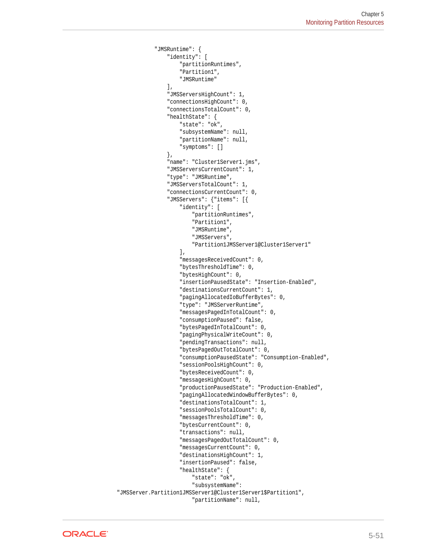```
 "JMSRuntime": {
                    "identity": [
                         "partitionRuntimes",
                         "Partition1",
                         "JMSRuntime"
\qquad \qquad \Box "JMSServersHighCount": 1,
                    "connectionsHighCount": 0,
                    "connectionsTotalCount": 0,
                    "healthState": {
                         "state": "ok",
                         "subsystemName": null,
                         "partitionName": null,
                         "symptoms": []
                    },
                    "name": "Cluster1Server1.jms",
                    "JMSServersCurrentCount": 1,
                    "type": "JMSRuntime",
                    "JMSServersTotalCount": 1,
                    "connectionsCurrentCount": 0,
                    "JMSServers": {"items": [{
                         "identity": [
                              "partitionRuntimes",
                              "Partition1",
                              "JMSRuntime",
                              "JMSServers",
                              "Partition1JMSServer1@Cluster1Server1"
\mathbf{1}, \mathbf{1}, \mathbf{1}, \mathbf{1}, \mathbf{1}, \mathbf{1}, \mathbf{1}, \mathbf{1}, \mathbf{1}, \mathbf{1}, \mathbf{1}, \mathbf{1}, \mathbf{1}, \mathbf{1}, \mathbf{1}, \mathbf{1}, \mathbf{1}, \mathbf{1}, \mathbf{1}, \mathbf{1}, \mathbf{1}, \mathbf{1},  "messagesReceivedCount": 0,
                         "bytesThresholdTime": 0,
                         "bytesHighCount": 0,
                         "insertionPausedState": "Insertion-Enabled",
                         "destinationsCurrentCount": 1,
                         "pagingAllocatedIoBufferBytes": 0,
                         "type": "JMSServerRuntime",
                         "messagesPagedInTotalCount": 0,
                         "consumptionPaused": false,
                         "bytesPagedInTotalCount": 0,
                         "pagingPhysicalWriteCount": 0,
                         "pendingTransactions": null,
                         "bytesPagedOutTotalCount": 0,
                         "consumptionPausedState": "Consumption-Enabled",
                         "sessionPoolsHighCount": 0,
                         "bytesReceivedCount": 0,
                         "messagesHighCount": 0,
                         "productionPausedState": "Production-Enabled",
                         "pagingAllocatedWindowBufferBytes": 0,
                         "destinationsTotalCount": 1,
                         "sessionPoolsTotalCount": 0,
                         "messagesThresholdTime": 0,
                         "bytesCurrentCount": 0,
                         "transactions": null,
                         "messagesPagedOutTotalCount": 0,
                         "messagesCurrentCount": 0,
                         "destinationsHighCount": 1,
                         "insertionPaused": false,
                         "healthState": {
                              "state": "ok",
                              "subsystemName": 
"JMSServer.Partition1JMSServer1@Cluster1Server1$Partition1",
                              "partitionName": null,
```
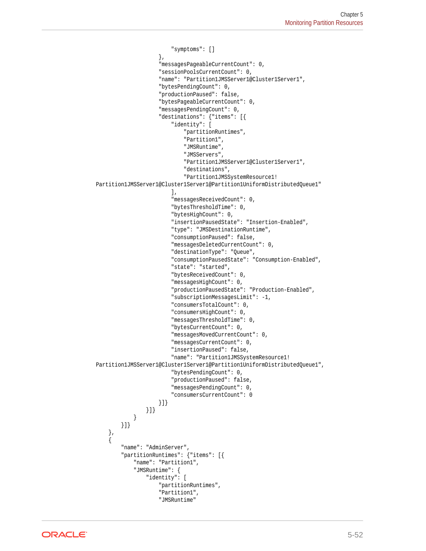```
 "symptoms": []
                     },
                      "messagesPageableCurrentCount": 0,
                      "sessionPoolsCurrentCount": 0,
                      "name": "Partition1JMSServer1@Cluster1Server1",
                      "bytesPendingCount": 0,
                      "productionPaused": false,
                      "bytesPageableCurrentCount": 0,
                      "messagesPendingCount": 0,
                      "destinations": {"items": [{
                          "identity": [
                              "partitionRuntimes",
                               "Partition1",
                              "JMSRuntime",
                              "JMSServers",
                              "Partition1JMSServer1@Cluster1Server1",
                              "destinations",
                              "Partition1JMSSystemResource1!
Partition1JMSServer1@Cluster1Server1@Partition1UniformDistributedQueue1"
 ],
                          "messagesReceivedCount": 0,
                          "bytesThresholdTime": 0,
                          "bytesHighCount": 0,
                          "insertionPausedState": "Insertion-Enabled",
                          "type": "JMSDestinationRuntime",
                          "consumptionPaused": false,
                          "messagesDeletedCurrentCount": 0,
                          "destinationType": "Queue",
                          "consumptionPausedState": "Consumption-Enabled",
                          "state": "started",
                          "bytesReceivedCount": 0,
                          "messagesHighCount": 0,
                          "productionPausedState": "Production-Enabled",
                          "subscriptionMessagesLimit": -1,
                          "consumersTotalCount": 0,
                          "consumersHighCount": 0,
                          "messagesThresholdTime": 0,
                          "bytesCurrentCount": 0,
                          "messagesMovedCurrentCount": 0,
                          "messagesCurrentCount": 0,
                          "insertionPaused": false,
                          "name": "Partition1JMSSystemResource1!
Partition1JMSServer1@Cluster1Server1@Partition1UniformDistributedQueue1",
                          "bytesPendingCount": 0,
                          "productionPaused": false,
                          "messagesPendingCount": 0,
                          "consumersCurrentCount": 0
                      }]}
                 }]}
             }
         }]}
\vert,
\mathcal{A} "name": "AdminServer",
         "partitionRuntimes": {"items": [{
             "name": "Partition1",
              "JMSRuntime": {
                  "identity": [
                      "partitionRuntimes",
                      "Partition1",
                      "JMSRuntime"
```
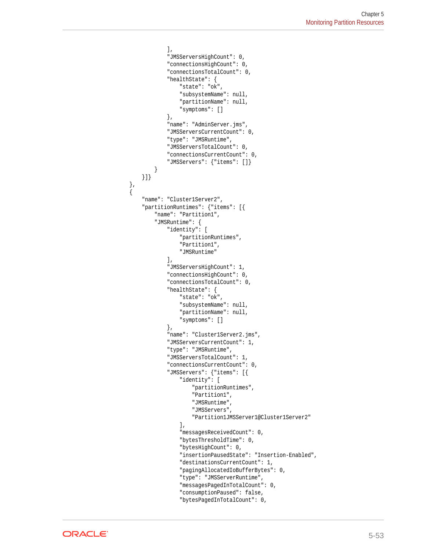```
 ],
                  "JMSServersHighCount": 0,
                  "connectionsHighCount": 0,
                  "connectionsTotalCount": 0,
                  "healthState": {
                      "state": "ok",
                      "subsystemName": null,
                      "partitionName": null,
                      "symptoms": []
                  },
                  "name": "AdminServer.jms",
                  "JMSServersCurrentCount": 0,
                  "type": "JMSRuntime",
                  "JMSServersTotalCount": 0,
                  "connectionsCurrentCount": 0,
                  "JMSServers": {"items": []}
 }
        }]}
\vert,
\left\{\right. "name": "Cluster1Server2",
         "partitionRuntimes": {"items": [{
             "name": "Partition1",
             "JMSRuntime": {
                  "identity": [
                      "partitionRuntimes",
                      "Partition1",
                      "JMSRuntime"
                 ],
                  "JMSServersHighCount": 1,
                  "connectionsHighCount": 0,
                  "connectionsTotalCount": 0,
                  "healthState": {
                      "state": "ok",
                      "subsystemName": null,
                      "partitionName": null,
                      "symptoms": []
                 },
                  "name": "Cluster1Server2.jms",
                  "JMSServersCurrentCount": 1,
                  "type": "JMSRuntime",
                  "JMSServersTotalCount": 1,
                  "connectionsCurrentCount": 0,
                  "JMSServers": {"items": [{
                      "identity": [
                          "partitionRuntimes",
                          "Partition1",
                          "JMSRuntime",
                          "JMSServers",
                          "Partition1JMSServer1@Cluster1Server2"
                      ],
                      "messagesReceivedCount": 0,
                      "bytesThresholdTime": 0,
                      "bytesHighCount": 0,
                      "insertionPausedState": "Insertion-Enabled",
                      "destinationsCurrentCount": 1,
                      "pagingAllocatedIoBufferBytes": 0,
                      "type": "JMSServerRuntime",
                      "messagesPagedInTotalCount": 0,
                      "consumptionPaused": false,
                      "bytesPagedInTotalCount": 0,
```
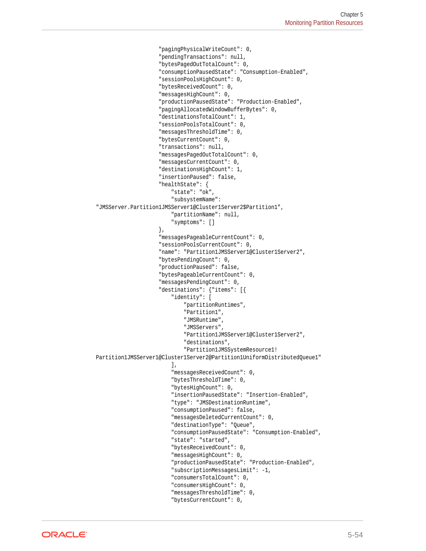```
 "pagingPhysicalWriteCount": 0,
                         "pendingTransactions": null,
                         "bytesPagedOutTotalCount": 0,
                         "consumptionPausedState": "Consumption-Enabled",
                         "sessionPoolsHighCount": 0,
                         "bytesReceivedCount": 0,
                         "messagesHighCount": 0,
                         "productionPausedState": "Production-Enabled",
                         "pagingAllocatedWindowBufferBytes": 0,
                         "destinationsTotalCount": 1,
                         "sessionPoolsTotalCount": 0,
                         "messagesThresholdTime": 0,
                         "bytesCurrentCount": 0,
                         "transactions": null,
                         "messagesPagedOutTotalCount": 0,
                         "messagesCurrentCount": 0,
                         "destinationsHighCount": 1,
                         "insertionPaused": false,
                         "healthState": {
                             "state": "ok",
                             "subsystemName": 
"JMSServer.Partition1JMSServer1@Cluster1Server2$Partition1",
                             "partitionName": null,
                             "symptoms": []
                         },
                         "messagesPageableCurrentCount": 0,
                         "sessionPoolsCurrentCount": 0,
                         "name": "Partition1JMSServer1@Cluster1Server2",
                         "bytesPendingCount": 0,
                         "productionPaused": false,
                         "bytesPageableCurrentCount": 0,
                         "messagesPendingCount": 0,
                         "destinations": {"items": [{
                              "identity": [
                                  "partitionRuntimes",
                                  "Partition1",
                                  "JMSRuntime",
                                  "JMSServers",
                                  "Partition1JMSServer1@Cluster1Server2",
                                  "destinations",
                                  "Partition1JMSSystemResource1!
Partition1JMSServer1@Cluster1Server2@Partition1UniformDistributedQueue1"
\mathbf{1}, \mathbf{1}, \mathbf{1}, \mathbf{1}, \mathbf{1}, \mathbf{1}, \mathbf{1}, \mathbf{1}, \mathbf{1}, \mathbf{1}, \mathbf{1}, \mathbf{1}, \mathbf{1}, \mathbf{1}, \mathbf{1}, \mathbf{1}, \mathbf{1}, \mathbf{1}, \mathbf{1}, \mathbf{1}, \mathbf{1}, \mathbf{1},  "messagesReceivedCount": 0,
                             "bytesThresholdTime": 0,
                             "bytesHighCount": 0,
                             "insertionPausedState": "Insertion-Enabled",
                             "type": "JMSDestinationRuntime",
                              "consumptionPaused": false,
                              "messagesDeletedCurrentCount": 0,
                             "destinationType": "Queue",
                              "consumptionPausedState": "Consumption-Enabled",
                              "state": "started",
                              "bytesReceivedCount": 0,
                              "messagesHighCount": 0,
                              "productionPausedState": "Production-Enabled",
                              "subscriptionMessagesLimit": -1,
                              "consumersTotalCount": 0,
                              "consumersHighCount": 0,
                              "messagesThresholdTime": 0,
                              "bytesCurrentCount": 0,
```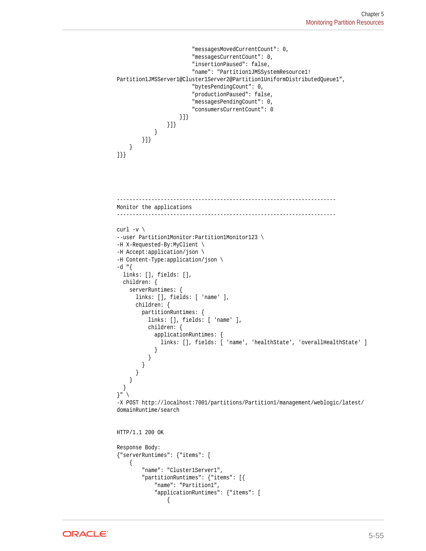```
 "messagesMovedCurrentCount": 0,
                           "messagesCurrentCount": 0,
                           "insertionPaused": false,
                           "name": "Partition1JMSSystemResource1!
Partition1JMSServer1@Cluster1Server2@Partition1UniformDistributedQueue1",
                           "bytesPendingCount": 0,
                           "productionPaused": false,
                           "messagesPendingCount": 0,
                           "consumersCurrentCount": 0
                       }]}
                  }]}
             }
        }]}
     }
]}}
            ----------------------------------------------------------------------
Monitor the applications
----------------------------------------------------------------------
curl -v \backslash--user Partition1Monitor:Partition1Monitor123 \
-H X-Requested-By:MyClient \
-H Accept:application/json \
-H Content-Type:application/json \
-d "\{ links: [], fields: [],
   children: {
     serverRuntimes: {
       links: [], fields: [ 'name' ],
       children: {
         partitionRuntimes: {
            links: [], fields: [ 'name' ],
            children: {
              applicationRuntimes: {
               links: [], fields: [ 'name', 'healthState', 'overallHealthState' ]
 }
            }
          }
       }
     }
   }
}" \
-X POST http://localhost:7001/partitions/Partition1/management/weblogic/latest/
domainRuntime/search
HTTP/1.1 200 OK
Response Body:
{"serverRuntimes": {"items": [
     {
          "name": "Cluster1Server1",
          "partitionRuntimes": {"items": [{
              "name": "Partition1",
              "applicationRuntimes": {"items": [
\left\{ \begin{array}{ccc} 1 & 1 & 1 \\ 1 & 1 & 1 \end{array} \right\}
```
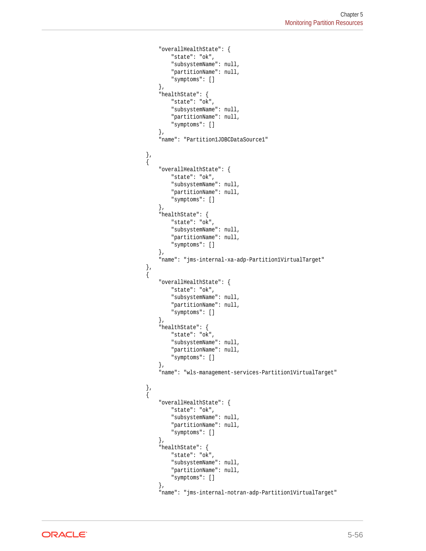```
 "overallHealthState": {
                              "state": "ok",
                              "subsystemName": null,
                              "partitionName": null,
                              "symptoms": []
                         },
                         "healthState": {
                              "state": "ok",
                              "subsystemName": null,
                              "partitionName": null,
                              "symptoms": []
                         },
                         "name": "Partition1JDBCDataSource1"
                    },
\left\{ \begin{array}{ccc} 1 & 1 & 1 \\ 1 & 1 & 1 \end{array} \right\} "overallHealthState": {
                              "state": "ok",
                              "subsystemName": null,
                              "partitionName": null,
                              "symptoms": []
                         },
                         "healthState": {
                              "state": "ok",
                              "subsystemName": null,
                              "partitionName": null,
                              "symptoms": []
                         },
                         "name": "jms-internal-xa-adp-Partition1VirtualTarget"
                    },
\left\{ \begin{array}{ccc} 1 & 1 & 1 \\ 1 & 1 & 1 \end{array} \right\} "overallHealthState": {
                              "state": "ok",
                              "subsystemName": null,
                              "partitionName": null,
                              "symptoms": []
                         },
                         "healthState": {
                              "state": "ok",
                              "subsystemName": null,
                              "partitionName": null,
                              "symptoms": []
                         },
                         "name": "wls-management-services-Partition1VirtualTarget"
                    },
\left\{ \begin{array}{ccc} 1 & 1 & 1 \\ 1 & 1 & 1 \end{array} \right\} "overallHealthState": {
                              "state": "ok",
                              "subsystemName": null,
                              "partitionName": null,
                              "symptoms": []
                         },
                         "healthState": {
                              "state": "ok",
                              "subsystemName": null,
                              "partitionName": null,
                              "symptoms": []
                         },
                         "name": "jms-internal-notran-adp-Partition1VirtualTarget"
```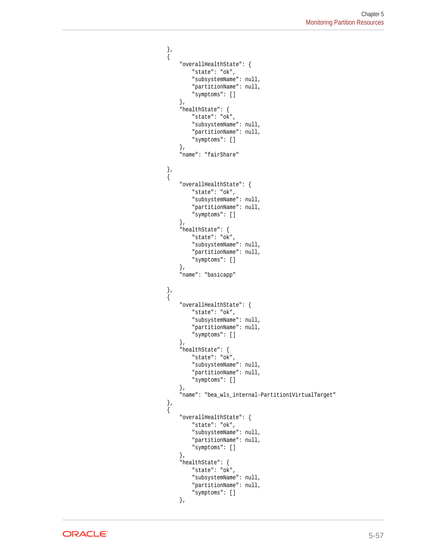```
 },
\left\{ \begin{array}{ccc} 1 & 1 & 1 \\ 1 & 1 & 1 \end{array} \right\} "overallHealthState": {
                              "state": "ok",
                              "subsystemName": null,
                              "partitionName": null,
                              "symptoms": []
                         },
                         "healthState": {
                              "state": "ok",
                              "subsystemName": null,
                              "partitionName": null,
                              "symptoms": []
                         },
                         "name": "fairShare"
\}, \{, \}, \{, \}, \{\{ "overallHealthState": {
                              "state": "ok",
                              "subsystemName": null,
                              "partitionName": null,
                              "symptoms": []
                         },
                         "healthState": {
                              "state": "ok",
                              "subsystemName": null,
                              "partitionName": null,
                              "symptoms": []
                         },
                         "name": "basicapp"
                    },
\left\{ \begin{array}{ccc} 1 & 1 & 1 \\ 1 & 1 & 1 \end{array} \right\} "overallHealthState": {
                              "state": "ok",
                              "subsystemName": null,
                              "partitionName": null,
                              "symptoms": []
                         },
                         "healthState": {
                              "state": "ok",
                              "subsystemName": null,
                              "partitionName": null,
                              "symptoms": []
                         },
                         "name": "bea_wls_internal-Partition1VirtualTarget"
                    },
\left\{ \begin{array}{ccc} 1 & 1 & 1 \\ 1 & 1 & 1 \end{array} \right\} "overallHealthState": {
                              "state": "ok",
                              "subsystemName": null,
                              "partitionName": null,
                              "symptoms": []
                         },
                         "healthState": {
                              "state": "ok",
                              "subsystemName": null,
                              "partitionName": null,
                              "symptoms": []
                         },
```
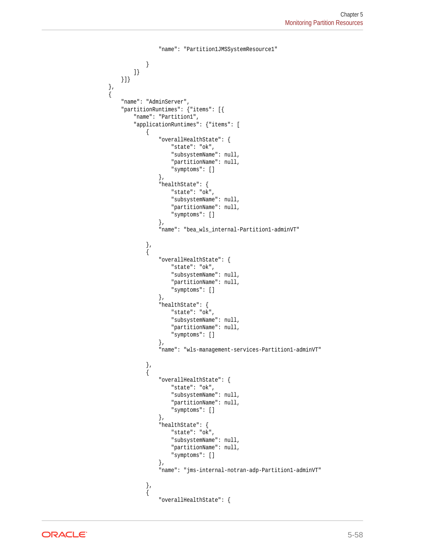```
 "name": "Partition1JMSSystemResource1"
 }
               ]}
         }]}
          "name": "AdminServer",
          "partitionRuntimes": {"items": [{
               "name": "Partition1",
               "applicationRuntimes": {"items": [
\left\{ \begin{array}{ccc} 1 & 1 & 1 \\ 1 & 1 & 1 \end{array} \right\} "overallHealthState": {
                             "state": "ok",
                             "subsystemName": null,
                             "partitionName": null,
                             "symptoms": []
                        },
                         "healthState": {
                             "state": "ok",
                             "subsystemName": null,
                             "partitionName": null,
                             "symptoms": []
                        },
                         "name": "bea_wls_internal-Partition1-adminVT"
                    },
\{ "overallHealthState": {
                             "state": "ok",
                             "subsystemName": null,
                             "partitionName": null,
                             "symptoms": []
                        },
                         "healthState": {
                             "state": "ok",
                             "subsystemName": null,
                             "partitionName": null,
                             "symptoms": []
                        },
                         "name": "wls-management-services-Partition1-adminVT"
                    },
\left\{ \begin{array}{ccc} 1 & 1 & 1 \\ 1 & 1 & 1 \end{array} \right\} "overallHealthState": {
                             "state": "ok",
                             "subsystemName": null,
                             "partitionName": null,
                             "symptoms": []
                        },
                         "healthState": {
                             "state": "ok",
                             "subsystemName": null,
                             "partitionName": null,
                             "symptoms": []
                        },
                         "name": "jms-internal-notran-adp-Partition1-adminVT"
                    },
\left\{ \begin{array}{ccc} 1 & 1 & 1 \\ 1 & 1 & 1 \end{array} \right\} "overallHealthState": {
```
 }, {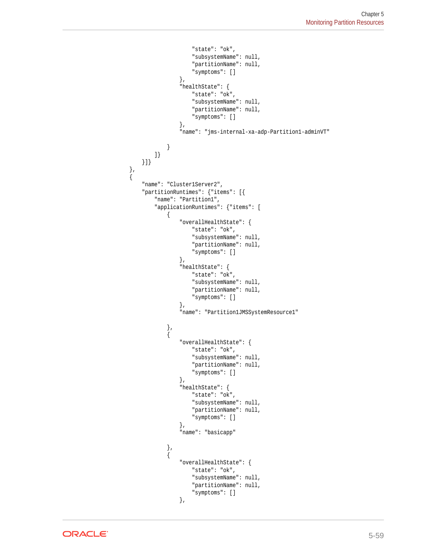```
 "state": "ok",
                            "subsystemName": null,
                            "partitionName": null,
                            "symptoms": []
                       },
                       "healthState": {
                           "state": "ok",
                            "subsystemName": null,
                            "partitionName": null,
                            "symptoms": []
                       },
                       "name": "jms-internal-xa-adp-Partition1-adminVT"
 }
              ]}
         }]}
\vert,
\mathcal{A} "name": "Cluster1Server2",
         "partitionRuntimes": {"items": [{
              "name": "Partition1",
              "applicationRuntimes": {"items": [
\{ "overallHealthState": {
                           "state": "ok",
                           "subsystemName": null,
                            "partitionName": null,
                            "symptoms": []
                       },
                       "healthState": {
                           "state": "ok",
                            "subsystemName": null,
                            "partitionName": null,
                            "symptoms": []
                       },
                       "name": "Partition1JMSSystemResource1"
                  },
\left\{ \begin{array}{ccc} 1 & 1 & 1 \\ 1 & 1 & 1 \end{array} \right\} "overallHealthState": {
                           "state": "ok",
                           "subsystemName": null,
                           "partitionName": null,
                            "symptoms": []
 },
                       "healthState": {
                           "state": "ok",
                            "subsystemName": null,
                            "partitionName": null,
                            "symptoms": []
                       },
                       "name": "basicapp"
\}, \{, \}, \{, \}, \{\left\{ \begin{array}{ccc} 1 & 1 & 1 \\ 1 & 1 & 1 \end{array} \right\} "overallHealthState": {
                           "state": "ok",
                            "subsystemName": null,
                            "partitionName": null,
                            "symptoms": []
                       },
```
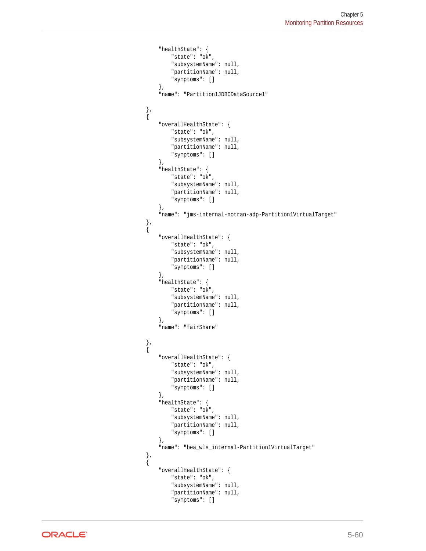```
 "healthState": {
                               "state": "ok",
                               "subsystemName": null,
                               "partitionName": null,
                               "symptoms": []
                          },
                          "name": "Partition1JDBCDataSource1"
                     },
\left\{ \begin{array}{ccc} 1 & 1 & 1 \\ 1 & 1 & 1 \end{array} \right\} "overallHealthState": {
                               "state": "ok",
                               "subsystemName": null,
                               "partitionName": null,
                               "symptoms": []
                          },
                          "healthState": {
                               "state": "ok",
                               "subsystemName": null,
                               "partitionName": null,
                               "symptoms": []
                          },
                          "name": "jms-internal-notran-adp-Partition1VirtualTarget"
                     },
\left\{ \begin{array}{ccc} 1 & 1 & 1 \\ 1 & 1 & 1 \end{array} \right\} "overallHealthState": {
                               "state": "ok",
                               "subsystemName": null,
                               "partitionName": null,
                               "symptoms": []
                          },
                          "healthState": {
                               "state": "ok",
                               "subsystemName": null,
                               "partitionName": null,
                               "symptoms": []
                          },
                          "name": "fairShare"
                     },
\left\{ \begin{array}{ccc} 1 & 1 & 1 \\ 1 & 1 & 1 \end{array} \right\} "overallHealthState": {
                               "state": "ok",
                               "subsystemName": null,
                               "partitionName": null,
                               "symptoms": []
                          },
                          "healthState": {
                               "state": "ok",
                               "subsystemName": null,
                               "partitionName": null,
                               "symptoms": []
                          },
                          "name": "bea_wls_internal-Partition1VirtualTarget"
                     },
\left\{ \begin{array}{ccc} 1 & 1 & 1 \\ 1 & 1 & 1 \end{array} \right\} "overallHealthState": {
                               "state": "ok",
                               "subsystemName": null,
                               "partitionName": null,
                               "symptoms": []
```
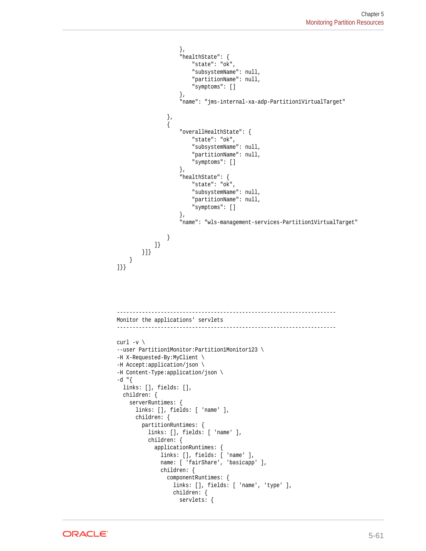```
 },
                        "healthState": {
                             "state": "ok",
                             "subsystemName": null,
                             "partitionName": null,
                             "symptoms": []
                        },
                        "name": "jms-internal-xa-adp-Partition1VirtualTarget"
                   },
\left\{ \begin{array}{ccc} 1 & 1 & 1 \\ 1 & 1 & 1 \end{array} \right\} "overallHealthState": {
                             "state": "ok",
                             "subsystemName": null,
                             "partitionName": null,
                             "symptoms": []
                        },
                        "healthState": {
                             "state": "ok",
                             "subsystemName": null,
                             "partitionName": null,
                             "symptoms": []
                        },
                        "name": "wls-management-services-Partition1VirtualTarget"
                   }
               ]}
         }]}
     }
]}}
             ----------------------------------------------------------------------
Monitor the applications' servlets
                                                    ----------------------------------------------------------------------
curl -v \backslash--user Partition1Monitor:Partition1Monitor123 \
-H X-Requested-By:MyClient \
-H Accept:application/json \
-H Content-Type:application/json \
-d "{
   links: [], fields: [],
   children: {
     serverRuntimes: {
        links: [], fields: [ 'name' ],
        children: {
          partitionRuntimes: {
            links: [], fields: [ 'name' ],
            children: {
               applicationRuntimes: {
                 links: [], fields: [ 'name' ],
                 name: [ 'fairShare', 'basicapp' ],
                 children: {
                   componentRuntimes: {
                      links: [], fields: [ 'name', 'type' ],
                      children: {
                        servlets: {
```
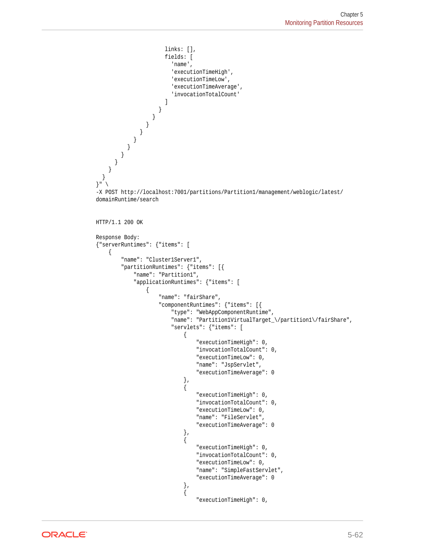```
 links: [],
                          fields: [
                             'name',
                             'executionTimeHigh',
                             'executionTimeLow',
                             'executionTimeAverage',
                             'invocationTotalCount'
\sim 100 \sim 100 \sim 100 \sim 100 \sim 110 \sim 110 \sim 110 \sim 110 \sim 110 \sim 110 \sim 110 \sim 110 \sim 110 \sim 110 \sim 110 \sim 110 \sim 110 \sim 110 \sim 110 \sim 110 \sim 110 \sim 110 \sim 110 \sim 110 \sim 
 }
 }
 }
 }
 }
 }
 }
 }
\left\{\begin{array}{ccc} \end{array}\right\} }
}" \
-X POST http://localhost:7001/partitions/Partition1/management/weblogic/latest/
domainRuntime/search
HTTP/1.1 200 OK
Response Body:
{"serverRuntimes": {"items": [
     {
          "name": "Cluster1Server1",
          "partitionRuntimes": {"items": [{
               "name": "Partition1",
               "applicationRuntimes": {"items": [
\{ "name": "fairShare",
                        "componentRuntimes": {"items": [{
                             "type": "WebAppComponentRuntime",
                             "name": "Partition1VirtualTarget_\/partition1\/fairShare",
                             "servlets": {"items": [
{ } "executionTimeHigh": 0,
                                      "invocationTotalCount": 0,
                                      "executionTimeLow": 0,
                                      "name": "JspServlet",
                                      "executionTimeAverage": 0
\}, and the same state \}, and the same state \}, and the same state \}{ } "executionTimeHigh": 0,
                                      "invocationTotalCount": 0,
                                      "executionTimeLow": 0,
                                      "name": "FileServlet",
                                      "executionTimeAverage": 0
\}, and the same state \}, and the same state \}, and the same state \}\{ "executionTimeHigh": 0,
                                      "invocationTotalCount": 0,
                                      "executionTimeLow": 0,
                                      "name": "SimpleFastServlet",
                                      "executionTimeAverage": 0
\}, and the same state \}, and the same state \}, and the same state \{x_i\}{ } "executionTimeHigh": 0,
```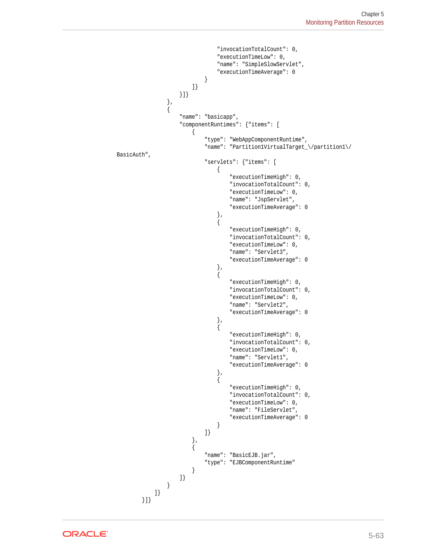```
 "invocationTotalCount": 0,
                           "executionTimeLow": 0,
                           "name": "SimpleSlowServlet",
                           "executionTimeAverage": 0
 }
 ]}
                 }]}
              },
\left\{ \begin{array}{ccc} 1 & 1 & 1 \\ 1 & 1 & 1 \end{array} \right\} "name": "basicapp",
                 "componentRuntimes": {"items": [
\{ "type": "WebAppComponentRuntime",
                        "name": "Partition1VirtualTarget_\/partition1\/
BasicAuth",
                        "servlets": {"items": [
\{ "executionTimeHigh": 0,
                               "invocationTotalCount": 0,
                               "executionTimeLow": 0,
                               "name": "JspServlet",
                               "executionTimeAverage": 0
\}, and the contract of \}, and the contract of \}, and the contract of \{\{ "executionTimeHigh": 0,
                               "invocationTotalCount": 0,
                               "executionTimeLow": 0,
                               "name": "Servlet3",
                               "executionTimeAverage": 0
 },
\{ "executionTimeHigh": 0,
                               "invocationTotalCount": 0,
                               "executionTimeLow": 0,
                               "name": "Servlet2",
                               "executionTimeAverage": 0
 },
\{ "executionTimeHigh": 0,
                               "invocationTotalCount": 0,
                               "executionTimeLow": 0,
                               "name": "Servlet1",
                               "executionTimeAverage": 0
 },
\{ "executionTimeHigh": 0,
                               "invocationTotalCount": 0,
                               "executionTimeLow": 0,
                               "name": "FileServlet",
                               "executionTimeAverage": 0
 }
\}, where the contract of \{x_i\} , \{x_i\}\{ "name": "BasicEJB.jar",
                        "type": "EJBComponentRuntime"
 }
                 ]}
              }
           ]}
       }]}
```
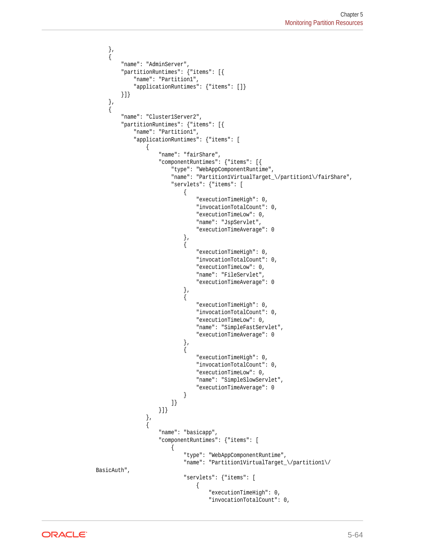```
 },
     {
         "name": "AdminServer",
         "partitionRuntimes": {"items": [{
             "name": "Partition1",
             "applicationRuntimes": {"items": []}
         }]}
     },
     {
         "name": "Cluster1Server2",
         "partitionRuntimes": {"items": [{
             "name": "Partition1",
             "applicationRuntimes": {"items": [
\left\{ \begin{array}{ccc} 1 & 1 & 1 \\ 1 & 1 & 1 \end{array} \right\} "name": "fairShare",
                     "componentRuntimes": {"items": [{
                         "type": "WebAppComponentRuntime",
                         "name": "Partition1VirtualTarget_\/partition1\/fairShare",
                         "servlets": {"items": [
{ } "executionTimeHigh": 0,
                                 "invocationTotalCount": 0,
                                 "executionTimeLow": 0,
                                 "name": "JspServlet",
                                 "executionTimeAverage": 0
\}, and the same state \}, and the same state \}, and the same state \{x_i\}{ } "executionTimeHigh": 0,
                                 "invocationTotalCount": 0,
                                 "executionTimeLow": 0,
                                 "name": "FileServlet",
                                 "executionTimeAverage": 0
\{x_i\}{ } "executionTimeHigh": 0,
                                  "invocationTotalCount": 0,
                                 "executionTimeLow": 0,
                                 "name": "SimpleFastServlet",
                                 "executionTimeAverage": 0
\}, and the same state \}, and the same state \}, and the same state \{x_i\}{ } "executionTimeHigh": 0,
                                 "invocationTotalCount": 0,
                                 "executionTimeLow": 0,
                                 "name": "SimpleSlowServlet",
                                 "executionTimeAverage": 0
 }
 ]}
                     }]}
                 },
\left\{ \begin{array}{ccc} 1 & 1 & 1 \\ 1 & 1 & 1 \end{array} \right\} "name": "basicapp",
                     "componentRuntimes": {"items": [
\{ "type": "WebAppComponentRuntime",
                             "name": "Partition1VirtualTarget_\/partition1\/
BasicAuth",
                             "servlets": {"items": [
\{ "executionTimeHigh": 0,
                                      "invocationTotalCount": 0,
```
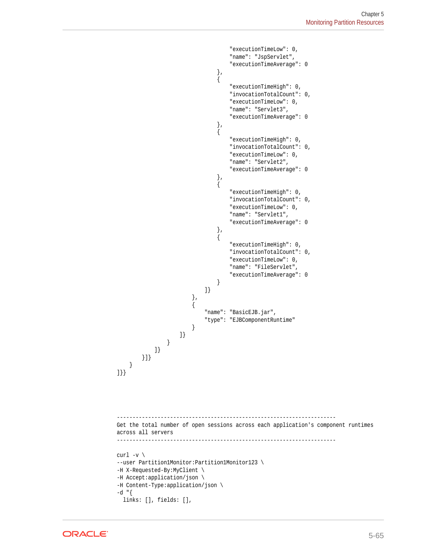```
 "executionTimeLow": 0,
                                "name": "JspServlet",
                                "executionTimeAverage": 0
 },
\{ "executionTimeHigh": 0,
                               "invocationTotalCount": 0,
                                "executionTimeLow": 0,
                                "name": "Servlet3",
                                "executionTimeAverage": 0
 },
\{ "executionTimeHigh": 0,
                               "invocationTotalCount": 0,
                               "executionTimeLow": 0,
                               "name": "Servlet2",
                               "executionTimeAverage": 0
\}, and the contract of \}, and the contract of \}, and the contract of \{\{ "executionTimeHigh": 0,
                               "invocationTotalCount": 0,
                               "executionTimeLow": 0,
                               "name": "Servlet1",
                               "executionTimeAverage": 0
 },
\{ "executionTimeHigh": 0,
                                "invocationTotalCount": 0,
                                "executionTimeLow": 0,
                                "name": "FileServlet",
                                "executionTimeAverage": 0
 }
\} },
\{ "name": "BasicEJB.jar",
                         "type": "EJBComponentRuntime"
 }
                  ]}
             }
           ]}
       }]}
    }
]}}
        ----------------------------------------------------------------------
Get the total number of open sessions across each application's component runtimes 
across all servers
----------------------------------------------------------------------
curl -v \backslash--user Partition1Monitor:Partition1Monitor123 \
-H X-Requested-By:MyClient \
-H Accept:application/json \
-H Content-Type:application/json \
-d "{
  links: [], fields: [],
```
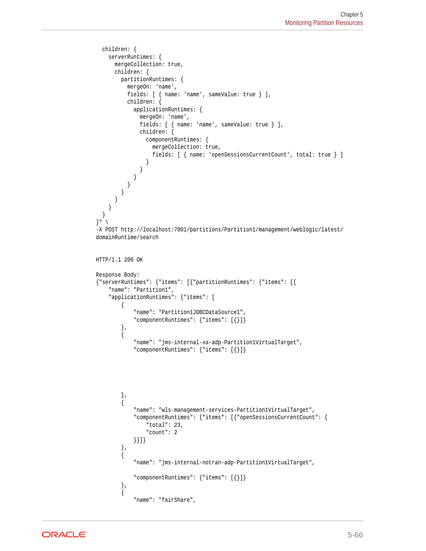```
 children: {
     serverRuntimes: {
       mergeCollection: true,
       children: {
          partitionRuntimes: {
            mergeOn: 'name',
            fields: [ { name: 'name', sameValue: true } ],
            children: {
              applicationRuntimes: {
                 mergeOn: 'name',
                 fields: [ { name: 'name', sameValue: true } ],
                 children: {
                   componentRuntimes: {
                     mergeCollection: true,
                     fields: [ { name: 'openSessionsCurrentCount', total: true } ]
 }
                }
              }
           }
         }
       }
     }
   }
}" \
-X POST http://localhost:7001/partitions/Partition1/management/weblogic/latest/
domainRuntime/search
HTTP/1.1 200 OK
Response Body:
{"serverRuntimes": {"items": [{"partitionRuntimes": {"items": [{
     "name": "Partition1",
     "applicationRuntimes": {"items": [
          {
               "name": "Partition1JDBCDataSource1",
               "componentRuntimes": {"items": [{}]}
          },
\left\{ \begin{array}{ccc} 1 & 1 & 1 \\ 1 & 1 & 1 \end{array} \right\} "name": "jms-internal-xa-adp-Partition1VirtualTarget",
               "componentRuntimes": {"items": [{}]}
          },
          {
               "name": "wls-management-services-Partition1VirtualTarget",
               "componentRuntimes": {"items": [{"openSessionsCurrentCount": {
                   "total": 23,
                   "count": 2
              }}]}
 },
\left\{ \begin{array}{ccc} 1 & 1 & 1 \\ 1 & 1 & 1 \end{array} \right\} "name": "jms-internal-notran-adp-Partition1VirtualTarget",
              "componentRuntimes": {"items": [{}]}
          },
          {
               "name": "fairShare",
```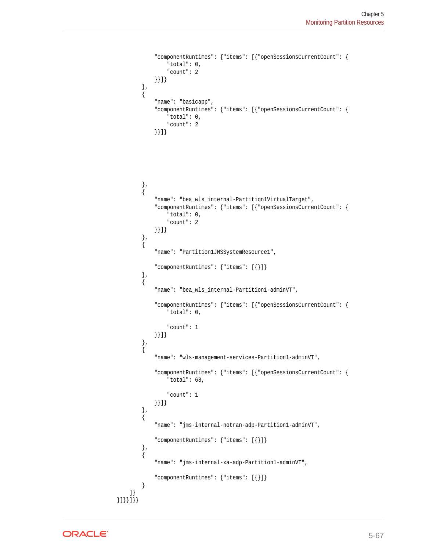```
 "componentRuntimes": {"items": [{"openSessionsCurrentCount": {
                 "total": 0,
                 "count": 2
             }}]}
         },
         {
             "name": "basicapp",
             "componentRuntimes": {"items": [{"openSessionsCurrentCount": {
                 "total": 0,
                 "count": 2
             }}]}
 },
 {
             "name": "bea_wls_internal-Partition1VirtualTarget",
             "componentRuntimes": {"items": [{"openSessionsCurrentCount": {
                 "total": 0,
                 "count": 2
             }}]}
         },
         {
             "name": "Partition1JMSSystemResource1",
             "componentRuntimes": {"items": [{}]}
         },
         {
             "name": "bea_wls_internal-Partition1-adminVT",
             "componentRuntimes": {"items": [{"openSessionsCurrentCount": {
                 "total": 0,
                 "count": 1
             }}]}
         },
 {
             "name": "wls-management-services-Partition1-adminVT",
             "componentRuntimes": {"items": [{"openSessionsCurrentCount": {
                 "total": 68,
                 "count": 1
             }}]}
         },
         {
             "name": "jms-internal-notran-adp-Partition1-adminVT",
             "componentRuntimes": {"items": [{}]}
 },
 {
             "name": "jms-internal-xa-adp-Partition1-adminVT",
             "componentRuntimes": {"items": [{}]}
 }
     ]}
}]}}]}}
```
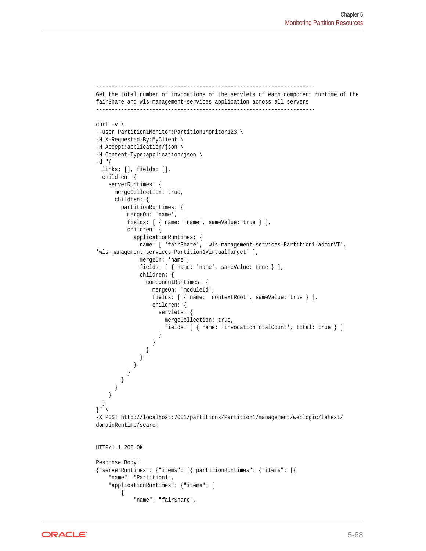```
----------------------------------------------------------------------
Get the total number of invocations of the servlets of each component runtime of the 
fairShare and wls-management-services application across all servers
----------------------------------------------------------------------
curl -v \backslash--user Partition1Monitor:Partition1Monitor123 \
-H X-Requested-By:MyClient \
-H Accept:application/json \
-H Content-Type:application/json \
-d "\{ links: [], fields: [],
   children: {
     serverRuntimes: {
       mergeCollection: true,
       children: {
         partitionRuntimes: {
           mergeOn: 'name',
           fields: [ { name: 'name', sameValue: true } ],
           children: {
             applicationRuntimes: {
               name: [ 'fairShare', 'wls-management-services-Partition1-adminVT', 
'wls-management-services-Partition1VirtualTarget' ],
               mergeOn: 'name',
              fields: [ { name: 'name', sameValue: true } ],
               children: {
                  componentRuntimes: {
                   mergeOn: 'moduleId',
                   fields: [ { name: 'contextRoot', sameValue: true } ],
                   children: {
                      servlets: {
                        mergeCollection: true,
                        fields: [ { name: 'invocationTotalCount', total: true } ]
 }
                   }
                 }
           \begin{array}{c} \begin{array}{c} \end{array} \end{array} }
 }
 }
      }
     }
   }
}" \
-X POST http://localhost:7001/partitions/Partition1/management/weblogic/latest/
domainRuntime/search
HTTP/1.1 200 OK
Response Body:
{"serverRuntimes": {"items": [{"partitionRuntimes": {"items": [{
     "name": "Partition1",
     "applicationRuntimes": {"items": [
         {
             "name": "fairShare",
```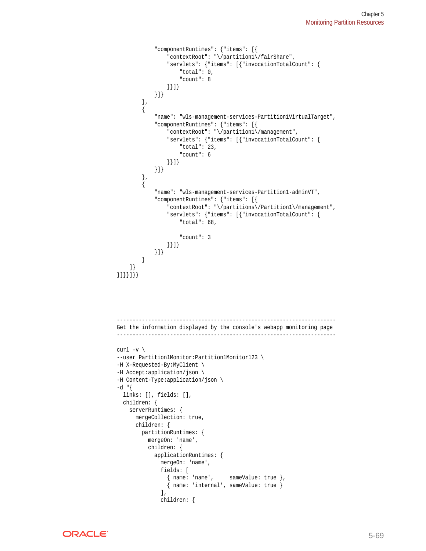```
 "componentRuntimes": {"items": [{
                  "contextRoot": "\/partition1\/fairShare",
                  "servlets": {"items": [{"invocationTotalCount": {
                      "total": 0,
                      "count": 8
                  }}]}
             }]}
         },
          {
              "name": "wls-management-services-Partition1VirtualTarget",
              "componentRuntimes": {"items": [{
                  "contextRoot": "\/partition1\/management",
                  "servlets": {"items": [{"invocationTotalCount": {
                      "total": 23,
                      "count": 6
                  }}]}
             }]}
         },
         {
              "name": "wls-management-services-Partition1-adminVT",
              "componentRuntimes": {"items": [{
                  "contextRoot": "\/partitions\/Partition1\/management",
                  "servlets": {"items": [{"invocationTotalCount": {
                      "total": 68,
                      "count": 3
                  }}]}
             }]}
         }
     ]}
}]}}]}}
              ----------------------------------------------------------------------
Get the information displayed by the console's webapp monitoring page
----------------------------------------------------------------------
curl -v \backslash--user Partition1Monitor:Partition1Monitor123 \
-H X-Requested-By:MyClient \
-H Accept:application/json \
-H Content-Type:application/json \
-d "\{ links: [], fields: [],
   children: {
     serverRuntimes: {
       mergeCollection: true,
       children: {
         partitionRuntimes: {
           mergeOn: 'name',
           children: {
             applicationRuntimes: {
                mergeOn: 'name',
                fields: [
                  { name: 'name', sameValue: true },
                  { name: 'internal', sameValue: true }
                ],
                children: {
```
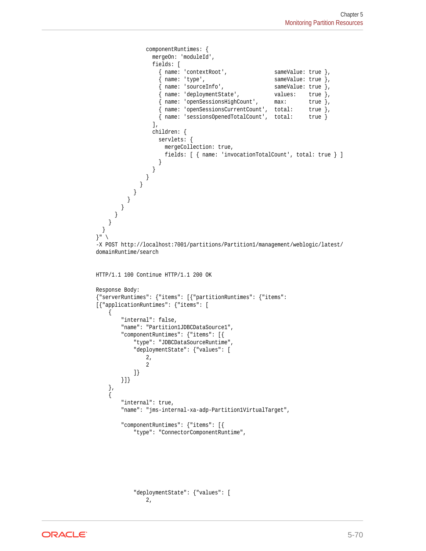```
 componentRuntimes: {
                    mergeOn: 'moduleId',
                    fields: [
                     \left\{ \begin{array}{ll} \texttt{name: 'contextRoot'}\, , & \texttt{sameValue: true } \, \}, \\ \texttt{name: 'type'}\, , & \texttt{sameValue: true } \, \end{array} \right.sameValue: true },
                      { name: 'sourceInfo', sameValue: true },
                      { name: 'deploymentState', values: true },
                      { name: 'openSessionsHighCount', max: true },
                      { name: 'openSessionsCurrentCount', total: true },
                      { name: 'sessionsOpenedTotalCount', total: true }
                   \mathbf{1},
                    children: {
                      servlets: {
                        mergeCollection: true,
                        fields: [ { name: 'invocationTotalCount', total: true } ]
 }
               \longrightarrow }
 }
 }
          }
        }
      }
     }
   }
}" \
-X POST http://localhost:7001/partitions/Partition1/management/weblogic/latest/
domainRuntime/search
HTTP/1.1 100 Continue HTTP/1.1 200 OK
Response Body:
{"serverRuntimes": {"items": [{"partitionRuntimes": {"items": 
[{"applicationRuntimes": {"items": [
     {
         "internal": false,
         "name": "Partition1JDBCDataSource1",
         "componentRuntimes": {"items": [{
             "type": "JDBCDataSourceRuntime",
              "deploymentState": {"values": [
                  2,
 2
             ]}
         }]}
     },
     {
         "internal": true,
         "name": "jms-internal-xa-adp-Partition1VirtualTarget",
         "componentRuntimes": {"items": [{
             "type": "ConnectorComponentRuntime",
```
 "deploymentState": {"values": [ 2,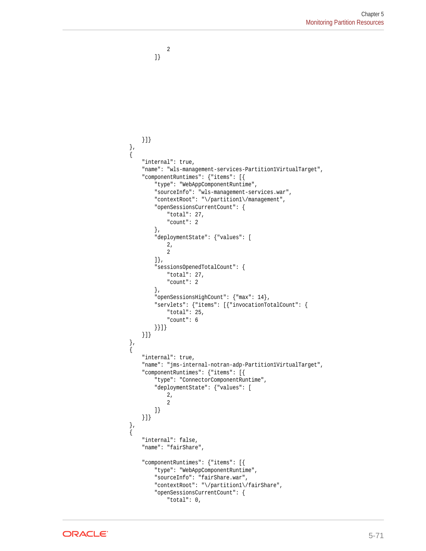```
 }]}
    },
\left\{\right. "internal": true,
         "name": "wls-management-services-Partition1VirtualTarget",
         "componentRuntimes": {"items": [{
             "type": "WebAppComponentRuntime",
             "sourceInfo": "wls-management-services.war",
             "contextRoot": "\/partition1\/management",
             "openSessionsCurrentCount": {
                 "total": 27,
                 "count": 2
             },
             "deploymentState": {"values": [
                \frac{2}{2},
 2
             ]},
             "sessionsOpenedTotalCount": {
                 "total": 27,
                 "count": 2
             },
             "openSessionsHighCount": {"max": 14},
             "servlets": {"items": [{"invocationTotalCount": {
                 "total": 25,
                 "count": 6
             }}]}
        }]}
    },
\left\{\right. "internal": true,
         "name": "jms-internal-notran-adp-Partition1VirtualTarget",
         "componentRuntimes": {"items": [{
             "type": "ConnectorComponentRuntime",
             "deploymentState": {"values": [
                 2,
 2
             ]}
         }]}
    },
    {
         "internal": false,
         "name": "fairShare",
         "componentRuntimes": {"items": [{
             "type": "WebAppComponentRuntime",
             "sourceInfo": "fairShare.war",
             "contextRoot": "\/partition1\/fairShare",
             "openSessionsCurrentCount": {
                 "total": 0,
```
2

]}

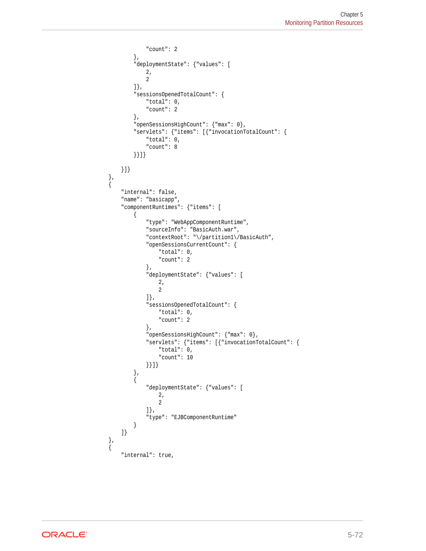```
 "count": 2
             },
             "deploymentState": {"values": [
                2,
 2
             ]},
             "sessionsOpenedTotalCount": {
                 "total": 0,
                 "count": 2
             },
             "openSessionsHighCount": {"max": 0},
             "servlets": {"items": [{"invocationTotalCount": {
                "total": 0,
                 "count": 8
             }}]}
        }]}
    },
    {
        "internal": false,
        "name": "basicapp",
        "componentRuntimes": {"items": [
             {
                 "type": "WebAppComponentRuntime",
                 "sourceInfo": "BasicAuth.war",
                 "contextRoot": "\/partition1\/BasicAuth",
                 "openSessionsCurrentCount": {
                     "total": 0,
                     "count": 2
                 },
                 "deploymentState": {"values": [
                     2,
 2
                 ]},
                 "sessionsOpenedTotalCount": {
                     "total": 0,
                     "count": 2
                 },
                 "openSessionsHighCount": {"max": 0},
                 "servlets": {"items": [{"invocationTotalCount": {
                     "total": 0,
                     "count": 10
                 }}]}
 },
\left\{ \begin{array}{ccc} \end{array} \right. "deploymentState": {"values": [
2, 2
                 ]},
                 "type": "EJBComponentRuntime"
             }
        ]}
    },
    {
        "internal": true,
```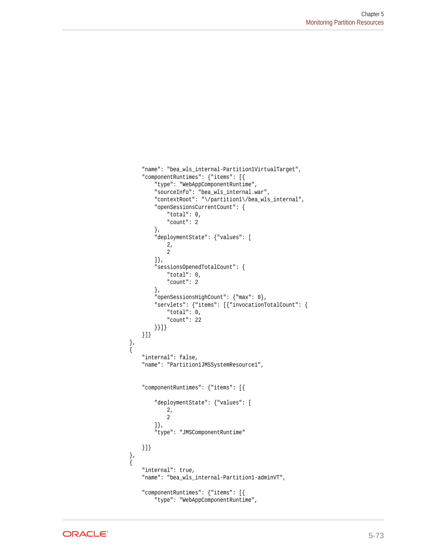```
 "name": "bea_wls_internal-Partition1VirtualTarget",
         "componentRuntimes": {"items": [{
             "type": "WebAppComponentRuntime",
             "sourceInfo": "bea_wls_internal.war",
             "contextRoot": "\/partition1\/bea_wls_internal",
             "openSessionsCurrentCount": {
                 "total": 0,
                 "count": 2
             },
             "deploymentState": {"values": [
                \frac{2}{2},
 2
             ]},
             "sessionsOpenedTotalCount": {
                 "total": 0,
                 "count": 2
             },
             "openSessionsHighCount": {"max": 0},
             "servlets": {"items": [{"invocationTotalCount": {
                 "total": 0,
                 "count": 22
             }}]}
        }]}
    },
\left\{\right. "internal": false,
         "name": "Partition1JMSSystemResource1",
         "componentRuntimes": {"items": [{
             "deploymentState": {"values": [
                 2,
 2
             ]},
             "type": "JMSComponentRuntime"
        }]}
 },
\left\{\right. "internal": true,
         "name": "bea_wls_internal-Partition1-adminVT",
         "componentRuntimes": {"items": [{
             "type": "WebAppComponentRuntime",
```
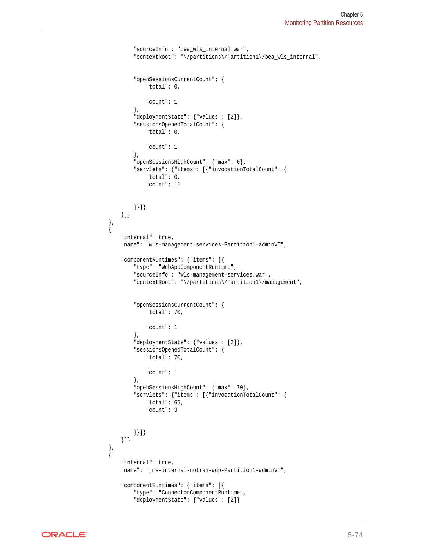```
 "sourceInfo": "bea_wls_internal.war",
             "contextRoot": "\/partitions\/Partition1\/bea_wls_internal",
             "openSessionsCurrentCount": {
                  "total": 0,
                 "count": 1
             },
             "deploymentState": {"values": [2]},
             "sessionsOpenedTotalCount": {
                 "total": 0,
                 "count": 1
             },
             "openSessionsHighCount": {"max": 0},
             "servlets": {"items": [{"invocationTotalCount": {
                 "total": 0,
                 "count": 11
             }}]}
         }]}
    },
    {
         "internal": true,
         "name": "wls-management-services-Partition1-adminVT",
         "componentRuntimes": {"items": [{
             "type": "WebAppComponentRuntime",
             "sourceInfo": "wls-management-services.war",
             "contextRoot": "\/partitions\/Partition1\/management",
             "openSessionsCurrentCount": {
                 "total": 70,
                  "count": 1
             },
             "deploymentState": {"values": [2]},
             "sessionsOpenedTotalCount": {
                 "total": 70,
                 "count": 1
             },
             "openSessionsHighCount": {"max": 70},
             "servlets": {"items": [{"invocationTotalCount": {
                 "total": 69,
                 "count": 3
             }}]}
         }]}
 },
\left\{\right. "internal": true,
         "name": "jms-internal-notran-adp-Partition1-adminVT",
         "componentRuntimes": {"items": [{
             "type": "ConnectorComponentRuntime",
             "deploymentState": {"values": [2]}
```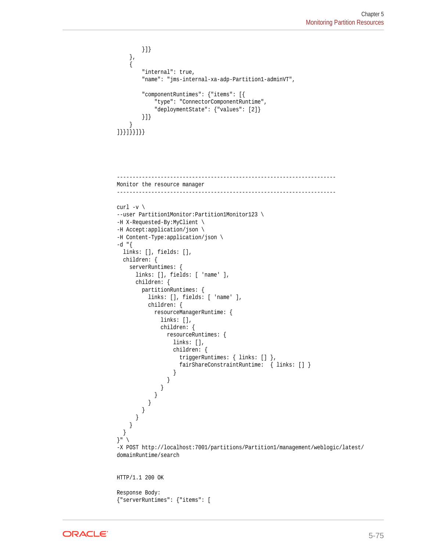```
 }]}
     },
\mathcal{A} "internal": true,
         "name": "jms-internal-xa-adp-Partition1-adminVT",
         "componentRuntimes": {"items": [{
             "type": "ConnectorComponentRuntime",
             "deploymentState": {"values": [2]}
         }]}
     }
]}}]}}]}}
----------------------------------------------------------------------
Monitor the resource manager
----------------------------------------------------------------------
curl -v \backslash--user Partition1Monitor:Partition1Monitor123 \
-H X-Requested-By:MyClient \
-H Accept:application/json \
-H Content-Type:application/json \
-d "\{ links: [], fields: [],
   children: {
     serverRuntimes: {
       links: [], fields: [ 'name' ],
       children: {
         partitionRuntimes: {
           links: [], fields: [ 'name' ],
           children: {
             resourceManagerRuntime: {
               links: [],
               children: {
                 resourceRuntimes: {
                   links: [],
                   children: {
                     triggerRuntimes: { links: [] },
                     fairShareConstraintRuntime: { links: [] }
 }
 }
 }
 }
 }
 }
      }
    }
   }
\left.\begin{array}{c} \end{array}\right\} "
-X POST http://localhost:7001/partitions/Partition1/management/weblogic/latest/
domainRuntime/search
HTTP/1.1 200 OK
Response Body:
{"serverRuntimes": {"items": [
```
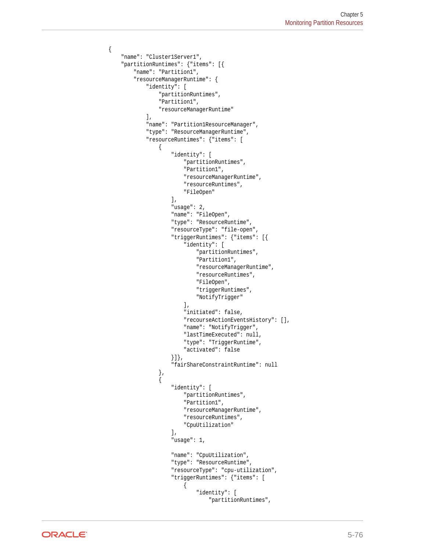```
 "name": "Cluster1Server1",
        "partitionRuntimes": {"items": [{
            "name": "Partition1",
            "resourceManagerRuntime": {
                "identity": [
                    "partitionRuntimes",
                    "Partition1",
                    "resourceManagerRuntime"
                ],
                "name": "Partition1ResourceManager",
                "type": "ResourceManagerRuntime",
                "resourceRuntimes": {"items": [
\{ "identity": [
                            "partitionRuntimes",
                            "Partition1",
                            "resourceManagerRuntime",
                            "resourceRuntimes",
                            "FileOpen"
 ],
                        "usage": 2,
                        "name": "FileOpen",
                        "type": "ResourceRuntime",
                        "resourceType": "file-open",
                        "triggerRuntimes": {"items": [{
                            "identity": [
                                "partitionRuntimes",
                                "Partition1",
                                "resourceManagerRuntime",
                                "resourceRuntimes",
                                "FileOpen",
                                "triggerRuntimes",
                                "NotifyTrigger"
\mathbf{1}, \mathbf{1}, \mathbf{1} "initiated": false,
                            "recourseActionEventsHistory": [],
                            "name": "NotifyTrigger",
                            "lastTimeExecuted": null,
                            "type": "TriggerRuntime",
                            "activated": false
                        }]},
                        "fairShareConstraintRuntime": null
                    },
\{ "identity": [
                            "partitionRuntimes",
                            "Partition1",
                            "resourceManagerRuntime",
                            "resourceRuntimes",
                            "CpuUtilization"
 ],
                        "usage": 1,
                        "name": "CpuUtilization",
                        "type": "ResourceRuntime",
                        "resourceType": "cpu-utilization",
                        "triggerRuntimes": {"items": [
{ } "identity": [
                                    "partitionRuntimes",
```
{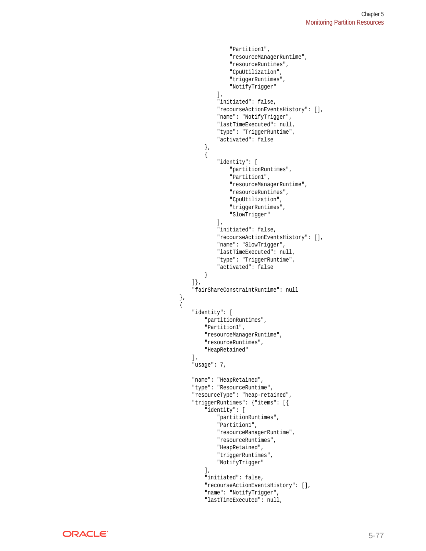```
 "Partition1",
                                      "resourceManagerRuntime",
                                      "resourceRuntimes",
                                      "CpuUtilization",
                                      "triggerRuntimes",
                                      "NotifyTrigger"
\mathbf{I}, \mathbf{I}, \mathbf{I} "initiated": false,
                                  "recourseActionEventsHistory": [],
                                  "name": "NotifyTrigger",
                                  "lastTimeExecuted": null,
                                  "type": "TriggerRuntime",
                                  "activated": false
\}, and the same state \}, and the same state \}, and the same state \}{ } "identity": [
                                      "partitionRuntimes",
                                      "Partition1",
                                      "resourceManagerRuntime",
                                      "resourceRuntimes",
                                      "CpuUtilization",
                                      "triggerRuntimes",
                                      "SlowTrigger"
\mathbf{I}, \mathbf{I}, \mathbf{I} "initiated": false,
                                  "recourseActionEventsHistory": [],
                                  "name": "SlowTrigger",
                                  "lastTimeExecuted": null,
                                  "type": "TriggerRuntime",
                                  "activated": false
 }
                         ]},
                         "fairShareConstraintRuntime": null
                         "identity": [
                             "partitionRuntimes",
                             "Partition1",
                             "resourceManagerRuntime",
                              "resourceRuntimes",
                              "HeapRetained"
 ],
                         "usage": 7,
                         "name": "HeapRetained",
                         "type": "ResourceRuntime",
                         "resourceType": "heap-retained",
                         "triggerRuntimes": {"items": [{
                             "identity": [
                                  "partitionRuntimes",
                                  "Partition1",
                                  "resourceManagerRuntime",
                                  "resourceRuntimes",
                                  "HeapRetained",
                                  "triggerRuntimes",
                                  "NotifyTrigger"
\mathbf{1}, \mathbf{1}, \mathbf{1} "initiated": false,
                              "recourseActionEventsHistory": [],
                              "name": "NotifyTrigger",
                              "lastTimeExecuted": null,
```
},

 $\{$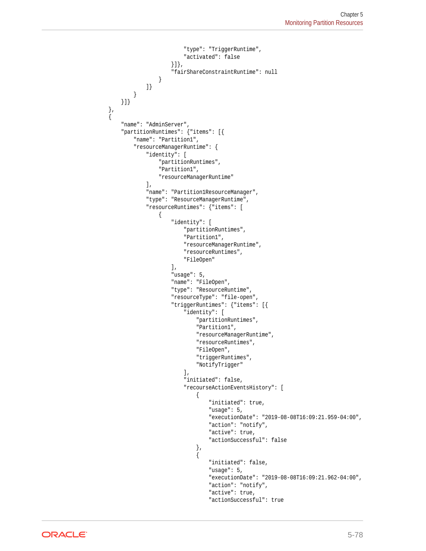```
 "type": "TriggerRuntime",
                           "activated": false
                       }]},
                       "fairShareConstraintRuntime": null
 }
               ]}
           }
       }]}
        "name": "AdminServer",
        "partitionRuntimes": {"items": [{
            "name": "Partition1",
            "resourceManagerRuntime": {
               "identity": [
                   "partitionRuntimes",
                   "Partition1",
                   "resourceManagerRuntime"
              \,],
                "name": "Partition1ResourceManager",
                "type": "ResourceManagerRuntime",
                "resourceRuntimes": {"items": [
\{ "identity": [
                           "partitionRuntimes",
                           "Partition1",
                           "resourceManagerRuntime",
                           "resourceRuntimes",
                           "FileOpen"
 ],
                       "usage": 5,
                       "name": "FileOpen",
                       "type": "ResourceRuntime",
                       "resourceType": "file-open",
                       "triggerRuntimes": {"items": [{
                           "identity": [
                               "partitionRuntimes",
                               "Partition1",
                               "resourceManagerRuntime",
                              "resourceRuntimes",
                               "FileOpen",
                              "triggerRuntimes",
                               "NotifyTrigger"
\mathbf{1}, \mathbf{1}, \mathbf{1} "initiated": false,
                           "recourseActionEventsHistory": [
\{ "initiated": true,
                                  "usage": 5,
                                   "executionDate": "2019-08-08T16:09:21.959-04:00",
                                 "action": "notify",
                                  "active": true,
                                  "actionSuccessful": false
 },
\{ "initiated": false,
                                   "usage": 5,
                                   "executionDate": "2019-08-08T16:09:21.962-04:00",
                                  "action": "notify",
                                   "active": true,
                                   "actionSuccessful": true
```
 },  $\left\{\right.$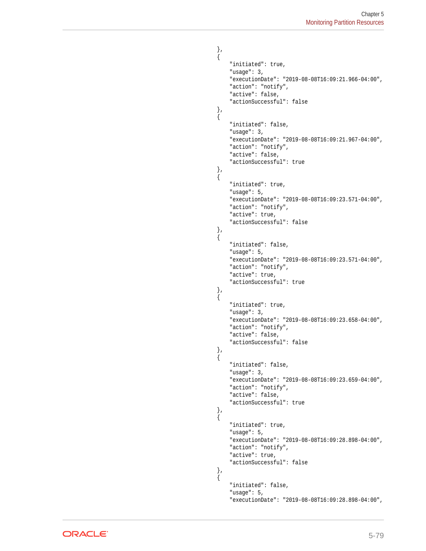```
 },
\{ "initiated": true,
                            "usage": 3,
                            "executionDate": "2019-08-08T16:09:21.966-04:00",
                            "action": "notify",
                            "active": false,
                            "actionSuccessful": false
 },
\{ "initiated": false,
                            "usage": 3,
                            "executionDate": "2019-08-08T16:09:21.967-04:00",
                            "action": "notify",
                            "active": false,
                            "actionSuccessful": true
 },
\{ "initiated": true,
                            "usage": 5,
                            "executionDate": "2019-08-08T16:09:23.571-04:00",
                            "action": "notify",
                            "active": true,
                            "actionSuccessful": false
 },
\{ "initiated": false,
                            "usage": 5,
                            "executionDate": "2019-08-08T16:09:23.571-04:00",
                           "action": "notify",
                            "active": true,
                            "actionSuccessful": true
\}, and the contract of \}, and the contract of \{x_i\}\{ "initiated": true,
                            "usage": 3,
                            "executionDate": "2019-08-08T16:09:23.658-04:00",
                            "action": "notify",
                            "active": false,
                            "actionSuccessful": false
 },
\{ "initiated": false,
                            "usage": 3,
                            "executionDate": "2019-08-08T16:09:23.659-04:00",
                            "action": "notify",
                            "active": false,
                            "actionSuccessful": true
 },
\{ "initiated": true,
                            "usage": 5,
                            "executionDate": "2019-08-08T16:09:28.898-04:00",
                            "action": "notify",
                            "active": true,
                            "actionSuccessful": false
 },
\{ "initiated": false,
                            "usage": 5,
                            "executionDate": "2019-08-08T16:09:28.898-04:00",
```
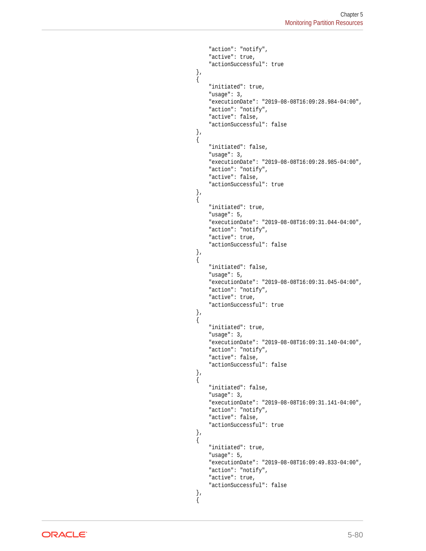```
"action": "notify",
                            "active": true,
                            "actionSuccessful": true
 },
\{ "initiated": true,
                            "usage": 3,
                            "executionDate": "2019-08-08T16:09:28.984-04:00",
                            "action": "notify",
                            "active": false,
                            "actionSuccessful": false
 },
\{ "initiated": false,
                            "usage": 3,
                            "executionDate": "2019-08-08T16:09:28.985-04:00",
                            "action": "notify",
                            "active": false,
                            "actionSuccessful": true
 },
\{ "initiated": true,
                            "usage": 5,
                            "executionDate": "2019-08-08T16:09:31.044-04:00",
                            "action": "notify",
                            "active": true,
                            "actionSuccessful": false
\}, and the contract of \}, and the contract of \{x_i\}\{ "initiated": false,
                            "usage": 5,
                            "executionDate": "2019-08-08T16:09:31.045-04:00",
                           "action": "notify",
                            "active": true,
                            "actionSuccessful": true
 },
\{ "initiated": true,
                            "usage": 3,
                            "executionDate": "2019-08-08T16:09:31.140-04:00",
                            "action": "notify",
                            "active": false,
                            "actionSuccessful": false
 },
\{ "initiated": false,
                            "usage": 3,
                            "executionDate": "2019-08-08T16:09:31.141-04:00",
                            "action": "notify",
                            "active": false,
                            "actionSuccessful": true
 },
\{ "initiated": true,
                            "usage": 5,
                            "executionDate": "2019-08-08T16:09:49.833-04:00",
                           "action": "notify",
                            "active": true,
                            "actionSuccessful": false
 },
\{
```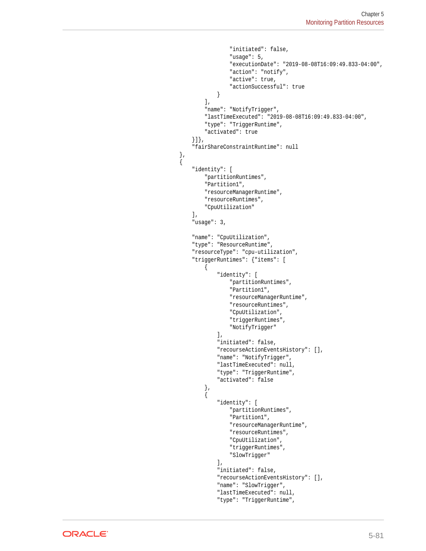```
 "initiated": false,
                                                 "usage": 5,
                                                 "executionDate": "2019-08-08T16:09:49.833-04:00",
                                                 "action": "notify",
                                                 "active": true,
                                                 "actionSuccessful": true
 }
\mathbf{I}, \mathbf{I}, \mathbf{I}, \mathbf{I}, \mathbf{I}, \mathbf{I}, \mathbf{I}, \mathbf{I}, \mathbf{I}, \mathbf{I}, \mathbf{I}, \mathbf{I}, \mathbf{I}, \mathbf{I}, \mathbf{I}, \mathbf{I}, \mathbf{I}, \mathbf{I}, \mathbf{I}, \mathbf{I}, \mathbf{I}, \mathbf{I},  "name": "NotifyTrigger",
                                       "lastTimeExecuted": "2019-08-08T16:09:49.833-04:00",
                                      "type": "TriggerRuntime",
                                       "activated": true
                                 }]},
                                 "fairShareConstraintRuntime": null
                           },
\{ "identity": [
                                      "partitionRuntimes",
                                      "Partition1",
                                      "resourceManagerRuntime",
                                      "resourceRuntimes",
                                      "CpuUtilization"
\mathbf{1}, \mathbf{1}, \mathbf{1}, \mathbf{1}, \mathbf{1}, \mathbf{1}, \mathbf{1}, \mathbf{1}, \mathbf{1}, \mathbf{1}, \mathbf{1}, \mathbf{1}, \mathbf{1}, \mathbf{1}, \mathbf{1}, \mathbf{1}, \mathbf{1}, \mathbf{1}, \mathbf{1}, \mathbf{1}, \mathbf{1}, \mathbf{1},  "usage": 3,
                                 "name": "CpuUtilization",
                                 "type": "ResourceRuntime",
                                 "resourceType": "cpu-utilization",
                                 "triggerRuntimes": {"items": [
{ } "identity": [
                                                 "partitionRuntimes",
                                                  "Partition1",
                                                  "resourceManagerRuntime",
                                                  "resourceRuntimes",
                                                 "CpuUtilization",
                                                 "triggerRuntimes",
                                                 "NotifyTrigger"
\mathbf{I}, \mathbf{I}, \mathbf{I} "initiated": false,
                                            "recourseActionEventsHistory": [],
                                            "name": "NotifyTrigger",
                                            "lastTimeExecuted": null,
                                            "type": "TriggerRuntime",
                                            "activated": false
\}, and the same state \}, and the same state \}, and the same state \{x_i\}{ } "identity": [
                                                 "partitionRuntimes",
                                                 "Partition1",
                                                 "resourceManagerRuntime",
                                                 "resourceRuntimes",
                                                  "CpuUtilization",
                                                  "triggerRuntimes",
                                                 "SlowTrigger"
\mathbf{I}, \mathbf{I}, \mathbf{I} "initiated": false,
                                            "recourseActionEventsHistory": [],
                                            "name": "SlowTrigger",
                                            "lastTimeExecuted": null,
                                            "type": "TriggerRuntime",
```
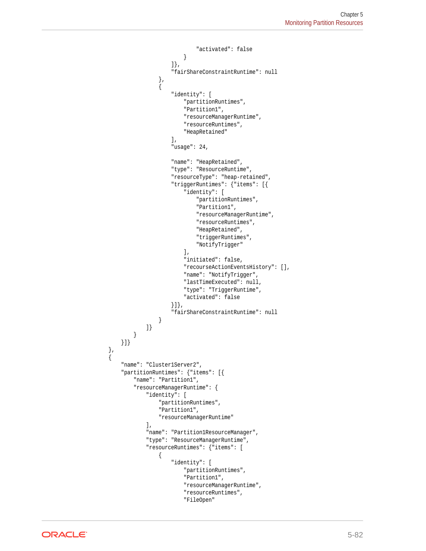```
 "activated": false
 }
                                  ]},
                                   "fairShareConstraintRuntime": null
                            },
\{ "identity": [
                                        "partitionRuntimes",
                                        "Partition1",
                                        "resourceManagerRuntime",
                                        "resourceRuntimes",
                                        "HeapRetained"
\mathbf{1}, \mathbf{1}, \mathbf{1}, \mathbf{1}, \mathbf{1}, \mathbf{1}, \mathbf{1}, \mathbf{1}, \mathbf{1}, \mathbf{1}, \mathbf{1}, \mathbf{1}, \mathbf{1}, \mathbf{1}, \mathbf{1}, \mathbf{1}, \mathbf{1}, \mathbf{1}, \mathbf{1}, \mathbf{1}, \mathbf{1}, \mathbf{1},  "usage": 24,
                                  "name": "HeapRetained",
                                  "type": "ResourceRuntime",
                                  "resourceType": "heap-retained",
                                  "triggerRuntimes": {"items": [{
                                        "identity": [
                                              "partitionRuntimes",
                                              "Partition1",
                                              "resourceManagerRuntime",
                                              "resourceRuntimes",
                                              "HeapRetained",
                                              "triggerRuntimes",
                                              "NotifyTrigger"
\mathbf{I}, \mathbf{I}, \mathbf{I}, \mathbf{I}, \mathbf{I}, \mathbf{I}, \mathbf{I}, \mathbf{I}, \mathbf{I}, \mathbf{I}, \mathbf{I}, \mathbf{I}, \mathbf{I}, \mathbf{I}, \mathbf{I}, \mathbf{I}, \mathbf{I}, \mathbf{I}, \mathbf{I}, \mathbf{I}, \mathbf{I}, \mathbf{I},  "initiated": false,
                                        "recourseActionEventsHistory": [],
                                        "name": "NotifyTrigger",
                                        "lastTimeExecuted": null,
                                        "type": "TriggerRuntime",
                                        "activated": false
                                  }]},
                                   "fairShareConstraintRuntime": null
 }
                       ]}
                 }
           }]}
      },
     \overline{\mathcal{E}} "name": "Cluster1Server2",
           "partitionRuntimes": {"items": [{
                 "name": "Partition1",
                 "resourceManagerRuntime": {
                       "identity": [
                             "partitionRuntimes",
                             "Partition1",
                             "resourceManagerRuntime"
                       ],
                       "name": "Partition1ResourceManager",
                       "type": "ResourceManagerRuntime",
                       "resourceRuntimes": {"items": [
\{ "identity": [
                                        "partitionRuntimes",
                                        "Partition1",
                                        "resourceManagerRuntime",
                                        "resourceRuntimes",
                                        "FileOpen"
```
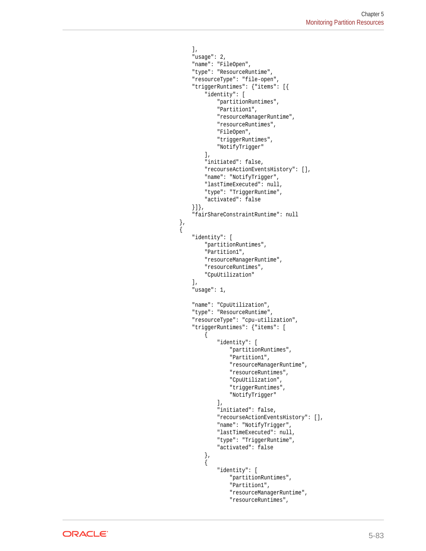```
 ],
                         "usage": 2,
                         "name": "FileOpen",
                         "type": "ResourceRuntime",
                         "resourceType": "file-open",
                         "triggerRuntimes": {"items": [{
                             "identity": [
                                 "partitionRuntimes",
                                 "Partition1",
                                 "resourceManagerRuntime",
                                 "resourceRuntimes",
                                 "FileOpen",
                                 "triggerRuntimes",
                                 "NotifyTrigger"
\mathbf{1}, \mathbf{1}, \mathbf{1} "initiated": false,
                             "recourseActionEventsHistory": [],
                             "name": "NotifyTrigger",
                             "lastTimeExecuted": null,
                             "type": "TriggerRuntime",
                             "activated": false
                         }]},
                         "fairShareConstraintRuntime": null
                         "identity": [
                             "partitionRuntimes",
                             "Partition1",
                             "resourceManagerRuntime",
                             "resourceRuntimes",
                             "CpuUtilization"
 ],
                         "usage": 1,
                         "name": "CpuUtilization",
                         "type": "ResourceRuntime",
                         "resourceType": "cpu-utilization",
                         "triggerRuntimes": {"items": [
{ } "identity": [
                                     "partitionRuntimes",
                                     "Partition1",
                                     "resourceManagerRuntime",
                                     "resourceRuntimes",
                                     "CpuUtilization",
                                     "triggerRuntimes",
                                     "NotifyTrigger"
\mathbf{1}, \mathbf{1}, \mathbf{1} "initiated": false,
                                 "recourseActionEventsHistory": [],
                                 "name": "NotifyTrigger",
                                 "lastTimeExecuted": null,
                                 "type": "TriggerRuntime",
                                 "activated": false
\}, and the same state \}, and the same state \}, and the same state \{x_i\}{ } "identity": [
                                     "partitionRuntimes",
                                     "Partition1",
                                     "resourceManagerRuntime",
                                     "resourceRuntimes",
```
},

 $\{$ 

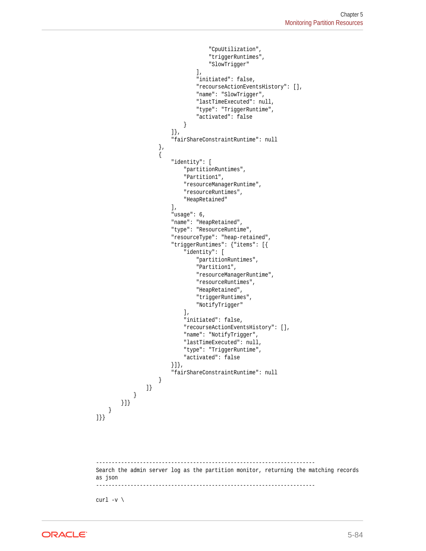```
 "CpuUtilization",
                                    "triggerRuntimes",
                                    "SlowTrigger"
\mathbf{I}, \mathbf{I}, \mathbf{I} "initiated": false,
                                "recourseActionEventsHistory": [],
                                "name": "SlowTrigger",
                                "lastTimeExecuted": null,
                                "type": "TriggerRuntime",
                                "activated": false
 }
                        ]},
                        "fairShareConstraintRuntime": null
                    },
\{ "identity": [
                            "partitionRuntimes",
                            "Partition1",
                            "resourceManagerRuntime",
                            "resourceRuntimes",
                            "HeapRetained"
                        ],
                        "usage": 6,
                        "name": "HeapRetained",
                        "type": "ResourceRuntime",
                        "resourceType": "heap-retained",
                        "triggerRuntimes": {"items": [{
                            "identity": [
                                "partitionRuntimes",
                                "Partition1",
                                "resourceManagerRuntime",
                                "resourceRuntimes",
                                "HeapRetained",
                                "triggerRuntimes",
                                "NotifyTrigger"
\mathbf{1}, \mathbf{1}, \mathbf{1} "initiated": false,
                            "recourseActionEventsHistory": [],
                            "name": "NotifyTrigger",
                            "lastTimeExecuted": null,
                            "type": "TriggerRuntime",
                            "activated": false
                        }]},
                        "fairShareConstraintRuntime": null
 }
                ]}
            }
        }]}
    }
]}}
               -Search the admin server log as the partition monitor, returning the matching records 
as json
                 ----------------------------------------------------------------------
```
curl  $-v \backslash$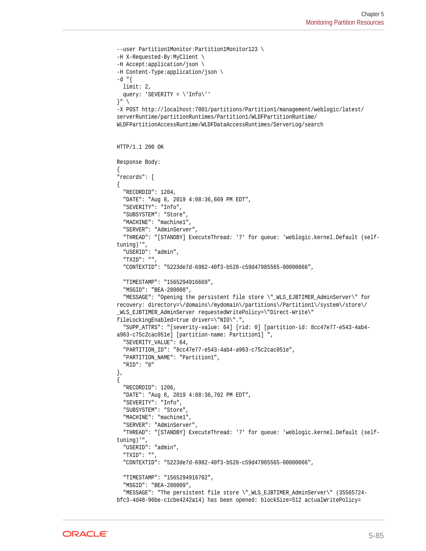```
--user Partition1Monitor:Partition1Monitor123 \
-H X-Requested-By:MyClient \
-H Accept:application/json \
-H Content-Type:application/json \
-d "\{ limit: 2,
   query: 'SEVERITY = \'Info\''
}" \
-X POST http://localhost:7001/partitions/Partition1/management/weblogic/latest/
serverRuntime/partitionRuntimes/Partition1/WLDFPartitionRuntime/
WLDFPartitionAccessRuntime/WLDFDataAccessRuntimes/ServerLog/search
HTTP/1.1 200 OK
Response Body:
{
"records": [
{
   "RECORDID": 1204,
   "DATE": "Aug 8, 2019 4:08:36,669 PM EDT",
   "SEVERITY": "Info",
   "SUBSYSTEM": "Store",
   "MACHINE": "machine1",
   "SERVER": "AdminServer",
   "THREAD": "[STANDBY] ExecuteThread: '7' for queue: 'weblogic.kernel.Default (self-
tuning)'",
   "USERID": "admin",
   "TXID": "",
   "CONTEXTID": "5223de7d-6982-40f3-b528-c59d47985565-00000066",
   "TIMESTAMP": "1565294916669",
   "MSGID": "BEA-280008",
   "MESSAGE": "Opening the persistent file store \"_WLS_EJBTIMER_AdminServer\" for 
recovery: directory=\/domains\/mydomain\/partitions\/Partition1\/system\/store\/
WLS EJBTIMER AdminServer requestedWritePolicy=\"Direct-Write\"
fileLockingEnabled=true driver=\"NIO\".",
   "SUPP_ATTRS": "[severity-value: 64] [rid: 0] [partition-id: 8cc47e77-e543-4ab4-
a963-c75c2cac051e] [partition-name: Partition1] ",
   "SEVERITY_VALUE": 64,
   "PARTITION_ID": "8cc47e77-e543-4ab4-a963-c75c2cac051e",
   "PARTITION_NAME": "Partition1",
   "RID": "0"
},
{
   "RECORDID": 1206,
   "DATE": "Aug 8, 2019 4:08:36,702 PM EDT",
   "SEVERITY": "Info",
   "SUBSYSTEM": "Store",
   "MACHINE": "machine1",
   "SERVER": "AdminServer",
   "THREAD": "[STANDBY] ExecuteThread: '7' for queue: 'weblogic.kernel.Default (self-
tuning)'",
   "USERID": "admin",
   "TXID": "",
   "CONTEXTID": "5223de7d-6982-40f3-b528-c59d47985565-00000066",
   "TIMESTAMP": "1565294916702",
   "MSGID": "BEA-280009",
   "MESSAGE": "The persistent file store \"_WLS_EJBTIMER_AdminServer\" (35565724-
bfc3-4d48-96be-c1cbe4242a14) has been opened: blockSize=512 actualWritePolicy=
```
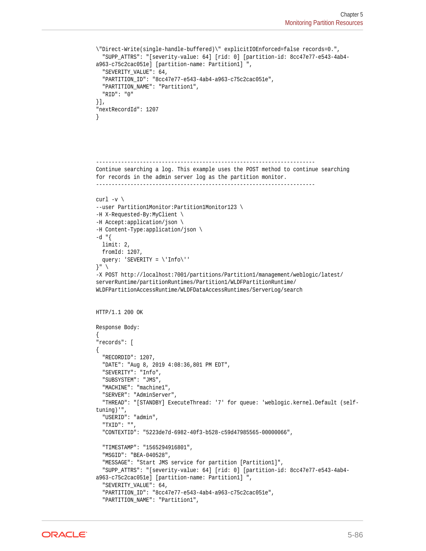```
\"Direct-Write(single-handle-buffered)\" explicitIOEnforced=false records=0.",
   "SUPP_ATTRS": "[severity-value: 64] [rid: 0] [partition-id: 8cc47e77-e543-4ab4-
a963-c75c2cac051e] [partition-name: Partition1] ",
   "SEVERITY_VALUE": 64,
   "PARTITION_ID": "8cc47e77-e543-4ab4-a963-c75c2cac051e",
   "PARTITION_NAME": "Partition1",
   "RID": "0"
}],
"nextRecordId": 1207
}
----------------------------------------------------------------------
Continue searching a log. This example uses the POST method to continue searching 
for records in the admin server log as the partition monitor.
----------------------------------------------------------------------
curl -v \backslash--user Partition1Monitor:Partition1Monitor123 \
-H X-Requested-By:MyClient \
-H Accept:application/json \
-H Content-Type:application/json \
-d "\{ limit: 2,
  fromId: 1207,
   query: 'SEVERITY = \'Info\''
}" \
-X POST http://localhost:7001/partitions/Partition1/management/weblogic/latest/
serverRuntime/partitionRuntimes/Partition1/WLDFPartitionRuntime/
WLDFPartitionAccessRuntime/WLDFDataAccessRuntimes/ServerLog/search
HTTP/1.1 200 OK
Response Body:
{
"records": [
{
   "RECORDID": 1207,
   "DATE": "Aug 8, 2019 4:08:36,801 PM EDT",
   "SEVERITY": "Info",
   "SUBSYSTEM": "JMS",
   "MACHINE": "machine1",
   "SERVER": "AdminServer",
   "THREAD": "[STANDBY] ExecuteThread: '7' for queue: 'weblogic.kernel.Default (self-
tuning)'",
   "USERID": "admin",
   "TXID": "",
   "CONTEXTID": "5223de7d-6982-40f3-b528-c59d47985565-00000066",
   "TIMESTAMP": "1565294916801",
   "MSGID": "BEA-040528",
   "MESSAGE": "Start JMS service for partition [Partition1]",
   "SUPP_ATTRS": "[severity-value: 64] [rid: 0] [partition-id: 8cc47e77-e543-4ab4-
a963-c75c2cac051e] [partition-name: Partition1] ",
   "SEVERITY_VALUE": 64,
   "PARTITION_ID": "8cc47e77-e543-4ab4-a963-c75c2cac051e",
   "PARTITION_NAME": "Partition1",
```
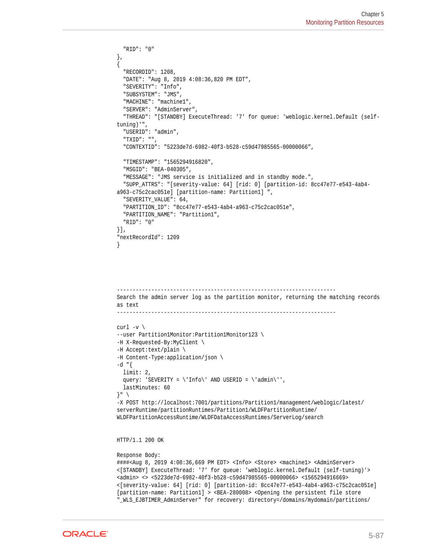```
 "RID": "0"
},
{
   "RECORDID": 1208,
   "DATE": "Aug 8, 2019 4:08:36,820 PM EDT",
   "SEVERITY": "Info",
   "SUBSYSTEM": "JMS",
   "MACHINE": "machine1",
   "SERVER": "AdminServer",
   "THREAD": "[STANDBY] ExecuteThread: '7' for queue: 'weblogic.kernel.Default (self-
tuning)'",
   "USERID": "admin",
   "TXID": "",
   "CONTEXTID": "5223de7d-6982-40f3-b528-c59d47985565-00000066",
   "TIMESTAMP": "1565294916820",
   "MSGID": "BEA-040305",
   "MESSAGE": "JMS service is initialized and in standby mode.",
   "SUPP_ATTRS": "[severity-value: 64] [rid: 0] [partition-id: 8cc47e77-e543-4ab4-
a963-c75c2cac051e] [partition-name: Partition1] ",
   "SEVERITY_VALUE": 64,
   "PARTITION_ID": "8cc47e77-e543-4ab4-a963-c75c2cac051e",
   "PARTITION_NAME": "Partition1",
   "RID": "0"
}],
"nextRecordId": 1209
}
        ----------------------------------------------------------------------
Search the admin server log as the partition monitor, returning the matching records 
as text
    ----------------------------------------------------------------------
curl -v \backslash--user Partition1Monitor:Partition1Monitor123 \
-H X-Requested-By:MyClient \
-H Accept:text/plain \
-H Content-Type:application/json \
-d "{
  limit: 2,
  query: 'SEVERITY = \lin{of'} AND USERID = \land admin\lor',
   lastMinutes: 60
\}" \
-X POST http://localhost:7001/partitions/Partition1/management/weblogic/latest/
serverRuntime/partitionRuntimes/Partition1/WLDFPartitionRuntime/
WLDFPartitionAccessRuntime/WLDFDataAccessRuntimes/ServerLog/search
HTTP/1.1 200 OK
Response Body:
####<Aug 8, 2019 4:08:36,669 PM EDT> <Info> <Store> <machine1> <AdminServer>
```

```
<[STANDBY] ExecuteThread: '7' for queue: 'weblogic.kernel.Default (self-tuning)'> 
<admin> <> <5223de7d-6982-40f3-b528-c59d47985565-00000066> <1565294916669> 
<[severity-value: 64] [rid: 0] [partition-id: 8cc47e77-e543-4ab4-a963-c75c2cac051e] 
[partition-name: Partition1] > <BEA-280008> <Opening the persistent file store 
"_WLS_EJBTIMER_AdminServer" for recovery: directory=/domains/mydomain/partitions/
```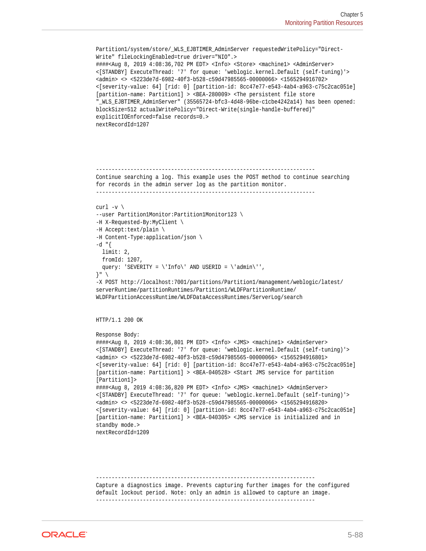```
Partition1/system/store/_WLS_EJBTIMER_AdminServer requestedWritePolicy="Direct-
Write" fileLockingEnabled=true driver="NIO".> 
####<Aug 8, 2019 4:08:36,702 PM EDT> <Info> <Store> <machine1> <AdminServer> 
<[STANDBY] ExecuteThread: '7' for queue: 'weblogic.kernel.Default (self-tuning)'> 
<admin> <> <5223de7d-6982-40f3-b528-c59d47985565-00000066> <1565294916702> 
<[severity-value: 64] [rid: 0] [partition-id: 8cc47e77-e543-4ab4-a963-c75c2cac051e] 
[partition-name: Partition1] > <BEA-280009> <The persistent file store 
"_WLS_EJBTIMER_AdminServer" (35565724-bfc3-4d48-96be-c1cbe4242a14) has been opened: 
blockSize=512 actualWritePolicy="Direct-Write(single-handle-buffered)" 
explicitIOEnforced=false records=0.> 
nextRecordId=1207
----------------------------------------------------------------------
Continue searching a log. This example uses the POST method to continue searching 
for records in the admin server log as the partition monitor.
----------------------------------------------------------------------
curl -v \backslash--user Partition1Monitor:Partition1Monitor123 \
-H X-Requested-By:MyClient \
-H Accept:text/plain \
-H Content-Type:application/json \
-d "\{ limit: 2,
   fromId: 1207,
  query: 'SEVERITY = \langle'Info\langle' AND USERID = \langle'admin\langle'',
\} " \setminus-X POST http://localhost:7001/partitions/Partition1/management/weblogic/latest/
serverRuntime/partitionRuntimes/Partition1/WLDFPartitionRuntime/
WLDFPartitionAccessRuntime/WLDFDataAccessRuntimes/ServerLog/search
HTTP/1.1 200 OK
Response Body:
####<Aug 8, 2019 4:08:36,801 PM EDT> <Info> <JMS> <machine1> <AdminServer> 
<[STANDBY] ExecuteThread: '7' for queue: 'weblogic.kernel.Default (self-tuning)'> 
<admin> <> <5223de7d-6982-40f3-b528-c59d47985565-00000066> <1565294916801> 
<[severity-value: 64] [rid: 0] [partition-id: 8cc47e77-e543-4ab4-a963-c75c2cac051e] 
[partition-name: Partition1] > <BEA-040528> <Start JMS service for partition 
[Partition1]>
####<Aug 8, 2019 4:08:36,820 PM EDT> <Info> <JMS> <machine1> <AdminServer>
<[STANDBY] ExecuteThread: '7' for queue: 'weblogic.kernel.Default (self-tuning)'> 
<admin> <> <5223de7d-6982-40f3-b528-c59d47985565-00000066> <1565294916820> 
<[severity-value: 64] [rid: 0] [partition-id: 8cc47e77-e543-4ab4-a963-c75c2cac051e] 
[partition-name: Partition1] > <BEA-040305> <JMS service is initialized and in 
standby mode.> 
nextRecordId=1209
```
---------------------------------------------------------------------- Capture a diagnostics image. Prevents capturing further images for the configured default lockout period. Note: only an admin is allowed to capture an image. ----------------------------------------------------------------------

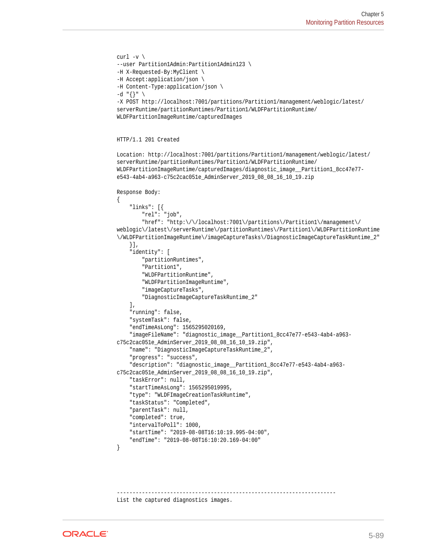```
curl -v \backslash--user Partition1Admin:Partition1Admin123 \
-H X-Requested-By:MyClient \
-H Accept:application/json \
-H Content-Type:application/json \
-d "\{\}" \setminus-X POST http://localhost:7001/partitions/Partition1/management/weblogic/latest/
serverRuntime/partitionRuntimes/Partition1/WLDFPartitionRuntime/
WLDFPartitionImageRuntime/capturedImages
HTTP/1.1 201 Created
Location: http://localhost:7001/partitions/Partition1/management/weblogic/latest/
serverRuntime/partitionRuntimes/Partition1/WLDFPartitionRuntime/
WLDFPartitionImageRuntime/capturedImages/diagnostic_image__Partition1_8cc47e77-
e543-4ab4-a963-c75c2cac051e_AdminServer_2019_08_08_16_10_19.zip
Response Body:
{
     "links": [{
         "rel": "job",
         "href": "http:\/\/localhost:7001\/partitions\/Partition1\/management\/
weblogic\/latest\/serverRuntime\/partitionRuntimes\/Partition1\/WLDFPartitionRuntime
\/WLDFPartitionImageRuntime\/imageCaptureTasks\/DiagnosticImageCaptureTaskRuntime_2"
     }],
     "identity": [
         "partitionRuntimes",
         "Partition1",
         "WLDFPartitionRuntime",
         "WLDFPartitionImageRuntime",
         "imageCaptureTasks",
         "DiagnosticImageCaptureTaskRuntime_2"
     ],
     "running": false,
     "systemTask": false,
     "endTimeAsLong": 1565295020169,
     "imageFileName": "diagnostic_image__Partition1_8cc47e77-e543-4ab4-a963-
c75c2cac051e_AdminServer_2019_08_08_16_10_19.zip",
     "name": "DiagnosticImageCaptureTaskRuntime_2",
     "progress": "success",
     "description": "diagnostic_image__Partition1_8cc47e77-e543-4ab4-a963-
c75c2cac051e_AdminServer_2019_08_08_16_10_19.zip",
     "taskError": null,
     "startTimeAsLong": 1565295019995,
     "type": "WLDFImageCreationTaskRuntime",
     "taskStatus": "Completed",
     "parentTask": null,
     "completed": true,
     "intervalToPoll": 1000,
     "startTime": "2019-08-08T16:10:19.995-04:00",
     "endTime": "2019-08-08T16:10:20.169-04:00"
}
```
---------------------------------------------------------------------- List the captured diagnostics images.

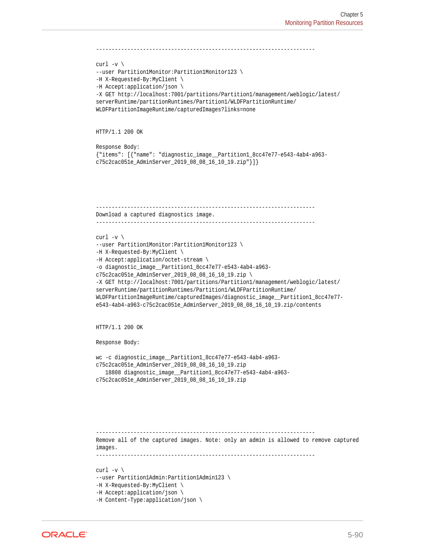```
----------------------------------------------------------------------
curl -v \backslash--user Partition1Monitor:Partition1Monitor123 \
-H X-Requested-By:MyClient \
-H Accept:application/json \
-X GET http://localhost:7001/partitions/Partition1/management/weblogic/latest/
serverRuntime/partitionRuntimes/Partition1/WLDFPartitionRuntime/
WLDFPartitionImageRuntime/capturedImages?links=none
HTTP/1.1 200 OK
Response Body:
{"items": [{"name": "diagnostic_image__Partition1_8cc47e77-e543-4ab4-a963-
c75c2cac051e_AdminServer_2019_08_08_16_10_19.zip"}]}
----------------------------------------------------------------------
Download a captured diagnostics image.
                                        ----------------------------------------------------------------------
curl -v \backslash--user Partition1Monitor:Partition1Monitor123 \
-H X-Requested-By:MyClient \
-H Accept:application/octet-stream \
-o diagnostic_image__Partition1_8cc47e77-e543-4ab4-a963-
c75c2cac051e_AdminServer_2019_08_08_16_10_19.zip \
-X GET http://localhost:7001/partitions/Partition1/management/weblogic/latest/
serverRuntime/partitionRuntimes/Partition1/WLDFPartitionRuntime/
WLDFPartitionImageRuntime/capturedImages/diagnostic_image__Partition1_8cc47e77-
e543-4ab4-a963-c75c2cac051e_AdminServer_2019_08_08_16_10_19.zip/contents
HTTP/1.1 200 OK
Response Body:
wc -c diagnostic_image__Partition1_8cc47e77-e543-4ab4-a963-
c75c2cac051e_AdminServer_2019_08_08_16_10_19.zip
    18808 diagnostic_image__Partition1_8cc47e77-e543-4ab4-a963-
c75c2cac051e_AdminServer_2019_08_08_16_10_19.zip
 ----------------------------------------------------------------------
Remove all of the captured images. Note: only an admin is allowed to remove captured 
images.
          ----------------------------------------------------------------------
curl -v \backslash--user Partition1Admin:Partition1Admin123 \
-H X-Requested-By:MyClient \
-H Accept:application/json \
-H Content-Type:application/json \
```
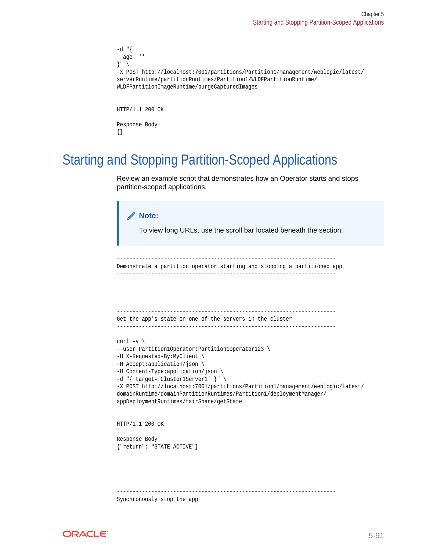```
-d "\{ age: ''
}" \
-X POST http://localhost:7001/partitions/Partition1/management/weblogic/latest/
serverRuntime/partitionRuntimes/Partition1/WLDFPartitionRuntime/
WLDFPartitionImageRuntime/purgeCapturedImages
HTTP/1.1 200 OK
Response Body:
{}
```
## Starting and Stopping Partition-Scoped Applications

Review an example script that demonstrates how an Operator starts and stops partition-scoped applications.

```
Note:
       To view long URLs, use the scroll bar located beneath the section.
            ----------------------------------------------------------------------
Demonstrate a partition operator starting and stopping a partitioned app
       -----------------------------------------------------------------------
Get the app's state on one of the servers in the cluster
----------------------------------------------------------------------
curl -v \backslash--user Partition1Operator:Partition1Operator123 \
-H X-Requested-By:MyClient \
-H Accept:application/json \
-H Content-Type:application/json \
-d "{ target='Cluster1Server1' }" \
-X POST http://localhost:7001/partitions/Partition1/management/weblogic/latest/
domainRuntime/domainPartitionRuntimes/Partition1/deploymentManager/
appDeploymentRuntimes/fairShare/getState
HTTP/1.1 200 OK
Response Body:
{"return": "STATE_ACTIVE"}
   ----------------------------------------------------------------------
Synchronously stop the app
```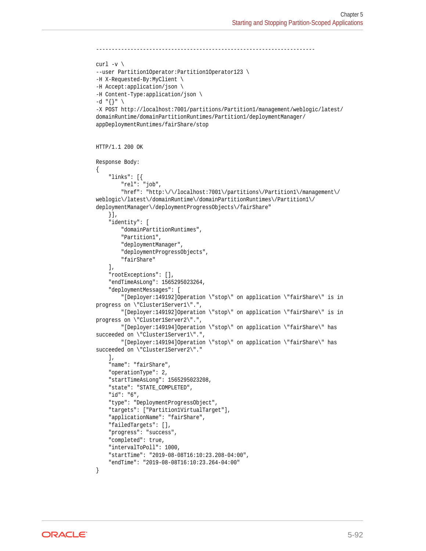```
----------------------------------------------------------------------
curl -v \backslash--user Partition1Operator:Partition1Operator123 \
-H X-Requested-By:MyClient \
-H Accept:application/json \
-H Content-Type:application/json \
-d "{}" \
-X POST http://localhost:7001/partitions/Partition1/management/weblogic/latest/
domainRuntime/domainPartitionRuntimes/Partition1/deploymentManager/
appDeploymentRuntimes/fairShare/stop
HTTP/1.1 200 OK
Response Body:
{
     "links": [{
         "rel": "job",
         "href": "http:\/\/localhost:7001\/partitions\/Partition1\/management\/
weblogic\/latest\/domainRuntime\/domainPartitionRuntimes\/Partition1\/
deploymentManager\/deploymentProgressObjects\/fairShare"
     }],
     "identity": [
         "domainPartitionRuntimes",
         "Partition1",
         "deploymentManager",
         "deploymentProgressObjects",
         "fairShare"
    \cdot "rootExceptions": [],
     "endTimeAsLong": 1565295023264,
     "deploymentMessages": [
         "[Deployer:149192]Operation \"stop\" on application \"fairShare\" is in 
progress on \"Cluster1Server1\".",
         "[Deployer:149192]Operation \"stop\" on application \"fairShare\" is in 
progress on \"Cluster1Server2\".",
         "[Deployer:149194]Operation \"stop\" on application \"fairShare\" has 
succeeded on \"Cluster1Server1\".",
         "[Deployer:149194]Operation \"stop\" on application \"fairShare\" has 
succeeded on \"Cluster1Server2\"."
     ],
     "name": "fairShare",
     "operationType": 2,
     "startTimeAsLong": 1565295023208,
     "state": "STATE_COMPLETED",
     "id": "6",
     "type": "DeploymentProgressObject",
     "targets": ["Partition1VirtualTarget"],
     "applicationName": "fairShare",
     "failedTargets": [],
     "progress": "success",
     "completed": true,
     "intervalToPoll": 1000,
     "startTime": "2019-08-08T16:10:23.208-04:00",
     "endTime": "2019-08-08T16:10:23.264-04:00"
}
```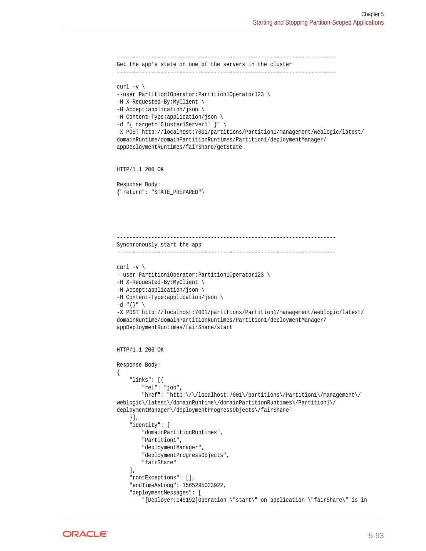```
----------------------------------------------------------------------
Get the app's state on one of the servers in the cluster
----------------------------------------------------------------------
curl -v \backslash--user Partition1Operator:Partition1Operator123 \
-H X-Requested-By:MyClient \
-H Accept:application/json \
-H Content-Type:application/json \
-d "{ target='Cluster1Server1' }" \
-X POST http://localhost:7001/partitions/Partition1/management/weblogic/latest/
domainRuntime/domainPartitionRuntimes/Partition1/deploymentManager/
appDeploymentRuntimes/fairShare/getState
HTTP/1.1 200 OK
Response Body:
{"return": "STATE_PREPARED"}
                            ----------------------------------------------------------------------
Synchronously start the app
                            ----------------------------------------------------------------------
curl -v \backslash--user Partition1Operator:Partition1Operator123 \
-H X-Requested-By:MyClient \
-H Accept:application/json \
-H Content-Type:application/json \
-d "\{\}" \
-X POST http://localhost:7001/partitions/Partition1/management/weblogic/latest/
domainRuntime/domainPartitionRuntimes/Partition1/deploymentManager/
appDeploymentRuntimes/fairShare/start
HTTP/1.1 200 OK
Response Body:
{
     "links": [{
         "rel": "job",
          "href": "http:\/\/localhost:7001\/partitions\/Partition1\/management\/
weblogic\/latest\/domainRuntime\/domainPartitionRuntimes\/Partition1\/
deploymentManager\/deploymentProgressObjects\/fairShare"
     }],
     "identity": [
          "domainPartitionRuntimes",
          "Partition1",
          "deploymentManager",
          "deploymentProgressObjects",
          "fairShare"
     ],
     "rootExceptions": [],
     "endTimeAsLong": 1565295023922,
     "deploymentMessages": [
          "[Deployer:149192]Operation \"start\" on application \"fairShare\" is in
```